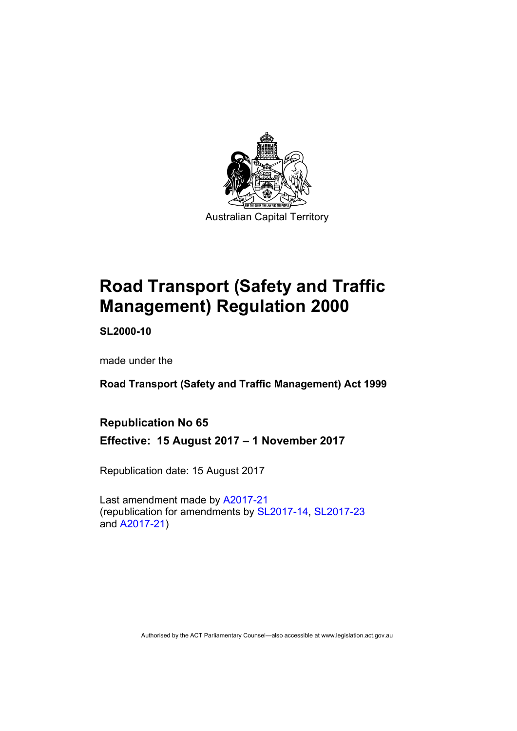

# **Road Transport (Safety and Traffic Management) Regulation 2000**

**SL2000-10** 

made under the

**Road Transport (Safety and Traffic Management) Act 1999** 

### **Republication No 65**

**Effective: 15 August 2017 – 1 November 2017** 

Republication date: 15 August 2017

Last amendment made by [A2017-21](http://www.legislation.act.gov.au/a/2017-21/default.asp) (republication for amendments by [SL2017-14](http://www.legislation.act.gov.au/sl/2017-14/default.asp), [SL2017-23](http://www.legislation.act.gov.au/sl/2017-23/default.asp) and [A2017-21](http://www.legislation.act.gov.au/a/2017-21/default.asp))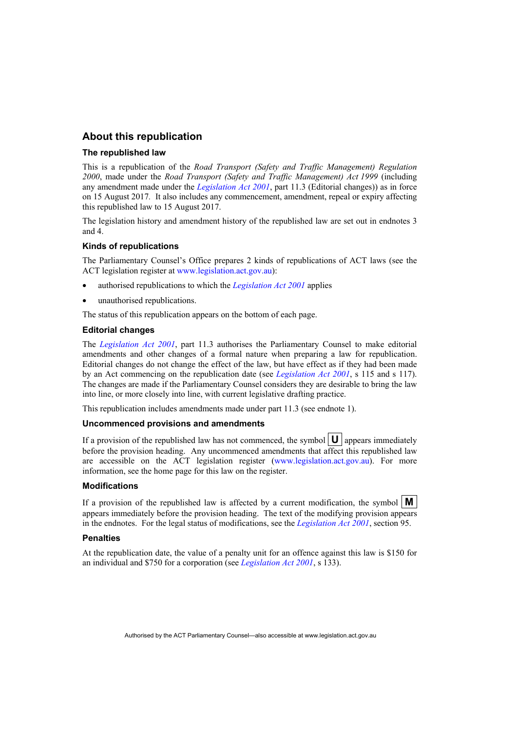#### **About this republication**

#### **The republished law**

This is a republication of the *Road Transport (Safety and Traffic Management) Regulation 2000*, made under the *Road Transport (Safety and Traffic Management) Act 1999* (including any amendment made under the *[Legislation Act 2001](http://www.legislation.act.gov.au/a/2001-14)*, part 11.3 (Editorial changes)) as in force on 15 August 2017*.* It also includes any commencement, amendment, repeal or expiry affecting this republished law to 15 August 2017.

The legislation history and amendment history of the republished law are set out in endnotes 3 and 4.

#### **Kinds of republications**

The Parliamentary Counsel's Office prepares 2 kinds of republications of ACT laws (see the ACT legislation register at [www.legislation.act.gov.au](http://www.legislation.act.gov.au/)):

- authorised republications to which the *[Legislation Act 2001](http://www.legislation.act.gov.au/a/2001-14)* applies
- unauthorised republications.

The status of this republication appears on the bottom of each page.

#### **Editorial changes**

The *[Legislation Act 2001](http://www.legislation.act.gov.au/a/2001-14)*, part 11.3 authorises the Parliamentary Counsel to make editorial amendments and other changes of a formal nature when preparing a law for republication. Editorial changes do not change the effect of the law, but have effect as if they had been made by an Act commencing on the republication date (see *[Legislation Act 2001](http://www.legislation.act.gov.au/a/2001-14)*, s 115 and s 117). The changes are made if the Parliamentary Counsel considers they are desirable to bring the law into line, or more closely into line, with current legislative drafting practice.

This republication includes amendments made under part 11.3 (see endnote 1).

#### **Uncommenced provisions and amendments**

If a provision of the republished law has not commenced, the symbol  $|\mathbf{U}|$  appears immediately before the provision heading. Any uncommenced amendments that affect this republished law are accessible on the ACT legislation register [\(www.legislation.act.gov.au](http://www.legislation.act.gov.au/)). For more information, see the home page for this law on the register.

#### **Modifications**

If a provision of the republished law is affected by a current modification, the symbol  $\mathbf{M}$ appears immediately before the provision heading. The text of the modifying provision appears in the endnotes. For the legal status of modifications, see the *[Legislation Act 2001](http://www.legislation.act.gov.au/a/2001-14)*, section 95.

#### **Penalties**

At the republication date, the value of a penalty unit for an offence against this law is \$150 for an individual and \$750 for a corporation (see *[Legislation Act 2001](http://www.legislation.act.gov.au/a/2001-14)*, s 133).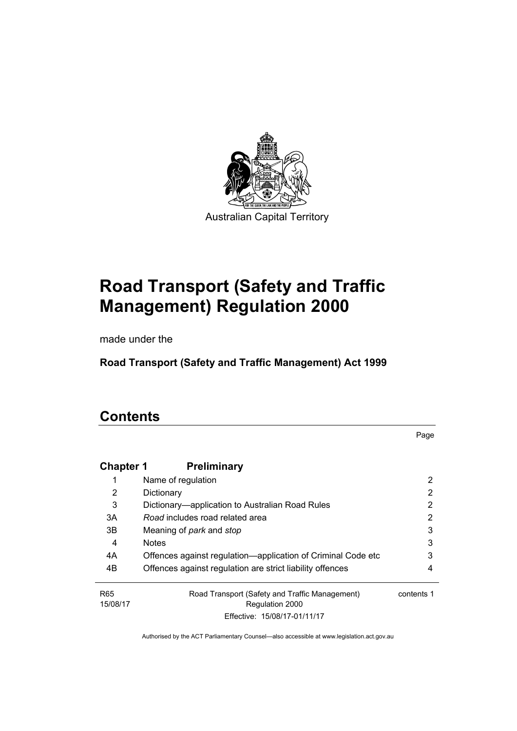

# **Road Transport (Safety and Traffic Management) Regulation 2000**

made under the

**Road Transport (Safety and Traffic Management) Act 1999** 

## **Contents**

Page

| <b>Chapter 1</b>            | <b>Preliminary</b>                                                |            |
|-----------------------------|-------------------------------------------------------------------|------------|
|                             | Name of regulation                                                | 2          |
| 2                           | Dictionary                                                        | 2          |
| 3                           | Dictionary—application to Australian Road Rules                   | 2          |
| 3A                          | Road includes road related area                                   | 2          |
| 3B                          | Meaning of <i>park</i> and <i>stop</i>                            | 3          |
| 4                           | <b>Notes</b>                                                      | 3          |
| 4A                          | Offences against regulation—application of Criminal Code etc      | 3          |
| 4B                          | Offences against regulation are strict liability offences         | 4          |
| R <sub>65</sub><br>15/08/17 | Road Transport (Safety and Traffic Management)<br>Regulation 2000 | contents 1 |
|                             | Effective: 15/08/17-01/11/17                                      |            |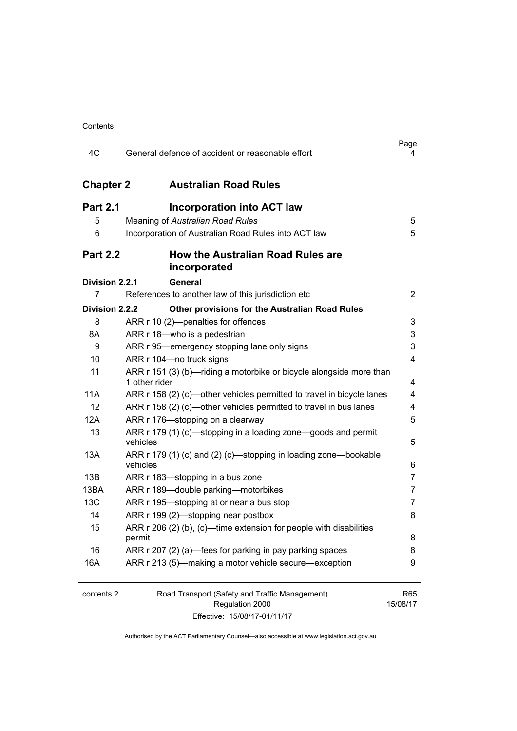| Contents |
|----------|
|----------|

| 4C               | General defence of accident or reasonable effort                                     | Page<br>4       |
|------------------|--------------------------------------------------------------------------------------|-----------------|
| <b>Chapter 2</b> | <b>Australian Road Rules</b>                                                         |                 |
| <b>Part 2.1</b>  | <b>Incorporation into ACT law</b>                                                    |                 |
| 5                | Meaning of Australian Road Rules                                                     | 5               |
| 6                | Incorporation of Australian Road Rules into ACT law                                  | 5               |
| <b>Part 2.2</b>  | How the Australian Road Rules are<br>incorporated                                    |                 |
| Division 2.2.1   | <b>General</b>                                                                       |                 |
| 7                | References to another law of this jurisdiction etc                                   | 2               |
| Division 2.2.2   | Other provisions for the Australian Road Rules                                       |                 |
| 8                | ARR r 10 (2)-penalties for offences                                                  | 3               |
| 8A               | ARR r 18-who is a pedestrian                                                         | 3               |
| 9                | ARR r 95—emergency stopping lane only signs                                          | 3               |
| 10               | ARR r 104-no truck signs                                                             | 4               |
| 11               | ARR r 151 (3) (b)—riding a motorbike or bicycle alongside more than<br>1 other rider | 4               |
| 11A              | ARR r 158 (2) (c)—other vehicles permitted to travel in bicycle lanes                | 4               |
| 12               | ARR r 158 (2) (c)—other vehicles permitted to travel in bus lanes                    | 4               |
| 12A              | ARR r 176-stopping on a clearway                                                     | 5               |
| 13               | ARR r 179 (1) (c)—stopping in a loading zone—goods and permit<br>vehicles            | 5               |
| 13A              | ARR r 179 (1) (c) and (2) (c)—stopping in loading zone—bookable<br>vehicles          | 6               |
| 13B              | ARR r 183-stopping in a bus zone                                                     | 7               |
| 13BA             | ARR r 189-double parking-motorbikes                                                  | 7               |
| 13C              | ARR r 195—stopping at or near a bus stop                                             | 7               |
| 14               | ARR r 199 (2)-stopping near postbox                                                  | 8               |
| 15               | ARR r 206 (2) (b), (c)—time extension for people with disabilities<br>permit         | 8               |
| 16               | ARR r 207 (2) (a)—fees for parking in pay parking spaces                             | 8               |
| 16A              | ARR r 213 (5)—making a motor vehicle secure—exception                                | 9               |
| contents 2       | Road Transport (Safety and Traffic Management)<br>Regulation 2000                    | R65<br>15/08/17 |

Effective: 15/08/17-01/11/17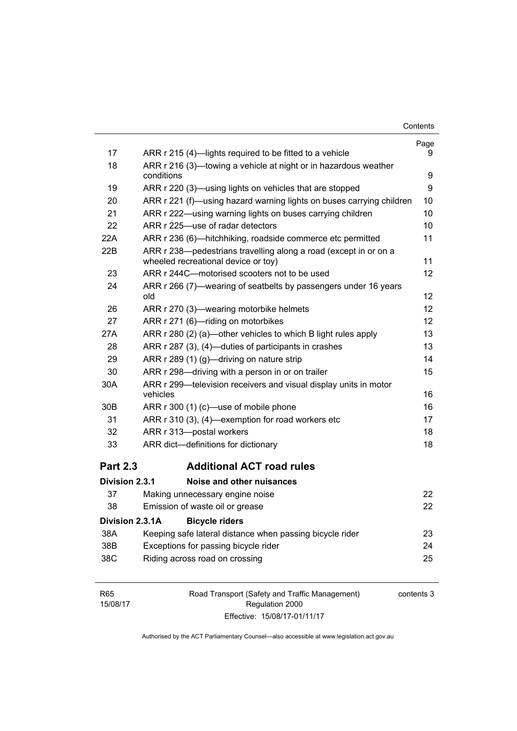| Contents |
|----------|
|----------|

|                 |                                                                                                         | Page              |
|-----------------|---------------------------------------------------------------------------------------------------------|-------------------|
| 17              | ARR r 215 (4)—lights required to be fitted to a vehicle                                                 | 9                 |
| 18              | ARR r 216 (3)—towing a vehicle at night or in hazardous weather                                         |                   |
|                 | conditions                                                                                              | 9                 |
| 19              | ARR r 220 (3)—using lights on vehicles that are stopped                                                 | 9                 |
| 20              | ARR r 221 (f)—using hazard warning lights on buses carrying children                                    | 10                |
| 21              | ARR r 222—using warning lights on buses carrying children                                               | 10                |
| 22              | ARR r 225-use of radar detectors                                                                        | 10                |
| 22A             | ARR r 236 (6)—hitchhiking, roadside commerce etc permitted                                              | 11                |
| 22B             | ARR r 238-pedestrians travelling along a road (except in or on a<br>wheeled recreational device or toy) | 11                |
| 23              | ARR r 244C-motorised scooters not to be used                                                            | $12 \overline{ }$ |
| 24              | ARR r 266 (7)—wearing of seatbelts by passengers under 16 years<br>old                                  | 12                |
| 26              | ARR r 270 (3)—wearing motorbike helmets                                                                 | 12                |
| 27              | ARR r 271 (6)-riding on motorbikes                                                                      | 12                |
| 27A             | ARR r 280 (2) (a)—other vehicles to which B light rules apply                                           | 13                |
| 28              | ARR r 287 (3), (4)—duties of participants in crashes                                                    | 13                |
| 29              | ARR r 289 (1) (g)—driving on nature strip                                                               | 14                |
| 30              | ARR r 298-driving with a person in or on trailer                                                        | 15                |
| 30A             | ARR r 299-television receivers and visual display units in motor<br>vehicles                            | 16                |
| 30B             | ARR r 300 (1) (c)—use of mobile phone                                                                   | 16                |
| 31              | ARR r 310 (3), (4)—exemption for road workers etc                                                       | 17                |
| 32              | ARR r 313-postal workers                                                                                | 18                |
| 33              | ARR dict-definitions for dictionary                                                                     | 18                |
|                 |                                                                                                         |                   |
| <b>Part 2.3</b> | <b>Additional ACT road rules</b>                                                                        |                   |
| Division 2.3.1  | Noise and other nuisances                                                                               |                   |
| 37              | Making unnecessary engine noise                                                                         | 22                |
| 38              | Emission of waste oil or grease                                                                         | 22                |
| Division 2.3.1A | <b>Bicycle riders</b>                                                                                   |                   |
| 38A             | Keeping safe lateral distance when passing bicycle rider                                                | 23                |
| 38B             | Exceptions for passing bicycle rider                                                                    | 24                |
| 38C             | Riding across road on crossing                                                                          | 25                |
|                 |                                                                                                         |                   |

| R65      | Road Transport (Safety and Traffic Management) | contents 3 |
|----------|------------------------------------------------|------------|
| 15/08/17 | Regulation 2000                                |            |
|          | Effective: 15/08/17-01/11/17                   |            |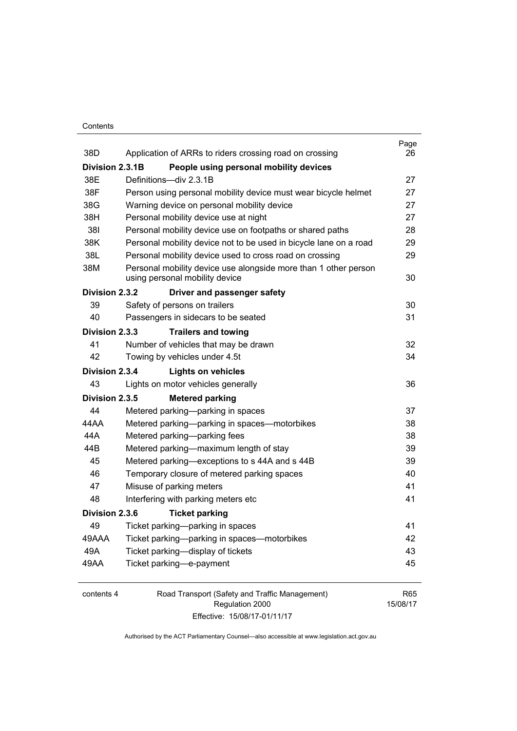#### **Contents**

| 38D             | Application of ARRs to riders crossing road on crossing                                           | Page<br>26 |
|-----------------|---------------------------------------------------------------------------------------------------|------------|
| Division 2.3.1B | People using personal mobility devices                                                            |            |
| 38E             | Definitions-div 2.3.1B                                                                            | 27         |
| 38F             | Person using personal mobility device must wear bicycle helmet                                    | 27         |
| 38G             | Warning device on personal mobility device                                                        | 27         |
| 38H             | Personal mobility device use at night                                                             | 27         |
| 381             | Personal mobility device use on footpaths or shared paths                                         | 28         |
| 38K             | Personal mobility device not to be used in bicycle lane on a road                                 | 29         |
| 38L             | Personal mobility device used to cross road on crossing                                           | 29         |
| 38M             | Personal mobility device use alongside more than 1 other person<br>using personal mobility device | 30         |
| Division 2.3.2  | Driver and passenger safety                                                                       |            |
| 39              | Safety of persons on trailers                                                                     | 30         |
| 40              | Passengers in sidecars to be seated                                                               | 31         |
| Division 2.3.3  | <b>Trailers and towing</b>                                                                        |            |
| 41              | Number of vehicles that may be drawn                                                              | 32         |
| 42              | Towing by vehicles under 4.5t                                                                     | 34         |
| Division 2.3.4  | <b>Lights on vehicles</b>                                                                         |            |
| 43              | Lights on motor vehicles generally                                                                | 36         |
| Division 2.3.5  | <b>Metered parking</b>                                                                            |            |
| 44              | Metered parking-parking in spaces                                                                 | 37         |
| 44 A A          | Metered parking-parking in spaces-motorbikes                                                      | 38         |
| 44A             | Metered parking-parking fees                                                                      | 38         |
| 44B             | Metered parking-maximum length of stay                                                            | 39         |
| 45              | Metered parking-exceptions to s 44A and s 44B                                                     | 39         |
| 46              | Temporary closure of metered parking spaces                                                       | 40         |
| 47              | Misuse of parking meters                                                                          | 41         |
| 48              | Interfering with parking meters etc                                                               | 41         |
| Division 2.3.6  | <b>Ticket parking</b>                                                                             |            |
| 49              | Ticket parking-parking in spaces                                                                  | 41         |
| 49AAA           | Ticket parking-parking in spaces-motorbikes                                                       | 42         |
| 49A             | Ticket parking-display of tickets                                                                 | 43         |
| 49AA            | Ticket parking-e-payment                                                                          | 45         |
|                 | $\sim$ $\sim$                                                                                     |            |

| contents 4 | Road Transport (Safety and Traffic Management) | R65      |
|------------|------------------------------------------------|----------|
|            | Regulation 2000                                | 15/08/17 |
|            | Effective: 15/08/17-01/11/17                   |          |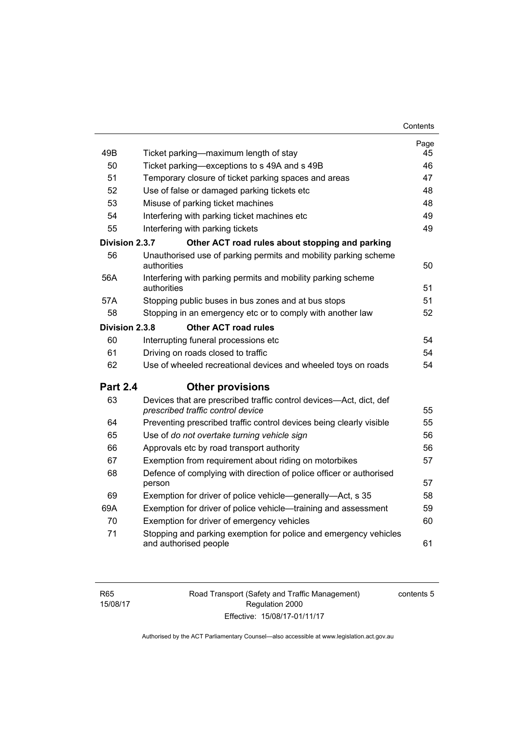| 49B             | Ticket parking—maximum length of stay                                                     | Page<br>45 |
|-----------------|-------------------------------------------------------------------------------------------|------------|
| 50              | Ticket parking—exceptions to s 49A and s 49B                                              | 46         |
| 51              | Temporary closure of ticket parking spaces and areas                                      | 47         |
| 52              | Use of false or damaged parking tickets etc                                               | 48         |
| 53              | Misuse of parking ticket machines                                                         | 48         |
| 54              | Interfering with parking ticket machines etc                                              | 49         |
| 55              | Interfering with parking tickets                                                          | 49         |
| Division 2.3.7  | Other ACT road rules about stopping and parking                                           |            |
| 56              | Unauthorised use of parking permits and mobility parking scheme                           |            |
|                 | authorities                                                                               | 50         |
| 56A             | Interfering with parking permits and mobility parking scheme                              |            |
|                 | authorities                                                                               | 51         |
| 57A             | Stopping public buses in bus zones and at bus stops                                       | 51         |
| 58              | Stopping in an emergency etc or to comply with another law                                | 52         |
| Division 2.3.8  | <b>Other ACT road rules</b>                                                               |            |
| 60              | Interrupting funeral processions etc                                                      | 54         |
| 61              | Driving on roads closed to traffic                                                        | 54         |
| 62              | Use of wheeled recreational devices and wheeled toys on roads                             | 54         |
| <b>Part 2.4</b> | <b>Other provisions</b>                                                                   |            |
| 63              | Devices that are prescribed traffic control devices-Act, dict, def                        |            |
|                 | prescribed traffic control device                                                         | 55         |
| 64              | Preventing prescribed traffic control devices being clearly visible                       | 55         |
| 65              | Use of do not overtake turning vehicle sign                                               | 56         |
| 66              | Approvals etc by road transport authority                                                 | 56         |
| 67              | Exemption from requirement about riding on motorbikes                                     | 57         |
| 68              | Defence of complying with direction of police officer or authorised<br>person             | 57         |
| 69              | Exemption for driver of police vehicle—generally—Act, s 35                                | 58         |
| 69A             | Exemption for driver of police vehicle—training and assessment                            | 59         |
| 70              | Exemption for driver of emergency vehicles                                                | 60         |
| 71              | Stopping and parking exemption for police and emergency vehicles<br>and authorised people | 61         |
|                 |                                                                                           |            |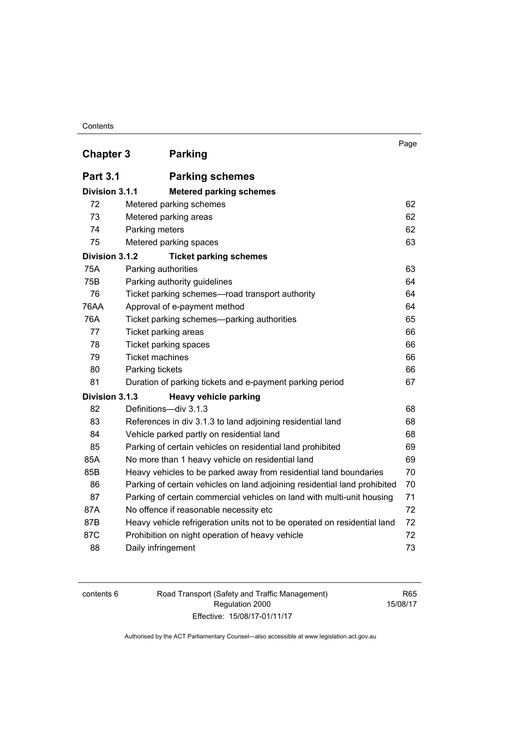#### **Contents**

| <b>Chapter 3</b> | <b>Parking</b>                                                            | Page |
|------------------|---------------------------------------------------------------------------|------|
| <b>Part 3.1</b>  | <b>Parking schemes</b>                                                    |      |
| Division 3.1.1   | <b>Metered parking schemes</b>                                            |      |
| 72               | Metered parking schemes                                                   | 62   |
| 73               | Metered parking areas                                                     | 62   |
| 74               | Parking meters                                                            | 62   |
| 75               | Metered parking spaces                                                    | 63   |
| Division 3.1.2   | <b>Ticket parking schemes</b>                                             |      |
| 75A              | Parking authorities                                                       | 63   |
| 75B              | Parking authority guidelines                                              | 64   |
| 76               | Ticket parking schemes-road transport authority                           | 64   |
| 76AA             | Approval of e-payment method                                              | 64   |
| 76A              | Ticket parking schemes—parking authorities                                | 65   |
| 77               | Ticket parking areas                                                      | 66   |
| 78               | Ticket parking spaces                                                     | 66   |
| 79               | <b>Ticket machines</b>                                                    | 66   |
| 80               | Parking tickets                                                           | 66   |
| 81               | Duration of parking tickets and e-payment parking period                  | 67   |
| Division 3.1.3   | <b>Heavy vehicle parking</b>                                              |      |
| 82               | Definitions-div 3.1.3                                                     | 68   |
| 83               | References in div 3.1.3 to land adjoining residential land                | 68   |
| 84               | Vehicle parked partly on residential land                                 | 68   |
| 85               | Parking of certain vehicles on residential land prohibited                | 69   |
| 85A              | No more than 1 heavy vehicle on residential land                          | 69   |
| 85B              | Heavy vehicles to be parked away from residential land boundaries         | 70   |
| 86               | Parking of certain vehicles on land adjoining residential land prohibited | 70   |
| 87               | Parking of certain commercial vehicles on land with multi-unit housing    | 71   |
| 87A              | No offence if reasonable necessity etc                                    | 72   |
| 87B              | Heavy vehicle refrigeration units not to be operated on residential land  | 72   |
| 87C              | Prohibition on night operation of heavy vehicle                           | 72   |
| 88               | Daily infringement                                                        | 73   |

| contents 6 |  |
|------------|--|
|------------|--|

Road Transport (Safety and Traffic Management) Regulation 2000 Effective: 15/08/17-01/11/17

R65 15/08/17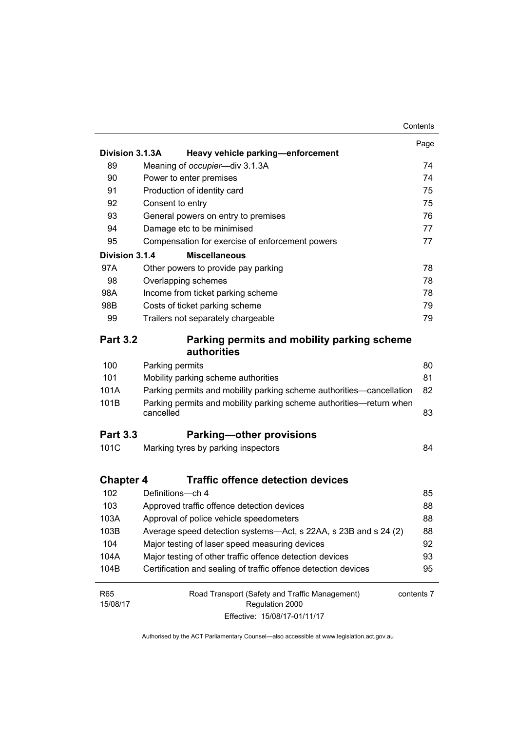|                  |                                                                                  | Contents   |
|------------------|----------------------------------------------------------------------------------|------------|
|                  |                                                                                  | Page       |
| Division 3.1.3A  | Heavy vehicle parking-enforcement                                                |            |
| 89               | Meaning of occupier-div 3.1.3A                                                   | 74         |
| 90               | Power to enter premises                                                          | 74         |
| 91               | Production of identity card                                                      | 75         |
| 92               | Consent to entry                                                                 | 75         |
| 93               | General powers on entry to premises                                              | 76         |
| 94               | Damage etc to be minimised                                                       | 77         |
| 95               | Compensation for exercise of enforcement powers                                  | 77         |
| Division 3.1.4   | <b>Miscellaneous</b>                                                             |            |
| 97A              | Other powers to provide pay parking                                              | 78         |
| 98               | Overlapping schemes                                                              | 78         |
| 98A              | Income from ticket parking scheme                                                | 78         |
| 98B              | Costs of ticket parking scheme                                                   | 79         |
| 99               | Trailers not separately chargeable                                               | 79         |
| <b>Part 3.2</b>  | Parking permits and mobility parking scheme                                      |            |
|                  | authorities                                                                      |            |
| 100              | Parking permits                                                                  | 80         |
| 101              | Mobility parking scheme authorities                                              | 81         |
| 101A             | Parking permits and mobility parking scheme authorities—cancellation             | 82         |
| 101B             | Parking permits and mobility parking scheme authorities-return when<br>cancelled | 83         |
| <b>Part 3.3</b>  | <b>Parking-other provisions</b>                                                  |            |
| 101C             | Marking tyres by parking inspectors                                              | 84         |
| <b>Chapter 4</b> | <b>Traffic offence detection devices</b>                                         |            |
| 102              | Definitions-ch 4                                                                 | 85         |
| 103              | Approved traffic offence detection devices                                       | 88         |
| 103A             | Approval of police vehicle speedometers                                          | 88         |
| 103B             | Average speed detection systems-Act, s 22AA, s 23B and s 24 (2)                  | 88         |
| 104              | Major testing of laser speed measuring devices                                   | 92         |
| 104A             | Major testing of other traffic offence detection devices                         |            |
| 104B             | Certification and sealing of traffic offence detection devices                   | 95         |
| <b>R65</b>       | Road Transport (Safety and Traffic Management)                                   | contents 7 |
| 15/08/17         | Regulation 2000                                                                  |            |
|                  | Effective: 15/08/17-01/11/17                                                     |            |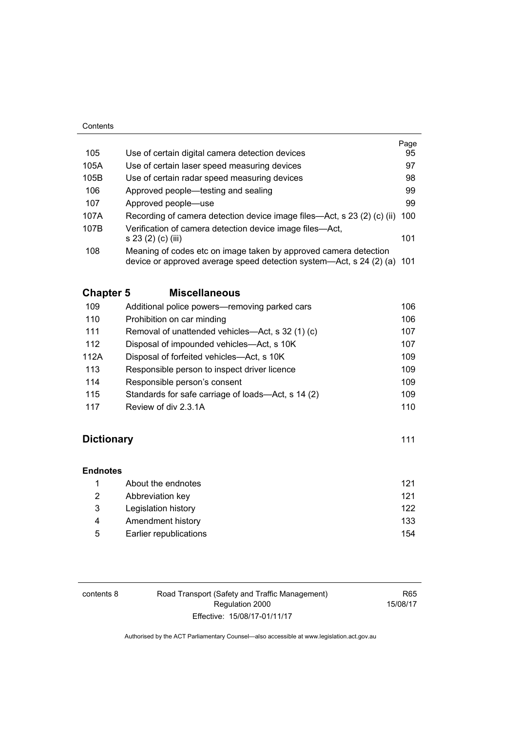#### **Contents**

|      |                                                                                                                                             | Page |
|------|---------------------------------------------------------------------------------------------------------------------------------------------|------|
| 105  | Use of certain digital camera detection devices                                                                                             | 95   |
| 105A | Use of certain laser speed measuring devices                                                                                                | 97   |
| 105B | Use of certain radar speed measuring devices                                                                                                | 98   |
| 106  | Approved people—testing and sealing                                                                                                         | 99   |
| 107  | Approved people—use                                                                                                                         | 99   |
| 107A | Recording of camera detection device image files—Act, s 23 (2) (c) (ii)                                                                     | 100  |
| 107B | Verification of camera detection device image files—Act,                                                                                    |      |
|      | s 23 (2) (c) (iii)                                                                                                                          | 101  |
| 108  | Meaning of codes etc on image taken by approved camera detection<br>device or approved average speed detection system—Act, s 24 (2) (a) 101 |      |

### **Chapter 5 [Miscellaneous](#page-122-0)**

| 109  | Additional police powers-removing parked cars      | 106 |
|------|----------------------------------------------------|-----|
| 110  | Prohibition on car minding                         | 106 |
| 111  | Removal of unattended vehicles—Act, s 32 (1) (c)   | 107 |
| 112  | Disposal of impounded vehicles—Act, s 10K          | 107 |
| 112A | Disposal of forfeited vehicles—Act, s 10K          | 109 |
| 113  | Responsible person to inspect driver licence       | 109 |
| 114  | Responsible person's consent                       | 109 |
| 115  | Standards for safe carriage of loads-Act, s 14 (2) | 109 |
| 117  | Review of div 2.3.1A                               | 110 |

### **Dictionary** [111](#page-127-0)

| <b>Endnotes</b> |                        |     |
|-----------------|------------------------|-----|
|                 | About the endnotes     | 121 |
| 2               | Abbreviation key       | 121 |
| 3               | Legislation history    | 122 |
| 4               | Amendment history      | 133 |
| 5               | Earlier republications | 154 |

| contents 8 | Road Transport (Safety and Traffic Management) | R65      |
|------------|------------------------------------------------|----------|
|            | Regulation 2000                                | 15/08/17 |
|            | Effective: 15/08/17-01/11/17                   |          |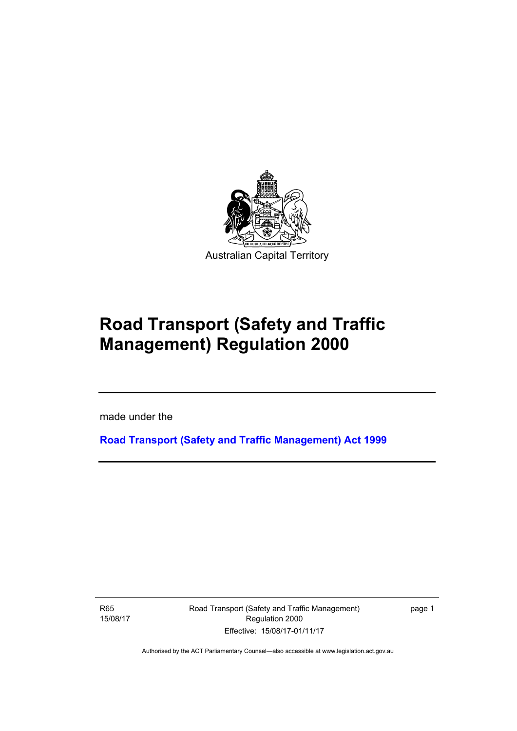

# **Road Transport (Safety and Traffic Management) Regulation 2000**

made under the

**[Road Transport \(Safety and Traffic Management\) Act 1999](http://www.legislation.act.gov.au/a/1999-80)**

R65 15/08/17

l

Road Transport (Safety and Traffic Management) Regulation 2000 Effective: 15/08/17-01/11/17

page 1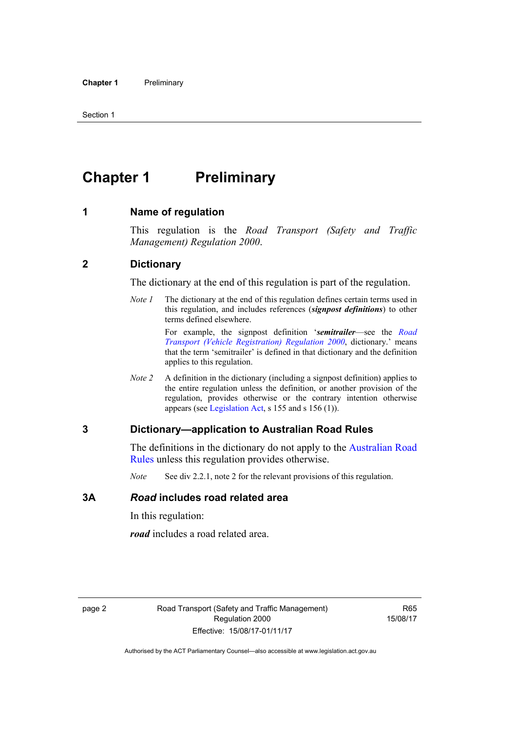## <span id="page-11-0"></span>**Chapter 1** Preliminary

#### <span id="page-11-1"></span>**1 Name of regulation**

This regulation is the *Road Transport (Safety and Traffic Management) Regulation 2000*.

#### <span id="page-11-2"></span>**2 Dictionary**

The dictionary at the end of this regulation is part of the regulation.

*Note 1* The dictionary at the end of this regulation defines certain terms used in this regulation, and includes references (*signpost definitions*) to other terms defined elsewhere.

> For example, the signpost definition '*semitrailer*—see the *[Road](http://www.legislation.act.gov.au/sl/2000-12)  [Transport \(Vehicle Registration\) Regulation 2000](http://www.legislation.act.gov.au/sl/2000-12)*, dictionary.' means that the term 'semitrailer' is defined in that dictionary and the definition applies to this regulation.

*Note 2* A definition in the dictionary (including a signpost definition) applies to the entire regulation unless the definition, or another provision of the regulation, provides otherwise or the contrary intention otherwise appears (see [Legislation Act,](http://www.legislation.act.gov.au/a/2001-14) s 155 and s 156 (1)).

#### <span id="page-11-3"></span>**3 Dictionary—application to Australian Road Rules**

The definitions in the dictionary do not apply to the [Australian Road](http://www.legislation.act.gov.au//ni/db_37271/default.asp)  [Rules](http://www.legislation.act.gov.au//ni/db_37271/default.asp) unless this regulation provides otherwise.

*Note* See div 2.2.1, note 2 for the relevant provisions of this regulation.

#### <span id="page-11-4"></span>**3A** *Road* **includes road related area**

In this regulation:

*road* includes a road related area.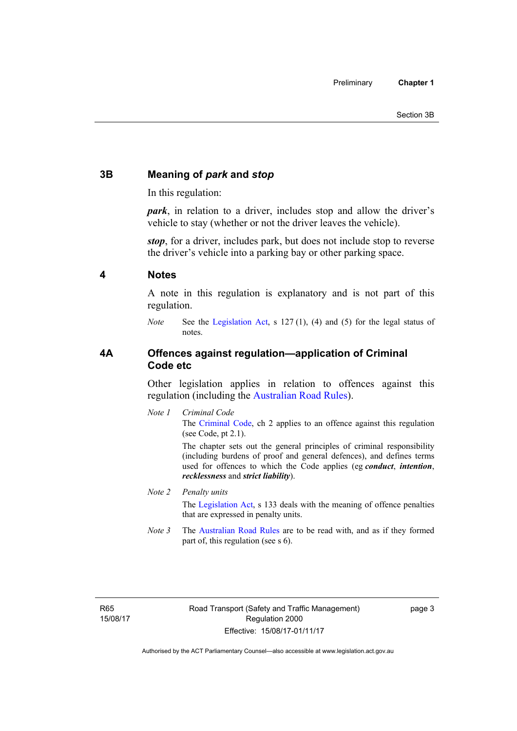#### <span id="page-12-0"></span>**3B Meaning of** *park* **and** *stop*

In this regulation:

*park*, in relation to a driver, includes stop and allow the driver's vehicle to stay (whether or not the driver leaves the vehicle).

*stop*, for a driver, includes park, but does not include stop to reverse the driver's vehicle into a parking bay or other parking space.

#### <span id="page-12-1"></span>**4 Notes**

A note in this regulation is explanatory and is not part of this regulation.

*Note* See the [Legislation Act,](http://www.legislation.act.gov.au/a/2001-14) s 127 (1), (4) and (5) for the legal status of notes.

#### <span id="page-12-2"></span>**4A Offences against regulation—application of Criminal Code etc**

Other legislation applies in relation to offences against this regulation (including the [Australian Road Rules](http://www.legislation.act.gov.au//ni/db_37271/default.asp)).

*Note 1 Criminal Code* The [Criminal Code,](http://www.legislation.act.gov.au/a/2002-51) ch 2 applies to an offence against this regulation (see Code, pt 2.1).

> The chapter sets out the general principles of criminal responsibility (including burdens of proof and general defences), and defines terms used for offences to which the Code applies (eg *conduct*, *intention*, *recklessness* and *strict liability*).

#### *Note 2 Penalty units*

The [Legislation Act](http://www.legislation.act.gov.au/a/2001-14), s 133 deals with the meaning of offence penalties that are expressed in penalty units.

*Note 3* The [Australian Road Rules](http://www.legislation.act.gov.au//ni/db_37271/default.asp) are to be read with, and as if they formed part of, this regulation (see s 6).

R65 15/08/17 page 3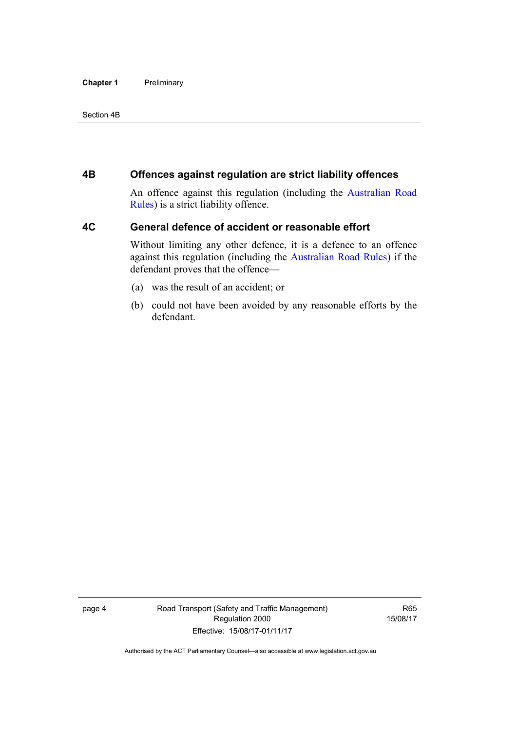#### **Chapter 1** Preliminary

#### Section 4B

#### <span id="page-13-0"></span>**4B Offences against regulation are strict liability offences**

An offence against this regulation (including the [Australian Road](http://www.legislation.act.gov.au//ni/db_37271/default.asp)  [Rules](http://www.legislation.act.gov.au//ni/db_37271/default.asp)) is a strict liability offence.

#### <span id="page-13-1"></span>**4C General defence of accident or reasonable effort**

Without limiting any other defence, it is a defence to an offence against this regulation (including the [Australian Road Rules\)](http://www.legislation.act.gov.au//ni/db_37271/default.asp) if the defendant proves that the offence—

- (a) was the result of an accident; or
- (b) could not have been avoided by any reasonable efforts by the defendant.

page 4 Road Transport (Safety and Traffic Management) Regulation 2000 Effective: 15/08/17-01/11/17

R65 15/08/17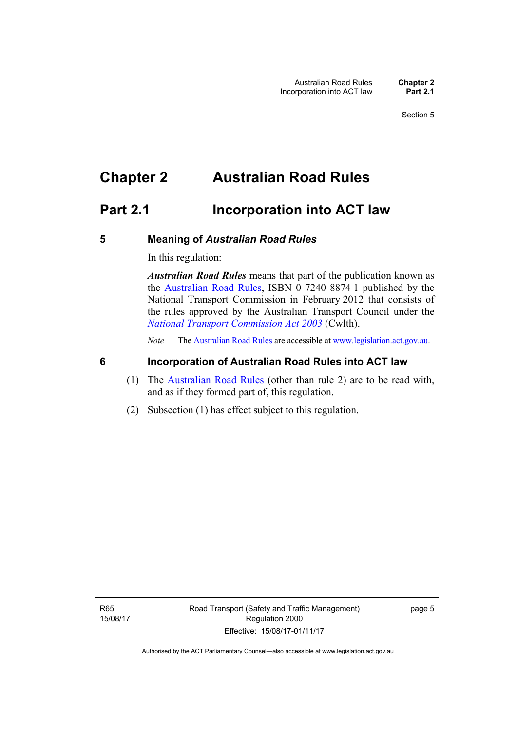### <span id="page-14-0"></span>**Chapter 2 Australian Road Rules**

### <span id="page-14-1"></span>**Part 2.1 Incorporation into ACT law**

#### <span id="page-14-2"></span>**5 Meaning of** *Australian Road Rules*

In this regulation:

*Australian Road Rules* means that part of the publication known as the [Australian Road Rules](http://www.legislation.act.gov.au//ni/db_37271/default.asp), ISBN 0 7240 8874 1 published by the National Transport Commission in February 2012 that consists of the rules approved by the Australian Transport Council under the *[National Transport Commission Act 2003](http://www.comlaw.gov.au/Series/C2004A01166)* (Cwlth).

*Note* The [Australian Road Rules](http://www.legislation.act.gov.au//ni/db_37271/default.asp) are accessible at [www.legislation.act.gov.au](http://www.legislation.act.gov.au/).

#### <span id="page-14-3"></span>**6 Incorporation of Australian Road Rules into ACT law**

- (1) The [Australian Road Rules](http://www.legislation.act.gov.au//ni/db_37271/default.asp) (other than rule 2) are to be read with, and as if they formed part of, this regulation.
- (2) Subsection (1) has effect subject to this regulation.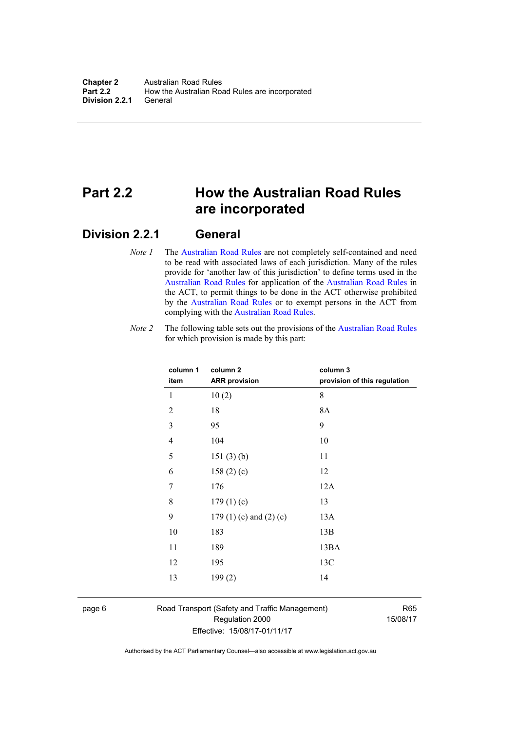### <span id="page-15-0"></span>**Part 2.2 How the Australian Road Rules are incorporated**

#### <span id="page-15-1"></span>**Division 2.2.1 General**

*Note 1* The [Australian Road Rules](http://www.legislation.act.gov.au//ni/db_37271/default.asp) are not completely self-contained and need to be read with associated laws of each jurisdiction. Many of the rules provide for 'another law of this jurisdiction' to define terms used in the [Australian Road Rules](http://www.legislation.act.gov.au//ni/db_37271/default.asp) for application of the [Australian Road Rules](http://www.legislation.act.gov.au//ni/db_37271/default.asp) in the ACT, to permit things to be done in the ACT otherwise prohibited by the [Australian Road Rules](http://www.legislation.act.gov.au//ni/db_37271/default.asp) or to exempt persons in the ACT from complying with the [Australian Road Rules.](http://www.legislation.act.gov.au//ni/db_37271/default.asp)

*Note 2* The following table sets out the provisions of the [Australian Road Rules](http://www.legislation.act.gov.au//ni/db_37271/default.asp) for which provision is made by this part:

| column 1<br>item | column <sub>2</sub><br><b>ARR provision</b> | column 3<br>provision of this regulation |
|------------------|---------------------------------------------|------------------------------------------|
| 1                | 10(2)                                       | 8                                        |
| $\overline{2}$   | 18                                          | 8A                                       |
| 3                | 95                                          | 9                                        |
| $\overline{4}$   | 104                                         | 10                                       |
| 5                | 151(3)(b)                                   | 11                                       |
| 6                | 158 $(2)(c)$                                | 12                                       |
| 7                | 176                                         | 12A                                      |
| 8                | 179(1)(c)                                   | 13                                       |
| 9                | 179 $(1)(c)$ and $(2)(c)$                   | 13A                                      |
| 10               | 183                                         | 13B                                      |
| 11               | 189                                         | 13BA                                     |
| 12               | 195                                         | 13C                                      |
| 13               | 199(2)                                      | 14                                       |
|                  |                                             |                                          |

page 6 Road Transport (Safety and Traffic Management) Regulation 2000 Effective: 15/08/17-01/11/17

R65 15/08/17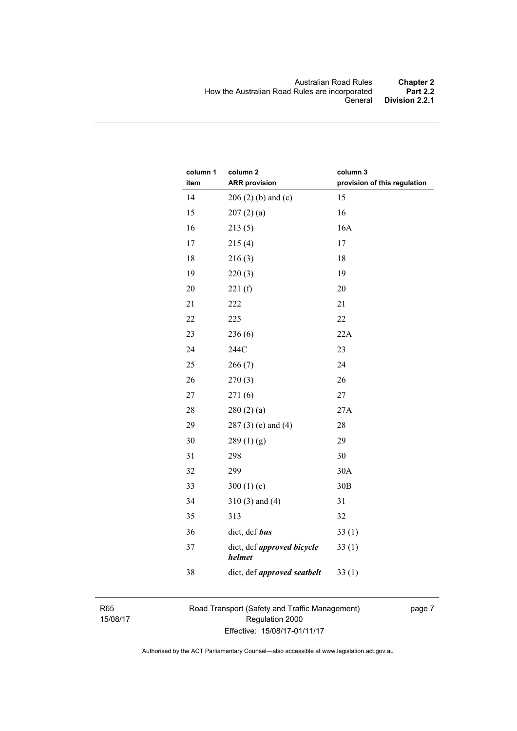| column 1<br>item | column 2<br><b>ARR</b> provision     | column 3<br>provision of this regulation |
|------------------|--------------------------------------|------------------------------------------|
| 14               | $206(2)$ (b) and (c)                 | 15                                       |
| 15               | 207(2)(a)                            | 16                                       |
| 16               | 213(5)                               | 16A                                      |
| 17               | 215(4)                               | 17                                       |
| 18               | 216(3)                               | 18                                       |
| 19               | 220(3)                               | 19                                       |
| 20               | 221(f)                               | 20                                       |
| 21               | 222                                  | 21                                       |
| 22               | 225                                  | 22                                       |
| 23               | 236(6)                               | 22A                                      |
| 24               | 244C                                 | 23                                       |
| 25               | 266(7)                               | 24                                       |
| 26               | 270(3)                               | 26                                       |
| $27\,$           | 271(6)                               | 27                                       |
| 28               | 280(2)(a)                            | 27A                                      |
| 29               | $287(3)$ (e) and (4)                 | 28                                       |
| 30               | 289(1)(g)                            | 29                                       |
| 31               | 298                                  | 30                                       |
| 32               | 299                                  | 30A                                      |
| 33               | 300 $(1)(c)$                         | 30B                                      |
| 34               | $310(3)$ and $(4)$                   | 31                                       |
| 35               | 313                                  | 32                                       |
| 36               | dict, def bus                        | 33(1)                                    |
| 37               | dict, def approved bicycle<br>helmet | 33(1)                                    |
| 38               | dict, def approved seatbelt          | 33(1)                                    |

R65 15/08/17 Road Transport (Safety and Traffic Management) Regulation 2000 Effective: 15/08/17-01/11/17

page 7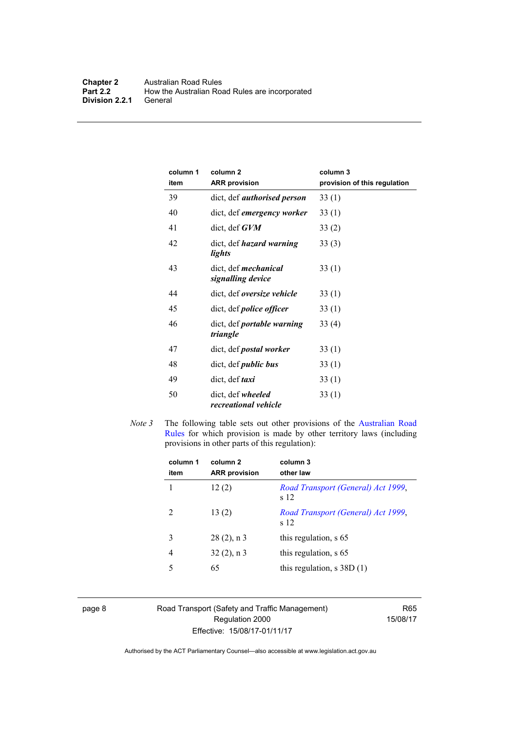| column 1<br>item | column <sub>2</sub><br><b>ARR provision</b>      | column 3<br>provision of this regulation |
|------------------|--------------------------------------------------|------------------------------------------|
| 39               | dict, def <i>authorised person</i>               | 33(1)                                    |
| 40               | dict, def emergency worker                       | 33(1)                                    |
| 41               | $dict, def$ $GVM$                                | 33(2)                                    |
| 42               | dict, def <i>hazard</i> warning<br>lights        | 33(3)                                    |
| 43               | dict, def <i>mechanical</i><br>signalling device | 33(1)                                    |
| 44               | dict, def oversize vehicle                       | 33(1)                                    |
| 45               | dict, def <i>police</i> officer                  | 33(1)                                    |
| 46               | dict, def <i>portable warning</i><br>triangle    | 33(4)                                    |
| 47               | dict, def <i>postal</i> worker                   | 33(1)                                    |
| 48               | dict, def <i>public</i> bus                      | 33(1)                                    |
| 49               | dict, def <i>taxi</i>                            | 33(1)                                    |
| 50               | dict, def wheeled<br>recreational vehicle        | 33(1)                                    |

*Note 3* The following table sets out other provisions of the Australian Road [Rules](http://www.legislation.act.gov.au//ni/db_37271/default.asp) for which provision is made by other territory laws (including provisions in other parts of this regulation):

| column 1<br>item | column <sub>2</sub><br><b>ARR</b> provision | column 3<br>other law                      |
|------------------|---------------------------------------------|--------------------------------------------|
|                  | 12(2)                                       | Road Transport (General) Act 1999,<br>s 12 |
| 2                | 13(2)                                       | Road Transport (General) Act 1999,<br>s 12 |
| 3                | $28(2)$ , n 3                               | this regulation, s 65                      |
| 4                | $32(2)$ , n 3                               | this regulation, s 65                      |
| 5                | 65                                          | this regulation, $s$ 38D $(1)$             |
|                  |                                             |                                            |

page 8 Road Transport (Safety and Traffic Management) Regulation 2000 Effective: 15/08/17-01/11/17

R65 15/08/17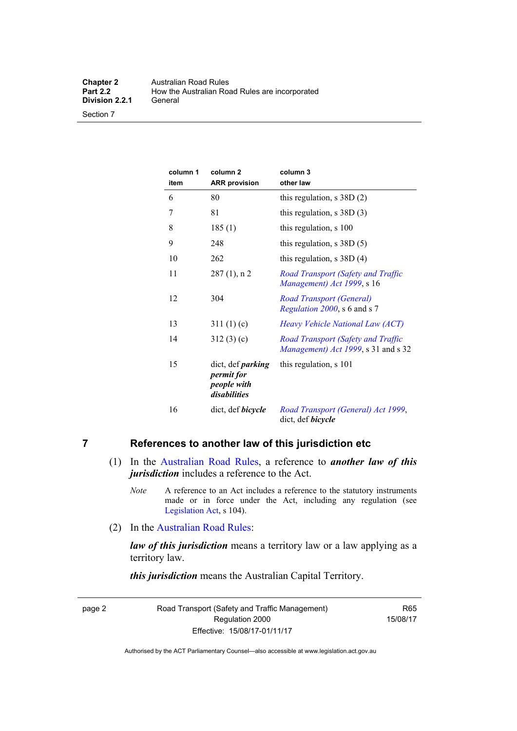Section 7

| column 1<br>item | column <sub>2</sub><br><b>ARR</b> provision                           | column 3<br>other law                                                     |
|------------------|-----------------------------------------------------------------------|---------------------------------------------------------------------------|
| 6                | 80                                                                    | this regulation, $s$ 38D $(2)$                                            |
| 7                | 81                                                                    | this regulation, $s$ 38D (3)                                              |
| 8                | 185(1)                                                                | this regulation, s 100                                                    |
| 9                | 248                                                                   | this regulation, $s$ 38D $(5)$                                            |
| 10               | 262                                                                   | this regulation, $s$ 38D (4)                                              |
| 11               | $287(1)$ , n 2                                                        | Road Transport (Safety and Traffic<br>Management) Act 1999, s 16          |
| 12               | 304                                                                   | <b>Road Transport (General)</b><br>Regulation 2000, s 6 and s 7           |
| 13               | 311(1)(c)                                                             | Heavy Vehicle National Law (ACT)                                          |
| 14               | 312(3)(c)                                                             | Road Transport (Safety and Traffic<br>Management) Act 1999, s 31 and s 32 |
| 15               | dict, def <i>parking</i><br>permit for<br>people with<br>disabilities | this regulation, s 101                                                    |
| 16               | dict, def <i>bicycle</i>                                              | Road Transport (General) Act 1999,<br>dict, def bicycle                   |

#### <span id="page-18-0"></span>**7 References to another law of this jurisdiction etc**

- (1) In the [Australian Road Rules,](http://www.legislation.act.gov.au//ni/db_37271/default.asp) a reference to *another law of this jurisdiction* includes a reference to the Act.
	- *Note* A reference to an Act includes a reference to the statutory instruments made or in force under the Act, including any regulation (see [Legislation Act,](http://www.legislation.act.gov.au/a/2001-14) s 104).
- (2) In the [Australian Road Rules](http://www.legislation.act.gov.au//ni/db_37271/default.asp):

*law of this jurisdiction* means a territory law or a law applying as a territory law.

*this jurisdiction* means the Australian Capital Territory.

page 2 Road Transport (Safety and Traffic Management) Regulation 2000 Effective: 15/08/17-01/11/17

R65 15/08/17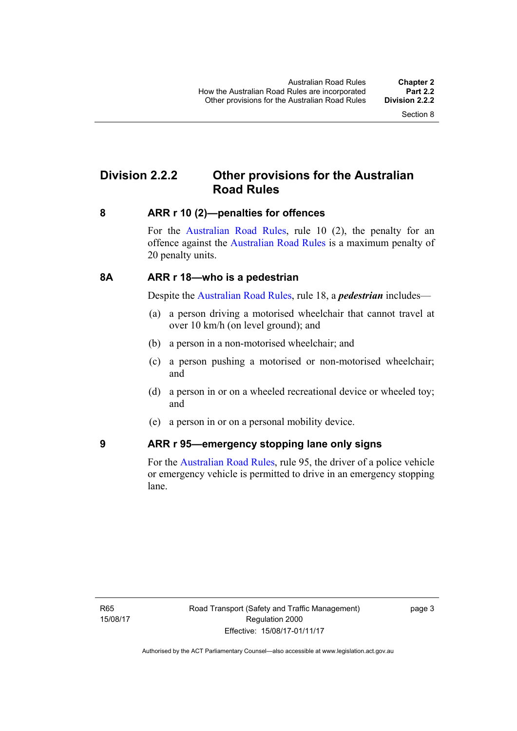### <span id="page-19-0"></span>**Division 2.2.2 Other provisions for the Australian Road Rules**

#### <span id="page-19-1"></span>**8 ARR r 10 (2)—penalties for offences**

For the [Australian Road Rules,](http://www.legislation.act.gov.au//ni/db_37271/default.asp) rule 10 (2), the penalty for an offence against the [Australian Road Rules](http://www.legislation.act.gov.au//ni/db_37271/default.asp) is a maximum penalty of 20 penalty units.

#### <span id="page-19-2"></span>**8A ARR r 18—who is a pedestrian**

Despite the [Australian Road Rules](http://www.legislation.act.gov.au//ni/db_37271/default.asp), rule 18, a *pedestrian* includes—

- (a) a person driving a motorised wheelchair that cannot travel at over 10 km/h (on level ground); and
- (b) a person in a non-motorised wheelchair; and
- (c) a person pushing a motorised or non-motorised wheelchair; and
- (d) a person in or on a wheeled recreational device or wheeled toy; and
- (e) a person in or on a personal mobility device.

#### <span id="page-19-3"></span>**9 ARR r 95—emergency stopping lane only signs**

For the [Australian Road Rules,](http://www.legislation.act.gov.au//ni/db_37271/default.asp) rule 95, the driver of a police vehicle or emergency vehicle is permitted to drive in an emergency stopping lane.

page 3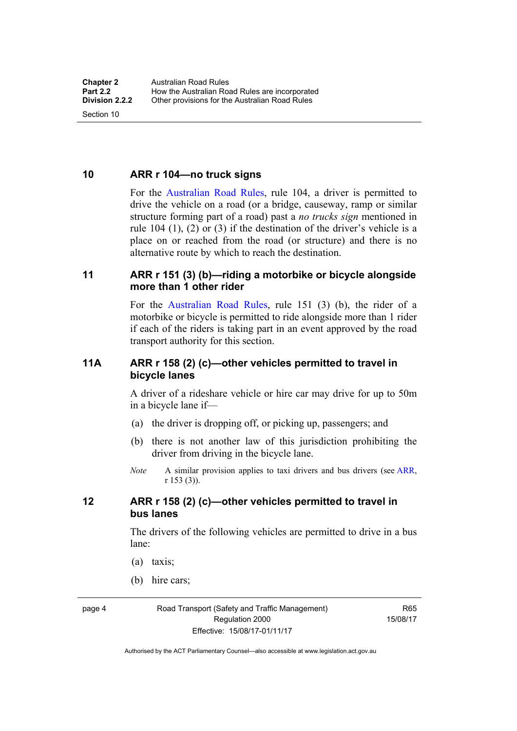<span id="page-20-0"></span>**10 ARR r 104—no truck signs**

Section 10

For the [Australian Road Rules](http://www.legislation.act.gov.au//ni/db_37271/default.asp), rule 104, a driver is permitted to drive the vehicle on a road (or a bridge, causeway, ramp or similar structure forming part of a road) past a *no trucks sign* mentioned in rule 104 (1), (2) or (3) if the destination of the driver's vehicle is a place on or reached from the road (or structure) and there is no alternative route by which to reach the destination.

#### <span id="page-20-1"></span>**11 ARR r 151 (3) (b)—riding a motorbike or bicycle alongside more than 1 other rider**

For the [Australian Road Rules](http://www.legislation.act.gov.au//ni/db_37271/default.asp), rule 151 (3) (b), the rider of a motorbike or bicycle is permitted to ride alongside more than 1 rider if each of the riders is taking part in an event approved by the road transport authority for this section.

#### <span id="page-20-2"></span>**11A ARR r 158 (2) (c)—other vehicles permitted to travel in bicycle lanes**

A driver of a rideshare vehicle or hire car may drive for up to 50m in a bicycle lane if—

- (a) the driver is dropping off, or picking up, passengers; and
- (b) there is not another law of this jurisdiction prohibiting the driver from driving in the bicycle lane.
- *Note* A similar provision applies to taxi drivers and bus drivers (see [ARR,](http://www.legislation.act.gov.au//ni/db_37271/default.asp) r 153 (3)).

#### <span id="page-20-3"></span>**12 ARR r 158 (2) (c)—other vehicles permitted to travel in bus lanes**

The drivers of the following vehicles are permitted to drive in a bus lane:

- (a) taxis;
- (b) hire cars;

page 4 Road Transport (Safety and Traffic Management) Regulation 2000 Effective: 15/08/17-01/11/17

R65 15/08/17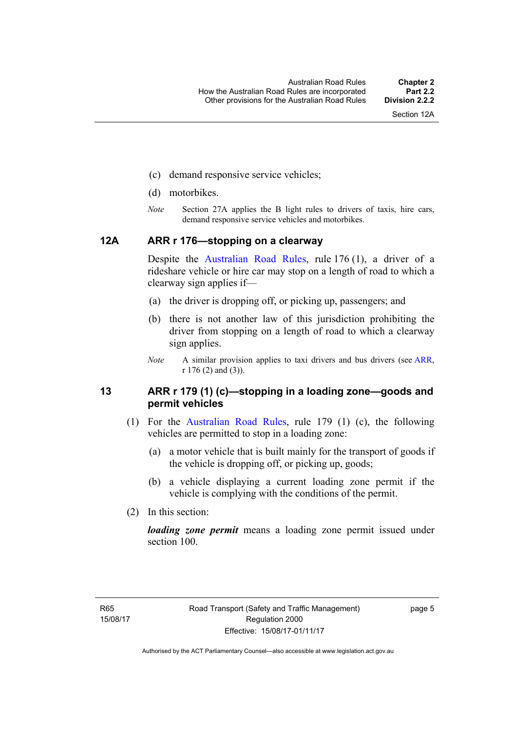- (c) demand responsive service vehicles;
- (d) motorbikes.
- *Note* Section 27A applies the B light rules to drivers of taxis, hire cars, demand responsive service vehicles and motorbikes.

#### <span id="page-21-0"></span>**12A ARR r 176—stopping on a clearway**

Despite the [Australian Road Rules,](http://www.legislation.act.gov.au//ni/db_37271/default.asp) rule 176 (1), a driver of a rideshare vehicle or hire car may stop on a length of road to which a clearway sign applies if—

- (a) the driver is dropping off, or picking up, passengers; and
- (b) there is not another law of this jurisdiction prohibiting the driver from stopping on a length of road to which a clearway sign applies.
- *Note* A similar provision applies to taxi drivers and bus drivers (see [ARR,](http://www.legislation.act.gov.au//ni/db_37271/default.asp) r 176 (2) and (3)).

#### <span id="page-21-1"></span>**13 ARR r 179 (1) (c)—stopping in a loading zone—goods and permit vehicles**

- (1) For the [Australian Road Rules](http://www.legislation.act.gov.au//ni/db_37271/default.asp), rule 179 (1) (c), the following vehicles are permitted to stop in a loading zone:
	- (a) a motor vehicle that is built mainly for the transport of goods if the vehicle is dropping off, or picking up, goods;
	- (b) a vehicle displaying a current loading zone permit if the vehicle is complying with the conditions of the permit.
- (2) In this section:

*loading zone permit* means a loading zone permit issued under section 100.

page 5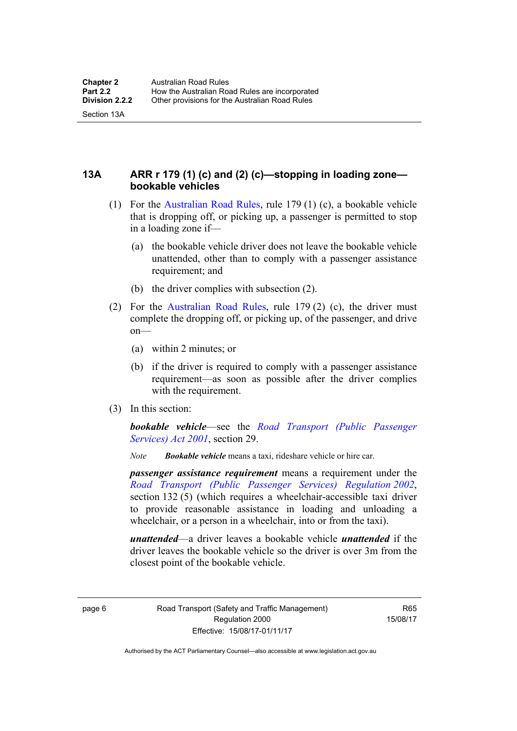Section 13A

<span id="page-22-0"></span>**13A ARR r 179 (1) (c) and (2) (c)—stopping in loading zone bookable vehicles** 

- (1) For the [Australian Road Rules,](http://www.legislation.act.gov.au//ni/db_37271/default.asp) rule 179 (1) (c), a bookable vehicle that is dropping off, or picking up, a passenger is permitted to stop in a loading zone if—
	- (a) the bookable vehicle driver does not leave the bookable vehicle unattended, other than to comply with a passenger assistance requirement; and
	- (b) the driver complies with subsection (2).
- (2) For the [Australian Road Rules,](http://www.legislation.act.gov.au//ni/db_37271/default.asp) rule 179 (2) (c), the driver must complete the dropping off, or picking up, of the passenger, and drive on—
	- (a) within 2 minutes; or
	- (b) if the driver is required to comply with a passenger assistance requirement—as soon as possible after the driver complies with the requirement.
- (3) In this section:

*bookable vehicle*—see the *[Road Transport \(Public Passenger](http://www.legislation.act.gov.au/a/2001-62)  [Services\) Act 2001](http://www.legislation.act.gov.au/a/2001-62)*, section 29.

*Note Bookable vehicle* means a taxi, rideshare vehicle or hire car.

*passenger assistance requirement* means a requirement under the *[Road Transport \(Public Passenger Services\) Regulation 2002](http://www.legislation.act.gov.au/sl/2002-3)*, section 132 (5) (which requires a wheelchair-accessible taxi driver to provide reasonable assistance in loading and unloading a wheelchair, or a person in a wheelchair, into or from the taxi).

*unattended*—a driver leaves a bookable vehicle *unattended* if the driver leaves the bookable vehicle so the driver is over 3m from the closest point of the bookable vehicle.

page 6 Road Transport (Safety and Traffic Management) Regulation 2000 Effective: 15/08/17-01/11/17

R65 15/08/17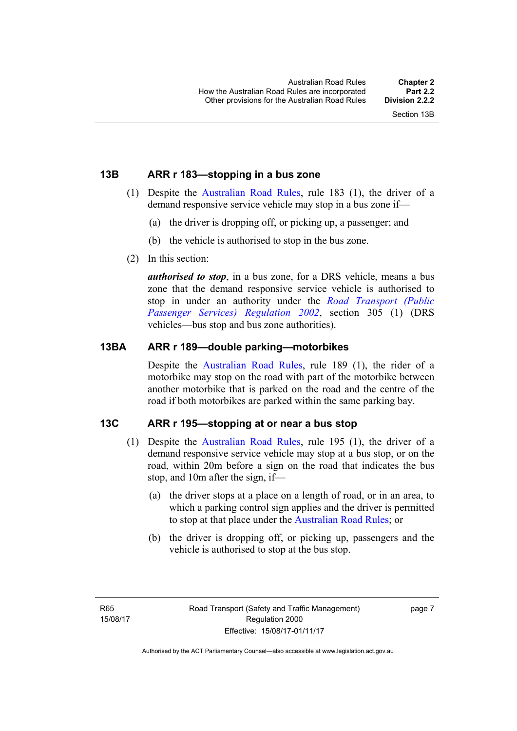#### <span id="page-23-0"></span>**13B ARR r 183—stopping in a bus zone**

- (1) Despite the [Australian Road Rules](http://www.legislation.act.gov.au//ni/db_37271/default.asp), rule 183 (1), the driver of a demand responsive service vehicle may stop in a bus zone if—
	- (a) the driver is dropping off, or picking up, a passenger; and
	- (b) the vehicle is authorised to stop in the bus zone.
- (2) In this section:

*authorised to stop*, in a bus zone, for a DRS vehicle, means a bus zone that the demand responsive service vehicle is authorised to stop in under an authority under the *[Road Transport \(Public](http://www.legislation.act.gov.au/sl/2002-3)  [Passenger Services\) Regulation 2002](http://www.legislation.act.gov.au/sl/2002-3)*, section 305 (1) (DRS vehicles—bus stop and bus zone authorities).

#### <span id="page-23-1"></span>**13BA ARR r 189—double parking—motorbikes**

Despite the [Australian Road Rules,](http://www.legislation.act.gov.au//ni/db_37271/default.asp) rule 189 (1), the rider of a motorbike may stop on the road with part of the motorbike between another motorbike that is parked on the road and the centre of the road if both motorbikes are parked within the same parking bay.

#### <span id="page-23-2"></span>**13C ARR r 195—stopping at or near a bus stop**

- (1) Despite the [Australian Road Rules](http://www.legislation.act.gov.au//ni/db_37271/default.asp), rule 195 (1), the driver of a demand responsive service vehicle may stop at a bus stop, or on the road, within 20m before a sign on the road that indicates the bus stop, and 10m after the sign, if—
	- (a) the driver stops at a place on a length of road, or in an area, to which a parking control sign applies and the driver is permitted to stop at that place under the [Australian Road Rules](http://www.legislation.act.gov.au//ni/db_37271/default.asp); or
	- (b) the driver is dropping off, or picking up, passengers and the vehicle is authorised to stop at the bus stop.

page 7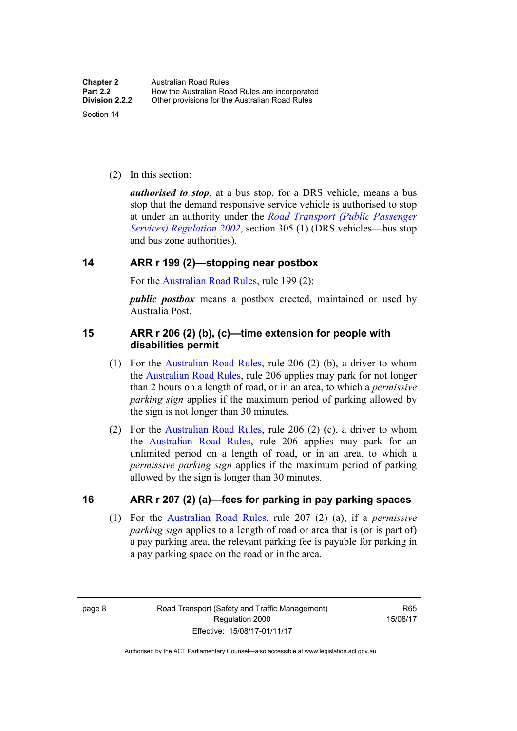(2) In this section:

*authorised to stop*, at a bus stop, for a DRS vehicle, means a bus stop that the demand responsive service vehicle is authorised to stop at under an authority under the *[Road Transport \(Public Passenger](http://www.legislation.act.gov.au/sl/2002-3)  [Services\) Regulation 2002](http://www.legislation.act.gov.au/sl/2002-3)*, section 305 (1) (DRS vehicles—bus stop and bus zone authorities).

#### <span id="page-24-0"></span>**14 ARR r 199 (2)—stopping near postbox**

For the [Australian Road Rules,](http://www.legislation.act.gov.au//ni/db_37271/default.asp) rule 199 (2):

*public postbox* means a postbox erected, maintained or used by Australia Post.

#### <span id="page-24-1"></span>**15 ARR r 206 (2) (b), (c)—time extension for people with disabilities permit**

- (1) For the [Australian Road Rules](http://www.legislation.act.gov.au//ni/db_37271/default.asp), rule 206 (2) (b), a driver to whom the [Australian Road Rules](http://www.legislation.act.gov.au//ni/db_37271/default.asp), rule 206 applies may park for not longer than 2 hours on a length of road, or in an area, to which a *permissive parking sign* applies if the maximum period of parking allowed by the sign is not longer than 30 minutes.
- (2) For the [Australian Road Rules,](http://www.legislation.act.gov.au//ni/db_37271/default.asp) rule 206 (2) (c), a driver to whom the [Australian Road Rules,](http://www.legislation.act.gov.au//ni/db_37271/default.asp) rule 206 applies may park for an unlimited period on a length of road, or in an area, to which a *permissive parking sign* applies if the maximum period of parking allowed by the sign is longer than 30 minutes.

#### <span id="page-24-2"></span>**16 ARR r 207 (2) (a)—fees for parking in pay parking spaces**

 (1) For the [Australian Road Rules,](http://www.legislation.act.gov.au//ni/db_37271/default.asp) rule 207 (2) (a), if a *permissive parking sign* applies to a length of road or area that is (or is part of) a pay parking area, the relevant parking fee is payable for parking in a pay parking space on the road or in the area.

page 8 Road Transport (Safety and Traffic Management) Regulation 2000 Effective: 15/08/17-01/11/17

R65 15/08/17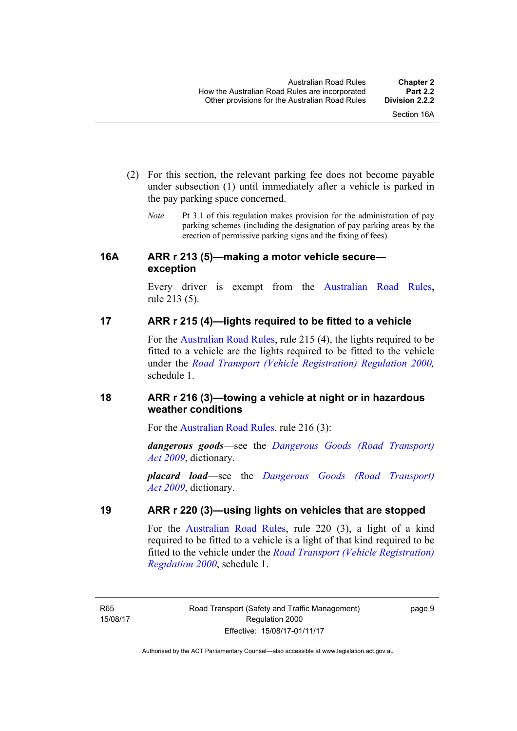- (2) For this section, the relevant parking fee does not become payable under subsection (1) until immediately after a vehicle is parked in the pay parking space concerned.
	- *Note* Pt 3.1 of this regulation makes provision for the administration of pay parking schemes (including the designation of pay parking areas by the erection of permissive parking signs and the fixing of fees).

#### <span id="page-25-0"></span>**16A ARR r 213 (5)—making a motor vehicle secure exception**

Every driver is exempt from the [Australian Road Rules](http://www.legislation.act.gov.au//ni/db_37271/default.asp), rule 213 (5).

### <span id="page-25-1"></span>**17 ARR r 215 (4)—lights required to be fitted to a vehicle**

For the [Australian Road Rules,](http://www.legislation.act.gov.au//ni/db_37271/default.asp) rule 215 (4), the lights required to be fitted to a vehicle are the lights required to be fitted to the vehicle under the *[Road Transport \(Vehicle Registration\) Regulation 2000](http://www.legislation.act.gov.au/sl/2000-12),*  schedule 1.

#### <span id="page-25-2"></span>**18 ARR r 216 (3)—towing a vehicle at night or in hazardous weather conditions**

For the [Australian Road Rules](http://www.legislation.act.gov.au//ni/db_37271/default.asp), rule 216 (3):

*dangerous goods*—see the *[Dangerous Goods \(Road Transport\)](http://www.legislation.act.gov.au/a/2009-34)  [Act 2009](http://www.legislation.act.gov.au/a/2009-34)*, dictionary.

*placard load*—see the *[Dangerous Goods \(Road Transport\)](http://www.legislation.act.gov.au/a/2009-34)  [Act 2009](http://www.legislation.act.gov.au/a/2009-34)*, dictionary.

### <span id="page-25-3"></span>**19 ARR r 220 (3)—using lights on vehicles that are stopped**

For the [Australian Road Rules](http://www.legislation.act.gov.au//ni/db_37271/default.asp), rule 220 (3), a light of a kind required to be fitted to a vehicle is a light of that kind required to be fitted to the vehicle under the *[Road Transport \(Vehicle Registration\)](http://www.legislation.act.gov.au/sl/2000-12)  [Regulation 2000](http://www.legislation.act.gov.au/sl/2000-12)*, schedule 1.

R65 15/08/17 page 9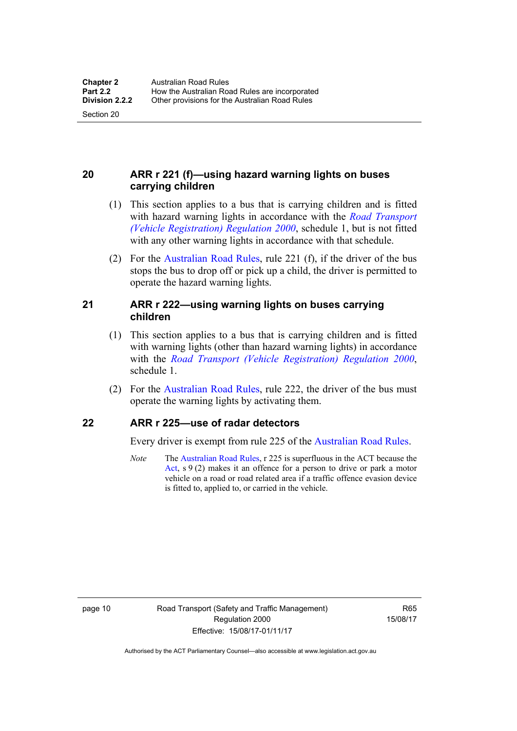Section 20

#### <span id="page-26-0"></span>**20 ARR r 221 (f)—using hazard warning lights on buses carrying children**

- (1) This section applies to a bus that is carrying children and is fitted with hazard warning lights in accordance with the *[Road Transport](http://www.legislation.act.gov.au/sl/2000-12)  [\(Vehicle Registration\) Regulation 2000](http://www.legislation.act.gov.au/sl/2000-12)*, schedule 1, but is not fitted with any other warning lights in accordance with that schedule.
- (2) For the [Australian Road Rules](http://www.legislation.act.gov.au//ni/db_37271/default.asp), rule 221 (f), if the driver of the bus stops the bus to drop off or pick up a child, the driver is permitted to operate the hazard warning lights.

#### <span id="page-26-1"></span>**21 ARR r 222—using warning lights on buses carrying children**

- (1) This section applies to a bus that is carrying children and is fitted with warning lights (other than hazard warning lights) in accordance with the *[Road Transport \(Vehicle Registration\) Regulation 2000](http://www.legislation.act.gov.au/sl/2000-12)*, schedule 1.
- (2) For the [Australian Road Rules](http://www.legislation.act.gov.au//ni/db_37271/default.asp), rule 222, the driver of the bus must operate the warning lights by activating them.

#### <span id="page-26-2"></span>**22 ARR r 225—use of radar detectors**

Every driver is exempt from rule 225 of the [Australian Road Rules.](http://www.legislation.act.gov.au//ni/db_37271/default.asp)

*Note* The [Australian Road Rules,](http://www.legislation.act.gov.au//ni/db_37271/default.asp) r 225 is superfluous in the ACT because the [Act](http://www.legislation.act.gov.au/a/1999-80/default.asp), s 9 (2) makes it an offence for a person to drive or park a motor vehicle on a road or road related area if a traffic offence evasion device is fitted to, applied to, or carried in the vehicle.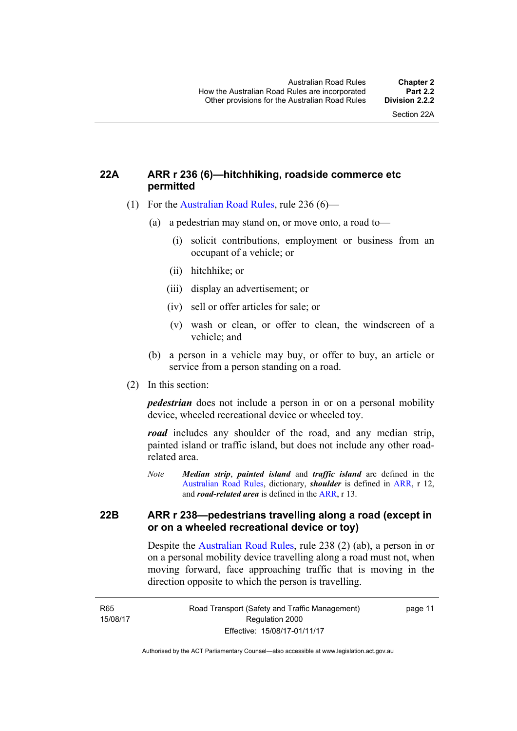#### <span id="page-27-0"></span>**22A ARR r 236 (6)—hitchhiking, roadside commerce etc permitted**

- (1) For the [Australian Road Rules](http://www.legislation.act.gov.au//ni/db_37271/default.asp), rule 236 (6)—
	- (a) a pedestrian may stand on, or move onto, a road to—
		- (i) solicit contributions, employment or business from an occupant of a vehicle; or
		- (ii) hitchhike; or
		- (iii) display an advertisement; or
		- (iv) sell or offer articles for sale; or
		- (v) wash or clean, or offer to clean, the windscreen of a vehicle; and
	- (b) a person in a vehicle may buy, or offer to buy, an article or service from a person standing on a road.
- (2) In this section:

*pedestrian* does not include a person in or on a personal mobility device, wheeled recreational device or wheeled toy.

*road* includes any shoulder of the road, and any median strip, painted island or traffic island, but does not include any other roadrelated area.

*Note Median strip*, *painted island* and *traffic island* are defined in the [Australian Road Rules,](http://www.legislation.act.gov.au//ni/db_37271/default.asp) dictionary, *shoulder* is defined in [ARR](http://www.legislation.act.gov.au//ni/db_37271/default.asp), r 12, and *road-related area* is defined in the [ARR](http://www.legislation.act.gov.au//ni/db_37271/default.asp), r 13.

#### <span id="page-27-1"></span>**22B ARR r 238—pedestrians travelling along a road (except in or on a wheeled recreational device or toy)**

Despite the [Australian Road Rules,](http://www.legislation.act.gov.au//ni/db_37271/default.asp) rule 238 (2) (ab), a person in or on a personal mobility device travelling along a road must not, when moving forward, face approaching traffic that is moving in the direction opposite to which the person is travelling.

page 11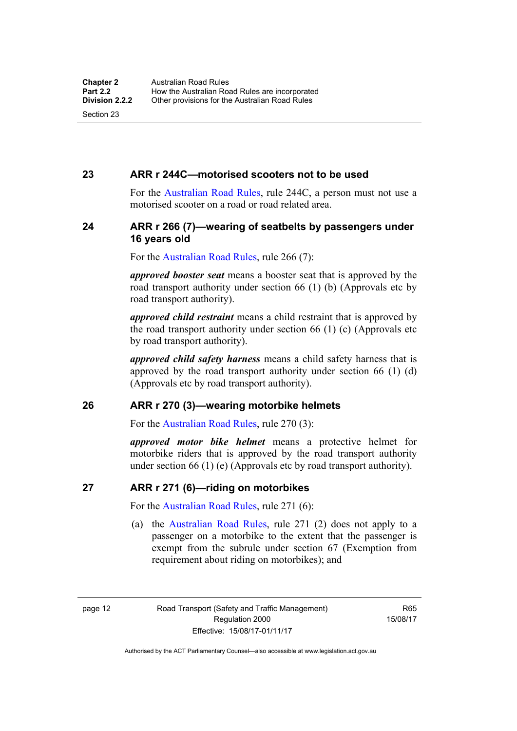#### <span id="page-28-0"></span>**23 ARR r 244C—motorised scooters not to be used**

For the [Australian Road Rules](http://www.legislation.act.gov.au//ni/db_37271/default.asp), rule 244C, a person must not use a motorised scooter on a road or road related area.

#### <span id="page-28-1"></span>**24 ARR r 266 (7)—wearing of seatbelts by passengers under 16 years old**

For the [Australian Road Rules,](http://www.legislation.act.gov.au//ni/db_37271/default.asp) rule 266 (7):

*approved booster seat* means a booster seat that is approved by the road transport authority under section 66 (1) (b) (Approvals etc by road transport authority).

*approved child restraint* means a child restraint that is approved by the road transport authority under section 66 (1) (c) (Approvals etc by road transport authority).

*approved child safety harness* means a child safety harness that is approved by the road transport authority under section 66 (1) (d) (Approvals etc by road transport authority).

#### <span id="page-28-2"></span>**26 ARR r 270 (3)—wearing motorbike helmets**

For the [Australian Road Rules,](http://www.legislation.act.gov.au//ni/db_37271/default.asp) rule 270 (3):

*approved motor bike helmet* means a protective helmet for motorbike riders that is approved by the road transport authority under section 66 (1) (e) (Approvals etc by road transport authority).

#### <span id="page-28-3"></span>**27 ARR r 271 (6)—riding on motorbikes**

For the [Australian Road Rules,](http://www.legislation.act.gov.au//ni/db_37271/default.asp) rule 271 (6):

 (a) the [Australian Road Rules](http://www.legislation.act.gov.au//ni/db_37271/default.asp), rule 271 (2) does not apply to a passenger on a motorbike to the extent that the passenger is exempt from the subrule under section 67 (Exemption from requirement about riding on motorbikes); and

page 12 Road Transport (Safety and Traffic Management) Regulation 2000 Effective: 15/08/17-01/11/17

R65 15/08/17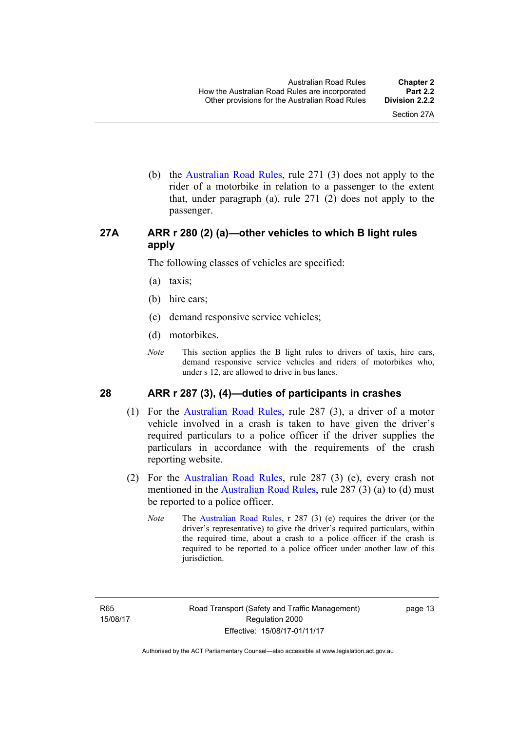(b) the [Australian Road Rules](http://www.legislation.act.gov.au//ni/db_37271/default.asp), rule 271 (3) does not apply to the rider of a motorbike in relation to a passenger to the extent that, under paragraph (a), rule 271 (2) does not apply to the passenger.

#### <span id="page-29-0"></span>**27A ARR r 280 (2) (a)—other vehicles to which B light rules apply**

The following classes of vehicles are specified:

- (a) taxis;
- (b) hire cars;
- (c) demand responsive service vehicles;
- (d) motorbikes.
- *Note* This section applies the B light rules to drivers of taxis, hire cars, demand responsive service vehicles and riders of motorbikes who, under s 12, are allowed to drive in bus lanes.

#### <span id="page-29-1"></span>**28 ARR r 287 (3), (4)—duties of participants in crashes**

- (1) For the [Australian Road Rules,](http://www.legislation.act.gov.au//ni/db_37271/default.asp) rule 287 (3), a driver of a motor vehicle involved in a crash is taken to have given the driver's required particulars to a police officer if the driver supplies the particulars in accordance with the requirements of the crash reporting website.
- (2) For the [Australian Road Rules,](http://www.legislation.act.gov.au//ni/db_37271/default.asp) rule 287 (3) (e), every crash not mentioned in the [Australian Road Rules,](http://www.legislation.act.gov.au//ni/db_37271/default.asp) rule 287 (3) (a) to (d) must be reported to a police officer.
	- *Note* The [Australian Road Rules,](http://www.legislation.act.gov.au//ni/db_37271/default.asp) r 287 (3) (e) requires the driver (or the driver's representative) to give the driver's required particulars, within the required time, about a crash to a police officer if the crash is required to be reported to a police officer under another law of this jurisdiction.

page 13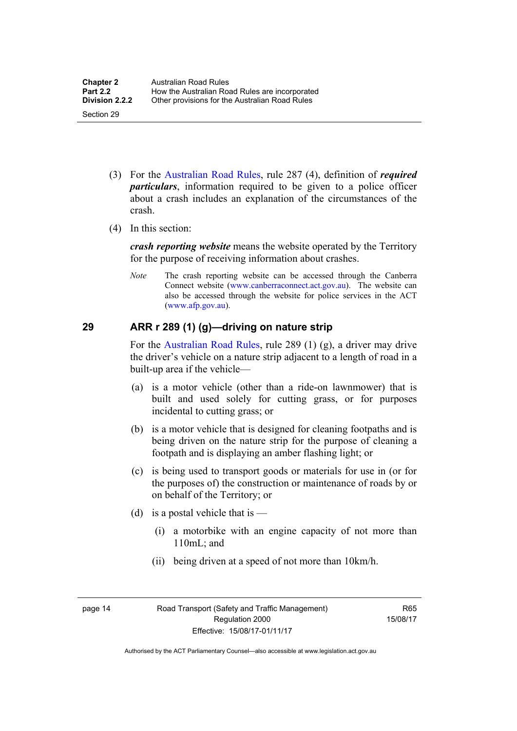- (3) For the [Australian Road Rules](http://www.legislation.act.gov.au//ni/db_37271/default.asp), rule 287 (4), definition of *required particulars*, information required to be given to a police officer about a crash includes an explanation of the circumstances of the crash.
- (4) In this section:

*crash reporting website* means the website operated by the Territory for the purpose of receiving information about crashes.

*Note* The crash reporting website can be accessed through the Canberra Connect website [\(www.canberraconnect.act.gov.au](http://www.canberraconnect.act.gov.au/)). The website can also be accessed through the website for police services in the ACT [\(www.afp.gov.au\)](http://www.afp.gov.au/).

#### <span id="page-30-0"></span>**29 ARR r 289 (1) (g)—driving on nature strip**

For the [Australian Road Rules](http://www.legislation.act.gov.au//ni/db_37271/default.asp), rule 289 (1) (g), a driver may drive the driver's vehicle on a nature strip adjacent to a length of road in a built-up area if the vehicle—

- (a) is a motor vehicle (other than a ride-on lawnmower) that is built and used solely for cutting grass, or for purposes incidental to cutting grass; or
- (b) is a motor vehicle that is designed for cleaning footpaths and is being driven on the nature strip for the purpose of cleaning a footpath and is displaying an amber flashing light; or
- (c) is being used to transport goods or materials for use in (or for the purposes of) the construction or maintenance of roads by or on behalf of the Territory; or
- (d) is a postal vehicle that is  $-$ 
	- (i) a motorbike with an engine capacity of not more than 110mL; and
	- (ii) being driven at a speed of not more than 10km/h.

page 14 Road Transport (Safety and Traffic Management) Regulation 2000 Effective: 15/08/17-01/11/17

R65 15/08/17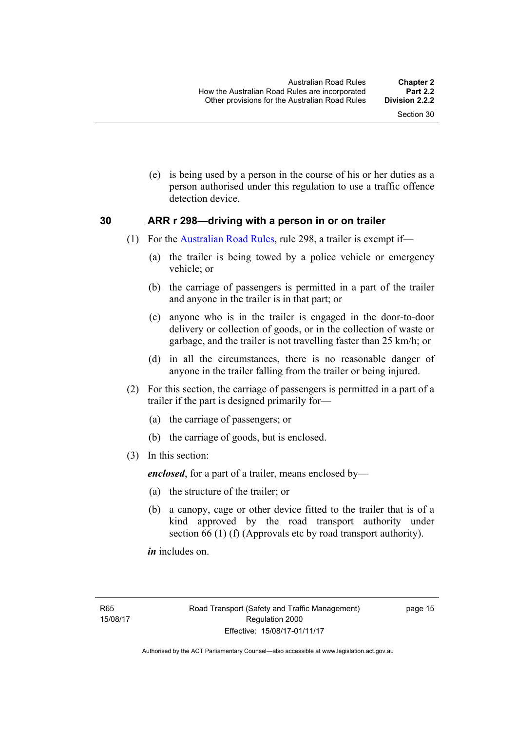(e) is being used by a person in the course of his or her duties as a person authorised under this regulation to use a traffic offence detection device.

#### <span id="page-31-0"></span>**30 ARR r 298—driving with a person in or on trailer**

- (1) For the [Australian Road Rules](http://www.legislation.act.gov.au//ni/db_37271/default.asp), rule 298, a trailer is exempt if—
	- (a) the trailer is being towed by a police vehicle or emergency vehicle; or
	- (b) the carriage of passengers is permitted in a part of the trailer and anyone in the trailer is in that part; or
	- (c) anyone who is in the trailer is engaged in the door-to-door delivery or collection of goods, or in the collection of waste or garbage, and the trailer is not travelling faster than 25 km/h; or
	- (d) in all the circumstances, there is no reasonable danger of anyone in the trailer falling from the trailer or being injured.
- (2) For this section, the carriage of passengers is permitted in a part of a trailer if the part is designed primarily for—
	- (a) the carriage of passengers; or
	- (b) the carriage of goods, but is enclosed.
- (3) In this section:

*enclosed*, for a part of a trailer, means enclosed by—

- (a) the structure of the trailer; or
- (b) a canopy, cage or other device fitted to the trailer that is of a kind approved by the road transport authority under section 66 (1) (f) (Approvals etc by road transport authority).

*in* includes on.

page 15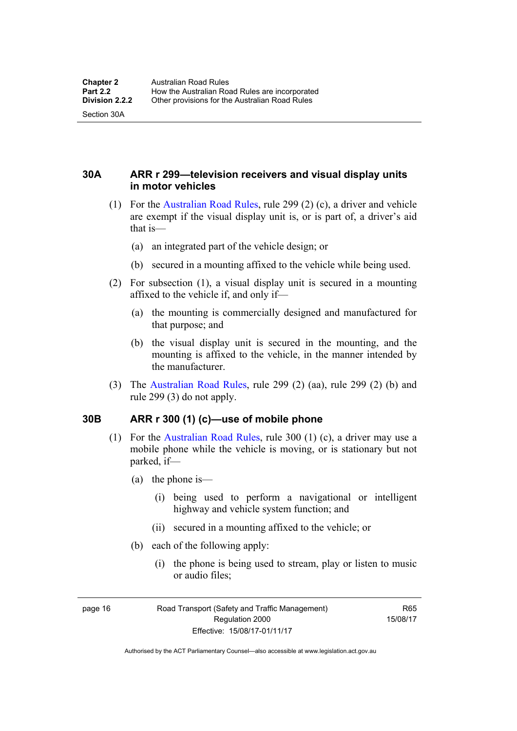Section 30A

<span id="page-32-0"></span>**30A ARR r 299—television receivers and visual display units in motor vehicles** 

- (1) For the [Australian Road Rules](http://www.legislation.act.gov.au//ni/db_37271/default.asp), rule 299 (2) (c), a driver and vehicle are exempt if the visual display unit is, or is part of, a driver's aid that is—
	- (a) an integrated part of the vehicle design; or
	- (b) secured in a mounting affixed to the vehicle while being used.
- (2) For subsection (1), a visual display unit is secured in a mounting affixed to the vehicle if, and only if—
	- (a) the mounting is commercially designed and manufactured for that purpose; and
	- (b) the visual display unit is secured in the mounting, and the mounting is affixed to the vehicle, in the manner intended by the manufacturer.
- (3) The [Australian Road Rules](http://www.legislation.act.gov.au//ni/db_37271/default.asp), rule 299 (2) (aa), rule 299 (2) (b) and rule 299 (3) do not apply.

#### <span id="page-32-1"></span>**30B ARR r 300 (1) (c)—use of mobile phone**

- (1) For the [Australian Road Rules,](http://www.legislation.act.gov.au//ni/db_37271/default.asp) rule 300 (1) (c), a driver may use a mobile phone while the vehicle is moving, or is stationary but not parked, if—
	- (a) the phone is—
		- (i) being used to perform a navigational or intelligent highway and vehicle system function; and
		- (ii) secured in a mounting affixed to the vehicle; or
	- (b) each of the following apply:
		- (i) the phone is being used to stream, play or listen to music or audio files;

page 16 Road Transport (Safety and Traffic Management) Regulation 2000 Effective: 15/08/17-01/11/17

R65 15/08/17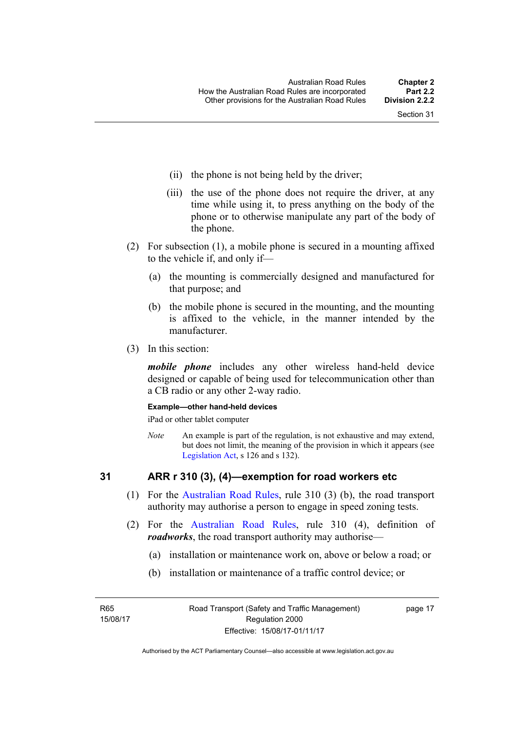- (ii) the phone is not being held by the driver;
- (iii) the use of the phone does not require the driver, at any time while using it, to press anything on the body of the phone or to otherwise manipulate any part of the body of the phone.
- (2) For subsection (1), a mobile phone is secured in a mounting affixed to the vehicle if, and only if—
	- (a) the mounting is commercially designed and manufactured for that purpose; and
	- (b) the mobile phone is secured in the mounting, and the mounting is affixed to the vehicle, in the manner intended by the manufacturer.
- (3) In this section:

*mobile phone* includes any other wireless hand-held device designed or capable of being used for telecommunication other than a CB radio or any other 2-way radio.

#### **Example—other hand-held devices**

iPad or other tablet computer

*Note* An example is part of the regulation, is not exhaustive and may extend, but does not limit, the meaning of the provision in which it appears (see [Legislation Act,](http://www.legislation.act.gov.au/a/2001-14) s 126 and s 132).

#### <span id="page-33-0"></span>**31 ARR r 310 (3), (4)—exemption for road workers etc**

- (1) For the [Australian Road Rules](http://www.legislation.act.gov.au//ni/db_37271/default.asp), rule 310 (3) (b), the road transport authority may authorise a person to engage in speed zoning tests.
- (2) For the [Australian Road Rules](http://www.legislation.act.gov.au//ni/db_37271/default.asp), rule 310 (4), definition of *roadworks*, the road transport authority may authorise—
	- (a) installation or maintenance work on, above or below a road; or
	- (b) installation or maintenance of a traffic control device; or

R65 15/08/17 page 17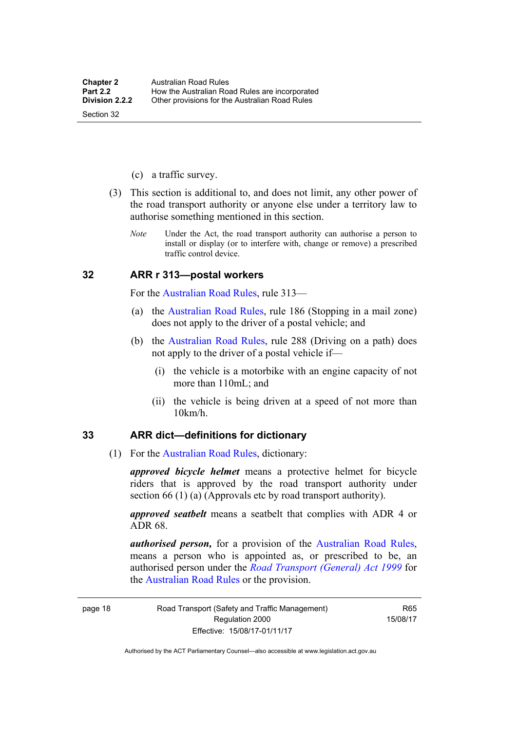- (c) a traffic survey.
- (3) This section is additional to, and does not limit, any other power of the road transport authority or anyone else under a territory law to authorise something mentioned in this section.
	- *Note* Under the Act, the road transport authority can authorise a person to install or display (or to interfere with, change or remove) a prescribed traffic control device.

#### <span id="page-34-0"></span>**32 ARR r 313—postal workers**

For the [Australian Road Rules,](http://www.legislation.act.gov.au//ni/db_37271/default.asp) rule 313—

- (a) the [Australian Road Rules,](http://www.legislation.act.gov.au//ni/db_37271/default.asp) rule 186 (Stopping in a mail zone) does not apply to the driver of a postal vehicle; and
- (b) the [Australian Road Rules](http://www.legislation.act.gov.au//ni/db_37271/default.asp), rule 288 (Driving on a path) does not apply to the driver of a postal vehicle if—
	- (i) the vehicle is a motorbike with an engine capacity of not more than 110mL; and
	- (ii) the vehicle is being driven at a speed of not more than 10km/h.

#### <span id="page-34-1"></span>**33 ARR dict—definitions for dictionary**

(1) For the [Australian Road Rules,](http://www.legislation.act.gov.au//ni/db_37271/default.asp) dictionary:

*approved bicycle helmet* means a protective helmet for bicycle riders that is approved by the road transport authority under section 66 (1) (a) (Approvals etc by road transport authority).

*approved seatbelt* means a seatbelt that complies with ADR 4 or ADR 68.

*authorised person,* for a provision of the [Australian Road Rules](http://www.legislation.act.gov.au//ni/db_37271/default.asp), means a person who is appointed as, or prescribed to be, an authorised person under the *[Road Transport \(General\) Act 1999](http://www.legislation.act.gov.au/a/1999-77)* for the [Australian Road Rules](http://www.legislation.act.gov.au//ni/db_37271/default.asp) or the provision.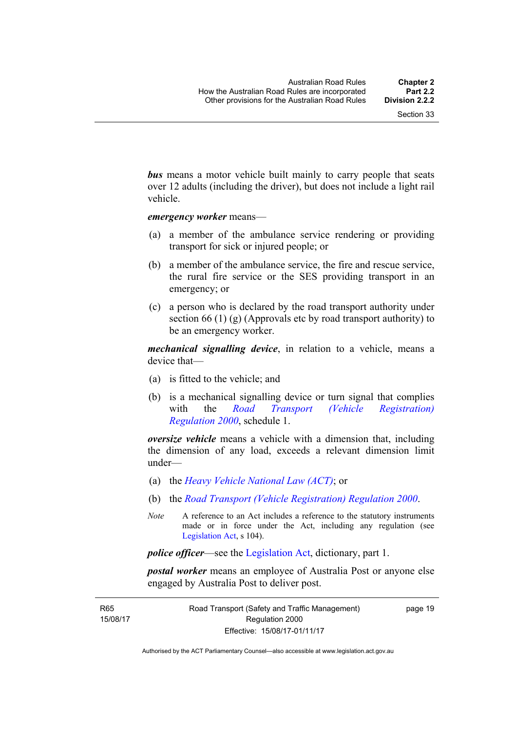*bus* means a motor vehicle built mainly to carry people that seats over 12 adults (including the driver), but does not include a light rail vehicle.

*emergency worker* means—

- (a) a member of the ambulance service rendering or providing transport for sick or injured people; or
- (b) a member of the ambulance service, the fire and rescue service, the rural fire service or the SES providing transport in an emergency; or
- (c) a person who is declared by the road transport authority under section 66 (1) (g) (Approvals etc by road transport authority) to be an emergency worker.

*mechanical signalling device*, in relation to a vehicle, means a device that—

- (a) is fitted to the vehicle; and
- (b) is a mechanical signalling device or turn signal that complies with the *[Road Transport \(Vehicle Registration\)](http://www.legislation.act.gov.au/sl/2000-12)  [Regulation 2000](http://www.legislation.act.gov.au/sl/2000-12)*, schedule 1.

*oversize vehicle* means a vehicle with a dimension that, including the dimension of any load, exceeds a relevant dimension limit under—

- (a) the *[Heavy Vehicle National Law \(ACT\)](http://www.legislation.act.gov.au/a/db_49155/default.asp)*; or
- (b) the *[Road Transport \(Vehicle Registration\) Regulation 2000](http://www.legislation.act.gov.au/sl/2000-12)*.
- *Note* A reference to an Act includes a reference to the statutory instruments made or in force under the Act, including any regulation (see [Legislation Act,](http://www.legislation.act.gov.au/a/2001-14) s 104).

*police officer*—see the [Legislation Act](http://www.legislation.act.gov.au/a/2001-14), dictionary, part 1.

*postal worker* means an employee of Australia Post or anyone else engaged by Australia Post to deliver post.

R65 15/08/17 page 19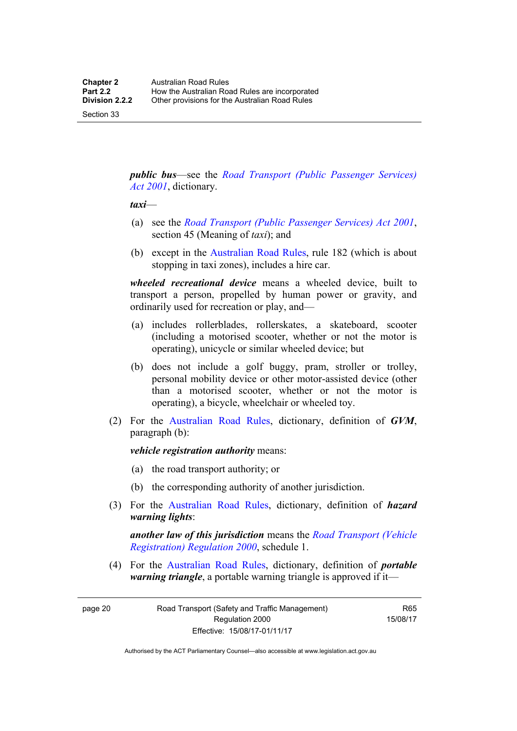Section 33

*public bus*—see the *[Road Transport \(Public Passenger Services\)](http://www.legislation.act.gov.au/a/2001-62)  [Act 2001](http://www.legislation.act.gov.au/a/2001-62)*, dictionary.

#### *taxi*—

- (a) see the *[Road Transport \(Public Passenger Services\) Act 2001](http://www.legislation.act.gov.au/a/2001-62)*, section 45 (Meaning of *taxi*); and
- (b) except in the [Australian Road Rules,](http://www.legislation.act.gov.au//ni/db_37271/default.asp) rule 182 (which is about stopping in taxi zones), includes a hire car.

*wheeled recreational device* means a wheeled device, built to transport a person, propelled by human power or gravity, and ordinarily used for recreation or play, and—

- (a) includes rollerblades, rollerskates, a skateboard, scooter (including a motorised scooter, whether or not the motor is operating), unicycle or similar wheeled device; but
- (b) does not include a golf buggy, pram, stroller or trolley, personal mobility device or other motor-assisted device (other than a motorised scooter, whether or not the motor is operating), a bicycle, wheelchair or wheeled toy.
- (2) For the [Australian Road Rules](http://www.legislation.act.gov.au//ni/db_37271/default.asp), dictionary, definition of *GVM*, paragraph (b):

*vehicle registration authority* means:

- (a) the road transport authority; or
- (b) the corresponding authority of another jurisdiction.
- (3) For the [Australian Road Rules](http://www.legislation.act.gov.au//ni/db_37271/default.asp), dictionary, definition of *hazard warning lights*:

*another law of this jurisdiction* means the *[Road Transport \(Vehicle](http://www.legislation.act.gov.au/sl/2000-12)  [Registration\) Regulation 2000](http://www.legislation.act.gov.au/sl/2000-12)*, schedule 1.

 (4) For the [Australian Road Rules](http://www.legislation.act.gov.au//ni/db_37271/default.asp), dictionary, definition of *portable warning triangle*, a portable warning triangle is approved if it—

page 20 Road Transport (Safety and Traffic Management) Regulation 2000 Effective: 15/08/17-01/11/17

R65 15/08/17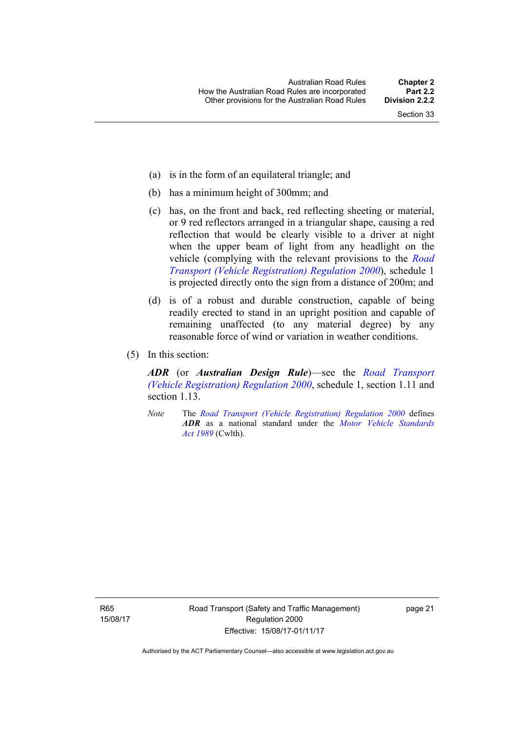- (a) is in the form of an equilateral triangle; and
- (b) has a minimum height of 300mm; and
- (c) has, on the front and back, red reflecting sheeting or material, or 9 red reflectors arranged in a triangular shape, causing a red reflection that would be clearly visible to a driver at night when the upper beam of light from any headlight on the vehicle (complying with the relevant provisions to the *[Road](http://www.legislation.act.gov.au/sl/2000-12)  [Transport \(Vehicle Registration\) Regulation 2000](http://www.legislation.act.gov.au/sl/2000-12)*), schedule 1 is projected directly onto the sign from a distance of 200m; and
- (d) is of a robust and durable construction, capable of being readily erected to stand in an upright position and capable of remaining unaffected (to any material degree) by any reasonable force of wind or variation in weather conditions.
- (5) In this section:

*ADR* (or *Australian Design Rule*)—see the *[Road Transport](http://www.legislation.act.gov.au/sl/2000-12)  [\(Vehicle Registration\) Regulation 2000](http://www.legislation.act.gov.au/sl/2000-12)*, schedule 1, section 1.11 and section 1.13.

*Note* The *[Road Transport \(Vehicle Registration\) Regulation 2000](http://www.legislation.act.gov.au/sl/2000-12)* defines *ADR* as a national standard under the *[Motor Vehicle Standards](http://www.comlaw.gov.au/Series/C2004A03813)  [Act 1989](http://www.comlaw.gov.au/Series/C2004A03813)* (Cwlth).

R65 15/08/17 page 21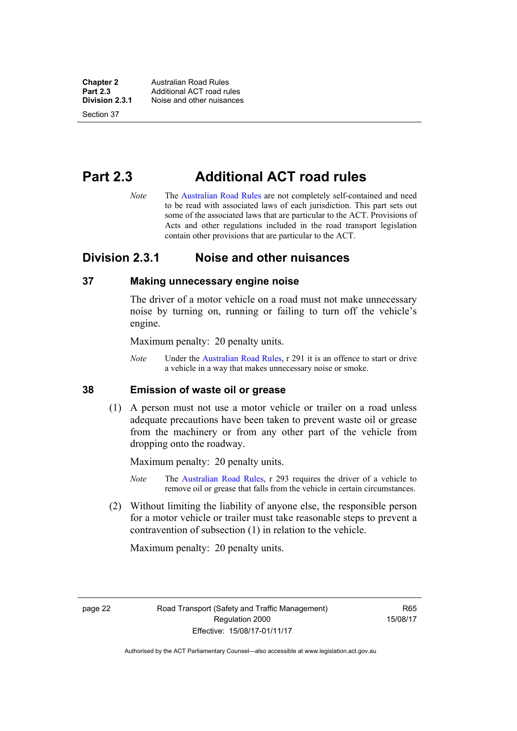**Chapter 2 Australian Road Rules**<br>**Part 2.3 Additional ACT road rules Part 2.3 Additional ACT road rules**<br>**Division 2.3.1** Noise and other nuisances **Division 2.3.1** Noise and other nuisances

Section 37

# **Part 2.3 Additional ACT road rules**

*Note* The [Australian Road Rules](http://www.legislation.act.gov.au//ni/db_37271/default.asp) are not completely self-contained and need to be read with associated laws of each jurisdiction. This part sets out some of the associated laws that are particular to the ACT. Provisions of Acts and other regulations included in the road transport legislation contain other provisions that are particular to the ACT.

## **Division 2.3.1 Noise and other nuisances**

## **37 Making unnecessary engine noise**

The driver of a motor vehicle on a road must not make unnecessary noise by turning on, running or failing to turn off the vehicle's engine.

Maximum penalty: 20 penalty units.

*Note* Under the [Australian Road Rules,](http://www.legislation.act.gov.au//ni/db_37271/default.asp) r 291 it is an offence to start or drive a vehicle in a way that makes unnecessary noise or smoke.

## **38 Emission of waste oil or grease**

 (1) A person must not use a motor vehicle or trailer on a road unless adequate precautions have been taken to prevent waste oil or grease from the machinery or from any other part of the vehicle from dropping onto the roadway.

Maximum penalty: 20 penalty units.

- *Note* The [Australian Road Rules,](http://www.legislation.act.gov.au//ni/db_37271/default.asp) r 293 requires the driver of a vehicle to remove oil or grease that falls from the vehicle in certain circumstances.
- (2) Without limiting the liability of anyone else, the responsible person for a motor vehicle or trailer must take reasonable steps to prevent a contravention of subsection (1) in relation to the vehicle.

Maximum penalty: 20 penalty units.

page 22 Road Transport (Safety and Traffic Management) Regulation 2000 Effective: 15/08/17-01/11/17

R65 15/08/17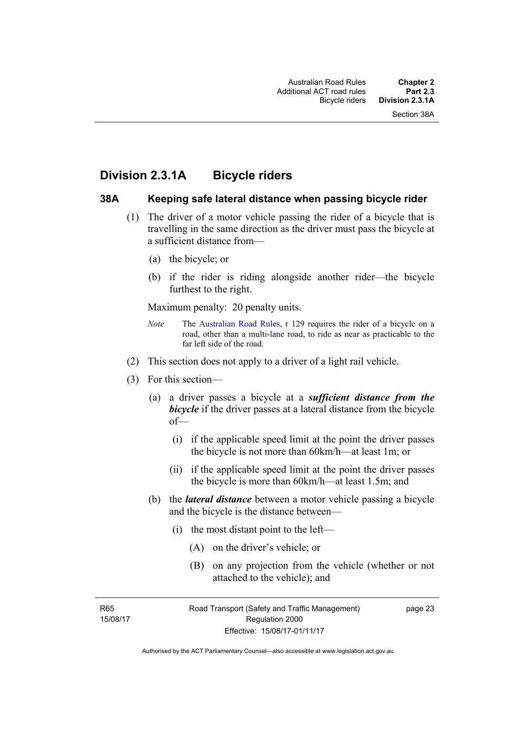## **Division 2.3.1A Bicycle riders**

#### **38A Keeping safe lateral distance when passing bicycle rider**

- (1) The driver of a motor vehicle passing the rider of a bicycle that is travelling in the same direction as the driver must pass the bicycle at a sufficient distance from—
	- (a) the bicycle; or
	- (b) if the rider is riding alongside another rider—the bicycle furthest to the right.

Maximum penalty: 20 penalty units.

- *Note* The [Australian Road Rules](http://www.legislation.act.gov.au//ni/db_37271/default.asp), r 129 requires the rider of a bicycle on a road, other than a multi-lane road, to ride as near as practicable to the far left side of the road.
- (2) This section does not apply to a driver of a light rail vehicle.
- (3) For this section—
	- (a) a driver passes a bicycle at a *sufficient distance from the*  **bicycle** if the driver passes at a lateral distance from the bicycle of—
		- (i) if the applicable speed limit at the point the driver passes the bicycle is not more than 60km/h—at least 1m; or
		- (ii) if the applicable speed limit at the point the driver passes the bicycle is more than 60km/h—at least 1.5m; and
	- (b) the *lateral distance* between a motor vehicle passing a bicycle and the bicycle is the distance between—
		- (i) the most distant point to the left—
			- (A) on the driver's vehicle; or
			- (B) on any projection from the vehicle (whether or not attached to the vehicle); and

R65 15/08/17 page 23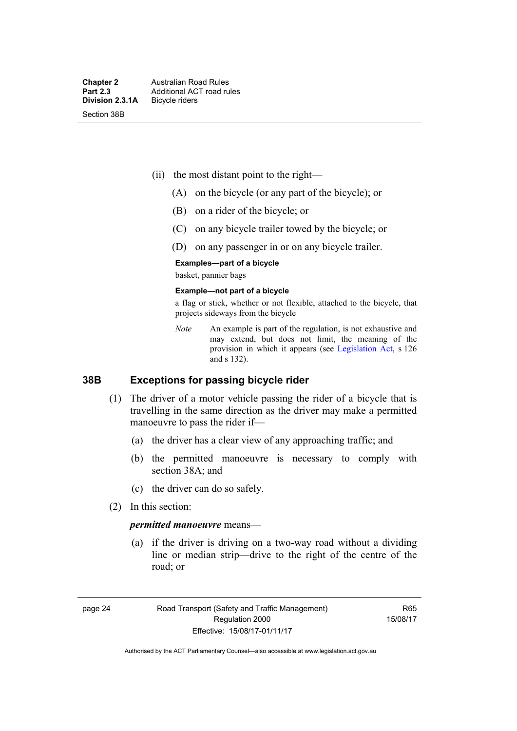- (ii) the most distant point to the right—
	- (A) on the bicycle (or any part of the bicycle); or
	- (B) on a rider of the bicycle; or
	- (C) on any bicycle trailer towed by the bicycle; or
	- (D) on any passenger in or on any bicycle trailer.

#### **Examples—part of a bicycle**

basket, pannier bags

#### **Example—not part of a bicycle**

a flag or stick, whether or not flexible, attached to the bicycle, that projects sideways from the bicycle

*Note* An example is part of the regulation, is not exhaustive and may extend, but does not limit, the meaning of the provision in which it appears (see [Legislation Act](http://www.legislation.act.gov.au/a/2001-14), s 126 and s 132).

### **38B Exceptions for passing bicycle rider**

- (1) The driver of a motor vehicle passing the rider of a bicycle that is travelling in the same direction as the driver may make a permitted manoeuvre to pass the rider if—
	- (a) the driver has a clear view of any approaching traffic; and
	- (b) the permitted manoeuvre is necessary to comply with section 38A; and
	- (c) the driver can do so safely.
- (2) In this section:

#### *permitted manoeuvre* means—

 (a) if the driver is driving on a two-way road without a dividing line or median strip—drive to the right of the centre of the road; or

page 24 Road Transport (Safety and Traffic Management) Regulation 2000 Effective: 15/08/17-01/11/17

R65 15/08/17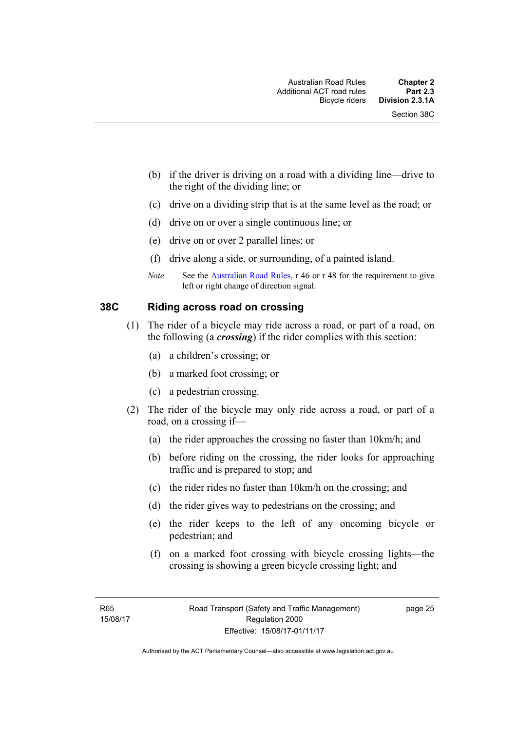- (b) if the driver is driving on a road with a dividing line—drive to the right of the dividing line; or
- (c) drive on a dividing strip that is at the same level as the road; or
- (d) drive on or over a single continuous line; or
- (e) drive on or over 2 parallel lines; or
- (f) drive along a side, or surrounding, of a painted island.
- *Note* See the [Australian Road Rules,](http://www.legislation.act.gov.au//ni/db_37271/default.asp) r 46 or r 48 for the requirement to give left or right change of direction signal.

### **38C Riding across road on crossing**

- (1) The rider of a bicycle may ride across a road, or part of a road, on the following (a *crossing*) if the rider complies with this section:
	- (a) a children's crossing; or
	- (b) a marked foot crossing; or
	- (c) a pedestrian crossing.
- (2) The rider of the bicycle may only ride across a road, or part of a road, on a crossing if—
	- (a) the rider approaches the crossing no faster than 10km/h; and
	- (b) before riding on the crossing, the rider looks for approaching traffic and is prepared to stop; and
	- (c) the rider rides no faster than 10km/h on the crossing; and
	- (d) the rider gives way to pedestrians on the crossing; and
	- (e) the rider keeps to the left of any oncoming bicycle or pedestrian; and
	- (f) on a marked foot crossing with bicycle crossing lights—the crossing is showing a green bicycle crossing light; and

page 25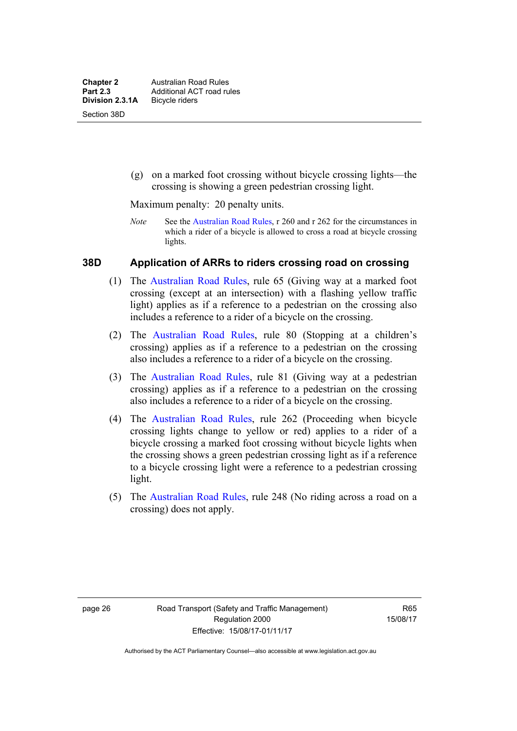(g) on a marked foot crossing without bicycle crossing lights—the crossing is showing a green pedestrian crossing light.

Maximum penalty: 20 penalty units.

*Note* See the [Australian Road Rules](http://www.legislation.act.gov.au//ni/db_37271/default.asp), r 260 and r 262 for the circumstances in which a rider of a bicycle is allowed to cross a road at bicycle crossing lights.

## **38D Application of ARRs to riders crossing road on crossing**

- (1) The [Australian Road Rules,](http://www.legislation.act.gov.au//ni/db_37271/default.asp) rule 65 (Giving way at a marked foot crossing (except at an intersection) with a flashing yellow traffic light) applies as if a reference to a pedestrian on the crossing also includes a reference to a rider of a bicycle on the crossing.
- (2) The [Australian Road Rules](http://www.legislation.act.gov.au//ni/db_37271/default.asp), rule 80 (Stopping at a children's crossing) applies as if a reference to a pedestrian on the crossing also includes a reference to a rider of a bicycle on the crossing.
- (3) The [Australian Road Rules,](http://www.legislation.act.gov.au//ni/db_37271/default.asp) rule 81 (Giving way at a pedestrian crossing) applies as if a reference to a pedestrian on the crossing also includes a reference to a rider of a bicycle on the crossing.
- (4) The [Australian Road Rules](http://www.legislation.act.gov.au//ni/db_37271/default.asp), rule 262 (Proceeding when bicycle crossing lights change to yellow or red) applies to a rider of a bicycle crossing a marked foot crossing without bicycle lights when the crossing shows a green pedestrian crossing light as if a reference to a bicycle crossing light were a reference to a pedestrian crossing light.
- (5) The [Australian Road Rules](http://www.legislation.act.gov.au//ni/db_37271/default.asp), rule 248 (No riding across a road on a crossing) does not apply.

R65 15/08/17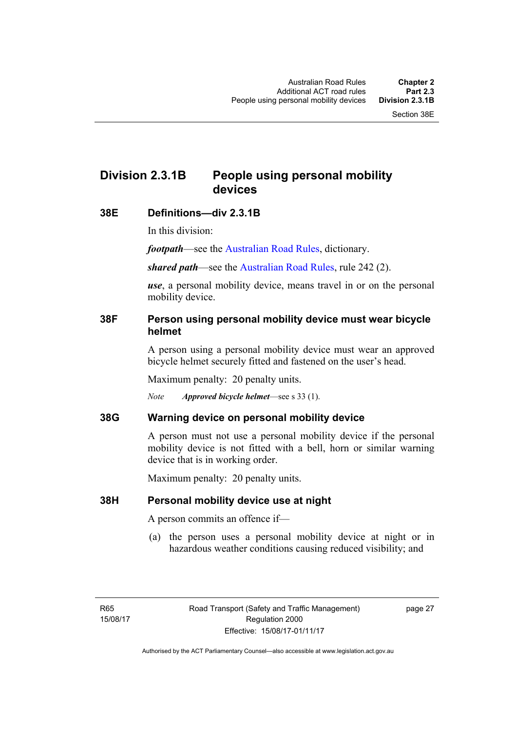## **Division 2.3.1B People using personal mobility devices**

## **38E Definitions—div 2.3.1B**

In this division:

*footpath*—see the [Australian Road Rules](http://www.legislation.act.gov.au//ni/db_37271/default.asp), dictionary.

*shared path*—see the [Australian Road Rules](http://www.legislation.act.gov.au//ni/db_37271/default.asp), rule 242 (2).

*use*, a personal mobility device, means travel in or on the personal mobility device.

## **38F Person using personal mobility device must wear bicycle helmet**

A person using a personal mobility device must wear an approved bicycle helmet securely fitted and fastened on the user's head.

Maximum penalty: 20 penalty units.

*Note Approved bicycle helmet*—see s 33 (1).

## **38G Warning device on personal mobility device**

A person must not use a personal mobility device if the personal mobility device is not fitted with a bell, horn or similar warning device that is in working order.

Maximum penalty: 20 penalty units.

## **38H Personal mobility device use at night**

A person commits an offence if—

(a) the person uses a personal mobility device at night or in hazardous weather conditions causing reduced visibility; and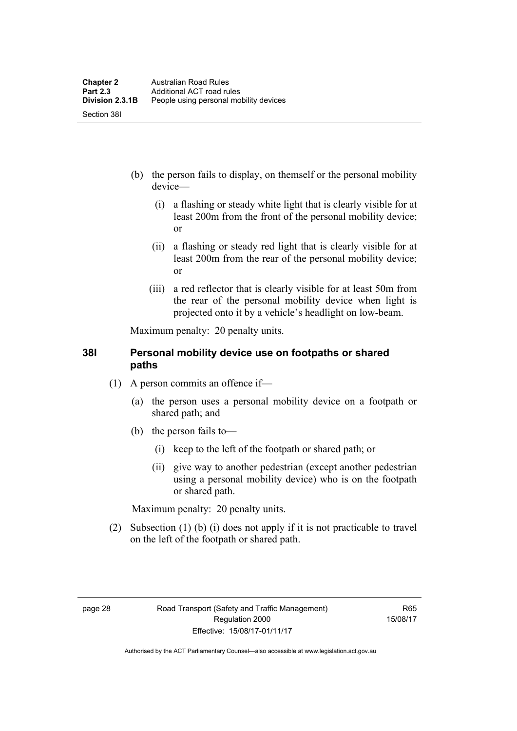- (b) the person fails to display, on themself or the personal mobility device—
	- (i) a flashing or steady white light that is clearly visible for at least 200m from the front of the personal mobility device; or
	- (ii) a flashing or steady red light that is clearly visible for at least 200m from the rear of the personal mobility device; or
	- (iii) a red reflector that is clearly visible for at least 50m from the rear of the personal mobility device when light is projected onto it by a vehicle's headlight on low-beam.

Maximum penalty: 20 penalty units.

## **38I Personal mobility device use on footpaths or shared paths**

- (1) A person commits an offence if—
	- (a) the person uses a personal mobility device on a footpath or shared path; and
	- (b) the person fails to—
		- (i) keep to the left of the footpath or shared path; or
		- (ii) give way to another pedestrian (except another pedestrian using a personal mobility device) who is on the footpath or shared path.

Maximum penalty: 20 penalty units.

 (2) Subsection (1) (b) (i) does not apply if it is not practicable to travel on the left of the footpath or shared path.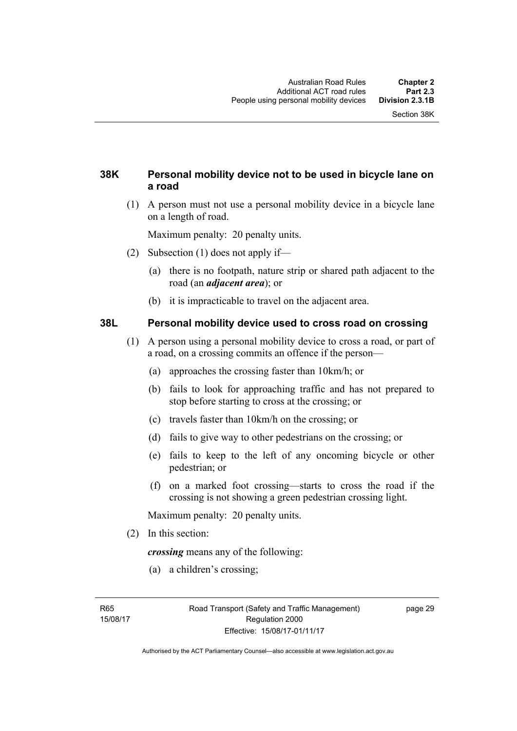## **38K Personal mobility device not to be used in bicycle lane on a road**

 (1) A person must not use a personal mobility device in a bicycle lane on a length of road.

Maximum penalty: 20 penalty units.

- (2) Subsection (1) does not apply if—
	- (a) there is no footpath, nature strip or shared path adjacent to the road (an *adjacent area*); or
	- (b) it is impracticable to travel on the adjacent area.

## **38L Personal mobility device used to cross road on crossing**

- (1) A person using a personal mobility device to cross a road, or part of a road, on a crossing commits an offence if the person—
	- (a) approaches the crossing faster than 10km/h; or
	- (b) fails to look for approaching traffic and has not prepared to stop before starting to cross at the crossing; or
	- (c) travels faster than 10km/h on the crossing; or
	- (d) fails to give way to other pedestrians on the crossing; or
	- (e) fails to keep to the left of any oncoming bicycle or other pedestrian; or
	- (f) on a marked foot crossing—starts to cross the road if the crossing is not showing a green pedestrian crossing light.

Maximum penalty: 20 penalty units.

(2) In this section:

*crossing* means any of the following:

(a) a children's crossing;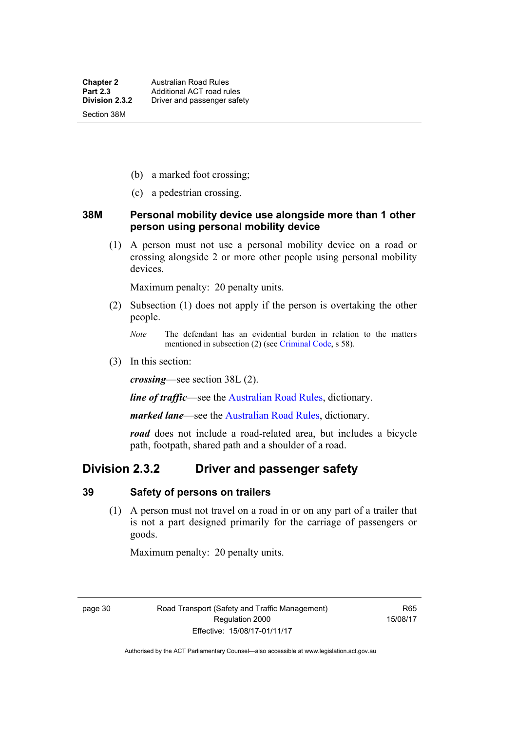- (b) a marked foot crossing;
- (c) a pedestrian crossing.

### **38M Personal mobility device use alongside more than 1 other person using personal mobility device**

 (1) A person must not use a personal mobility device on a road or crossing alongside 2 or more other people using personal mobility devices.

Maximum penalty: 20 penalty units.

- (2) Subsection (1) does not apply if the person is overtaking the other people.
	- *Note* The defendant has an evidential burden in relation to the matters mentioned in subsection (2) (see [Criminal Code,](http://www.legislation.act.gov.au/a/2002-51) s 58).
- (3) In this section:

*crossing*—see section 38L (2).

*line of traffic*—see the [Australian Road Rules,](http://www.legislation.act.gov.au//ni/db_37271/default.asp) dictionary.

*marked lane*—see the [Australian Road Rules](http://www.legislation.act.gov.au//ni/db_37271/default.asp), dictionary.

*road* does not include a road-related area, but includes a bicycle path, footpath, shared path and a shoulder of a road.

## **Division 2.3.2 Driver and passenger safety**

#### **39 Safety of persons on trailers**

 (1) A person must not travel on a road in or on any part of a trailer that is not a part designed primarily for the carriage of passengers or goods.

Maximum penalty: 20 penalty units.

page 30 Road Transport (Safety and Traffic Management) Regulation 2000 Effective: 15/08/17-01/11/17

R65 15/08/17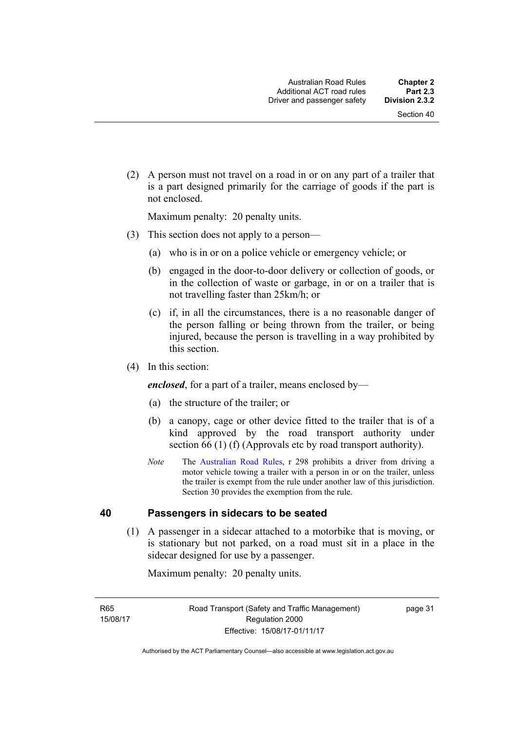(2) A person must not travel on a road in or on any part of a trailer that is a part designed primarily for the carriage of goods if the part is not enclosed.

Maximum penalty: 20 penalty units.

- (3) This section does not apply to a person—
	- (a) who is in or on a police vehicle or emergency vehicle; or
	- (b) engaged in the door-to-door delivery or collection of goods, or in the collection of waste or garbage, in or on a trailer that is not travelling faster than 25km/h; or
	- (c) if, in all the circumstances, there is a no reasonable danger of the person falling or being thrown from the trailer, or being injured, because the person is travelling in a way prohibited by this section.
- (4) In this section:

*enclosed*, for a part of a trailer, means enclosed by—

- (a) the structure of the trailer; or
- (b) a canopy, cage or other device fitted to the trailer that is of a kind approved by the road transport authority under section 66 (1) (f) (Approvals etc by road transport authority).
- *Note* The [Australian Road Rules](http://www.legislation.act.gov.au//ni/db_37271/default.asp), r 298 prohibits a driver from driving a motor vehicle towing a trailer with a person in or on the trailer, unless the trailer is exempt from the rule under another law of this jurisdiction. Section 30 provides the exemption from the rule.

## **40 Passengers in sidecars to be seated**

 (1) A passenger in a sidecar attached to a motorbike that is moving, or is stationary but not parked, on a road must sit in a place in the sidecar designed for use by a passenger.

Maximum penalty: 20 penalty units.

R65 15/08/17 page 31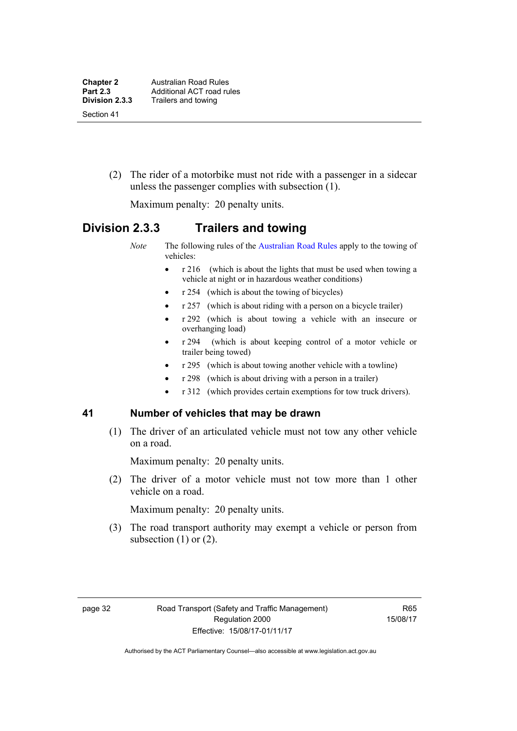(2) The rider of a motorbike must not ride with a passenger in a sidecar unless the passenger complies with subsection (1).

Maximum penalty: 20 penalty units.

## **Division 2.3.3 Trailers and towing**

*Note* The following rules of the [Australian Road Rules](http://www.legislation.act.gov.au//ni/db_37271/default.asp) apply to the towing of vehicles:

- r 216 (which is about the lights that must be used when towing a vehicle at night or in hazardous weather conditions)
- r 254 (which is about the towing of bicycles)
- r 257 (which is about riding with a person on a bicycle trailer)
- r 292 (which is about towing a vehicle with an insecure or overhanging load)
- r 294 (which is about keeping control of a motor vehicle or trailer being towed)
- r 295 (which is about towing another vehicle with a towline)
- r 298 (which is about driving with a person in a trailer)
- r 312 (which provides certain exemptions for tow truck drivers).

## **41 Number of vehicles that may be drawn**

 (1) The driver of an articulated vehicle must not tow any other vehicle on a road.

Maximum penalty: 20 penalty units.

 (2) The driver of a motor vehicle must not tow more than 1 other vehicle on a road.

Maximum penalty: 20 penalty units.

 (3) The road transport authority may exempt a vehicle or person from subsection  $(1)$  or  $(2)$ .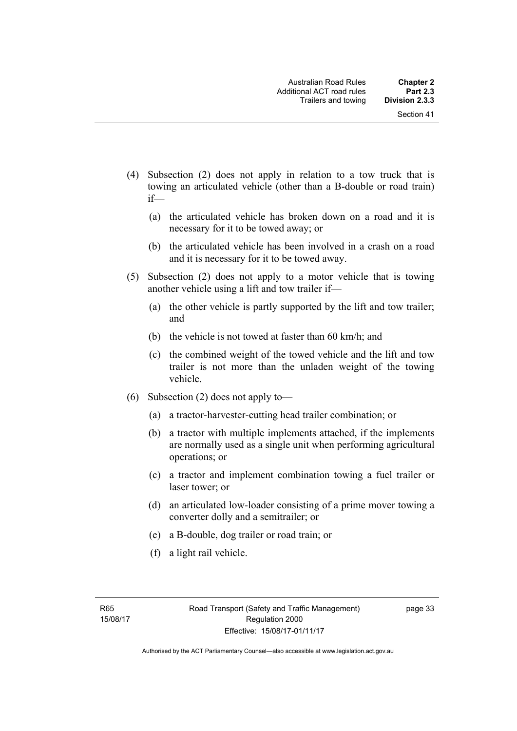- (4) Subsection (2) does not apply in relation to a tow truck that is towing an articulated vehicle (other than a B-double or road train) if—
	- (a) the articulated vehicle has broken down on a road and it is necessary for it to be towed away; or
	- (b) the articulated vehicle has been involved in a crash on a road and it is necessary for it to be towed away.
- (5) Subsection (2) does not apply to a motor vehicle that is towing another vehicle using a lift and tow trailer if—
	- (a) the other vehicle is partly supported by the lift and tow trailer; and
	- (b) the vehicle is not towed at faster than 60 km/h; and
	- (c) the combined weight of the towed vehicle and the lift and tow trailer is not more than the unladen weight of the towing vehicle.
- (6) Subsection (2) does not apply to—
	- (a) a tractor-harvester-cutting head trailer combination; or
	- (b) a tractor with multiple implements attached, if the implements are normally used as a single unit when performing agricultural operations; or
	- (c) a tractor and implement combination towing a fuel trailer or laser tower; or
	- (d) an articulated low-loader consisting of a prime mover towing a converter dolly and a semitrailer; or
	- (e) a B-double, dog trailer or road train; or
	- (f) a light rail vehicle.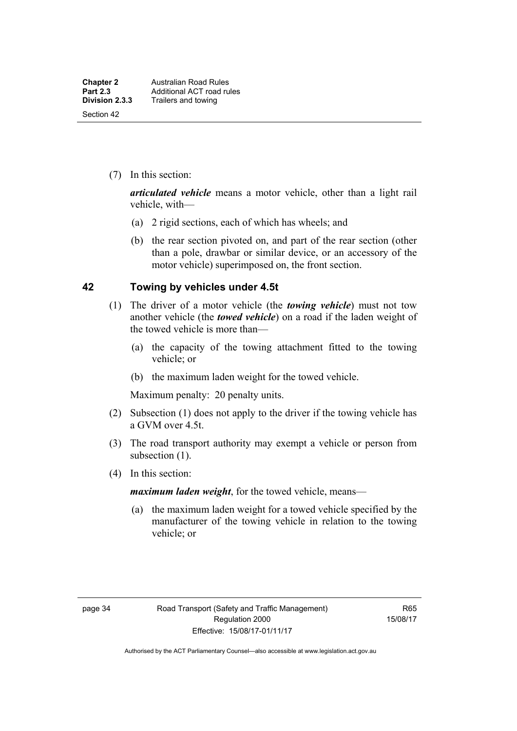(7) In this section:

*articulated vehicle* means a motor vehicle, other than a light rail vehicle, with—

- (a) 2 rigid sections, each of which has wheels; and
- (b) the rear section pivoted on, and part of the rear section (other than a pole, drawbar or similar device, or an accessory of the motor vehicle) superimposed on, the front section.

## **42 Towing by vehicles under 4.5t**

- (1) The driver of a motor vehicle (the *towing vehicle*) must not tow another vehicle (the *towed vehicle*) on a road if the laden weight of the towed vehicle is more than—
	- (a) the capacity of the towing attachment fitted to the towing vehicle; or
	- (b) the maximum laden weight for the towed vehicle.

Maximum penalty: 20 penalty units.

- (2) Subsection (1) does not apply to the driver if the towing vehicle has a GVM over 4.5t.
- (3) The road transport authority may exempt a vehicle or person from subsection (1).
- (4) In this section:

*maximum laden weight*, for the towed vehicle, means—

 (a) the maximum laden weight for a towed vehicle specified by the manufacturer of the towing vehicle in relation to the towing vehicle; or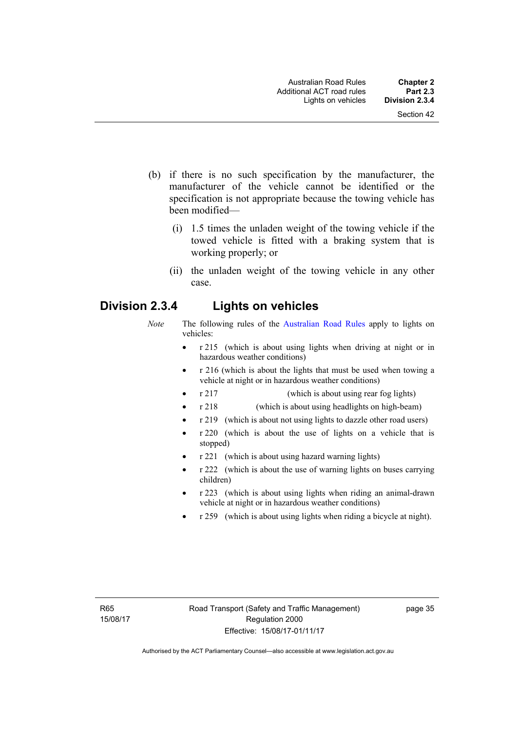- (b) if there is no such specification by the manufacturer, the manufacturer of the vehicle cannot be identified or the specification is not appropriate because the towing vehicle has been modified—
	- (i) 1.5 times the unladen weight of the towing vehicle if the towed vehicle is fitted with a braking system that is working properly; or
	- (ii) the unladen weight of the towing vehicle in any other case.

## **Division 2.3.4 Lights on vehicles**

- *Note* The following rules of the [Australian Road Rules](http://www.legislation.act.gov.au//ni/db_37271/default.asp) apply to lights on vehicles:
	- r 215 (which is about using lights when driving at night or in hazardous weather conditions)
	- r 216 (which is about the lights that must be used when towing a vehicle at night or in hazardous weather conditions)
	- r 217 (which is about using rear fog lights)
	- r 218 (which is about using headlights on high-beam)
	- r 219 (which is about not using lights to dazzle other road users)
	- r 220 (which is about the use of lights on a vehicle that is stopped)
	- r 221 (which is about using hazard warning lights)
	- r 222 (which is about the use of warning lights on buses carrying children)
	- r 223 (which is about using lights when riding an animal-drawn vehicle at night or in hazardous weather conditions)
	- r 259 (which is about using lights when riding a bicycle at night).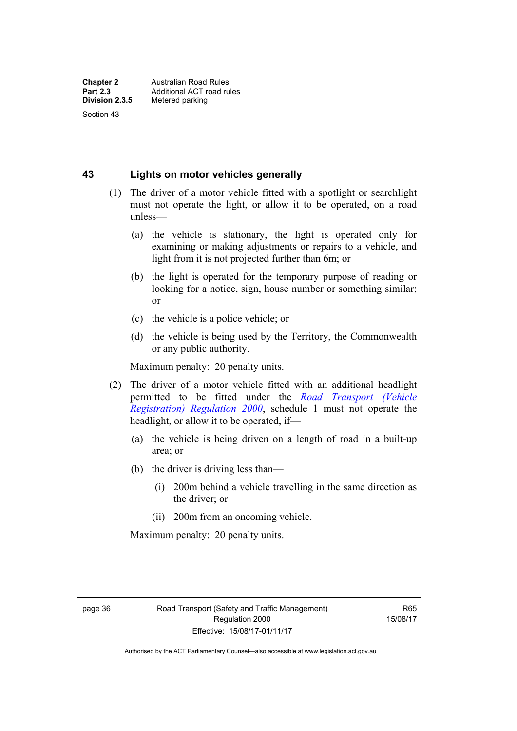Section 43

**43 Lights on motor vehicles generally**

- (1) The driver of a motor vehicle fitted with a spotlight or searchlight must not operate the light, or allow it to be operated, on a road unless—
	- (a) the vehicle is stationary, the light is operated only for examining or making adjustments or repairs to a vehicle, and light from it is not projected further than 6m; or
	- (b) the light is operated for the temporary purpose of reading or looking for a notice, sign, house number or something similar; or
	- (c) the vehicle is a police vehicle; or
	- (d) the vehicle is being used by the Territory, the Commonwealth or any public authority.

Maximum penalty: 20 penalty units.

- (2) The driver of a motor vehicle fitted with an additional headlight permitted to be fitted under the *[Road Transport \(Vehicle](http://www.legislation.act.gov.au/sl/2000-12)  [Registration\) Regulation 2000](http://www.legislation.act.gov.au/sl/2000-12)*, schedule 1 must not operate the headlight, or allow it to be operated, if—
	- (a) the vehicle is being driven on a length of road in a built-up area; or
	- (b) the driver is driving less than—
		- (i) 200m behind a vehicle travelling in the same direction as the driver; or
		- (ii) 200m from an oncoming vehicle.

Maximum penalty: 20 penalty units.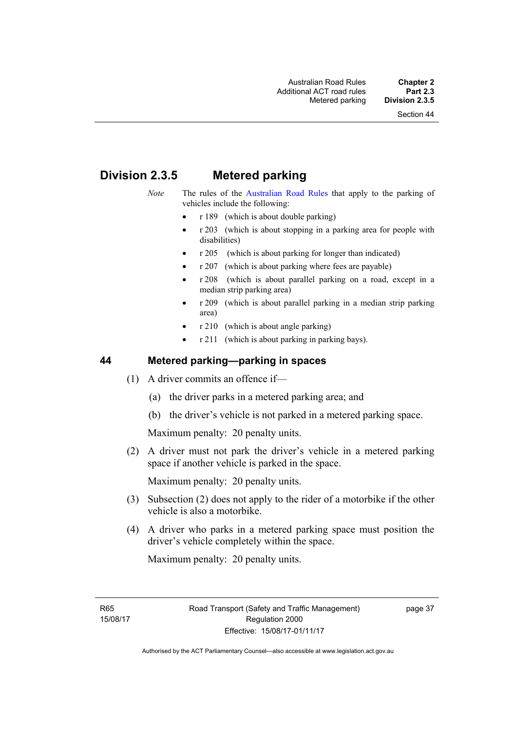# **Division 2.3.5 Metered parking**

- *Note* The rules of the [Australian Road Rules](http://www.legislation.act.gov.au//ni/db_37271/default.asp) that apply to the parking of vehicles include the following:
	- $r 189$  (which is about double parking)
	- r 203 (which is about stopping in a parking area for people with disabilities)
	- r 205 (which is about parking for longer than indicated)
	- r 207 (which is about parking where fees are payable)
	- r 208 (which is about parallel parking on a road, except in a median strip parking area)
	- r 209 (which is about parallel parking in a median strip parking area)
	- r 210 (which is about angle parking)
	- r 211 (which is about parking in parking bays).

## **44 Metered parking—parking in spaces**

- (1) A driver commits an offence if—
	- (a) the driver parks in a metered parking area; and
	- (b) the driver's vehicle is not parked in a metered parking space.

Maximum penalty: 20 penalty units.

 (2) A driver must not park the driver's vehicle in a metered parking space if another vehicle is parked in the space.

Maximum penalty: 20 penalty units.

- (3) Subsection (2) does not apply to the rider of a motorbike if the other vehicle is also a motorbike.
- (4) A driver who parks in a metered parking space must position the driver's vehicle completely within the space.

Maximum penalty: 20 penalty units.

R65 15/08/17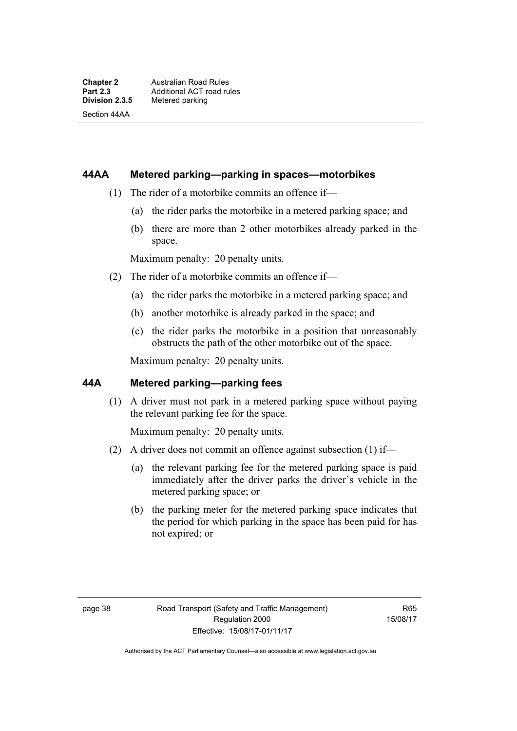Section 44AA

### **44AA Metered parking—parking in spaces—motorbikes**

- (1) The rider of a motorbike commits an offence if—
	- (a) the rider parks the motorbike in a metered parking space; and
	- (b) there are more than 2 other motorbikes already parked in the space.

Maximum penalty: 20 penalty units.

- (2) The rider of a motorbike commits an offence if—
	- (a) the rider parks the motorbike in a metered parking space; and
	- (b) another motorbike is already parked in the space; and
	- (c) the rider parks the motorbike in a position that unreasonably obstructs the path of the other motorbike out of the space.

Maximum penalty: 20 penalty units.

## **44A Metered parking—parking fees**

(1) A driver must not park in a metered parking space without paying the relevant parking fee for the space.

Maximum penalty: 20 penalty units.

- (2) A driver does not commit an offence against subsection (1) if—
	- (a) the relevant parking fee for the metered parking space is paid immediately after the driver parks the driver's vehicle in the metered parking space; or
	- (b) the parking meter for the metered parking space indicates that the period for which parking in the space has been paid for has not expired; or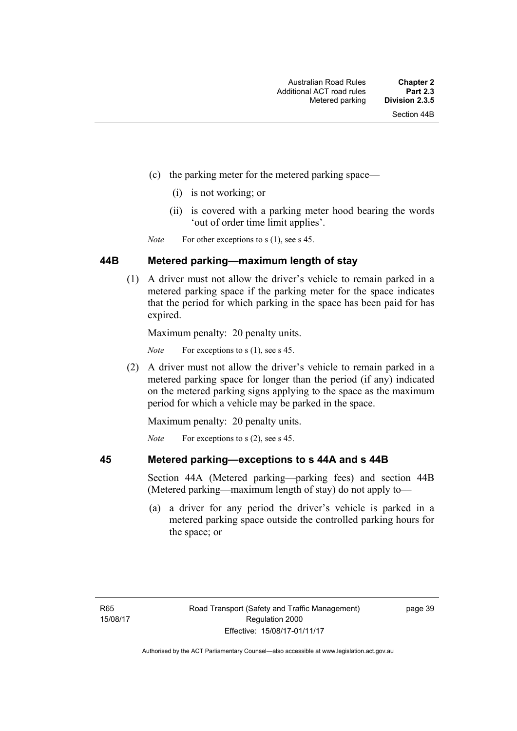- (c) the parking meter for the metered parking space—
	- (i) is not working; or
	- (ii) is covered with a parking meter hood bearing the words 'out of order time limit applies'.

*Note* For other exceptions to s (1), see s 45.

## **44B Metered parking—maximum length of stay**

 (1) A driver must not allow the driver's vehicle to remain parked in a metered parking space if the parking meter for the space indicates that the period for which parking in the space has been paid for has expired.

Maximum penalty: 20 penalty units.

*Note* For exceptions to s (1), see s 45.

 (2) A driver must not allow the driver's vehicle to remain parked in a metered parking space for longer than the period (if any) indicated on the metered parking signs applying to the space as the maximum period for which a vehicle may be parked in the space.

Maximum penalty: 20 penalty units.

*Note* For exceptions to s (2), see s 45.

## **45 Metered parking—exceptions to s 44A and s 44B**

Section 44A (Metered parking—parking fees) and section 44B (Metered parking—maximum length of stay) do not apply to—

 (a) a driver for any period the driver's vehicle is parked in a metered parking space outside the controlled parking hours for the space; or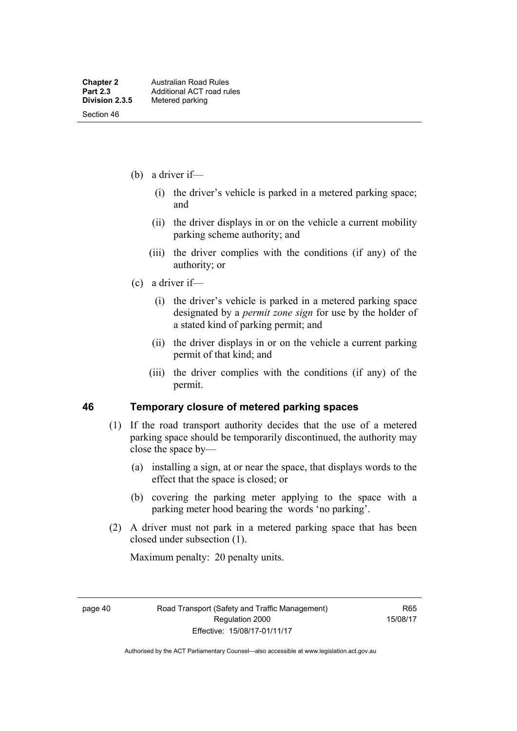- (b) a driver if—
	- (i) the driver's vehicle is parked in a metered parking space; and
	- (ii) the driver displays in or on the vehicle a current mobility parking scheme authority; and
	- (iii) the driver complies with the conditions (if any) of the authority; or
- (c) a driver if—
	- (i) the driver's vehicle is parked in a metered parking space designated by a *permit zone sign* for use by the holder of a stated kind of parking permit; and
	- (ii) the driver displays in or on the vehicle a current parking permit of that kind; and
	- (iii) the driver complies with the conditions (if any) of the permit.

#### **46 Temporary closure of metered parking spaces**

- (1) If the road transport authority decides that the use of a metered parking space should be temporarily discontinued, the authority may close the space by—
	- (a) installing a sign, at or near the space, that displays words to the effect that the space is closed; or
	- (b) covering the parking meter applying to the space with a parking meter hood bearing the words 'no parking'.
- (2) A driver must not park in a metered parking space that has been closed under subsection (1).

Maximum penalty: 20 penalty units.

page 40 Road Transport (Safety and Traffic Management) Regulation 2000 Effective: 15/08/17-01/11/17

R65 15/08/17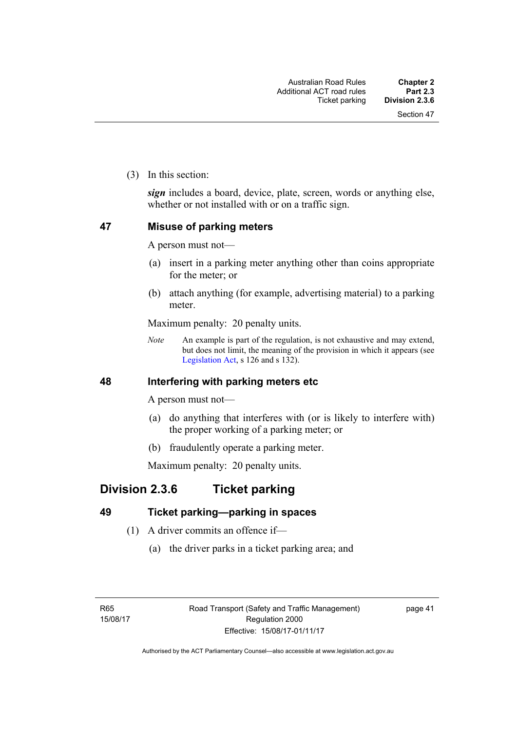(3) In this section:

*sign* includes a board, device, plate, screen, words or anything else, whether or not installed with or on a traffic sign.

## **47 Misuse of parking meters**

A person must not—

- (a) insert in a parking meter anything other than coins appropriate for the meter; or
- (b) attach anything (for example, advertising material) to a parking meter.

Maximum penalty: 20 penalty units.

*Note* An example is part of the regulation, is not exhaustive and may extend, but does not limit, the meaning of the provision in which it appears (see [Legislation Act,](http://www.legislation.act.gov.au/a/2001-14) s 126 and s 132).

## **48 Interfering with parking meters etc**

A person must not—

- (a) do anything that interferes with (or is likely to interfere with) the proper working of a parking meter; or
- (b) fraudulently operate a parking meter.

Maximum penalty: 20 penalty units.

## **Division 2.3.6 Ticket parking**

## **49 Ticket parking—parking in spaces**

- (1) A driver commits an offence if—
	- (a) the driver parks in a ticket parking area; and

page 41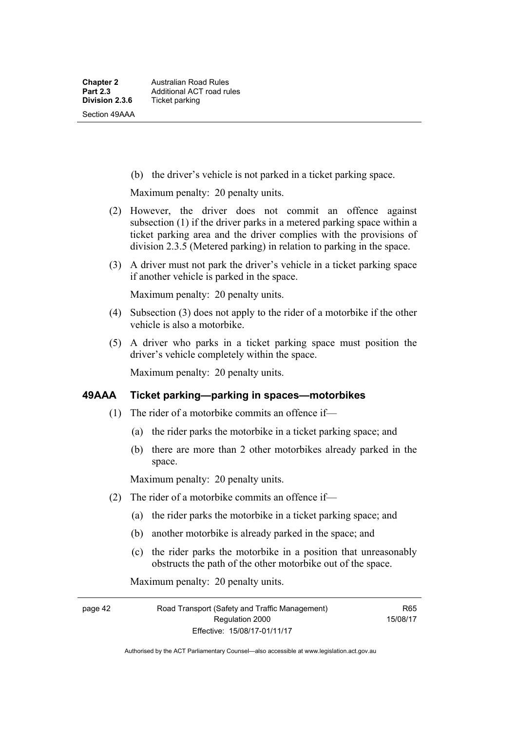(b) the driver's vehicle is not parked in a ticket parking space.

Maximum penalty: 20 penalty units.

- (2) However, the driver does not commit an offence against subsection (1) if the driver parks in a metered parking space within a ticket parking area and the driver complies with the provisions of division 2.3.5 (Metered parking) in relation to parking in the space.
- (3) A driver must not park the driver's vehicle in a ticket parking space if another vehicle is parked in the space.

Maximum penalty: 20 penalty units.

- (4) Subsection (3) does not apply to the rider of a motorbike if the other vehicle is also a motorbike.
- (5) A driver who parks in a ticket parking space must position the driver's vehicle completely within the space.

Maximum penalty: 20 penalty units.

## **49AAA Ticket parking—parking in spaces—motorbikes**

- (1) The rider of a motorbike commits an offence if—
	- (a) the rider parks the motorbike in a ticket parking space; and
	- (b) there are more than 2 other motorbikes already parked in the space.

Maximum penalty: 20 penalty units.

- (2) The rider of a motorbike commits an offence if—
	- (a) the rider parks the motorbike in a ticket parking space; and
	- (b) another motorbike is already parked in the space; and
	- (c) the rider parks the motorbike in a position that unreasonably obstructs the path of the other motorbike out of the space.

Maximum penalty: 20 penalty units.

page 42 Road Transport (Safety and Traffic Management) Regulation 2000 Effective: 15/08/17-01/11/17

R65 15/08/17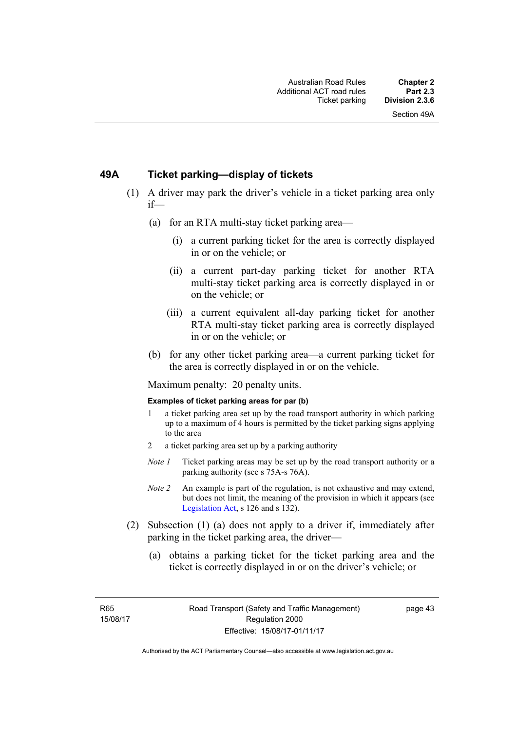## **49A Ticket parking—display of tickets**

- (1) A driver may park the driver's vehicle in a ticket parking area only if—
	- (a) for an RTA multi-stay ticket parking area—
		- (i) a current parking ticket for the area is correctly displayed in or on the vehicle; or
		- (ii) a current part-day parking ticket for another RTA multi-stay ticket parking area is correctly displayed in or on the vehicle; or
		- (iii) a current equivalent all-day parking ticket for another RTA multi-stay ticket parking area is correctly displayed in or on the vehicle; or
	- (b) for any other ticket parking area—a current parking ticket for the area is correctly displayed in or on the vehicle.

Maximum penalty: 20 penalty units.

#### **Examples of ticket parking areas for par (b)**

- 1 a ticket parking area set up by the road transport authority in which parking up to a maximum of 4 hours is permitted by the ticket parking signs applying to the area
- 2 a ticket parking area set up by a parking authority
- *Note 1* Ticket parking areas may be set up by the road transport authority or a parking authority (see s 75A-s 76A).
- *Note 2* An example is part of the regulation, is not exhaustive and may extend, but does not limit, the meaning of the provision in which it appears (see [Legislation Act,](http://www.legislation.act.gov.au/a/2001-14) s 126 and s 132).
- (2) Subsection (1) (a) does not apply to a driver if, immediately after parking in the ticket parking area, the driver—
	- (a) obtains a parking ticket for the ticket parking area and the ticket is correctly displayed in or on the driver's vehicle; or

R65 15/08/17 page 43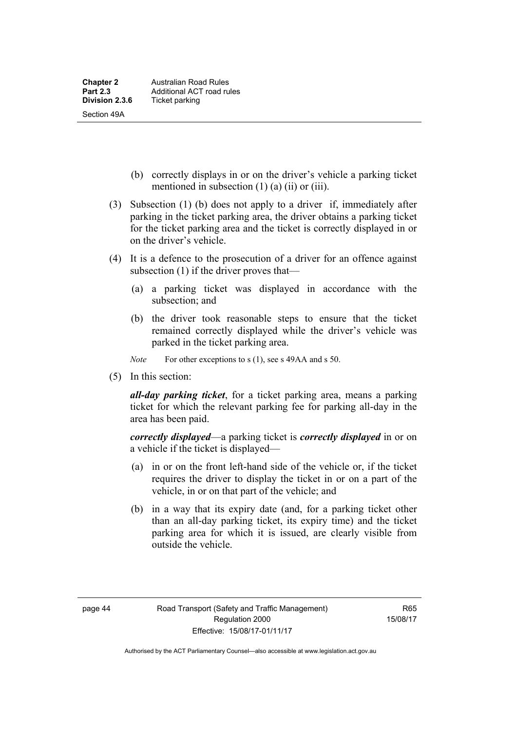- (b) correctly displays in or on the driver's vehicle a parking ticket mentioned in subsection (1) (a) (ii) or (iii).
- (3) Subsection (1) (b) does not apply to a driver if, immediately after parking in the ticket parking area, the driver obtains a parking ticket for the ticket parking area and the ticket is correctly displayed in or on the driver's vehicle.
- (4) It is a defence to the prosecution of a driver for an offence against subsection (1) if the driver proves that—
	- (a) a parking ticket was displayed in accordance with the subsection; and
	- (b) the driver took reasonable steps to ensure that the ticket remained correctly displayed while the driver's vehicle was parked in the ticket parking area.
	- *Note* For other exceptions to s (1), see s 49AA and s 50.
- (5) In this section:

*all-day parking ticket*, for a ticket parking area, means a parking ticket for which the relevant parking fee for parking all-day in the area has been paid.

*correctly displayed*—a parking ticket is *correctly displayed* in or on a vehicle if the ticket is displayed—

- (a) in or on the front left-hand side of the vehicle or, if the ticket requires the driver to display the ticket in or on a part of the vehicle, in or on that part of the vehicle; and
- (b) in a way that its expiry date (and, for a parking ticket other than an all-day parking ticket, its expiry time) and the ticket parking area for which it is issued, are clearly visible from outside the vehicle.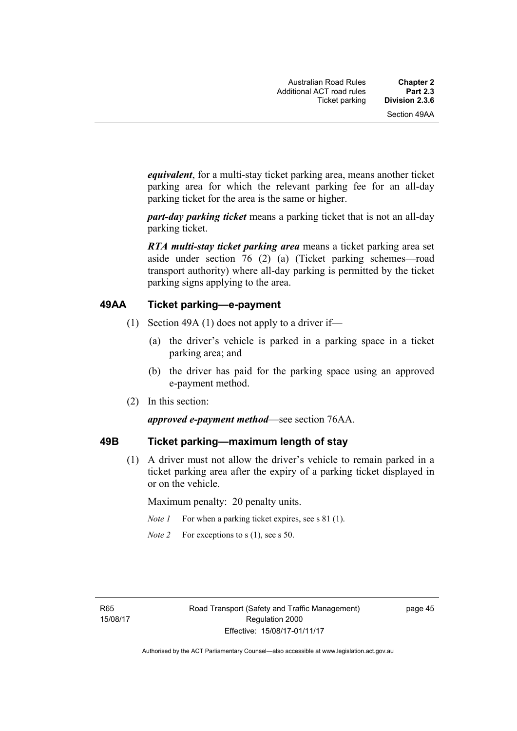*equivalent*, for a multi-stay ticket parking area, means another ticket parking area for which the relevant parking fee for an all-day parking ticket for the area is the same or higher.

*part-day parking ticket* means a parking ticket that is not an all-day parking ticket.

*RTA multi-stay ticket parking area* means a ticket parking area set aside under section 76 (2) (a) (Ticket parking schemes—road transport authority) where all-day parking is permitted by the ticket parking signs applying to the area.

## **49AA Ticket parking—e-payment**

- (1) Section 49A (1) does not apply to a driver if—
	- (a) the driver's vehicle is parked in a parking space in a ticket parking area; and
	- (b) the driver has paid for the parking space using an approved e-payment method.
- (2) In this section:

#### *approved e-payment method*—see section 76AA.

#### **49B Ticket parking—maximum length of stay**

(1) A driver must not allow the driver's vehicle to remain parked in a ticket parking area after the expiry of a parking ticket displayed in or on the vehicle.

Maximum penalty: 20 penalty units.

- *Note 1* For when a parking ticket expires, see s 81 (1).
- *Note 2* For exceptions to s (1), see s 50.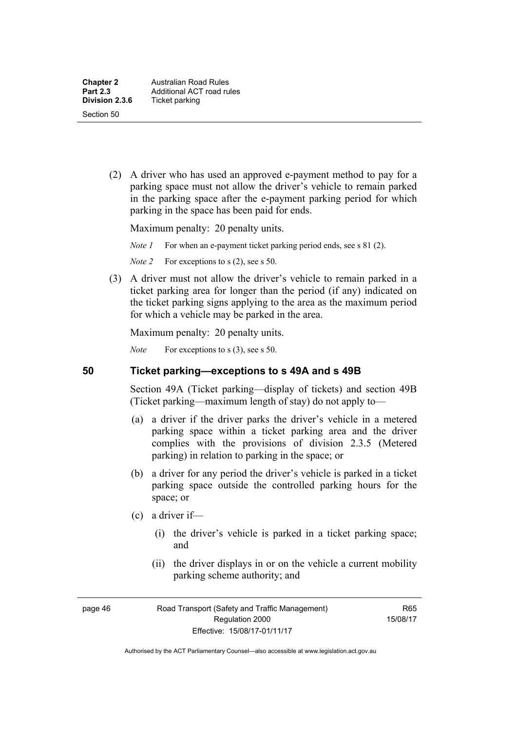(2) A driver who has used an approved e-payment method to pay for a parking space must not allow the driver's vehicle to remain parked in the parking space after the e-payment parking period for which parking in the space has been paid for ends.

Maximum penalty: 20 penalty units.

*Note 1* For when an e-payment ticket parking period ends, see s 81 (2).

*Note 2* For exceptions to s (2), see s 50.

 (3) A driver must not allow the driver's vehicle to remain parked in a ticket parking area for longer than the period (if any) indicated on the ticket parking signs applying to the area as the maximum period for which a vehicle may be parked in the area.

Maximum penalty: 20 penalty units.

*Note* For exceptions to s (3), see s 50.

## **50 Ticket parking—exceptions to s 49A and s 49B**

Section 49A (Ticket parking—display of tickets) and section 49B (Ticket parking—maximum length of stay) do not apply to—

- (a) a driver if the driver parks the driver's vehicle in a metered parking space within a ticket parking area and the driver complies with the provisions of division 2.3.5 (Metered parking) in relation to parking in the space; or
- (b) a driver for any period the driver's vehicle is parked in a ticket parking space outside the controlled parking hours for the space; or
- (c) a driver if—
	- (i) the driver's vehicle is parked in a ticket parking space; and
	- (ii) the driver displays in or on the vehicle a current mobility parking scheme authority; and

page 46 Road Transport (Safety and Traffic Management) Regulation 2000 Effective: 15/08/17-01/11/17

R65 15/08/17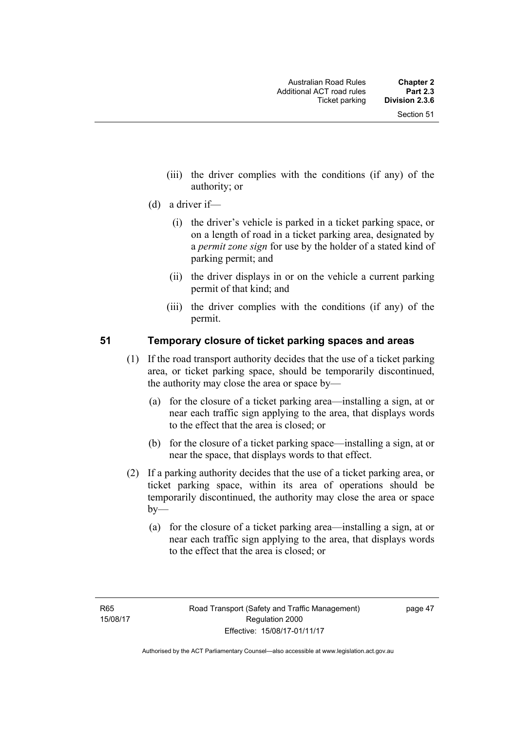- (iii) the driver complies with the conditions (if any) of the authority; or
- (d) a driver if—
	- (i) the driver's vehicle is parked in a ticket parking space, or on a length of road in a ticket parking area, designated by a *permit zone sign* for use by the holder of a stated kind of parking permit; and
	- (ii) the driver displays in or on the vehicle a current parking permit of that kind; and
	- (iii) the driver complies with the conditions (if any) of the permit.

## **51 Temporary closure of ticket parking spaces and areas**

- (1) If the road transport authority decides that the use of a ticket parking area, or ticket parking space, should be temporarily discontinued, the authority may close the area or space by—
	- (a) for the closure of a ticket parking area—installing a sign, at or near each traffic sign applying to the area, that displays words to the effect that the area is closed; or
	- (b) for the closure of a ticket parking space—installing a sign, at or near the space, that displays words to that effect.
- (2) If a parking authority decides that the use of a ticket parking area, or ticket parking space, within its area of operations should be temporarily discontinued, the authority may close the area or space  $b$ v—
	- (a) for the closure of a ticket parking area—installing a sign, at or near each traffic sign applying to the area, that displays words to the effect that the area is closed; or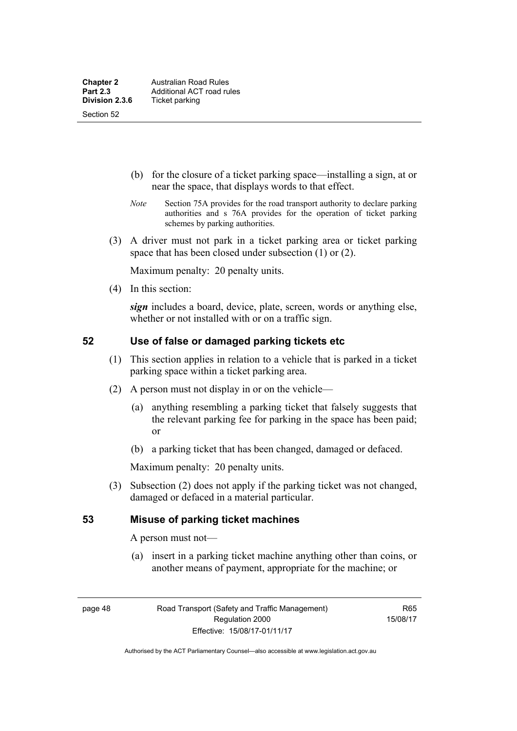- (b) for the closure of a ticket parking space—installing a sign, at or near the space, that displays words to that effect.
- *Note* Section 75A provides for the road transport authority to declare parking authorities and s 76A provides for the operation of ticket parking schemes by parking authorities.
- (3) A driver must not park in a ticket parking area or ticket parking space that has been closed under subsection (1) or (2).

Maximum penalty: 20 penalty units.

(4) In this section:

*sign* includes a board, device, plate, screen, words or anything else, whether or not installed with or on a traffic sign.

## **52 Use of false or damaged parking tickets etc**

- (1) This section applies in relation to a vehicle that is parked in a ticket parking space within a ticket parking area.
- (2) A person must not display in or on the vehicle—
	- (a) anything resembling a parking ticket that falsely suggests that the relevant parking fee for parking in the space has been paid; or
	- (b) a parking ticket that has been changed, damaged or defaced.

Maximum penalty: 20 penalty units.

 (3) Subsection (2) does not apply if the parking ticket was not changed, damaged or defaced in a material particular.

## **53 Misuse of parking ticket machines**

A person must not—

(a) insert in a parking ticket machine anything other than coins, or another means of payment, appropriate for the machine; or

page 48 Road Transport (Safety and Traffic Management) Regulation 2000 Effective: 15/08/17-01/11/17

R65 15/08/17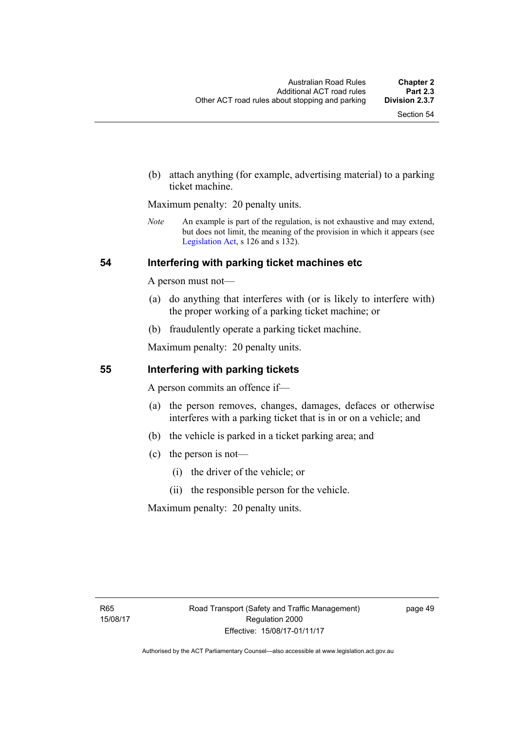(b) attach anything (for example, advertising material) to a parking ticket machine.

Maximum penalty: 20 penalty units.

*Note* An example is part of the regulation, is not exhaustive and may extend, but does not limit, the meaning of the provision in which it appears (see [Legislation Act,](http://www.legislation.act.gov.au/a/2001-14) s 126 and s 132).

## **54 Interfering with parking ticket machines etc**

A person must not—

- (a) do anything that interferes with (or is likely to interfere with) the proper working of a parking ticket machine; or
- (b) fraudulently operate a parking ticket machine.

Maximum penalty: 20 penalty units.

### **55 Interfering with parking tickets**

A person commits an offence if—

- (a) the person removes, changes, damages, defaces or otherwise interferes with a parking ticket that is in or on a vehicle; and
- (b) the vehicle is parked in a ticket parking area; and
- (c) the person is not—
	- (i) the driver of the vehicle; or
	- (ii) the responsible person for the vehicle.

Maximum penalty: 20 penalty units.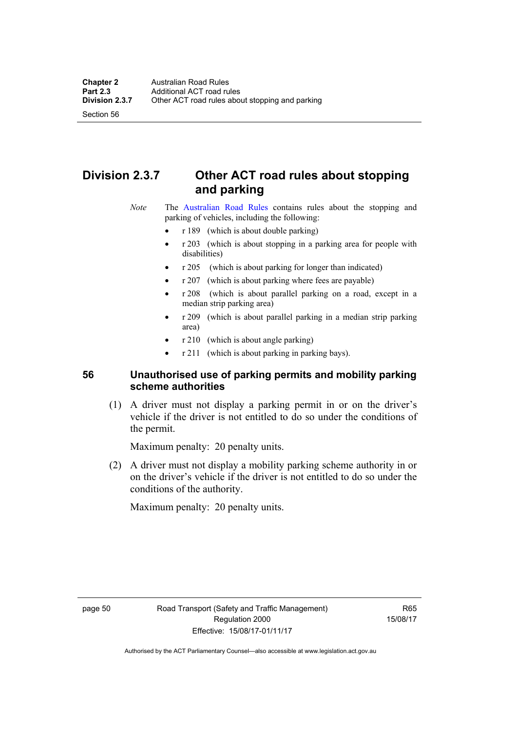Section 56

# **Division 2.3.7 Other ACT road rules about stopping and parking**

*Note* The [Australian Road Rules](http://www.legislation.act.gov.au//ni/db_37271/default.asp) contains rules about the stopping and parking of vehicles, including the following:

- r 189 (which is about double parking)
- r 203 (which is about stopping in a parking area for people with disabilities)
- r 205 (which is about parking for longer than indicated)
- r 207 (which is about parking where fees are payable)
- r 208 (which is about parallel parking on a road, except in a median strip parking area)
- r 209 (which is about parallel parking in a median strip parking area)
- r 210 (which is about angle parking)
- r 211 (which is about parking in parking bays).

## **56 Unauthorised use of parking permits and mobility parking scheme authorities**

 (1) A driver must not display a parking permit in or on the driver's vehicle if the driver is not entitled to do so under the conditions of the permit.

Maximum penalty: 20 penalty units.

 (2) A driver must not display a mobility parking scheme authority in or on the driver's vehicle if the driver is not entitled to do so under the conditions of the authority.

Maximum penalty: 20 penalty units.

R65 15/08/17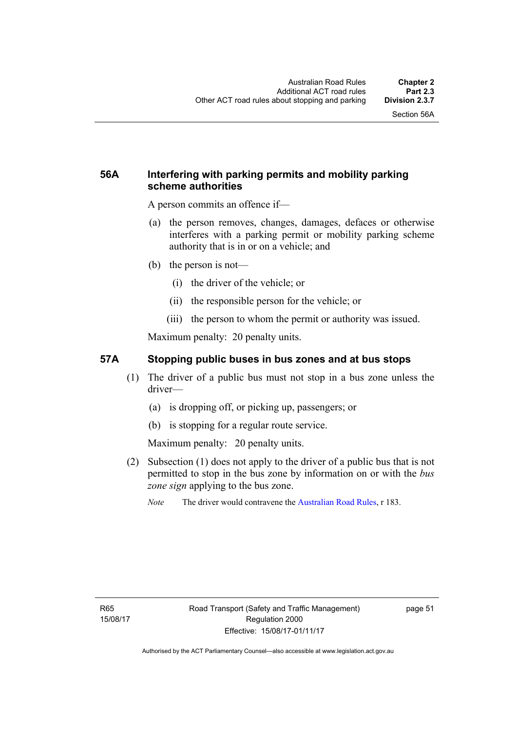## **56A Interfering with parking permits and mobility parking scheme authorities**

A person commits an offence if—

- (a) the person removes, changes, damages, defaces or otherwise interferes with a parking permit or mobility parking scheme authority that is in or on a vehicle; and
- (b) the person is not—
	- (i) the driver of the vehicle; or
	- (ii) the responsible person for the vehicle; or
	- (iii) the person to whom the permit or authority was issued.

Maximum penalty: 20 penalty units.

## **57A Stopping public buses in bus zones and at bus stops**

- (1) The driver of a public bus must not stop in a bus zone unless the driver—
	- (a) is dropping off, or picking up, passengers; or
	- (b) is stopping for a regular route service.

Maximum penalty: 20 penalty units.

- (2) Subsection (1) does not apply to the driver of a public bus that is not permitted to stop in the bus zone by information on or with the *bus zone sign* applying to the bus zone.
	- *Note* The driver would contravene the [Australian Road Rules,](http://www.legislation.act.gov.au//ni/db_37271/default.asp) r 183.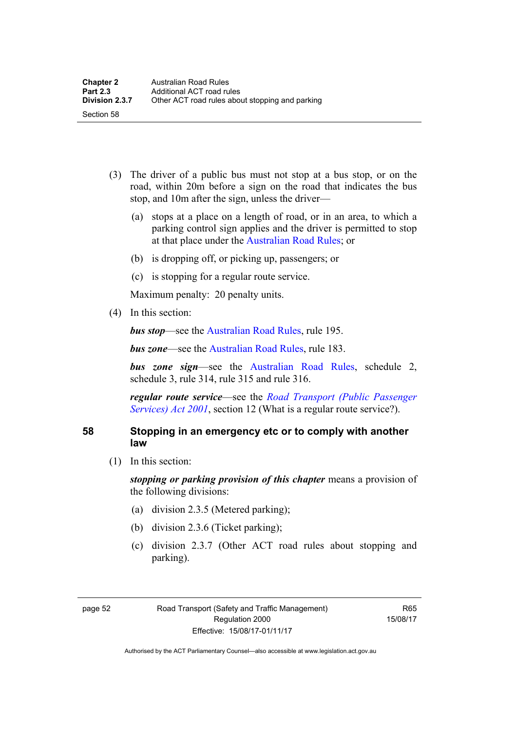- (3) The driver of a public bus must not stop at a bus stop, or on the road, within 20m before a sign on the road that indicates the bus stop, and 10m after the sign, unless the driver—
	- (a) stops at a place on a length of road, or in an area, to which a parking control sign applies and the driver is permitted to stop at that place under the [Australian Road Rules;](http://www.legislation.act.gov.au//ni/db_37271/default.asp) or
	- (b) is dropping off, or picking up, passengers; or
	- (c) is stopping for a regular route service.

Maximum penalty: 20 penalty units.

(4) In this section:

*bus stop***—see the Australian Road Rules**, rule 195.

*bus zone***—see the Australian Road Rules**, rule 183.

*bus zone sign*—see the [Australian Road Rules,](http://www.legislation.act.gov.au//ni/db_37271/default.asp) schedule 2, schedule 3, rule 314, rule 315 and rule 316.

*regular route service*—see the *[Road Transport \(Public Passenger](http://www.legislation.act.gov.au/a/2001-62)  [Services\) Act 2001](http://www.legislation.act.gov.au/a/2001-62)*, section 12 (What is a regular route service?).

## **58 Stopping in an emergency etc or to comply with another law**

(1) In this section:

*stopping or parking provision of this chapter* means a provision of the following divisions:

- (a) division 2.3.5 (Metered parking);
- (b) division 2.3.6 (Ticket parking);
- (c) division 2.3.7 (Other ACT road rules about stopping and parking).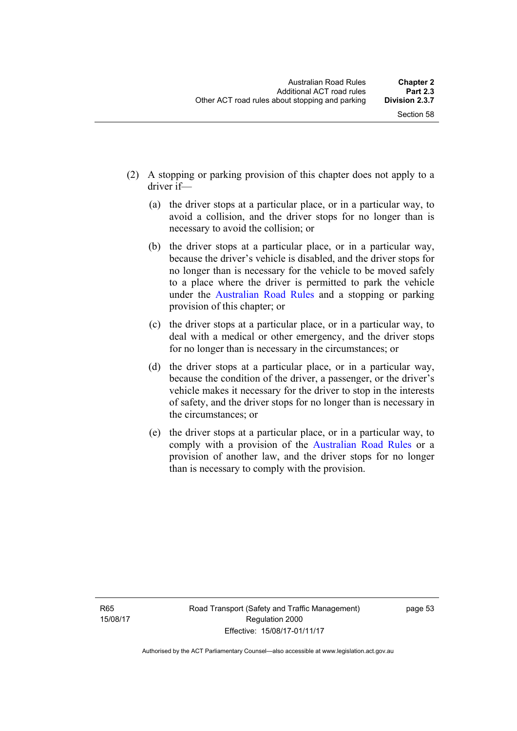- (2) A stopping or parking provision of this chapter does not apply to a driver if—
	- (a) the driver stops at a particular place, or in a particular way, to avoid a collision, and the driver stops for no longer than is necessary to avoid the collision; or
	- (b) the driver stops at a particular place, or in a particular way, because the driver's vehicle is disabled, and the driver stops for no longer than is necessary for the vehicle to be moved safely to a place where the driver is permitted to park the vehicle under the [Australian Road Rules](http://www.legislation.act.gov.au//ni/db_37271/default.asp) and a stopping or parking provision of this chapter; or
	- (c) the driver stops at a particular place, or in a particular way, to deal with a medical or other emergency, and the driver stops for no longer than is necessary in the circumstances; or
	- (d) the driver stops at a particular place, or in a particular way, because the condition of the driver, a passenger, or the driver's vehicle makes it necessary for the driver to stop in the interests of safety, and the driver stops for no longer than is necessary in the circumstances; or
	- (e) the driver stops at a particular place, or in a particular way, to comply with a provision of the [Australian Road Rules](http://www.legislation.act.gov.au//ni/db_37271/default.asp) or a provision of another law, and the driver stops for no longer than is necessary to comply with the provision.

R65 15/08/17 page 53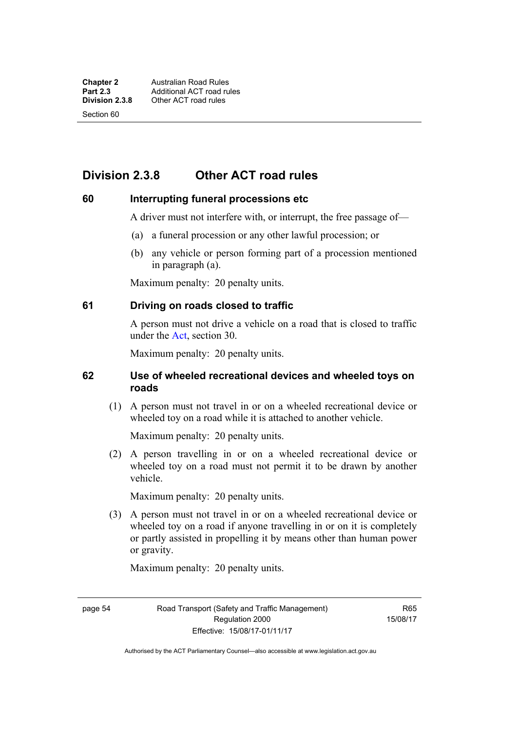Section 60

# **Division 2.3.8 Other ACT road rules**

## **60 Interrupting funeral processions etc**

A driver must not interfere with, or interrupt, the free passage of—

- (a) a funeral procession or any other lawful procession; or
- (b) any vehicle or person forming part of a procession mentioned in paragraph (a).

Maximum penalty: 20 penalty units.

## **61 Driving on roads closed to traffic**

A person must not drive a vehicle on a road that is closed to traffic under the [Act](http://www.legislation.act.gov.au/a/1999-80/default.asp), section 30.

Maximum penalty: 20 penalty units.

## **62 Use of wheeled recreational devices and wheeled toys on roads**

 (1) A person must not travel in or on a wheeled recreational device or wheeled toy on a road while it is attached to another vehicle.

Maximum penalty: 20 penalty units.

 (2) A person travelling in or on a wheeled recreational device or wheeled toy on a road must not permit it to be drawn by another vehicle.

Maximum penalty: 20 penalty units.

 (3) A person must not travel in or on a wheeled recreational device or wheeled toy on a road if anyone travelling in or on it is completely or partly assisted in propelling it by means other than human power or gravity.

Maximum penalty: 20 penalty units.

page 54 Road Transport (Safety and Traffic Management) Regulation 2000 Effective: 15/08/17-01/11/17

R65 15/08/17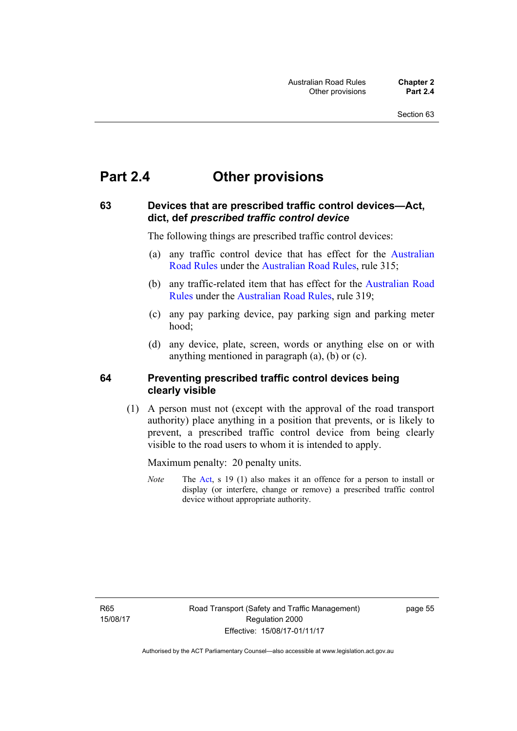# **Part 2.4 Other provisions**

## **63 Devices that are prescribed traffic control devices—Act, dict, def** *prescribed traffic control device*

The following things are prescribed traffic control devices:

- (a) any traffic control device that has effect for the [Australian](http://www.legislation.act.gov.au//ni/db_37271/default.asp)  [Road Rules](http://www.legislation.act.gov.au//ni/db_37271/default.asp) under the [Australian Road Rules](http://www.legislation.act.gov.au//ni/db_37271/default.asp), rule 315;
- (b) any traffic-related item that has effect for the [Australian Road](http://www.legislation.act.gov.au//ni/db_37271/default.asp)  [Rules](http://www.legislation.act.gov.au//ni/db_37271/default.asp) under the [Australian Road Rules](http://www.legislation.act.gov.au//ni/db_37271/default.asp), rule 319;
- (c) any pay parking device, pay parking sign and parking meter hood;
- (d) any device, plate, screen, words or anything else on or with anything mentioned in paragraph (a), (b) or (c).

## **64 Preventing prescribed traffic control devices being clearly visible**

 (1) A person must not (except with the approval of the road transport authority) place anything in a position that prevents, or is likely to prevent, a prescribed traffic control device from being clearly visible to the road users to whom it is intended to apply.

Maximum penalty: 20 penalty units.

*Note* The [Act](http://www.legislation.act.gov.au/a/1999-80/default.asp), s 19 (1) also makes it an offence for a person to install or display (or interfere, change or remove) a prescribed traffic control device without appropriate authority.

R65 15/08/17 page 55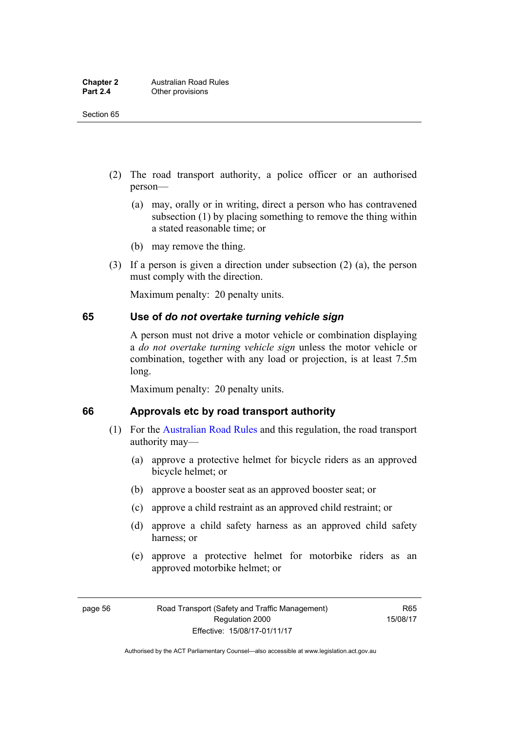- (2) The road transport authority, a police officer or an authorised person—
	- (a) may, orally or in writing, direct a person who has contravened subsection (1) by placing something to remove the thing within a stated reasonable time; or
	- (b) may remove the thing.
- (3) If a person is given a direction under subsection (2) (a), the person must comply with the direction.

Maximum penalty: 20 penalty units.

#### **65 Use of** *do not overtake turning vehicle sign*

A person must not drive a motor vehicle or combination displaying a *do not overtake turning vehicle sign* unless the motor vehicle or combination, together with any load or projection, is at least 7.5m long.

Maximum penalty: 20 penalty units.

#### **66 Approvals etc by road transport authority**

- (1) For the [Australian Road Rules](http://www.legislation.act.gov.au//ni/db_37271/default.asp) and this regulation, the road transport authority may—
	- (a) approve a protective helmet for bicycle riders as an approved bicycle helmet; or
	- (b) approve a booster seat as an approved booster seat; or
	- (c) approve a child restraint as an approved child restraint; or
	- (d) approve a child safety harness as an approved child safety harness; or
	- (e) approve a protective helmet for motorbike riders as an approved motorbike helmet; or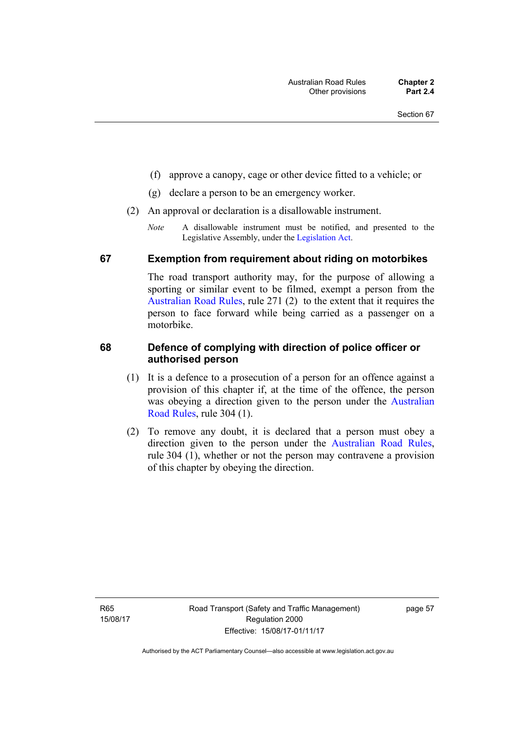- (f) approve a canopy, cage or other device fitted to a vehicle; or
- (g) declare a person to be an emergency worker.
- (2) An approval or declaration is a disallowable instrument.
	- *Note* A disallowable instrument must be notified, and presented to the Legislative Assembly, under the [Legislation Act.](http://www.legislation.act.gov.au/a/2001-14)

#### **67 Exemption from requirement about riding on motorbikes**

The road transport authority may, for the purpose of allowing a sporting or similar event to be filmed, exempt a person from the [Australian Road Rules](http://www.legislation.act.gov.au//ni/db_37271/default.asp), rule 271 (2) to the extent that it requires the person to face forward while being carried as a passenger on a motorbike.

#### **68 Defence of complying with direction of police officer or authorised person**

- (1) It is a defence to a prosecution of a person for an offence against a provision of this chapter if, at the time of the offence, the person was obeying a direction given to the person under the [Australian](http://www.legislation.act.gov.au//ni/db_37271/default.asp)  [Road Rules,](http://www.legislation.act.gov.au//ni/db_37271/default.asp) rule 304 (1).
- (2) To remove any doubt, it is declared that a person must obey a direction given to the person under the [Australian Road Rules](http://www.legislation.act.gov.au//ni/db_37271/default.asp), rule 304 (1), whether or not the person may contravene a provision of this chapter by obeying the direction.

R65 15/08/17 page 57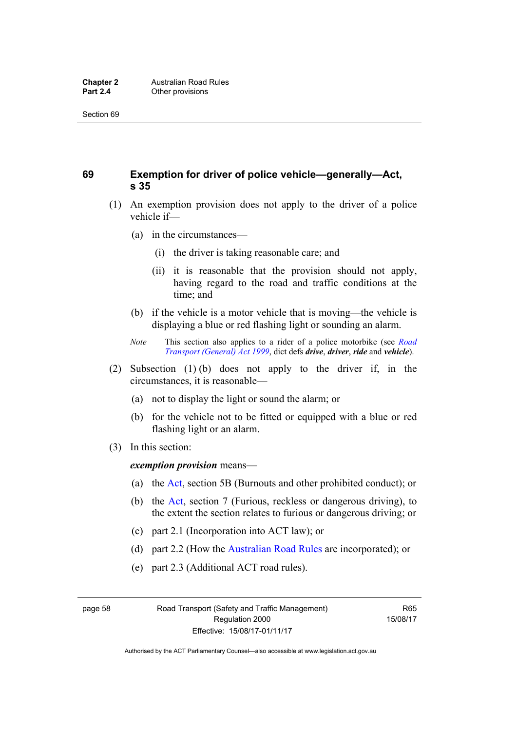# **69 Exemption for driver of police vehicle—generally—Act, s 35**

- (1) An exemption provision does not apply to the driver of a police vehicle if—
	- (a) in the circumstances—
		- (i) the driver is taking reasonable care; and
		- (ii) it is reasonable that the provision should not apply, having regard to the road and traffic conditions at the time; and
	- (b) if the vehicle is a motor vehicle that is moving—the vehicle is displaying a blue or red flashing light or sounding an alarm.
	- *Note* This section also applies to a rider of a police motorbike (see *[Road](http://www.legislation.act.gov.au/a/1999-77)  [Transport \(General\) Act 1999](http://www.legislation.act.gov.au/a/1999-77)*, dict defs *drive*, *driver*, *ride* and *vehicle*).
- (2) Subsection (1) (b) does not apply to the driver if, in the circumstances, it is reasonable—
	- (a) not to display the light or sound the alarm; or
	- (b) for the vehicle not to be fitted or equipped with a blue or red flashing light or an alarm.
- (3) In this section:

*exemption provision* means—

- (a) the [Act,](http://www.legislation.act.gov.au/a/1999-80/default.asp) section 5B (Burnouts and other prohibited conduct); or
- (b) the [Act](http://www.legislation.act.gov.au/a/1999-80/default.asp), section 7 (Furious, reckless or dangerous driving), to the extent the section relates to furious or dangerous driving; or
- (c) part 2.1 (Incorporation into ACT law); or
- (d) part 2.2 (How the [Australian Road Rules](http://www.legislation.act.gov.au//ni/db_37271/default.asp) are incorporated); or
- (e) part 2.3 (Additional ACT road rules).

page 58 Road Transport (Safety and Traffic Management) Regulation 2000 Effective: 15/08/17-01/11/17

R65 15/08/17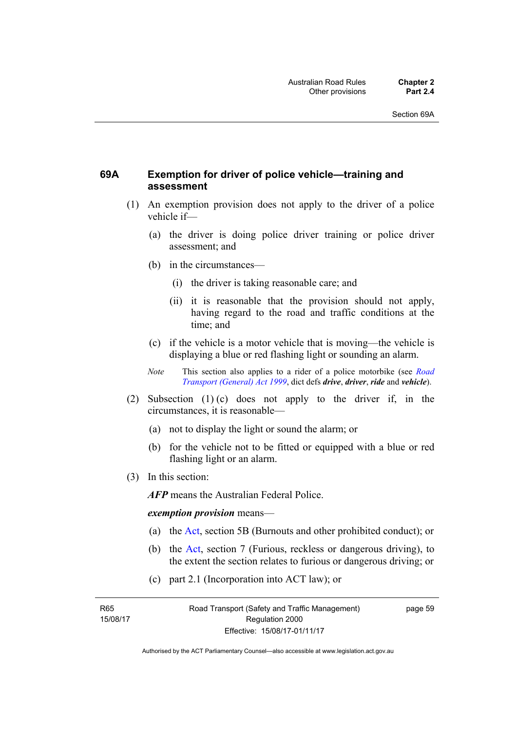## **69A Exemption for driver of police vehicle—training and assessment**

- (1) An exemption provision does not apply to the driver of a police vehicle if—
	- (a) the driver is doing police driver training or police driver assessment; and
	- (b) in the circumstances—
		- (i) the driver is taking reasonable care; and
		- (ii) it is reasonable that the provision should not apply, having regard to the road and traffic conditions at the time; and
	- (c) if the vehicle is a motor vehicle that is moving—the vehicle is displaying a blue or red flashing light or sounding an alarm.
	- *Note* This section also applies to a rider of a police motorbike (see *[Road](http://www.legislation.act.gov.au/a/1999-77)  [Transport \(General\) Act 1999](http://www.legislation.act.gov.au/a/1999-77)*, dict defs *drive*, *driver*, *ride* and *vehicle*).
- (2) Subsection (1) (c) does not apply to the driver if, in the circumstances, it is reasonable—
	- (a) not to display the light or sound the alarm; or
	- (b) for the vehicle not to be fitted or equipped with a blue or red flashing light or an alarm.
- (3) In this section:

*AFP* means the Australian Federal Police.

#### *exemption provision* means—

- (a) the [Act](http://www.legislation.act.gov.au/a/1999-80/default.asp), section 5B (Burnouts and other prohibited conduct); or
- (b) the [Act](http://www.legislation.act.gov.au/a/1999-80/default.asp), section 7 (Furious, reckless or dangerous driving), to the extent the section relates to furious or dangerous driving; or
- (c) part 2.1 (Incorporation into ACT law); or

R65 15/08/17 page 59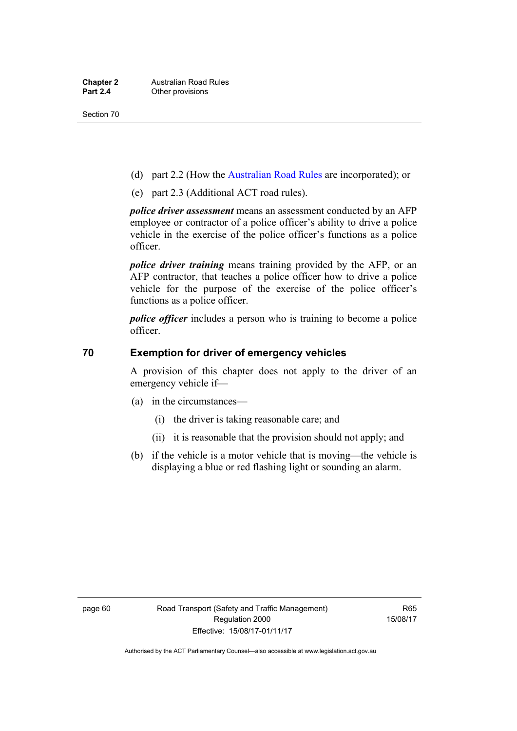- (d) part 2.2 (How the [Australian Road Rules](http://www.legislation.act.gov.au//ni/db_37271/default.asp) are incorporated); or
- (e) part 2.3 (Additional ACT road rules).

*police driver assessment* means an assessment conducted by an AFP employee or contractor of a police officer's ability to drive a police vehicle in the exercise of the police officer's functions as a police officer.

*police driver training* means training provided by the AFP, or an AFP contractor, that teaches a police officer how to drive a police vehicle for the purpose of the exercise of the police officer's functions as a police officer.

*police officer* includes a person who is training to become a police officer.

#### **70 Exemption for driver of emergency vehicles**

A provision of this chapter does not apply to the driver of an emergency vehicle if—

- (a) in the circumstances—
	- (i) the driver is taking reasonable care; and
	- (ii) it is reasonable that the provision should not apply; and
- (b) if the vehicle is a motor vehicle that is moving—the vehicle is displaying a blue or red flashing light or sounding an alarm.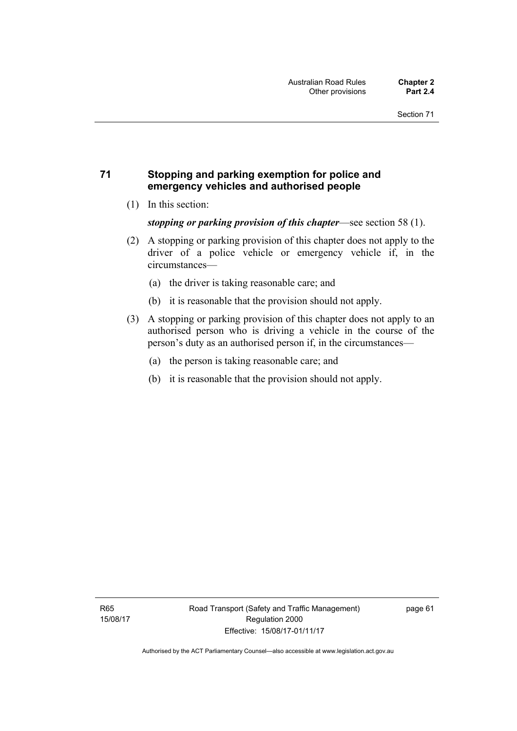## **71 Stopping and parking exemption for police and emergency vehicles and authorised people**

(1) In this section:

*stopping or parking provision of this chapter*—see section 58 (1).

- (2) A stopping or parking provision of this chapter does not apply to the driver of a police vehicle or emergency vehicle if, in the circumstances—
	- (a) the driver is taking reasonable care; and
	- (b) it is reasonable that the provision should not apply.
- (3) A stopping or parking provision of this chapter does not apply to an authorised person who is driving a vehicle in the course of the person's duty as an authorised person if, in the circumstances—
	- (a) the person is taking reasonable care; and
	- (b) it is reasonable that the provision should not apply.

page 61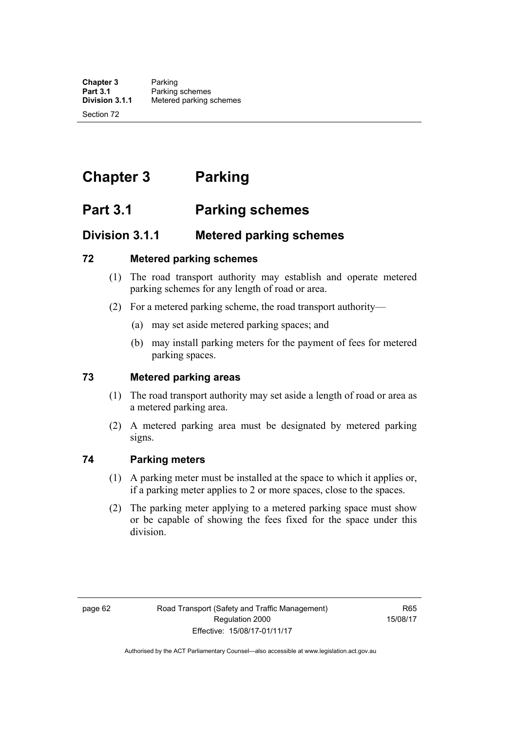# **Chapter 3 Parking**

# **Part 3.1 Parking schemes**

# **Division 3.1.1 Metered parking schemes**

#### **72 Metered parking schemes**

- (1) The road transport authority may establish and operate metered parking schemes for any length of road or area.
- (2) For a metered parking scheme, the road transport authority—
	- (a) may set aside metered parking spaces; and
	- (b) may install parking meters for the payment of fees for metered parking spaces.

## **73 Metered parking areas**

- (1) The road transport authority may set aside a length of road or area as a metered parking area.
- (2) A metered parking area must be designated by metered parking signs.

## **74 Parking meters**

- (1) A parking meter must be installed at the space to which it applies or, if a parking meter applies to 2 or more spaces, close to the spaces.
- (2) The parking meter applying to a metered parking space must show or be capable of showing the fees fixed for the space under this division.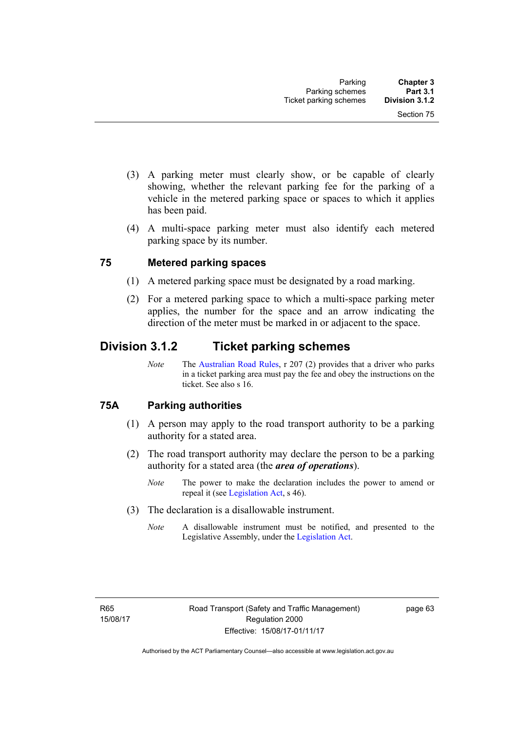- (3) A parking meter must clearly show, or be capable of clearly showing, whether the relevant parking fee for the parking of a vehicle in the metered parking space or spaces to which it applies has been paid.
- (4) A multi-space parking meter must also identify each metered parking space by its number.

#### **75 Metered parking spaces**

- (1) A metered parking space must be designated by a road marking.
- (2) For a metered parking space to which a multi-space parking meter applies, the number for the space and an arrow indicating the direction of the meter must be marked in or adjacent to the space.

# **Division 3.1.2 Ticket parking schemes**

*Note* The [Australian Road Rules](http://www.legislation.act.gov.au//ni/db_37271/default.asp), r 207 (2) provides that a driver who parks in a ticket parking area must pay the fee and obey the instructions on the ticket. See also s 16.

## **75A Parking authorities**

- (1) A person may apply to the road transport authority to be a parking authority for a stated area.
- (2) The road transport authority may declare the person to be a parking authority for a stated area (the *area of operations*).
	- *Note* The power to make the declaration includes the power to amend or repeal it (see [Legislation Act,](http://www.legislation.act.gov.au/a/2001-14) s 46).
- (3) The declaration is a disallowable instrument.
	- *Note* A disallowable instrument must be notified, and presented to the Legislative Assembly, under the [Legislation Act.](http://www.legislation.act.gov.au/a/2001-14)

page 63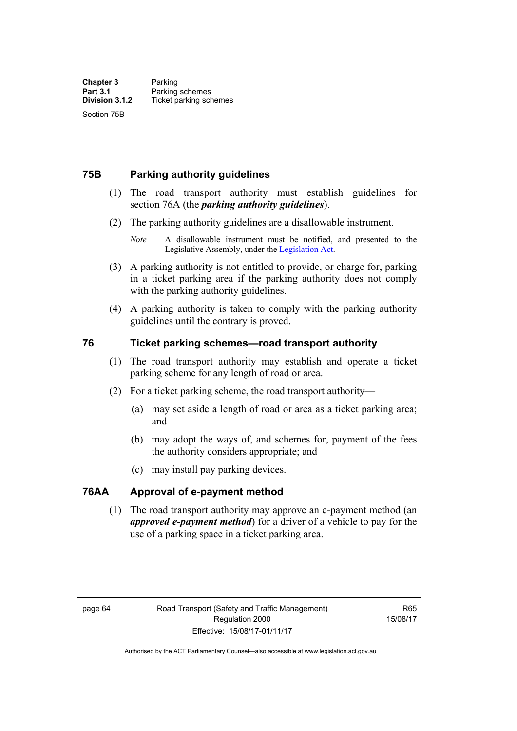### **75B Parking authority guidelines**

- (1) The road transport authority must establish guidelines for section 76A (the *parking authority guidelines*).
- (2) The parking authority guidelines are a disallowable instrument.

- (3) A parking authority is not entitled to provide, or charge for, parking in a ticket parking area if the parking authority does not comply with the parking authority guidelines.
- (4) A parking authority is taken to comply with the parking authority guidelines until the contrary is proved.

#### **76 Ticket parking schemes—road transport authority**

- (1) The road transport authority may establish and operate a ticket parking scheme for any length of road or area.
- (2) For a ticket parking scheme, the road transport authority—
	- (a) may set aside a length of road or area as a ticket parking area; and
	- (b) may adopt the ways of, and schemes for, payment of the fees the authority considers appropriate; and
	- (c) may install pay parking devices.

### **76AA Approval of e-payment method**

(1) The road transport authority may approve an e-payment method (an *approved e-payment method*) for a driver of a vehicle to pay for the use of a parking space in a ticket parking area.

R65 15/08/17

*Note* A disallowable instrument must be notified, and presented to the Legislative Assembly, under the [Legislation Act.](http://www.legislation.act.gov.au/a/2001-14)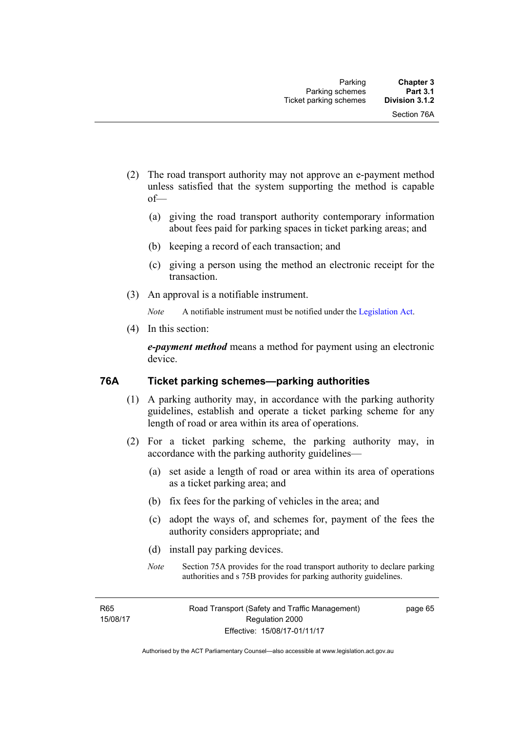- (2) The road transport authority may not approve an e-payment method unless satisfied that the system supporting the method is capable of—
	- (a) giving the road transport authority contemporary information about fees paid for parking spaces in ticket parking areas; and
	- (b) keeping a record of each transaction; and
	- (c) giving a person using the method an electronic receipt for the transaction.
- (3) An approval is a notifiable instrument.

*Note* A notifiable instrument must be notified under the [Legislation Act](http://www.legislation.act.gov.au/a/2001-14).

(4) In this section:

*e-payment method* means a method for payment using an electronic device.

#### **76A Ticket parking schemes—parking authorities**

- (1) A parking authority may, in accordance with the parking authority guidelines, establish and operate a ticket parking scheme for any length of road or area within its area of operations.
- (2) For a ticket parking scheme, the parking authority may, in accordance with the parking authority guidelines—
	- (a) set aside a length of road or area within its area of operations as a ticket parking area; and
	- (b) fix fees for the parking of vehicles in the area; and
	- (c) adopt the ways of, and schemes for, payment of the fees the authority considers appropriate; and
	- (d) install pay parking devices.
	- *Note* Section 75A provides for the road transport authority to declare parking authorities and s 75B provides for parking authority guidelines.

R65 15/08/17 page 65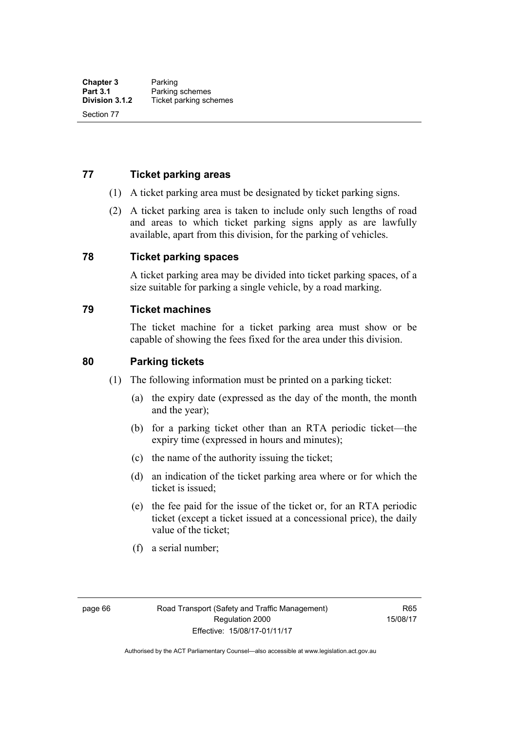#### **77 Ticket parking areas**

- (1) A ticket parking area must be designated by ticket parking signs.
- (2) A ticket parking area is taken to include only such lengths of road and areas to which ticket parking signs apply as are lawfully available, apart from this division, for the parking of vehicles.

#### **78 Ticket parking spaces**

A ticket parking area may be divided into ticket parking spaces, of a size suitable for parking a single vehicle, by a road marking.

#### **79 Ticket machines**

The ticket machine for a ticket parking area must show or be capable of showing the fees fixed for the area under this division.

#### **80 Parking tickets**

- (1) The following information must be printed on a parking ticket:
	- (a) the expiry date (expressed as the day of the month, the month and the year);
	- (b) for a parking ticket other than an RTA periodic ticket—the expiry time (expressed in hours and minutes);
	- (c) the name of the authority issuing the ticket;
	- (d) an indication of the ticket parking area where or for which the ticket is issued;
	- (e) the fee paid for the issue of the ticket or, for an RTA periodic ticket (except a ticket issued at a concessional price), the daily value of the ticket;
	- (f) a serial number;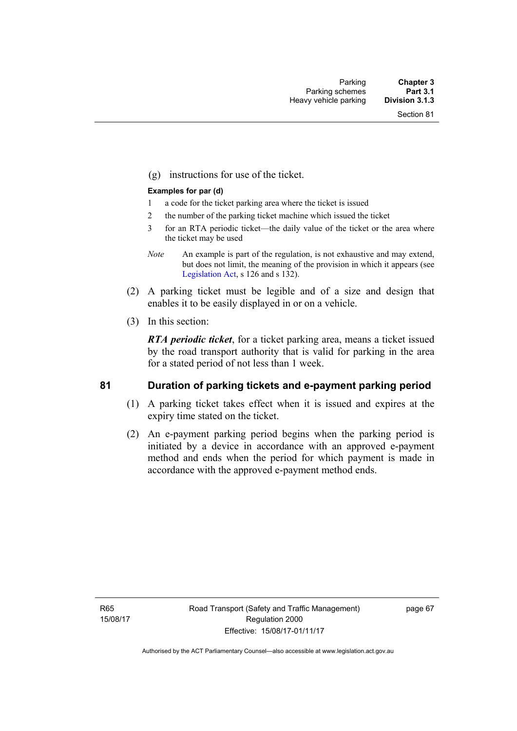(g) instructions for use of the ticket.

#### **Examples for par (d)**

- 1 a code for the ticket parking area where the ticket is issued
- 2 the number of the parking ticket machine which issued the ticket
- 3 for an RTA periodic ticket—the daily value of the ticket or the area where the ticket may be used
- *Note* An example is part of the regulation, is not exhaustive and may extend, but does not limit, the meaning of the provision in which it appears (see [Legislation Act,](http://www.legislation.act.gov.au/a/2001-14) s 126 and s 132).
- (2) A parking ticket must be legible and of a size and design that enables it to be easily displayed in or on a vehicle.
- (3) In this section:

*RTA periodic ticket*, for a ticket parking area, means a ticket issued by the road transport authority that is valid for parking in the area for a stated period of not less than 1 week.

#### **81 Duration of parking tickets and e-payment parking period**

- (1) A parking ticket takes effect when it is issued and expires at the expiry time stated on the ticket.
- (2) An e-payment parking period begins when the parking period is initiated by a device in accordance with an approved e-payment method and ends when the period for which payment is made in accordance with the approved e-payment method ends.

R65 15/08/17 page 67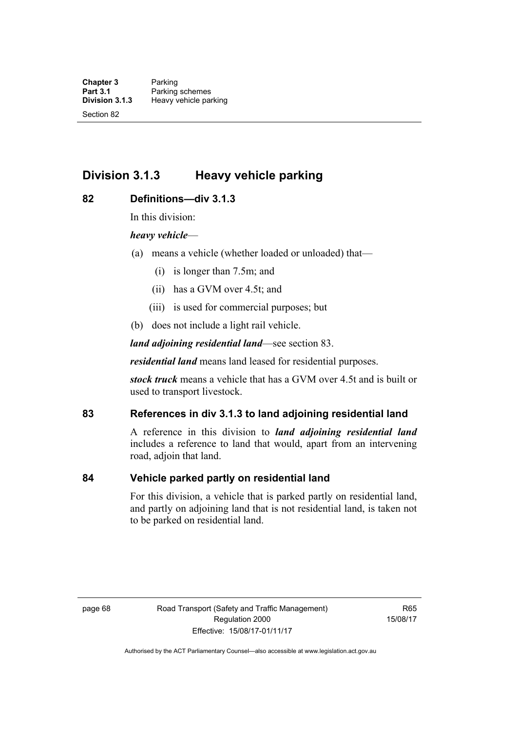# **Division 3.1.3 Heavy vehicle parking**

#### **82 Definitions—div 3.1.3**

In this division:

#### *heavy vehicle*—

- (a) means a vehicle (whether loaded or unloaded) that—
	- (i) is longer than 7.5m; and
	- (ii) has a GVM over 4.5t; and
	- (iii) is used for commercial purposes; but
- (b) does not include a light rail vehicle.

*land adjoining residential land*—see section 83.

*residential land* means land leased for residential purposes.

*stock truck* means a vehicle that has a GVM over 4.5t and is built or used to transport livestock.

### **83 References in div 3.1.3 to land adjoining residential land**

A reference in this division to *land adjoining residential land* includes a reference to land that would, apart from an intervening road, adjoin that land.

#### **84 Vehicle parked partly on residential land**

For this division, a vehicle that is parked partly on residential land, and partly on adjoining land that is not residential land, is taken not to be parked on residential land.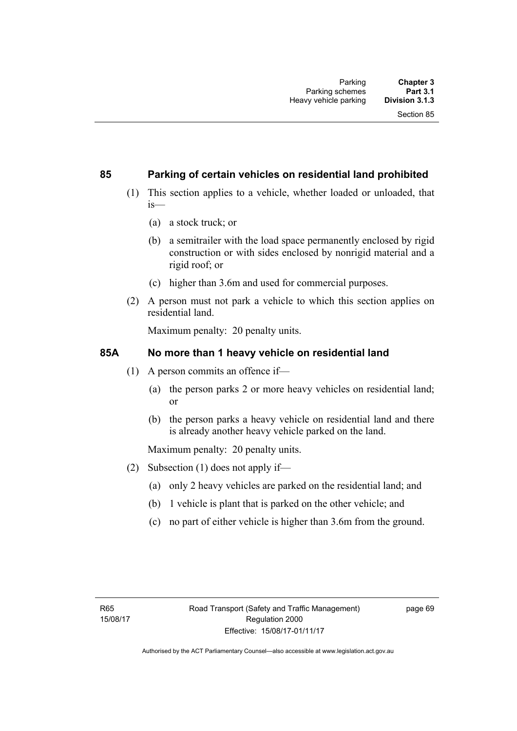#### **85 Parking of certain vehicles on residential land prohibited**

- (1) This section applies to a vehicle, whether loaded or unloaded, that is—
	- (a) a stock truck; or
	- (b) a semitrailer with the load space permanently enclosed by rigid construction or with sides enclosed by nonrigid material and a rigid roof; or
	- (c) higher than 3.6m and used for commercial purposes.
- (2) A person must not park a vehicle to which this section applies on residential land.

Maximum penalty: 20 penalty units.

#### **85A No more than 1 heavy vehicle on residential land**

- (1) A person commits an offence if—
	- (a) the person parks 2 or more heavy vehicles on residential land; or
	- (b) the person parks a heavy vehicle on residential land and there is already another heavy vehicle parked on the land.

Maximum penalty: 20 penalty units.

- (2) Subsection (1) does not apply if—
	- (a) only 2 heavy vehicles are parked on the residential land; and
	- (b) 1 vehicle is plant that is parked on the other vehicle; and
	- (c) no part of either vehicle is higher than 3.6m from the ground.

page 69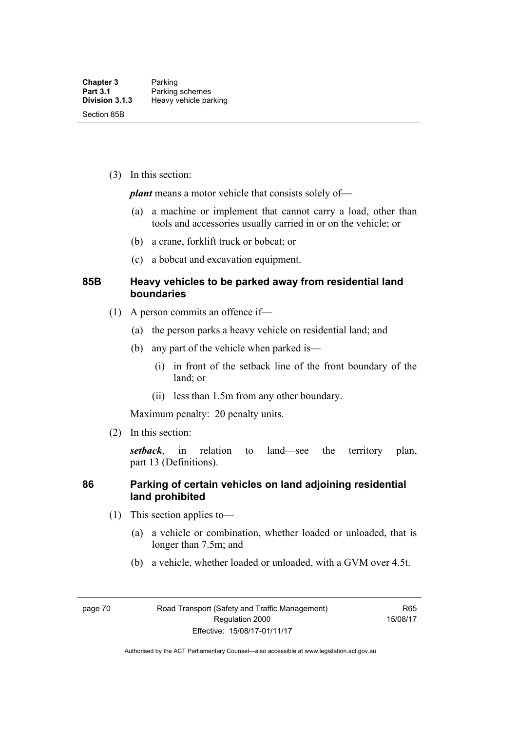(3) In this section:

*plant* means a motor vehicle that consists solely of—

- (a) a machine or implement that cannot carry a load, other than tools and accessories usually carried in or on the vehicle; or
- (b) a crane, forklift truck or bobcat; or
- (c) a bobcat and excavation equipment.

### **85B Heavy vehicles to be parked away from residential land boundaries**

- (1) A person commits an offence if—
	- (a) the person parks a heavy vehicle on residential land; and
	- (b) any part of the vehicle when parked is—
		- (i) in front of the setback line of the front boundary of the land; or
		- (ii) less than 1.5m from any other boundary.

Maximum penalty: 20 penalty units.

(2) In this section:

*setback*, in relation to land—see the territory plan, part 13 (Definitions).

#### **86 Parking of certain vehicles on land adjoining residential land prohibited**

- (1) This section applies to—
	- (a) a vehicle or combination, whether loaded or unloaded, that is longer than 7.5m; and
	- (b) a vehicle, whether loaded or unloaded, with a GVM over 4.5t.

page 70 Road Transport (Safety and Traffic Management) Regulation 2000 Effective: 15/08/17-01/11/17

R65 15/08/17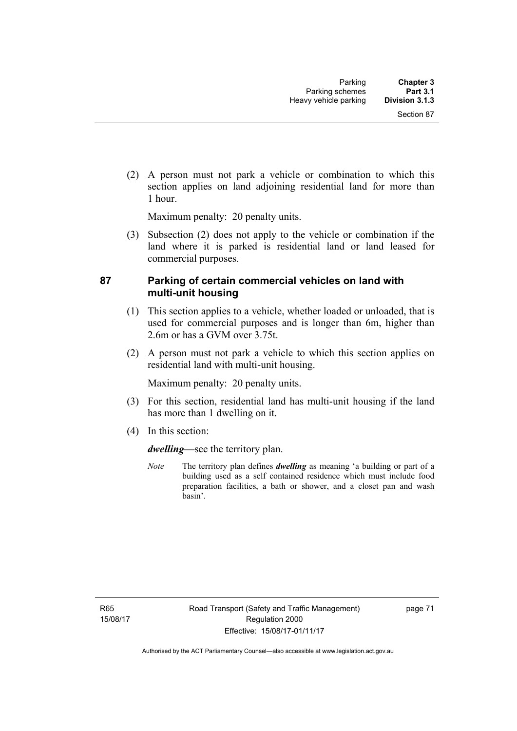(2) A person must not park a vehicle or combination to which this section applies on land adjoining residential land for more than 1 hour.

Maximum penalty: 20 penalty units.

 (3) Subsection (2) does not apply to the vehicle or combination if the land where it is parked is residential land or land leased for commercial purposes.

#### **87 Parking of certain commercial vehicles on land with multi-unit housing**

- (1) This section applies to a vehicle, whether loaded or unloaded, that is used for commercial purposes and is longer than 6m, higher than 2.6m or has a GVM over 3.75t.
- (2) A person must not park a vehicle to which this section applies on residential land with multi-unit housing.

Maximum penalty: 20 penalty units.

- (3) For this section, residential land has multi-unit housing if the land has more than 1 dwelling on it.
- (4) In this section:

*dwelling—*see the territory plan.

*Note* The territory plan defines *dwelling* as meaning 'a building or part of a building used as a self contained residence which must include food preparation facilities, a bath or shower, and a closet pan and wash basin'.

R65 15/08/17 page 71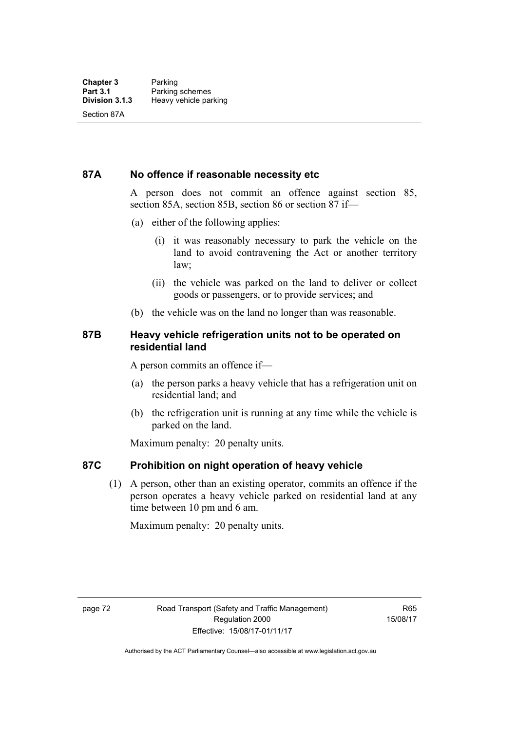#### **87A No offence if reasonable necessity etc**

A person does not commit an offence against section 85, section 85A, section 85B, section 86 or section 87 if—

- (a) either of the following applies:
	- (i) it was reasonably necessary to park the vehicle on the land to avoid contravening the Act or another territory law;
	- (ii) the vehicle was parked on the land to deliver or collect goods or passengers, or to provide services; and
- (b) the vehicle was on the land no longer than was reasonable.

#### **87B Heavy vehicle refrigeration units not to be operated on residential land**

A person commits an offence if—

- (a) the person parks a heavy vehicle that has a refrigeration unit on residential land; and
- (b) the refrigeration unit is running at any time while the vehicle is parked on the land.

Maximum penalty: 20 penalty units.

#### **87C Prohibition on night operation of heavy vehicle**

 (1) A person, other than an existing operator, commits an offence if the person operates a heavy vehicle parked on residential land at any time between 10 pm and 6 am.

Maximum penalty: 20 penalty units.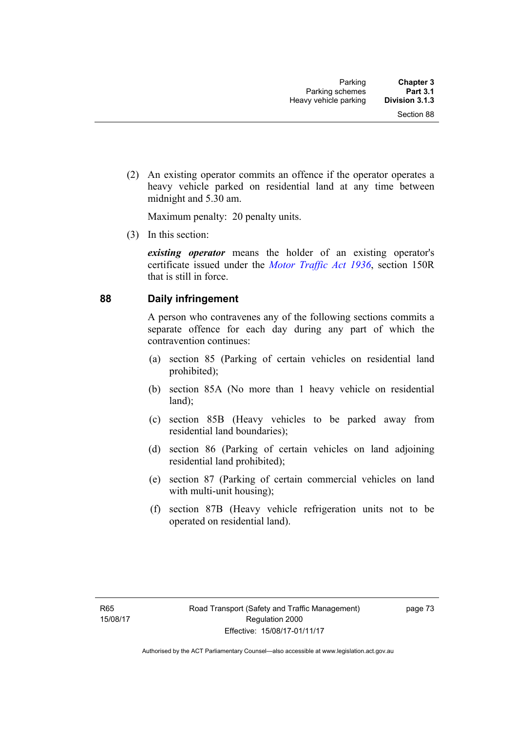(2) An existing operator commits an offence if the operator operates a heavy vehicle parked on residential land at any time between midnight and 5.30 am.

Maximum penalty: 20 penalty units.

(3) In this section:

*existing operator* means the holder of an existing operator's certificate issued under the *[Motor Traffic Act 1936](http://www.legislation.act.gov.au/a/1936-45)*, section 150R that is still in force.

#### **88 Daily infringement**

A person who contravenes any of the following sections commits a separate offence for each day during any part of which the contravention continues:

- (a) section 85 (Parking of certain vehicles on residential land prohibited);
- (b) section 85A (No more than 1 heavy vehicle on residential land);
- (c) section 85B (Heavy vehicles to be parked away from residential land boundaries);
- (d) section 86 (Parking of certain vehicles on land adjoining residential land prohibited);
- (e) section 87 (Parking of certain commercial vehicles on land with multi-unit housing);
- (f) section 87B (Heavy vehicle refrigeration units not to be operated on residential land).

page 73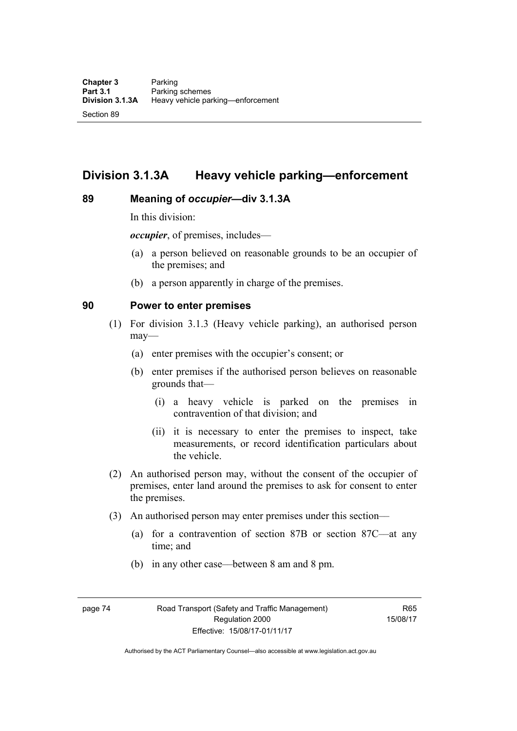# **Division 3.1.3A Heavy vehicle parking—enforcement**

#### **89 Meaning of** *occupier***—div 3.1.3A**

In this division:

*occupier*, of premises, includes—

- (a) a person believed on reasonable grounds to be an occupier of the premises; and
- (b) a person apparently in charge of the premises.

#### **90 Power to enter premises**

- (1) For division 3.1.3 (Heavy vehicle parking), an authorised person may—
	- (a) enter premises with the occupier's consent; or
	- (b) enter premises if the authorised person believes on reasonable grounds that—
		- (i) a heavy vehicle is parked on the premises in contravention of that division; and
		- (ii) it is necessary to enter the premises to inspect, take measurements, or record identification particulars about the vehicle.
- (2) An authorised person may, without the consent of the occupier of premises, enter land around the premises to ask for consent to enter the premises.
- (3) An authorised person may enter premises under this section––
	- (a) for a contravention of section 87B or section 87C––at any time; and
	- (b) in any other case––between 8 am and 8 pm.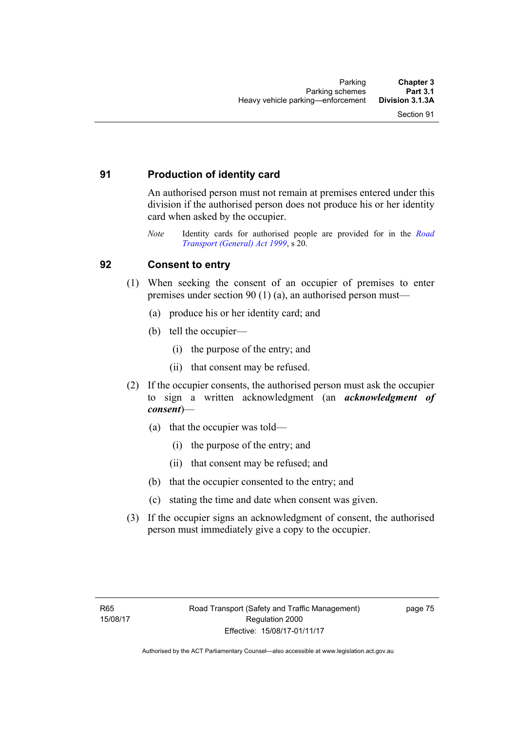## **91 Production of identity card**

An authorised person must not remain at premises entered under this division if the authorised person does not produce his or her identity card when asked by the occupier.

*Note* Identity cards for authorised people are provided for in the *[Road](http://www.legislation.act.gov.au/a/1999-77)  [Transport \(General\) Act 1999](http://www.legislation.act.gov.au/a/1999-77)*, s 20.

#### **92 Consent to entry**

- (1) When seeking the consent of an occupier of premises to enter premises under section 90 (1) (a), an authorised person must—
	- (a) produce his or her identity card; and
	- (b) tell the occupier—
		- (i) the purpose of the entry; and
		- (ii) that consent may be refused.
- (2) If the occupier consents, the authorised person must ask the occupier to sign a written acknowledgment (an *acknowledgment of consent*)—
	- (a) that the occupier was told—
		- (i) the purpose of the entry; and
		- (ii) that consent may be refused; and
	- (b) that the occupier consented to the entry; and
	- (c) stating the time and date when consent was given.
- (3) If the occupier signs an acknowledgment of consent, the authorised person must immediately give a copy to the occupier.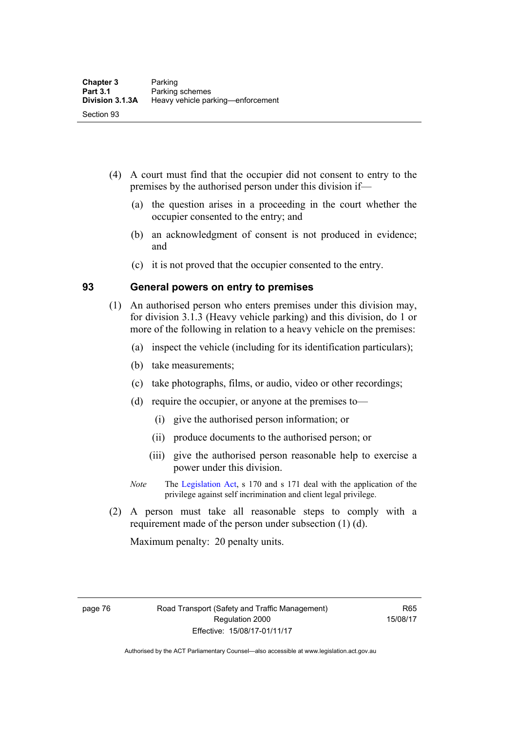- (4) A court must find that the occupier did not consent to entry to the premises by the authorised person under this division if—
	- (a) the question arises in a proceeding in the court whether the occupier consented to the entry; and
	- (b) an acknowledgment of consent is not produced in evidence; and
	- (c) it is not proved that the occupier consented to the entry.

#### **93 General powers on entry to premises**

- (1) An authorised person who enters premises under this division may, for division 3.1.3 (Heavy vehicle parking) and this division, do 1 or more of the following in relation to a heavy vehicle on the premises:
	- (a) inspect the vehicle (including for its identification particulars);
	- (b) take measurements;
	- (c) take photographs, films, or audio, video or other recordings;
	- (d) require the occupier, or anyone at the premises to—
		- (i) give the authorised person information; or
		- (ii) produce documents to the authorised person; or
		- (iii) give the authorised person reasonable help to exercise a power under this division.
	- *Note* The [Legislation Act](http://www.legislation.act.gov.au/a/2001-14), s 170 and s 171 deal with the application of the privilege against self incrimination and client legal privilege.
- (2) A person must take all reasonable steps to comply with a requirement made of the person under subsection (1) (d).

Maximum penalty: 20 penalty units.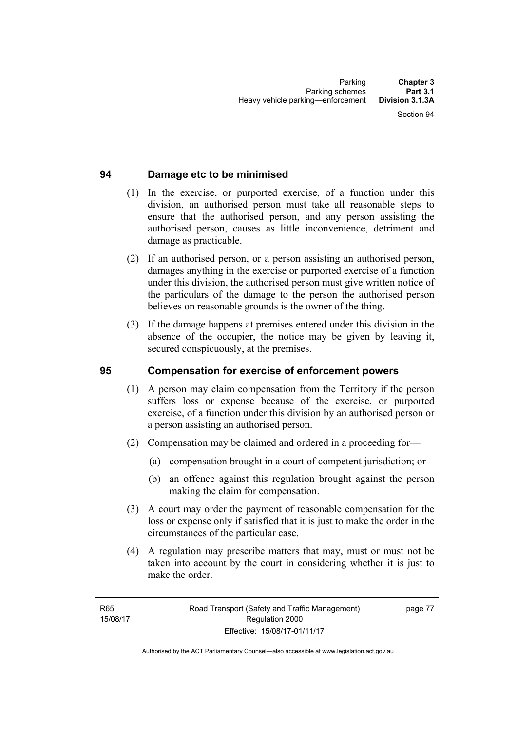## **94 Damage etc to be minimised**

- (1) In the exercise, or purported exercise, of a function under this division, an authorised person must take all reasonable steps to ensure that the authorised person, and any person assisting the authorised person, causes as little inconvenience, detriment and damage as practicable.
- (2) If an authorised person, or a person assisting an authorised person, damages anything in the exercise or purported exercise of a function under this division, the authorised person must give written notice of the particulars of the damage to the person the authorised person believes on reasonable grounds is the owner of the thing.
- (3) If the damage happens at premises entered under this division in the absence of the occupier, the notice may be given by leaving it, secured conspicuously, at the premises.

### **95 Compensation for exercise of enforcement powers**

- (1) A person may claim compensation from the Territory if the person suffers loss or expense because of the exercise, or purported exercise, of a function under this division by an authorised person or a person assisting an authorised person.
- (2) Compensation may be claimed and ordered in a proceeding for—
	- (a) compensation brought in a court of competent jurisdiction; or
	- (b) an offence against this regulation brought against the person making the claim for compensation.
- (3) A court may order the payment of reasonable compensation for the loss or expense only if satisfied that it is just to make the order in the circumstances of the particular case.
- (4) A regulation may prescribe matters that may, must or must not be taken into account by the court in considering whether it is just to make the order.

page 77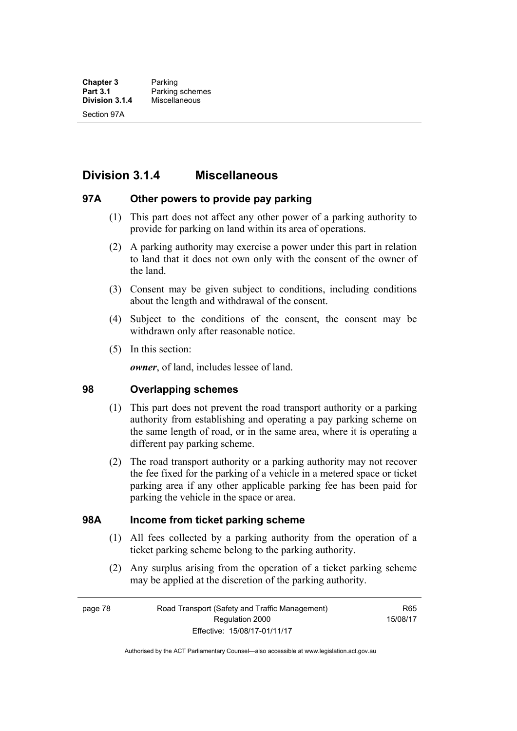# **Division 3.1.4 Miscellaneous**

#### **97A Other powers to provide pay parking**

- (1) This part does not affect any other power of a parking authority to provide for parking on land within its area of operations.
- (2) A parking authority may exercise a power under this part in relation to land that it does not own only with the consent of the owner of the land.
- (3) Consent may be given subject to conditions, including conditions about the length and withdrawal of the consent.
- (4) Subject to the conditions of the consent, the consent may be withdrawn only after reasonable notice.
- (5) In this section:

*owner*, of land, includes lessee of land.

#### **98 Overlapping schemes**

- (1) This part does not prevent the road transport authority or a parking authority from establishing and operating a pay parking scheme on the same length of road, or in the same area, where it is operating a different pay parking scheme.
- (2) The road transport authority or a parking authority may not recover the fee fixed for the parking of a vehicle in a metered space or ticket parking area if any other applicable parking fee has been paid for parking the vehicle in the space or area.

#### **98A Income from ticket parking scheme**

- (1) All fees collected by a parking authority from the operation of a ticket parking scheme belong to the parking authority.
- (2) Any surplus arising from the operation of a ticket parking scheme may be applied at the discretion of the parking authority.

page 78 Road Transport (Safety and Traffic Management) Regulation 2000 Effective: 15/08/17-01/11/17

R65 15/08/17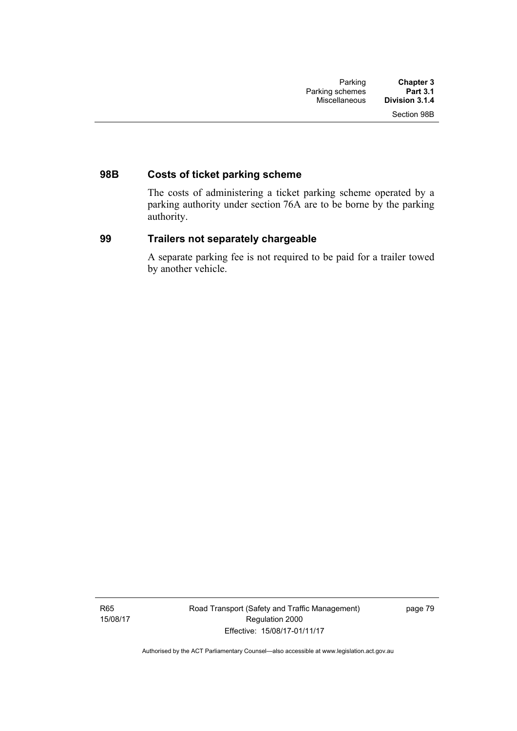# **98B Costs of ticket parking scheme**

The costs of administering a ticket parking scheme operated by a parking authority under section 76A are to be borne by the parking authority.

#### **99 Trailers not separately chargeable**

A separate parking fee is not required to be paid for a trailer towed by another vehicle.

R65 15/08/17 Road Transport (Safety and Traffic Management) Regulation 2000 Effective: 15/08/17-01/11/17

page 79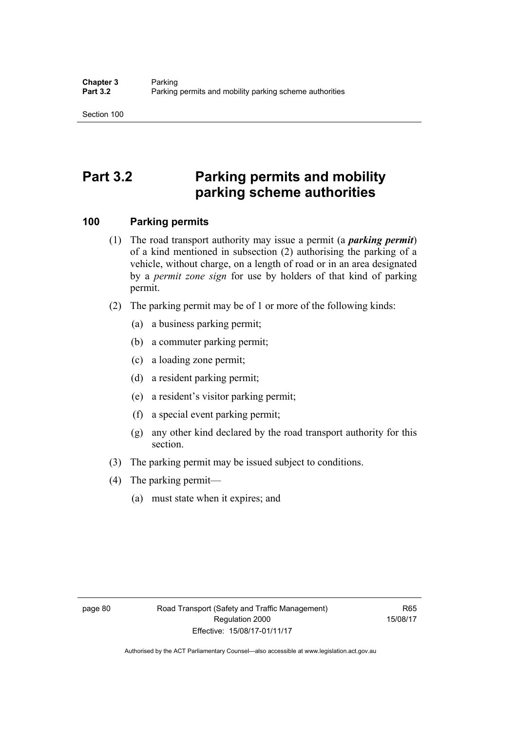# **Part 3.2 Parking permits and mobility parking scheme authorities**

### **100 Parking permits**

- (1) The road transport authority may issue a permit (a *parking permit*) of a kind mentioned in subsection (2) authorising the parking of a vehicle, without charge, on a length of road or in an area designated by a *permit zone sign* for use by holders of that kind of parking permit.
- (2) The parking permit may be of 1 or more of the following kinds:
	- (a) a business parking permit;
	- (b) a commuter parking permit;
	- (c) a loading zone permit;
	- (d) a resident parking permit;
	- (e) a resident's visitor parking permit;
	- (f) a special event parking permit;
	- (g) any other kind declared by the road transport authority for this section.
- (3) The parking permit may be issued subject to conditions.
- (4) The parking permit—
	- (a) must state when it expires; and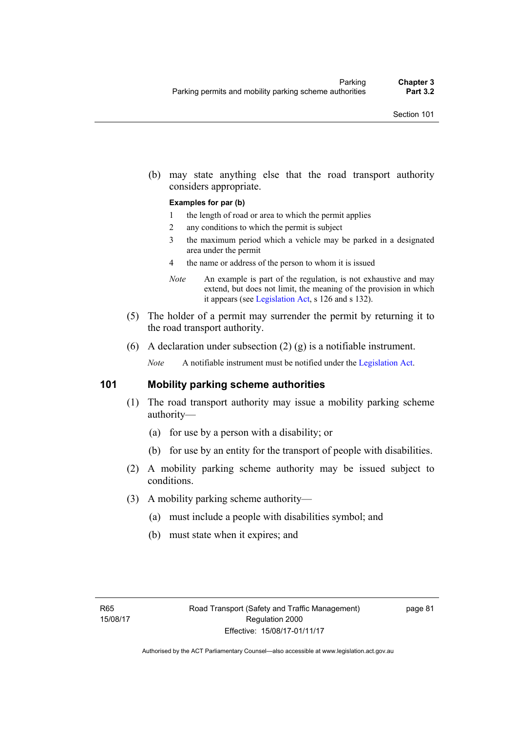(b) may state anything else that the road transport authority considers appropriate.

#### **Examples for par (b)**

- 1 the length of road or area to which the permit applies
- 2 any conditions to which the permit is subject
- 3 the maximum period which a vehicle may be parked in a designated area under the permit
- 4 the name or address of the person to whom it is issued
- *Note* An example is part of the regulation, is not exhaustive and may extend, but does not limit, the meaning of the provision in which it appears (see [Legislation Act,](http://www.legislation.act.gov.au/a/2001-14) s 126 and s 132).
- (5) The holder of a permit may surrender the permit by returning it to the road transport authority.
- (6) A declaration under subsection  $(2)$  (g) is a notifiable instrument.

*Note* A notifiable instrument must be notified under the [Legislation Act](http://www.legislation.act.gov.au/a/2001-14).

#### **101 Mobility parking scheme authorities**

- (1) The road transport authority may issue a mobility parking scheme authority—
	- (a) for use by a person with a disability; or
	- (b) for use by an entity for the transport of people with disabilities.
- (2) A mobility parking scheme authority may be issued subject to conditions.
- (3) A mobility parking scheme authority—
	- (a) must include a people with disabilities symbol; and
	- (b) must state when it expires; and

page 81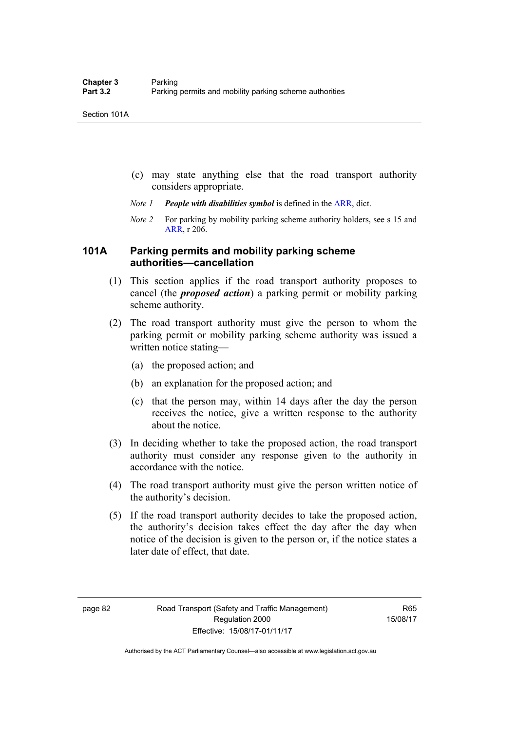- (c) may state anything else that the road transport authority considers appropriate.
- *Note 1 People with disabilities symbol* is defined in the [ARR](http://www.legislation.act.gov.au//ni/db_37271/default.asp), dict.
- *Note 2* For parking by mobility parking scheme authority holders, see s 15 and [ARR,](http://www.legislation.act.gov.au//ni/db_37271/default.asp) r 206.

#### **101A Parking permits and mobility parking scheme authorities—cancellation**

- (1) This section applies if the road transport authority proposes to cancel (the *proposed action*) a parking permit or mobility parking scheme authority.
- (2) The road transport authority must give the person to whom the parking permit or mobility parking scheme authority was issued a written notice stating—
	- (a) the proposed action; and
	- (b) an explanation for the proposed action; and
	- (c) that the person may, within 14 days after the day the person receives the notice, give a written response to the authority about the notice.
- (3) In deciding whether to take the proposed action, the road transport authority must consider any response given to the authority in accordance with the notice.
- (4) The road transport authority must give the person written notice of the authority's decision.
- (5) If the road transport authority decides to take the proposed action, the authority's decision takes effect the day after the day when notice of the decision is given to the person or, if the notice states a later date of effect, that date.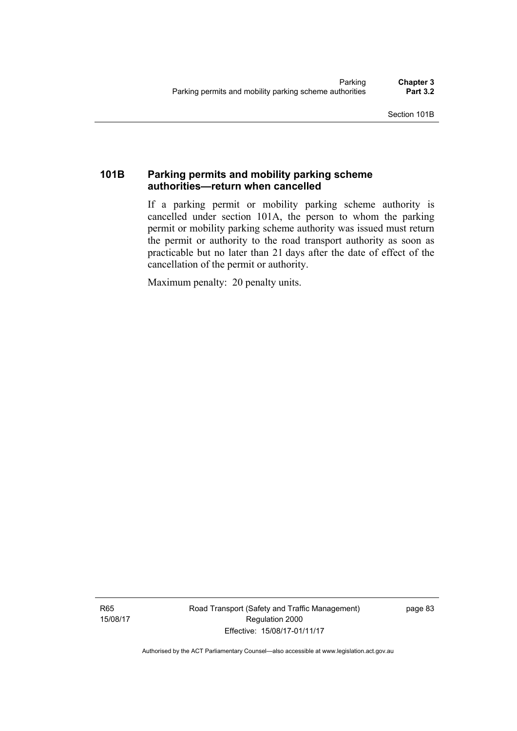# **101B Parking permits and mobility parking scheme authorities—return when cancelled**

If a parking permit or mobility parking scheme authority is cancelled under section 101A, the person to whom the parking permit or mobility parking scheme authority was issued must return the permit or authority to the road transport authority as soon as practicable but no later than 21 days after the date of effect of the cancellation of the permit or authority.

Maximum penalty: 20 penalty units.

R65 15/08/17 Road Transport (Safety and Traffic Management) Regulation 2000 Effective: 15/08/17-01/11/17

page 83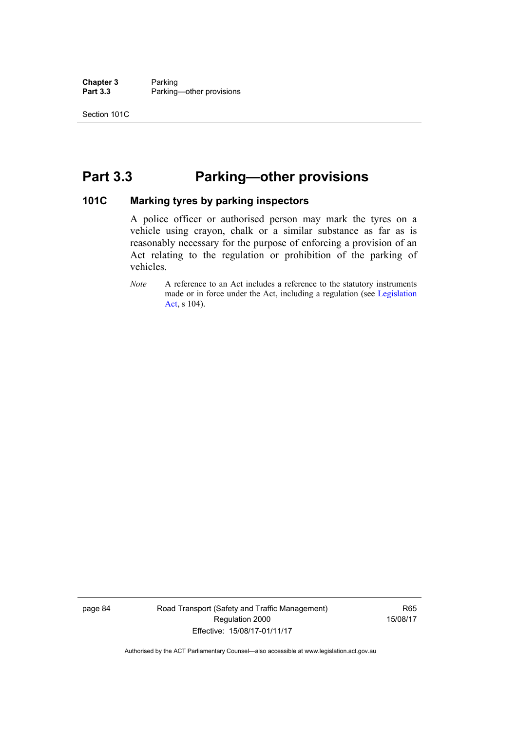**Chapter 3** Parking<br> **Part 3.3** Parking Parking—other provisions

# **Part 3.3 Parking—other provisions**

#### **101C Marking tyres by parking inspectors**

A police officer or authorised person may mark the tyres on a vehicle using crayon, chalk or a similar substance as far as is reasonably necessary for the purpose of enforcing a provision of an Act relating to the regulation or prohibition of the parking of vehicles.

page 84 Road Transport (Safety and Traffic Management) Regulation 2000 Effective: 15/08/17-01/11/17

R65 15/08/17

*Note* A reference to an Act includes a reference to the statutory instruments made or in force under the Act, including a regulation (see [Legislation](http://www.legislation.act.gov.au/a/2001-14)  [Act](http://www.legislation.act.gov.au/a/2001-14), s 104).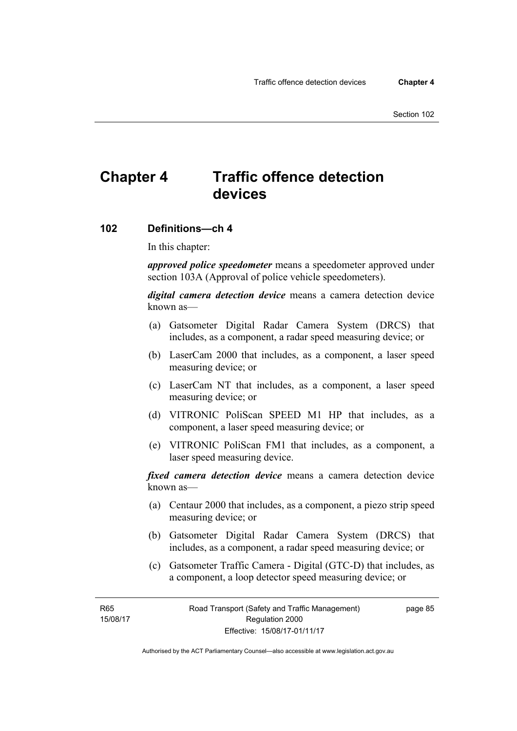# **Chapter 4 Traffic offence detection devices**

#### **102 Definitions—ch 4**

In this chapter:

*approved police speedometer* means a speedometer approved under section 103A (Approval of police vehicle speedometers).

*digital camera detection device* means a camera detection device known as—

- (a) Gatsometer Digital Radar Camera System (DRCS) that includes, as a component, a radar speed measuring device; or
- (b) LaserCam 2000 that includes, as a component, a laser speed measuring device; or
- (c) LaserCam NT that includes, as a component, a laser speed measuring device; or
- (d) VITRONIC PoliScan SPEED M1 HP that includes, as a component, a laser speed measuring device; or
- (e) VITRONIC PoliScan FM1 that includes, as a component, a laser speed measuring device.

*fixed camera detection device* means a camera detection device known as—

- (a) Centaur 2000 that includes, as a component, a piezo strip speed measuring device; or
- (b) Gatsometer Digital Radar Camera System (DRCS) that includes, as a component, a radar speed measuring device; or
- (c) Gatsometer Traffic Camera Digital (GTC-D) that includes, as a component, a loop detector speed measuring device; or

R65 15/08/17 page 85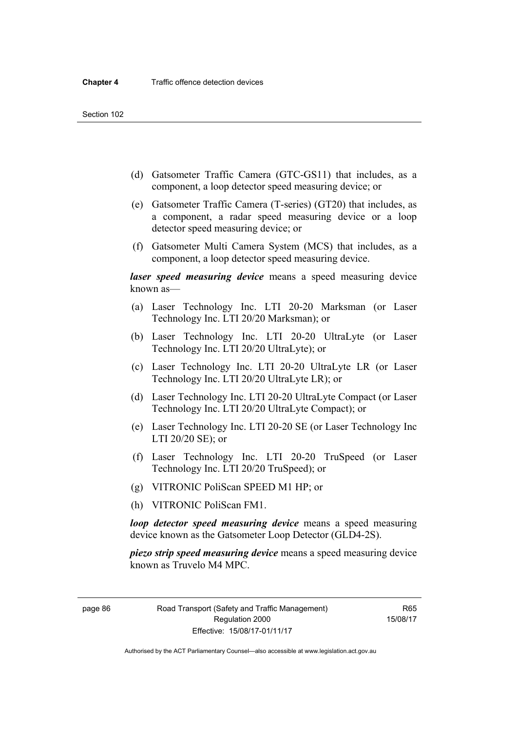- (d) Gatsometer Traffic Camera (GTC-GS11) that includes, as a component, a loop detector speed measuring device; or
- (e) Gatsometer Traffic Camera (T-series) (GT20) that includes, as a component, a radar speed measuring device or a loop detector speed measuring device; or
- (f) Gatsometer Multi Camera System (MCS) that includes, as a component, a loop detector speed measuring device.

*laser speed measuring device* means a speed measuring device known as—

- (a) Laser Technology Inc. LTI 20-20 Marksman (or Laser Technology Inc. LTI 20/20 Marksman); or
- (b) Laser Technology Inc. LTI 20-20 UltraLyte (or Laser Technology Inc. LTI 20/20 UltraLyte); or
- (c) Laser Technology Inc. LTI 20-20 UltraLyte LR (or Laser Technology Inc. LTI 20/20 UltraLyte LR); or
- (d) Laser Technology Inc. LTI 20-20 UltraLyte Compact (or Laser Technology Inc. LTI 20/20 UltraLyte Compact); or
- (e) Laser Technology Inc. LTI 20-20 SE (or Laser Technology Inc LTI 20/20 SE); or
- (f) Laser Technology Inc. LTI 20-20 TruSpeed (or Laser Technology Inc. LTI 20/20 TruSpeed); or
- (g) VITRONIC PoliScan SPEED M1 HP; or
- (h) VITRONIC PoliScan FM1.

*loop detector speed measuring device* means a speed measuring device known as the Gatsometer Loop Detector (GLD4-2S).

*piezo strip speed measuring device* means a speed measuring device known as Truvelo M4 MPC.

page 86 Road Transport (Safety and Traffic Management) Regulation 2000 Effective: 15/08/17-01/11/17

R65 15/08/17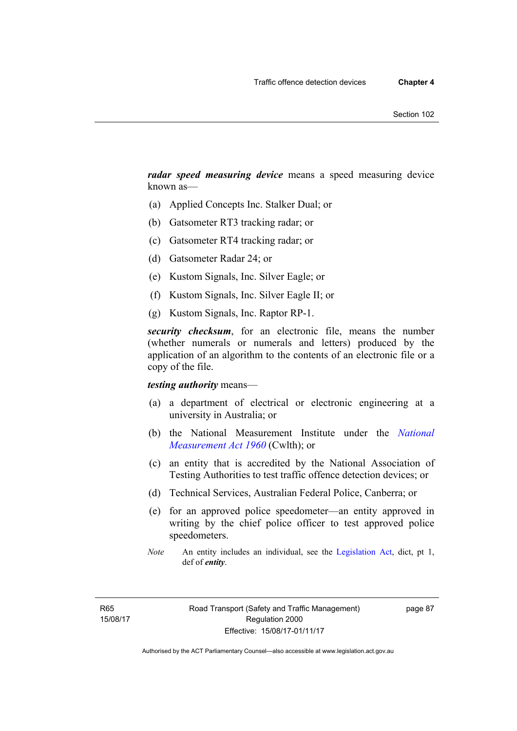*radar speed measuring device* means a speed measuring device known as—

- (a) Applied Concepts Inc. Stalker Dual; or
- (b) Gatsometer RT3 tracking radar; or
- (c) Gatsometer RT4 tracking radar; or
- (d) Gatsometer Radar 24; or
- (e) Kustom Signals, Inc. Silver Eagle; or
- (f) Kustom Signals, Inc. Silver Eagle II; or
- (g) Kustom Signals, Inc. Raptor RP-1.

*security checksum*, for an electronic file, means the number (whether numerals or numerals and letters) produced by the application of an algorithm to the contents of an electronic file or a copy of the file.

#### *testing authority* means—

- (a) a department of electrical or electronic engineering at a university in Australia; or
- (b) the National Measurement Institute under the *[National](http://www.comlaw.gov.au/Series/C2004A07405)  [Measurement Act 1960](http://www.comlaw.gov.au/Series/C2004A07405)* (Cwlth); or
- (c) an entity that is accredited by the National Association of Testing Authorities to test traffic offence detection devices; or
- (d) Technical Services, Australian Federal Police, Canberra; or
- (e) for an approved police speedometer—an entity approved in writing by the chief police officer to test approved police speedometers.
- *Note* An entity includes an individual, see the [Legislation Act,](http://www.legislation.act.gov.au/a/2001-14) dict, pt 1, def of *entity*.

page 87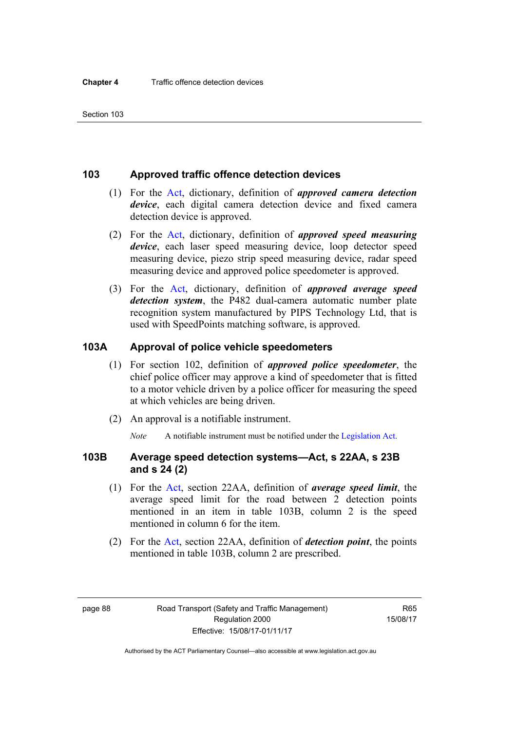#### **103 Approved traffic offence detection devices**

- (1) For the [Act](http://www.legislation.act.gov.au/a/1999-80/default.asp), dictionary, definition of *approved camera detection device*, each digital camera detection device and fixed camera detection device is approved.
- (2) For the [Act,](http://www.legislation.act.gov.au/a/1999-80/default.asp) dictionary, definition of *approved speed measuring device*, each laser speed measuring device, loop detector speed measuring device, piezo strip speed measuring device, radar speed measuring device and approved police speedometer is approved.
- (3) For the [Act](http://www.legislation.act.gov.au/a/1999-80/default.asp), dictionary, definition of *approved average speed detection system*, the P482 dual-camera automatic number plate recognition system manufactured by PIPS Technology Ltd, that is used with SpeedPoints matching software, is approved.

#### **103A Approval of police vehicle speedometers**

- (1) For section 102, definition of *approved police speedometer*, the chief police officer may approve a kind of speedometer that is fitted to a motor vehicle driven by a police officer for measuring the speed at which vehicles are being driven.
- (2) An approval is a notifiable instrument.

*Note* A notifiable instrument must be notified under the [Legislation Act](http://www.legislation.act.gov.au/a/2001-14).

#### **103B Average speed detection systems—Act, s 22AA, s 23B and s 24 (2)**

- (1) For the [Act](http://www.legislation.act.gov.au/a/1999-80/default.asp), section 22AA, definition of *average speed limit*, the average speed limit for the road between 2 detection points mentioned in an item in table 103B, column 2 is the speed mentioned in column 6 for the item.
- (2) For the [Act](http://www.legislation.act.gov.au/a/1999-80/default.asp), section 22AA, definition of *detection point*, the points mentioned in table 103B, column 2 are prescribed.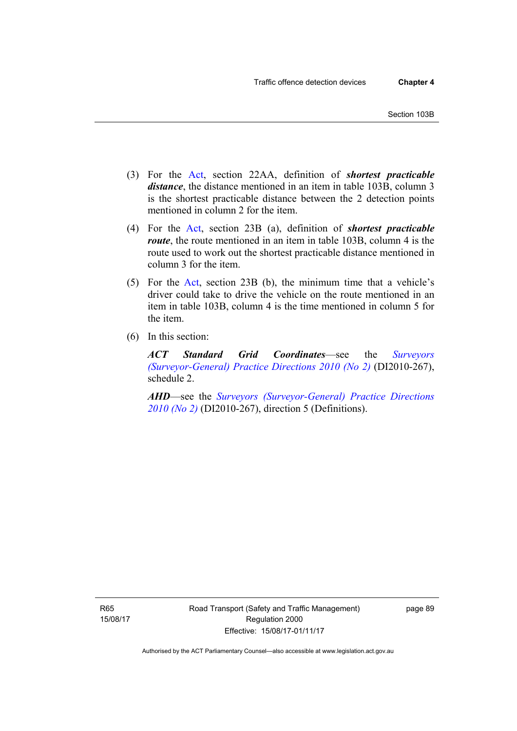- (3) For the [Act](http://www.legislation.act.gov.au/a/1999-80/default.asp), section 22AA, definition of *shortest practicable distance*, the distance mentioned in an item in table 103B, column 3 is the shortest practicable distance between the 2 detection points mentioned in column 2 for the item.
- (4) For the [Act,](http://www.legislation.act.gov.au/a/1999-80/default.asp) section 23B (a), definition of *shortest practicable route*, the route mentioned in an item in table 103B, column 4 is the route used to work out the shortest practicable distance mentioned in column 3 for the item.
- (5) For the [Act](http://www.legislation.act.gov.au/a/1999-80/default.asp), section 23B (b), the minimum time that a vehicle's driver could take to drive the vehicle on the route mentioned in an item in table 103B, column 4 is the time mentioned in column 5 for the item.
- (6) In this section:

*ACT Standard Grid Coordinates*—see the *[Surveyors](http://www.legislation.act.gov.au/di/2010-267/default.asp)  [\(Surveyor-General\) Practice Directions 2010 \(No 2\)](http://www.legislation.act.gov.au/di/2010-267/default.asp)* (DI2010-267), schedule 2.

*AHD*—see the *[Surveyors \(Surveyor-General\) Practice Directions](http://www.legislation.act.gov.au/di/2010-267/default.asp)  [2010 \(No 2\)](http://www.legislation.act.gov.au/di/2010-267/default.asp)* (DI2010-267), direction 5 (Definitions).

R65 15/08/17 Road Transport (Safety and Traffic Management) Regulation 2000 Effective: 15/08/17-01/11/17

page 89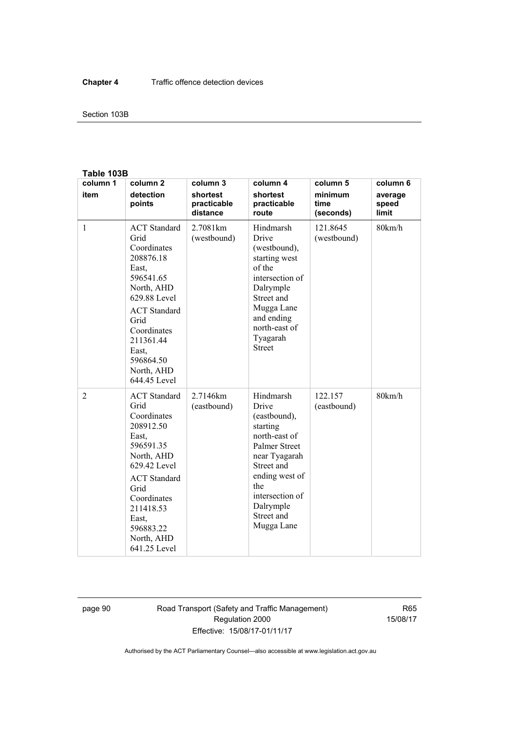#### Section 103B

#### **Table 103B**

| column 1     | column <sub>2</sub>                                                                                                                                                                                                        | column 3                            | column 4                                                                                                                                                                                                    | column 5                     | column 6                  |
|--------------|----------------------------------------------------------------------------------------------------------------------------------------------------------------------------------------------------------------------------|-------------------------------------|-------------------------------------------------------------------------------------------------------------------------------------------------------------------------------------------------------------|------------------------------|---------------------------|
| item         | detection<br>points                                                                                                                                                                                                        | shortest<br>practicable<br>distance | shortest<br>practicable<br>route                                                                                                                                                                            | minimum<br>time<br>(seconds) | average<br>speed<br>limit |
| $\mathbf{1}$ | <b>ACT</b> Standard<br>Grid<br>Coordinates<br>208876.18<br>East.<br>596541.65<br>North, AHD<br>629.88 Level<br><b>ACT</b> Standard<br>Grid<br>Coordinates<br>211361.44<br>East,<br>596864.50<br>North, AHD<br>644.45 Level | 2.7081 km<br>(westbound)            | Hindmarsh<br>Drive<br>(westbound),<br>starting west<br>of the<br>intersection of<br>Dalrymple<br>Street and<br>Mugga Lane<br>and ending<br>north-east of<br>Tyagarah<br><b>Street</b>                       | 121.8645<br>(westbound)      | 80km/h                    |
| 2            | <b>ACT</b> Standard<br>Grid<br>Coordinates<br>208912.50<br>East,<br>596591.35<br>North, AHD<br>629.42 Level<br><b>ACT</b> Standard<br>Grid<br>Coordinates<br>211418.53<br>East.<br>596883.22<br>North, AHD<br>641.25 Level | 2.7146km<br>(eastbound)             | Hindmarsh<br>Drive<br>(eastbound),<br>starting<br>north-east of<br><b>Palmer Street</b><br>near Tyagarah<br>Street and<br>ending west of<br>the<br>intersection of<br>Dalrymple<br>Street and<br>Mugga Lane | 122.157<br>(eastbound)       | 80km/h                    |

page 90 Road Transport (Safety and Traffic Management) Regulation 2000 Effective: 15/08/17-01/11/17

R65 15/08/17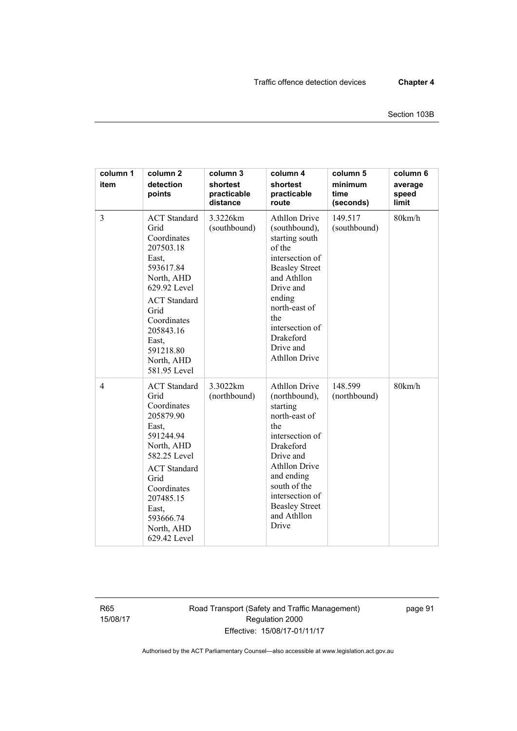| column 1<br>item | column <sub>2</sub><br>detection<br>points                                                                                                                                                                                 | column 3<br>shortest<br>practicable<br>distance | column 4<br>shortest<br>practicable<br>route                                                                                                                                                                                                            | column 5<br>minimum<br>time<br>(seconds) | column 6<br>average<br>speed<br>limit |
|------------------|----------------------------------------------------------------------------------------------------------------------------------------------------------------------------------------------------------------------------|-------------------------------------------------|---------------------------------------------------------------------------------------------------------------------------------------------------------------------------------------------------------------------------------------------------------|------------------------------------------|---------------------------------------|
| $\overline{3}$   | <b>ACT</b> Standard<br>Grid<br>Coordinates<br>207503.18<br>East,<br>593617.84<br>North, AHD<br>629.92 Level<br><b>ACT</b> Standard<br>Grid<br>Coordinates<br>205843.16<br>East,<br>591218.80<br>North, AHD<br>581.95 Level | 3.3226km<br>(southbound)                        | <b>Athllon Drive</b><br>(southbound),<br>starting south<br>of the<br>intersection of<br><b>Beasley Street</b><br>and Athllon<br>Drive and<br>ending<br>north-east of<br>the<br>intersection of<br>Drakeford<br>Drive and<br><b>Athllon Drive</b>        | 149.517<br>(southbound)                  | 80km/h                                |
| $\overline{4}$   | <b>ACT</b> Standard<br>Grid<br>Coordinates<br>205879.90<br>East,<br>591244.94<br>North, AHD<br>582.25 Level<br><b>ACT</b> Standard<br>Grid<br>Coordinates<br>207485.15<br>East.<br>593666.74<br>North, AHD<br>629.42 Level | 3.3022km<br>(northbound)                        | <b>Athllon Drive</b><br>(northbound),<br>starting<br>north-east of<br>the<br>intersection of<br><b>Drakeford</b><br>Drive and<br><b>Athllon Drive</b><br>and ending<br>south of the<br>intersection of<br><b>Beasley Street</b><br>and Athllon<br>Drive | 148.599<br>(northbound)                  | 80km/h                                |

R65 15/08/17 Road Transport (Safety and Traffic Management) Regulation 2000 Effective: 15/08/17-01/11/17

page 91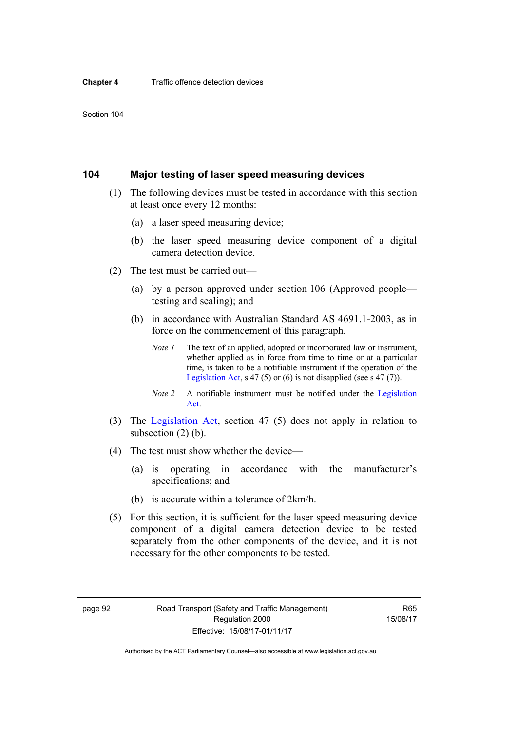## **104 Major testing of laser speed measuring devices**

- (1) The following devices must be tested in accordance with this section at least once every 12 months:
	- (a) a laser speed measuring device;
	- (b) the laser speed measuring device component of a digital camera detection device.
- (2) The test must be carried out—
	- (a) by a person approved under section 106 (Approved people testing and sealing); and
	- (b) in accordance with Australian Standard AS 4691.1-2003, as in force on the commencement of this paragraph.
		- *Note 1* The text of an applied, adopted or incorporated law or instrument, whether applied as in force from time to time or at a particular time, is taken to be a notifiable instrument if the operation of the [Legislation Act,](http://www.legislation.act.gov.au/a/2001-14) s 47 (5) or (6) is not disapplied (see s 47 (7)).
		- *Note 2* A notifiable instrument must be notified under the [Legislation](http://www.legislation.act.gov.au/a/2001-14)  [Act](http://www.legislation.act.gov.au/a/2001-14).
- (3) The [Legislation Act,](http://www.legislation.act.gov.au/a/2001-14) section 47 (5) does not apply in relation to subsection (2) (b).
- (4) The test must show whether the device—
	- (a) is operating in accordance with the manufacturer's specifications; and
	- (b) is accurate within a tolerance of 2km/h.
- (5) For this section, it is sufficient for the laser speed measuring device component of a digital camera detection device to be tested separately from the other components of the device, and it is not necessary for the other components to be tested.

R65 15/08/17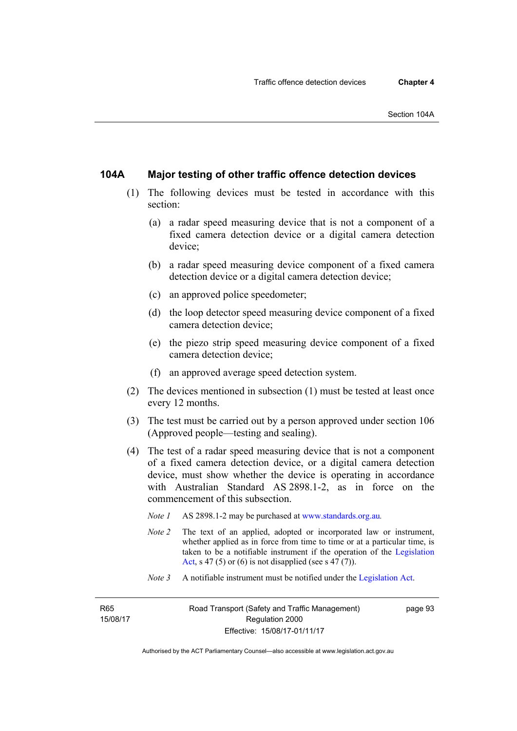## **104A Major testing of other traffic offence detection devices**

- (1) The following devices must be tested in accordance with this section:
	- (a) a radar speed measuring device that is not a component of a fixed camera detection device or a digital camera detection device;
	- (b) a radar speed measuring device component of a fixed camera detection device or a digital camera detection device;
	- (c) an approved police speedometer;
	- (d) the loop detector speed measuring device component of a fixed camera detection device;
	- (e) the piezo strip speed measuring device component of a fixed camera detection device;
	- (f) an approved average speed detection system.
- (2) The devices mentioned in subsection (1) must be tested at least once every 12 months.
- (3) The test must be carried out by a person approved under section 106 (Approved people—testing and sealing).
- (4) The test of a radar speed measuring device that is not a component of a fixed camera detection device, or a digital camera detection device, must show whether the device is operating in accordance with Australian Standard AS 2898.1-2, as in force on the commencement of this subsection.
	- *Note 1* AS 2898.1-2 may be purchased at [www.standards.org.au](http://www.standards.org.au/Pages/default.aspx)*.*
	- *Note 2* The text of an applied, adopted or incorporated law or instrument, whether applied as in force from time to time or at a particular time, is taken to be a notifiable instrument if the operation of the [Legislation](http://www.legislation.act.gov.au/a/2001-14)  [Act,](http://www.legislation.act.gov.au/a/2001-14) s 47 (5) or (6) is not disapplied (see s 47 (7)).
	- *Note 3* A notifiable instrument must be notified under the [Legislation Act](http://www.legislation.act.gov.au/a/2001-14).

R65 15/08/17 page 93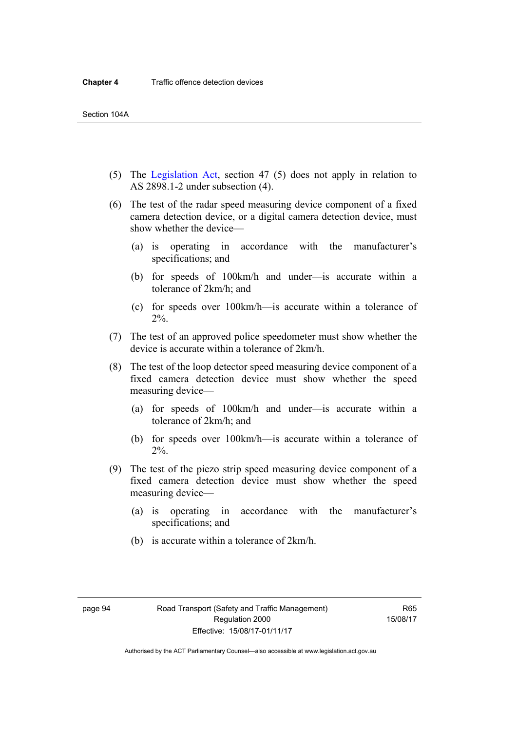- (5) The [Legislation Act,](http://www.legislation.act.gov.au/a/2001-14) section 47 (5) does not apply in relation to AS 2898.1-2 under subsection (4).
- (6) The test of the radar speed measuring device component of a fixed camera detection device, or a digital camera detection device, must show whether the device—
	- (a) is operating in accordance with the manufacturer's specifications; and
	- (b) for speeds of 100km/h and under—is accurate within a tolerance of 2km/h; and
	- (c) for speeds over 100km/h—is accurate within a tolerance of 2%.
- (7) The test of an approved police speedometer must show whether the device is accurate within a tolerance of 2km/h.
- (8) The test of the loop detector speed measuring device component of a fixed camera detection device must show whether the speed measuring device—
	- (a) for speeds of 100km/h and under—is accurate within a tolerance of 2km/h; and
	- (b) for speeds over 100km/h—is accurate within a tolerance of 2%.
- (9) The test of the piezo strip speed measuring device component of a fixed camera detection device must show whether the speed measuring device—
	- (a) is operating in accordance with the manufacturer's specifications; and
	- (b) is accurate within a tolerance of 2km/h.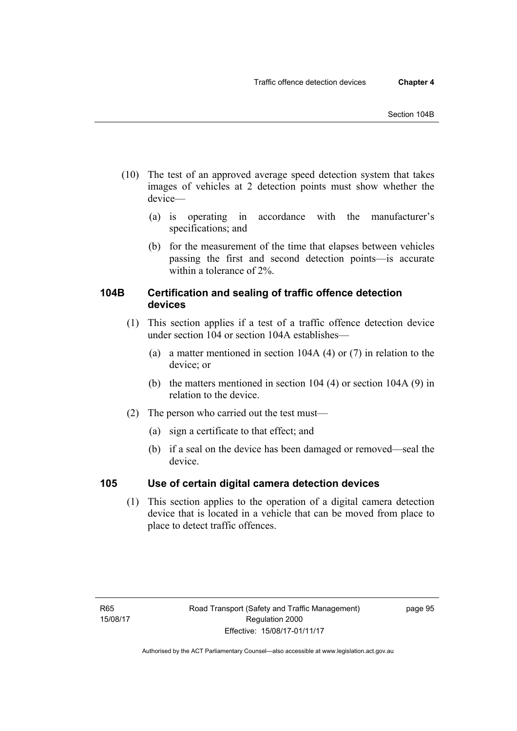- (10) The test of an approved average speed detection system that takes images of vehicles at 2 detection points must show whether the device—
	- (a) is operating in accordance with the manufacturer's specifications; and
	- (b) for the measurement of the time that elapses between vehicles passing the first and second detection points—is accurate within a tolerance of 2%.

## **104B Certification and sealing of traffic offence detection devices**

- (1) This section applies if a test of a traffic offence detection device under section 104 or section 104A establishes—
	- (a) a matter mentioned in section 104A (4) or (7) in relation to the device; or
	- (b) the matters mentioned in section 104 (4) or section 104A (9) in relation to the device.
- (2) The person who carried out the test must—
	- (a) sign a certificate to that effect; and
	- (b) if a seal on the device has been damaged or removed—seal the device.

## **105 Use of certain digital camera detection devices**

(1) This section applies to the operation of a digital camera detection device that is located in a vehicle that can be moved from place to place to detect traffic offences.

page 95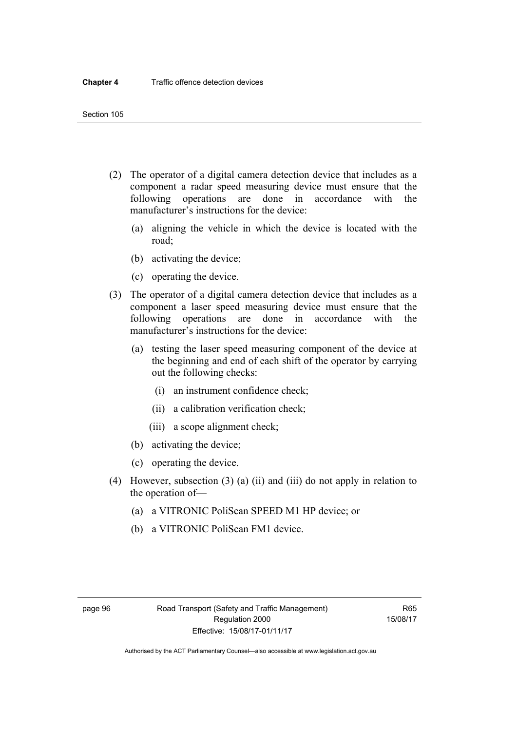- (2) The operator of a digital camera detection device that includes as a component a radar speed measuring device must ensure that the following operations are done in accordance with the manufacturer's instructions for the device:
	- (a) aligning the vehicle in which the device is located with the road;
	- (b) activating the device;
	- (c) operating the device.
- (3) The operator of a digital camera detection device that includes as a component a laser speed measuring device must ensure that the following operations are done in accordance with the manufacturer's instructions for the device:
	- (a) testing the laser speed measuring component of the device at the beginning and end of each shift of the operator by carrying out the following checks:
		- (i) an instrument confidence check;
		- (ii) a calibration verification check;
		- (iii) a scope alignment check;
	- (b) activating the device;
	- (c) operating the device.
- (4) However, subsection (3) (a) (ii) and (iii) do not apply in relation to the operation of—
	- (a) a VITRONIC PoliScan SPEED M1 HP device; or
	- (b) a VITRONIC PoliScan FM1 device.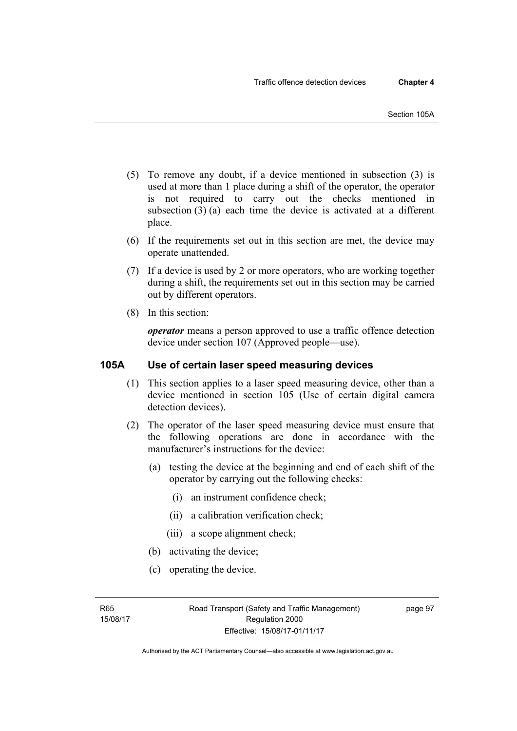- (5) To remove any doubt, if a device mentioned in subsection (3) is used at more than 1 place during a shift of the operator, the operator is not required to carry out the checks mentioned in subsection (3) (a) each time the device is activated at a different place.
- (6) If the requirements set out in this section are met, the device may operate unattended.
- (7) If a device is used by 2 or more operators, who are working together during a shift, the requirements set out in this section may be carried out by different operators.
- (8) In this section:

*operator* means a person approved to use a traffic offence detection device under section 107 (Approved people—use).

## **105A Use of certain laser speed measuring devices**

- (1) This section applies to a laser speed measuring device, other than a device mentioned in section 105 (Use of certain digital camera detection devices).
- (2) The operator of the laser speed measuring device must ensure that the following operations are done in accordance with the manufacturer's instructions for the device:
	- (a) testing the device at the beginning and end of each shift of the operator by carrying out the following checks:
		- (i) an instrument confidence check;
		- (ii) a calibration verification check;
		- (iii) a scope alignment check;
	- (b) activating the device;
	- (c) operating the device.

R65 15/08/17 page 97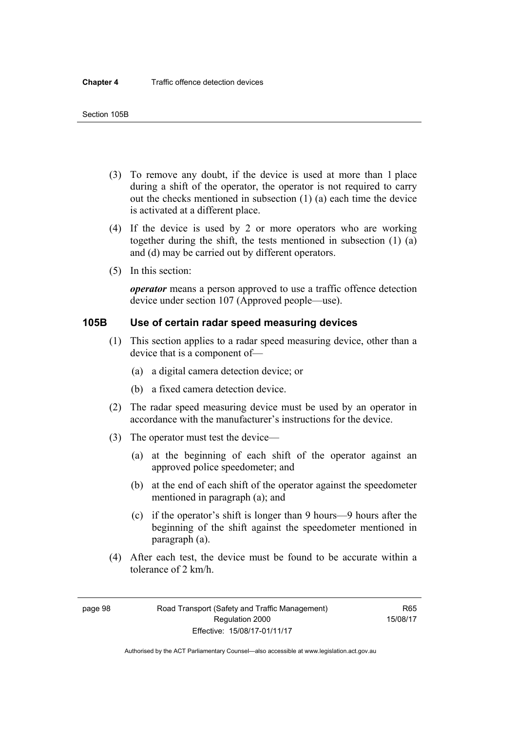- (3) To remove any doubt, if the device is used at more than 1 place during a shift of the operator, the operator is not required to carry out the checks mentioned in subsection (1) (a) each time the device is activated at a different place.
- (4) If the device is used by 2 or more operators who are working together during the shift, the tests mentioned in subsection (1) (a) and (d) may be carried out by different operators.
- (5) In this section:

*operator* means a person approved to use a traffic offence detection device under section 107 (Approved people—use).

## **105B Use of certain radar speed measuring devices**

- (1) This section applies to a radar speed measuring device, other than a device that is a component of—
	- (a) a digital camera detection device; or
	- (b) a fixed camera detection device.
- (2) The radar speed measuring device must be used by an operator in accordance with the manufacturer's instructions for the device.
- (3) The operator must test the device—
	- (a) at the beginning of each shift of the operator against an approved police speedometer; and
	- (b) at the end of each shift of the operator against the speedometer mentioned in paragraph (a); and
	- (c) if the operator's shift is longer than 9 hours—9 hours after the beginning of the shift against the speedometer mentioned in paragraph (a).
- (4) After each test, the device must be found to be accurate within a tolerance of 2 km/h.

page 98 Road Transport (Safety and Traffic Management) Regulation 2000 Effective: 15/08/17-01/11/17

R65 15/08/17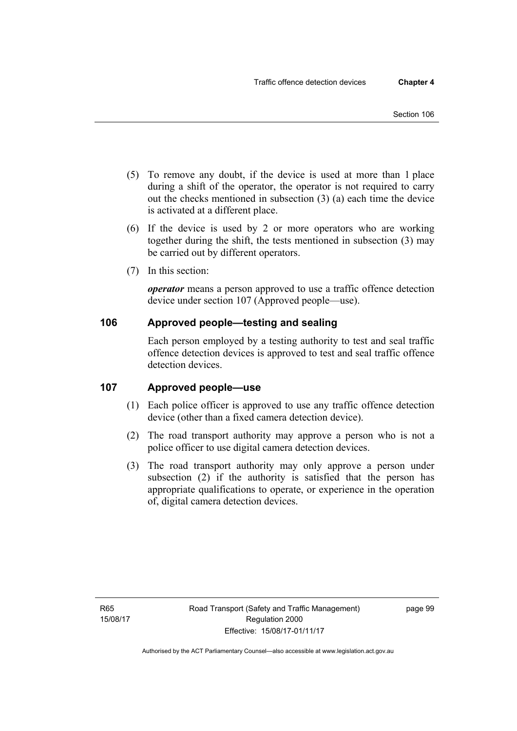- (5) To remove any doubt, if the device is used at more than 1 place during a shift of the operator, the operator is not required to carry out the checks mentioned in subsection (3) (a) each time the device is activated at a different place.
- (6) If the device is used by 2 or more operators who are working together during the shift, the tests mentioned in subsection (3) may be carried out by different operators.
- (7) In this section:

*operator* means a person approved to use a traffic offence detection device under section 107 (Approved people—use).

## **106 Approved people—testing and sealing**

Each person employed by a testing authority to test and seal traffic offence detection devices is approved to test and seal traffic offence detection devices.

## **107 Approved people—use**

- (1) Each police officer is approved to use any traffic offence detection device (other than a fixed camera detection device).
- (2) The road transport authority may approve a person who is not a police officer to use digital camera detection devices.
- (3) The road transport authority may only approve a person under subsection (2) if the authority is satisfied that the person has appropriate qualifications to operate, or experience in the operation of, digital camera detection devices.

page 99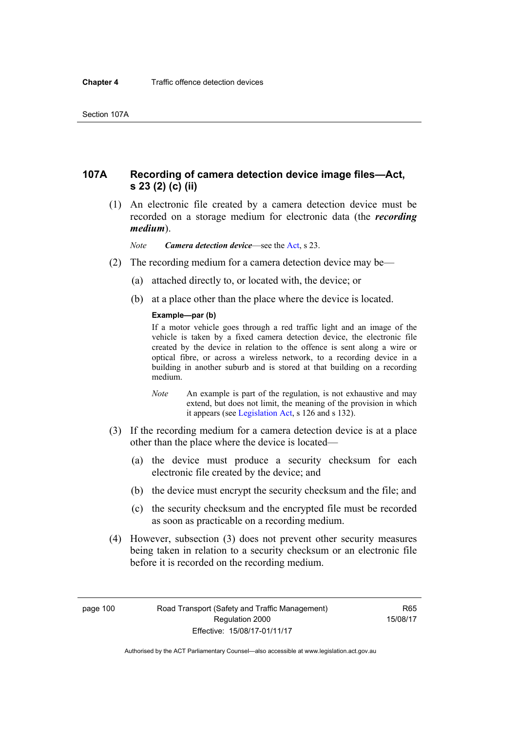## **107A Recording of camera detection device image files—Act, s 23 (2) (c) (ii)**

 (1) An electronic file created by a camera detection device must be recorded on a storage medium for electronic data (the *recording medium*).

*Note Camera detection device*—see the [Act,](http://www.legislation.act.gov.au/a/1999-80/default.asp) s 23.

- (2) The recording medium for a camera detection device may be—
	- (a) attached directly to, or located with, the device; or
	- (b) at a place other than the place where the device is located.

### **Example—par (b)**

If a motor vehicle goes through a red traffic light and an image of the vehicle is taken by a fixed camera detection device, the electronic file created by the device in relation to the offence is sent along a wire or optical fibre, or across a wireless network, to a recording device in a building in another suburb and is stored at that building on a recording medium.

- *Note* An example is part of the regulation, is not exhaustive and may extend, but does not limit, the meaning of the provision in which it appears (see [Legislation Act,](http://www.legislation.act.gov.au/a/2001-14) s 126 and s 132).
- (3) If the recording medium for a camera detection device is at a place other than the place where the device is located—
	- (a) the device must produce a security checksum for each electronic file created by the device; and
	- (b) the device must encrypt the security checksum and the file; and
	- (c) the security checksum and the encrypted file must be recorded as soon as practicable on a recording medium.
- (4) However, subsection (3) does not prevent other security measures being taken in relation to a security checksum or an electronic file before it is recorded on the recording medium.

page 100 Road Transport (Safety and Traffic Management) Regulation 2000 Effective: 15/08/17-01/11/17

R65 15/08/17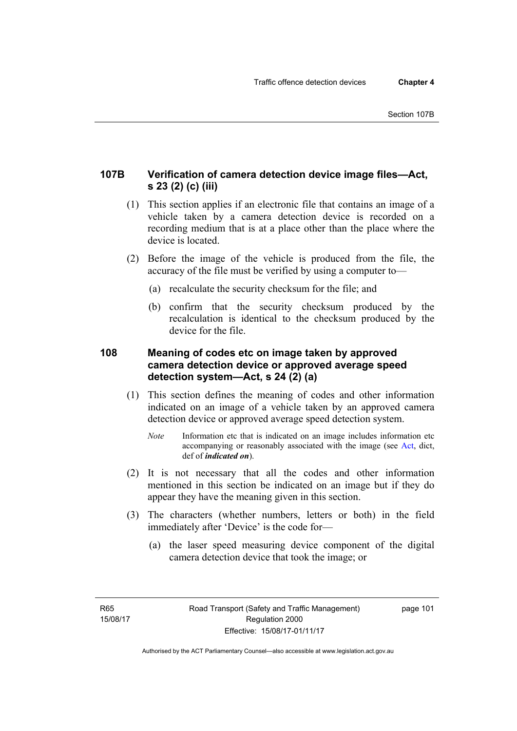## **107B Verification of camera detection device image files—Act, s 23 (2) (c) (iii)**

- (1) This section applies if an electronic file that contains an image of a vehicle taken by a camera detection device is recorded on a recording medium that is at a place other than the place where the device is located.
- (2) Before the image of the vehicle is produced from the file, the accuracy of the file must be verified by using a computer to—
	- (a) recalculate the security checksum for the file; and
	- (b) confirm that the security checksum produced by the recalculation is identical to the checksum produced by the device for the file.

## **108 Meaning of codes etc on image taken by approved camera detection device or approved average speed detection system—Act, s 24 (2) (a)**

- (1) This section defines the meaning of codes and other information indicated on an image of a vehicle taken by an approved camera detection device or approved average speed detection system.
	- *Note* Information etc that is indicated on an image includes information etc accompanying or reasonably associated with the image (see [Act,](http://www.legislation.act.gov.au/a/1999-80/default.asp) dict, def of *indicated on*).
- (2) It is not necessary that all the codes and other information mentioned in this section be indicated on an image but if they do appear they have the meaning given in this section.
- (3) The characters (whether numbers, letters or both) in the field immediately after 'Device' is the code for—
	- (a) the laser speed measuring device component of the digital camera detection device that took the image; or

page 101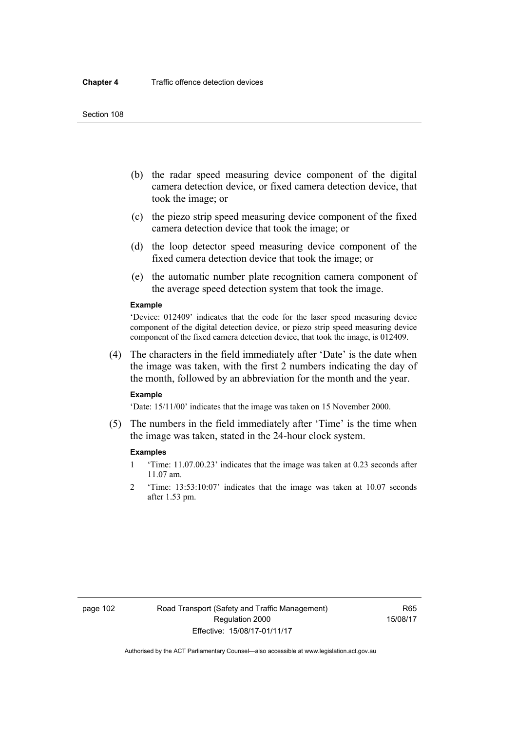- (b) the radar speed measuring device component of the digital camera detection device, or fixed camera detection device, that took the image; or
- (c) the piezo strip speed measuring device component of the fixed camera detection device that took the image; or
- (d) the loop detector speed measuring device component of the fixed camera detection device that took the image; or
- (e) the automatic number plate recognition camera component of the average speed detection system that took the image.

#### **Example**

'Device: 012409' indicates that the code for the laser speed measuring device component of the digital detection device, or piezo strip speed measuring device component of the fixed camera detection device, that took the image, is 012409.

 (4) The characters in the field immediately after 'Date' is the date when the image was taken, with the first 2 numbers indicating the day of the month, followed by an abbreviation for the month and the year.

### **Example**

'Date: 15/11/00' indicates that the image was taken on 15 November 2000.

 (5) The numbers in the field immediately after 'Time' is the time when the image was taken, stated in the 24-hour clock system.

### **Examples**

- 1 'Time: 11.07.00.23' indicates that the image was taken at 0.23 seconds after 11.07 am.
- 2 'Time: 13:53:10:07' indicates that the image was taken at 10.07 seconds after 1.53 pm.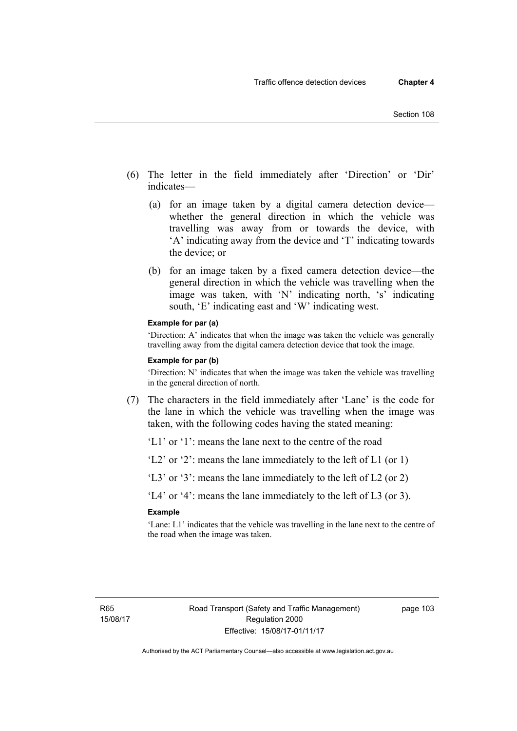- (6) The letter in the field immediately after 'Direction' or 'Dir' indicates—
	- (a) for an image taken by a digital camera detection device whether the general direction in which the vehicle was travelling was away from or towards the device, with 'A' indicating away from the device and 'T' indicating towards the device; or
	- (b) for an image taken by a fixed camera detection device—the general direction in which the vehicle was travelling when the image was taken, with 'N' indicating north, 's' indicating south, 'E' indicating east and 'W' indicating west.

### **Example for par (a)**

'Direction: A' indicates that when the image was taken the vehicle was generally travelling away from the digital camera detection device that took the image.

#### **Example for par (b)**

'Direction: N' indicates that when the image was taken the vehicle was travelling in the general direction of north.

 (7) The characters in the field immediately after 'Lane' is the code for the lane in which the vehicle was travelling when the image was taken, with the following codes having the stated meaning:

'L1' or '1': means the lane next to the centre of the road

'L2' or '2': means the lane immediately to the left of L1 (or 1)

'L3' or '3': means the lane immediately to the left of L2 (or 2)

'L4' or '4': means the lane immediately to the left of L3 (or 3).

### **Example**

'Lane: L1' indicates that the vehicle was travelling in the lane next to the centre of the road when the image was taken.

page 103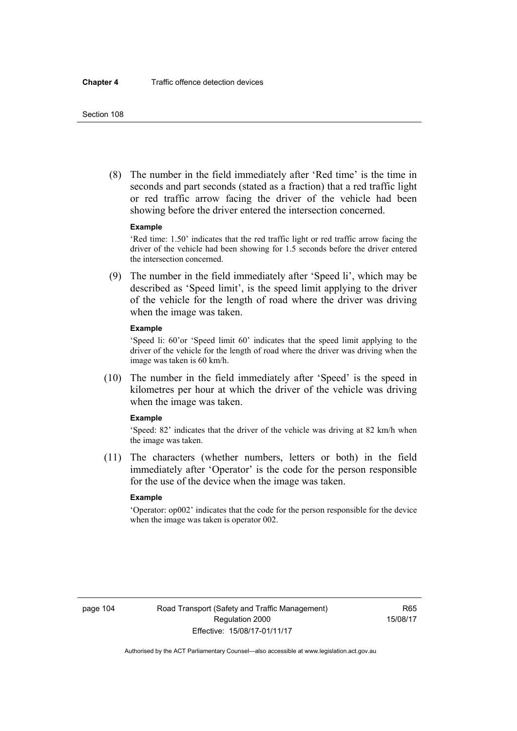(8) The number in the field immediately after 'Red time' is the time in seconds and part seconds (stated as a fraction) that a red traffic light or red traffic arrow facing the driver of the vehicle had been showing before the driver entered the intersection concerned.

### **Example**

'Red time: 1.50' indicates that the red traffic light or red traffic arrow facing the driver of the vehicle had been showing for 1.5 seconds before the driver entered the intersection concerned.

 (9) The number in the field immediately after 'Speed li', which may be described as 'Speed limit', is the speed limit applying to the driver of the vehicle for the length of road where the driver was driving when the image was taken.

#### **Example**

'Speed li: 60'or 'Speed limit 60' indicates that the speed limit applying to the driver of the vehicle for the length of road where the driver was driving when the image was taken is 60 km/h.

 (10) The number in the field immediately after 'Speed' is the speed in kilometres per hour at which the driver of the vehicle was driving when the image was taken.

### **Example**

'Speed: 82' indicates that the driver of the vehicle was driving at 82 km/h when the image was taken.

 (11) The characters (whether numbers, letters or both) in the field immediately after 'Operator' is the code for the person responsible for the use of the device when the image was taken.

## **Example**

'Operator: op002' indicates that the code for the person responsible for the device when the image was taken is operator 002.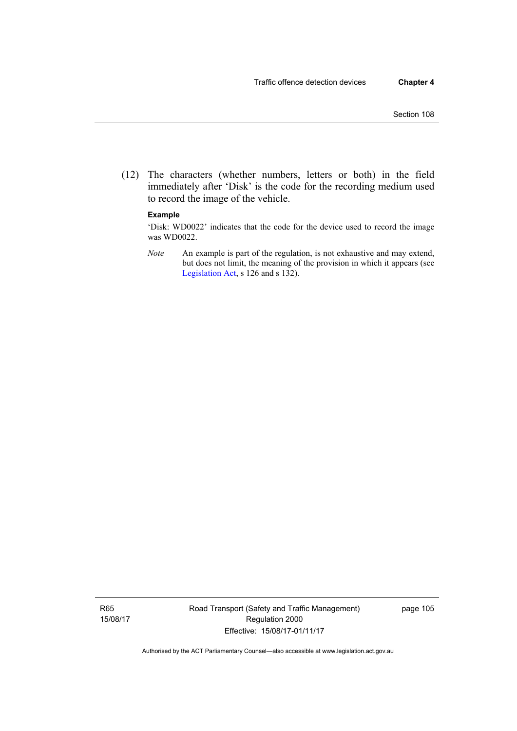(12) The characters (whether numbers, letters or both) in the field immediately after 'Disk' is the code for the recording medium used to record the image of the vehicle.

### **Example**

'Disk: WD0022' indicates that the code for the device used to record the image was WD0022.

*Note* An example is part of the regulation, is not exhaustive and may extend, but does not limit, the meaning of the provision in which it appears (see [Legislation Act,](http://www.legislation.act.gov.au/a/2001-14) s 126 and s 132).

R65 15/08/17 Road Transport (Safety and Traffic Management) Regulation 2000 Effective: 15/08/17-01/11/17

page 105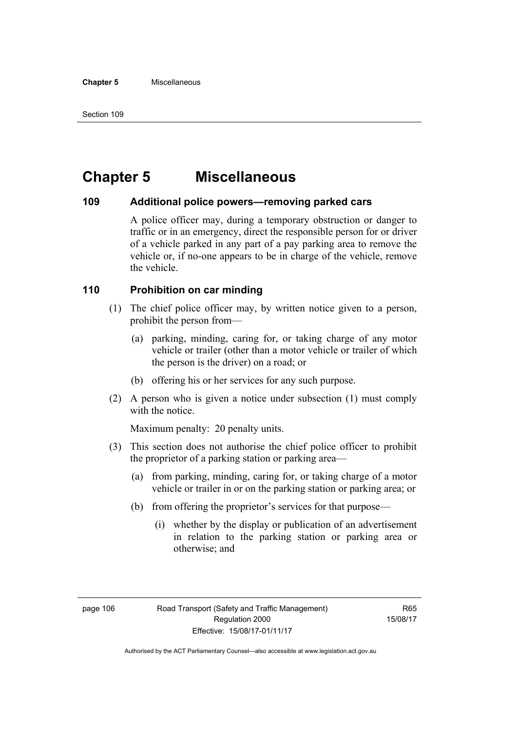# **Chapter 5 Miscellaneous**

## **109 Additional police powers—removing parked cars**

A police officer may, during a temporary obstruction or danger to traffic or in an emergency, direct the responsible person for or driver of a vehicle parked in any part of a pay parking area to remove the vehicle or, if no-one appears to be in charge of the vehicle, remove the vehicle.

## **110 Prohibition on car minding**

- (1) The chief police officer may, by written notice given to a person, prohibit the person from—
	- (a) parking, minding, caring for, or taking charge of any motor vehicle or trailer (other than a motor vehicle or trailer of which the person is the driver) on a road; or
	- (b) offering his or her services for any such purpose.
- (2) A person who is given a notice under subsection (1) must comply with the notice.

Maximum penalty: 20 penalty units.

- (3) This section does not authorise the chief police officer to prohibit the proprietor of a parking station or parking area—
	- (a) from parking, minding, caring for, or taking charge of a motor vehicle or trailer in or on the parking station or parking area; or
	- (b) from offering the proprietor's services for that purpose—
		- (i) whether by the display or publication of an advertisement in relation to the parking station or parking area or otherwise; and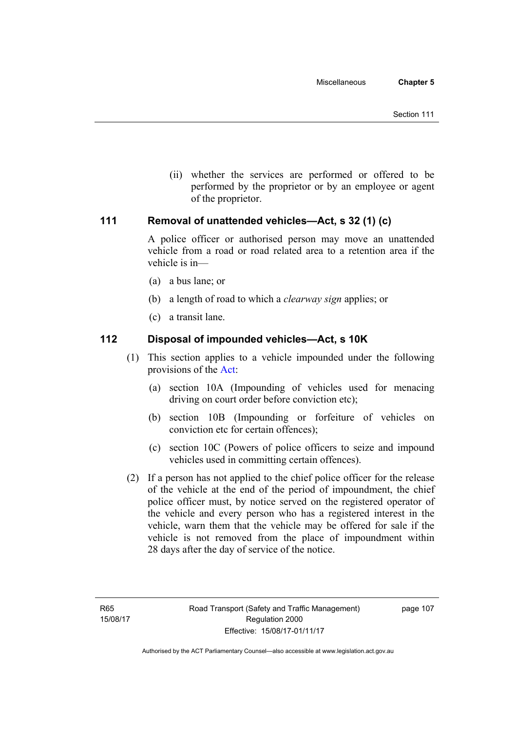(ii) whether the services are performed or offered to be performed by the proprietor or by an employee or agent of the proprietor.

## **111 Removal of unattended vehicles—Act, s 32 (1) (c)**

A police officer or authorised person may move an unattended vehicle from a road or road related area to a retention area if the vehicle is in—

- (a) a bus lane; or
- (b) a length of road to which a *clearway sign* applies; or
- (c) a transit lane.

## **112 Disposal of impounded vehicles—Act, s 10K**

- (1) This section applies to a vehicle impounded under the following provisions of the [Act](http://www.legislation.act.gov.au/a/1999-80/default.asp):
	- (a) section 10A (Impounding of vehicles used for menacing driving on court order before conviction etc);
	- (b) section 10B (Impounding or forfeiture of vehicles on conviction etc for certain offences);
	- (c) section 10C (Powers of police officers to seize and impound vehicles used in committing certain offences).
- (2) If a person has not applied to the chief police officer for the release of the vehicle at the end of the period of impoundment, the chief police officer must, by notice served on the registered operator of the vehicle and every person who has a registered interest in the vehicle, warn them that the vehicle may be offered for sale if the vehicle is not removed from the place of impoundment within 28 days after the day of service of the notice.

page 107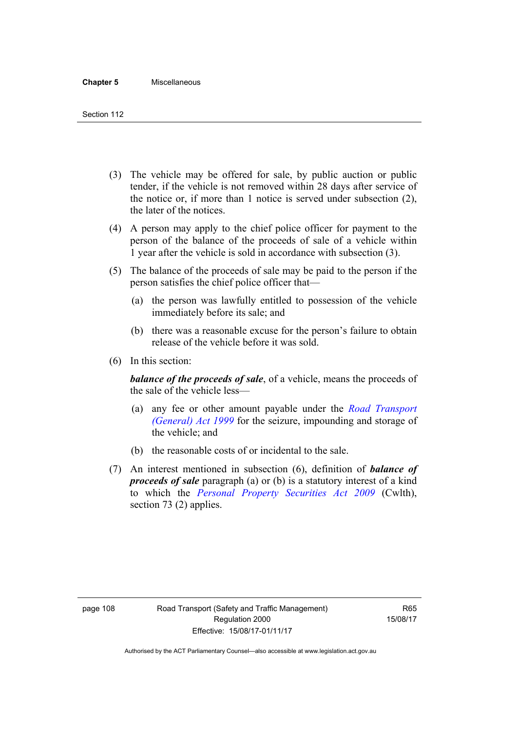- (3) The vehicle may be offered for sale, by public auction or public tender, if the vehicle is not removed within 28 days after service of the notice or, if more than 1 notice is served under subsection (2), the later of the notices.
- (4) A person may apply to the chief police officer for payment to the person of the balance of the proceeds of sale of a vehicle within 1 year after the vehicle is sold in accordance with subsection (3).
- (5) The balance of the proceeds of sale may be paid to the person if the person satisfies the chief police officer that—
	- (a) the person was lawfully entitled to possession of the vehicle immediately before its sale; and
	- (b) there was a reasonable excuse for the person's failure to obtain release of the vehicle before it was sold.
- (6) In this section:

*balance of the proceeds of sale*, of a vehicle, means the proceeds of the sale of the vehicle less—

- (a) any fee or other amount payable under the *[Road Transport](http://www.legislation.act.gov.au/a/1999-77)  [\(General\) Act 1999](http://www.legislation.act.gov.au/a/1999-77)* for the seizure, impounding and storage of the vehicle; and
- (b) the reasonable costs of or incidental to the sale.
- (7) An interest mentioned in subsection (6), definition of *balance of proceeds of sale* paragraph (a) or (b) is a statutory interest of a kind to which the *[Personal Property Securities Act 2009](http://www.comlaw.gov.au/Series/C2009A00130)* (Cwlth), section 73 (2) applies.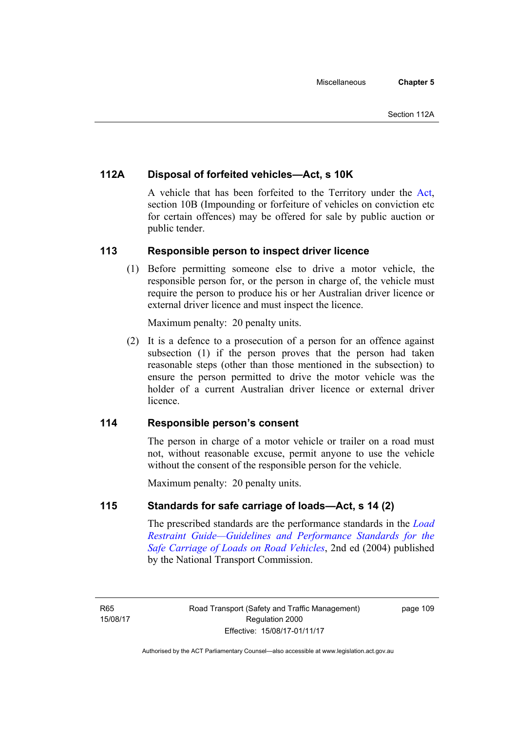## **112A Disposal of forfeited vehicles—Act, s 10K**

A vehicle that has been forfeited to the Territory under the [Act](http://www.legislation.act.gov.au/a/1999-80/default.asp), section 10B (Impounding or forfeiture of vehicles on conviction etc for certain offences) may be offered for sale by public auction or public tender.

## **113 Responsible person to inspect driver licence**

(1) Before permitting someone else to drive a motor vehicle, the responsible person for, or the person in charge of, the vehicle must require the person to produce his or her Australian driver licence or external driver licence and must inspect the licence.

Maximum penalty: 20 penalty units.

 (2) It is a defence to a prosecution of a person for an offence against subsection (1) if the person proves that the person had taken reasonable steps (other than those mentioned in the subsection) to ensure the person permitted to drive the motor vehicle was the holder of a current Australian driver licence or external driver **licence** 

## **114 Responsible person's consent**

The person in charge of a motor vehicle or trailer on a road must not, without reasonable excuse, permit anyone to use the vehicle without the consent of the responsible person for the vehicle.

Maximum penalty: 20 penalty units.

## **115 Standards for safe carriage of loads—Act, s 14 (2)**

The prescribed standards are the performance standards in the *[Load](http://www.ntc.gov.au/viewpage.aspx?documentid=862)  [Restraint Guide—Guidelines and Performance Standards for the](http://www.ntc.gov.au/viewpage.aspx?documentid=862)  [Safe Carriage of Loads on Road Vehicles](http://www.ntc.gov.au/viewpage.aspx?documentid=862)*, 2nd ed (2004) published by the National Transport Commission.

page 109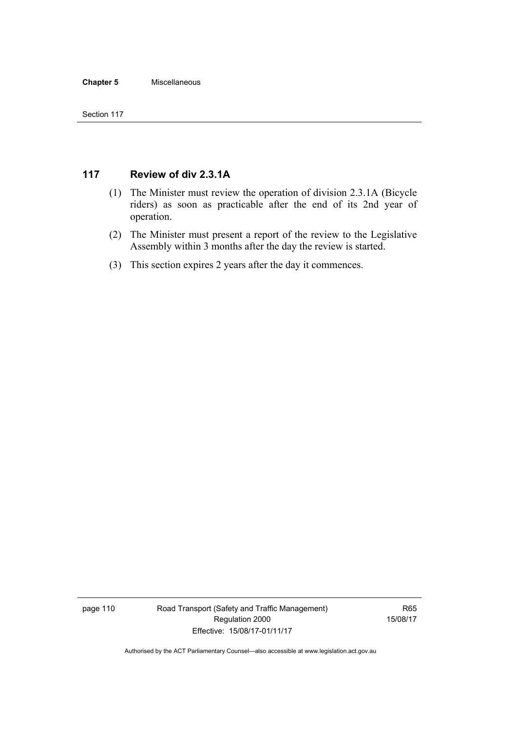### **Chapter 5** Miscellaneous

## **117 Review of div 2.3.1A**

- (1) The Minister must review the operation of division 2.3.1A (Bicycle riders) as soon as practicable after the end of its 2nd year of operation.
- (2) The Minister must present a report of the review to the Legislative Assembly within 3 months after the day the review is started.
- (3) This section expires 2 years after the day it commences.

page 110 Road Transport (Safety and Traffic Management) Regulation 2000 Effective: 15/08/17-01/11/17

R65 15/08/17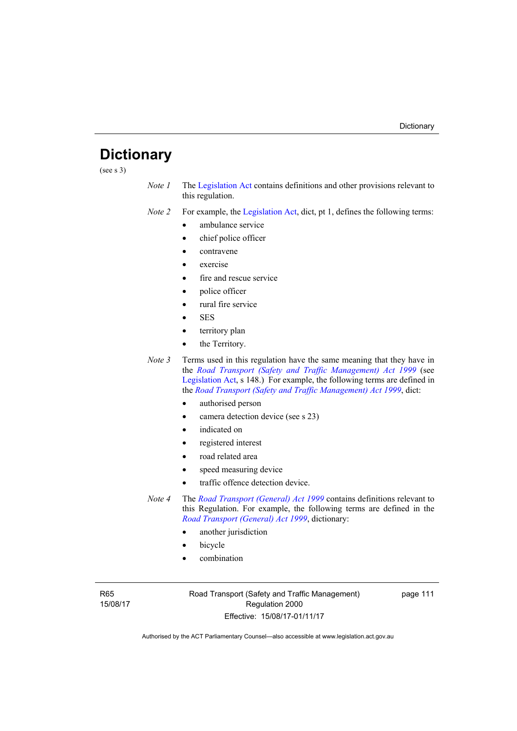# **Dictionary**

(see s 3)

*Note 1* The [Legislation Act](http://www.legislation.act.gov.au/a/2001-14) contains definitions and other provisions relevant to this regulation.

*Note 2* For example, the [Legislation Act,](http://www.legislation.act.gov.au/a/2001-14) dict, pt 1, defines the following terms:

- ambulance service
- chief police officer
- contravene
- exercise
- fire and rescue service
- police officer
- rural fire service
- SES
- territory plan
- the Territory.
- *Note* 3 Terms used in this regulation have the same meaning that they have in the *[Road Transport \(Safety and Traffic Management\) Act 1999](http://www.legislation.act.gov.au/a/1999-80)* (see [Legislation Act,](http://www.legislation.act.gov.au/a/2001-14) s 148.) For example, the following terms are defined in the *[Road Transport \(Safety and Traffic Management\) Act 1999](http://www.legislation.act.gov.au/a/1999-80)*, dict:
	- authorised person
	- camera detection device (see s 23)
	- indicated on
	- registered interest
	- road related area
	- speed measuring device
	- traffic offence detection device.
- *Note 4* The *[Road Transport \(General\) Act 1999](http://www.legislation.act.gov.au/a/1999-77)* contains definitions relevant to this Regulation. For example, the following terms are defined in the *[Road Transport \(General\) Act 1999](http://www.legislation.act.gov.au/a/1999-77)*, dictionary:
	- another jurisdiction
	- bicycle
	- combination

R65 15/08/17 Road Transport (Safety and Traffic Management) Regulation 2000 Effective: 15/08/17-01/11/17

page 111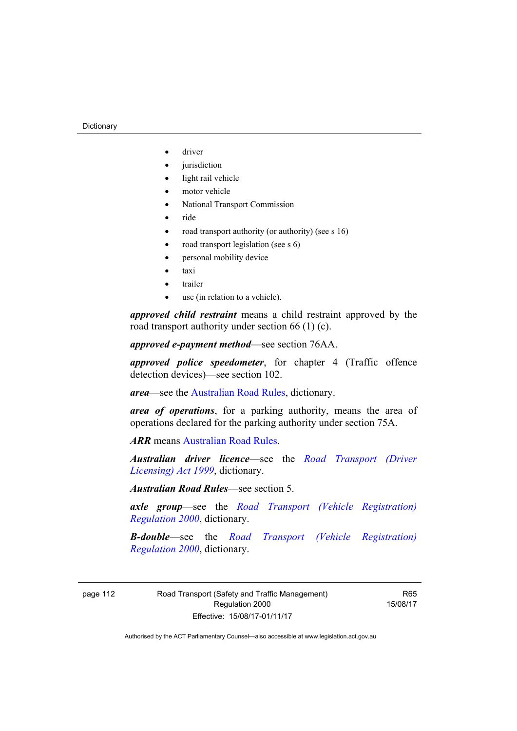#### **Dictionary**

- driver
- jurisdiction
- light rail vehicle
- motor vehicle
- National Transport Commission
- $\bullet$  ride
- road transport authority (or authority) (see s 16)
- road transport legislation (see s 6)
- personal mobility device
- taxi
- trailer
- use (in relation to a vehicle).

*approved child restraint* means a child restraint approved by the road transport authority under section 66 (1) (c).

*approved e-payment method*—see section 76AA.

*approved police speedometer*, for chapter 4 (Traffic offence detection devices)—see section 102.

*area*—see the [Australian Road Rules,](http://www.legislation.act.gov.au//ni/db_37271/default.asp) dictionary.

*area of operations*, for a parking authority, means the area of operations declared for the parking authority under section 75A.

*ARR* means [Australian Road Rules](http://www.legislation.act.gov.au//ni/db_37271/default.asp).

*Australian driver licence*—see the *[Road Transport \(Driver](http://www.legislation.act.gov.au/a/1999-78)  [Licensing\) Act 1999](http://www.legislation.act.gov.au/a/1999-78)*, dictionary.

*Australian Road Rules*—see section 5.

*axle group*—see the *[Road Transport \(Vehicle Registration\)](http://www.legislation.act.gov.au/sl/2000-12)  [Regulation 2000](http://www.legislation.act.gov.au/sl/2000-12)*, dictionary.

*B-double*—see the *[Road Transport \(Vehicle Registration\)](http://www.legislation.act.gov.au/sl/2000-12)  [Regulation 2000](http://www.legislation.act.gov.au/sl/2000-12)*, dictionary.

page 112 Road Transport (Safety and Traffic Management) Regulation 2000 Effective: 15/08/17-01/11/17

R65 15/08/17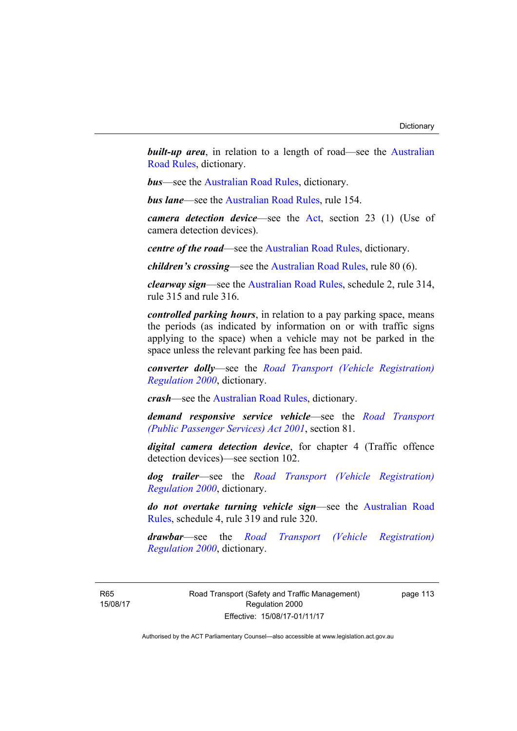**built-up area**, in relation to a length of road—see the Australian [Road Rules,](http://www.legislation.act.gov.au//ni/db_37271/default.asp) dictionary.

*bus*—see the [Australian Road Rules](http://www.legislation.act.gov.au//ni/db_37271/default.asp), dictionary.

*bus lane*—see the [Australian Road Rules](http://www.legislation.act.gov.au//ni/db_37271/default.asp), rule 154.

*camera detection device*—see the [Act,](http://www.legislation.act.gov.au/a/1999-80/default.asp) section 23 (1) (Use of camera detection devices).

*centre of the road*—see the [Australian Road Rules](http://www.legislation.act.gov.au//ni/db_37271/default.asp), dictionary.

*children's crossing*—see the [Australian Road Rules](http://www.legislation.act.gov.au//ni/db_37271/default.asp), rule 80 (6).

*clearway sign*—see the [Australian Road Rules,](http://www.legislation.act.gov.au//ni/db_37271/default.asp) schedule 2, rule 314, rule 315 and rule 316.

*controlled parking hours*, in relation to a pay parking space, means the periods (as indicated by information on or with traffic signs applying to the space) when a vehicle may not be parked in the space unless the relevant parking fee has been paid.

*converter dolly*—see the *[Road Transport \(Vehicle Registration\)](http://www.legislation.act.gov.au/sl/2000-12)  [Regulation 2000](http://www.legislation.act.gov.au/sl/2000-12)*, dictionary.

*crash*—see the [Australian Road Rules](http://www.legislation.act.gov.au//ni/db_37271/default.asp), dictionary.

*demand responsive service vehicle*—see the *[Road Transport](http://www.legislation.act.gov.au/a/2001-62)  [\(Public Passenger Services\) Act 2001](http://www.legislation.act.gov.au/a/2001-62)*, section 81.

*digital camera detection device*, for chapter 4 (Traffic offence detection devices)—see section 102.

*dog trailer*—see the *[Road Transport \(Vehicle Registration\)](http://www.legislation.act.gov.au/sl/2000-12)  [Regulation 2000](http://www.legislation.act.gov.au/sl/2000-12)*, dictionary.

*do not overtake turning vehicle sign*—see the [Australian Road](http://www.legislation.act.gov.au//ni/db_37271/default.asp)  [Rules](http://www.legislation.act.gov.au//ni/db_37271/default.asp), schedule 4, rule 319 and rule 320.

*drawbar*—see the *[Road Transport \(Vehicle Registration\)](http://www.legislation.act.gov.au/sl/2000-12)  [Regulation 2000](http://www.legislation.act.gov.au/sl/2000-12)*, dictionary.

R65 15/08/17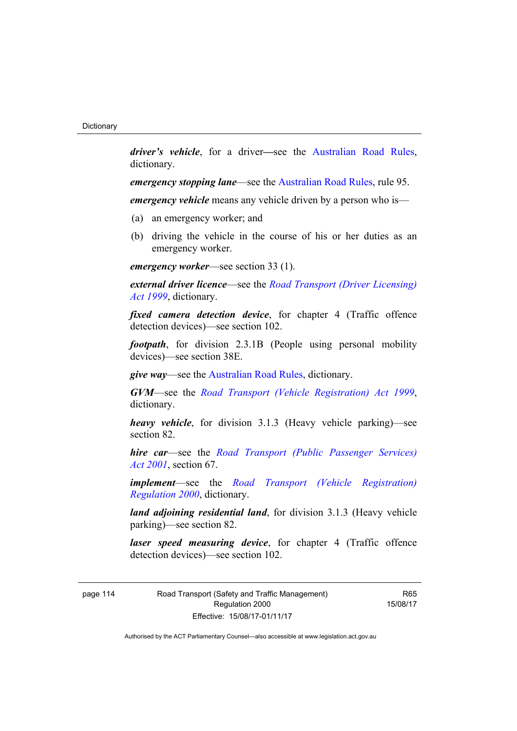*driver's vehicle*, for a driver*—*see the [Australian Road Rules](http://www.legislation.act.gov.au//ni/db_37271/default.asp), dictionary.

*emergency stopping lane—see the [Australian Road Rules](http://www.legislation.act.gov.au//ni/db_37271/default.asp), rule 95.* 

*emergency vehicle* means any vehicle driven by a person who is—

- (a) an emergency worker; and
- (b) driving the vehicle in the course of his or her duties as an emergency worker.

*emergency worker*—see section 33 (1).

*external driver licence*—see the *[Road Transport \(Driver Licensing\)](http://www.legislation.act.gov.au/a/1999-78)  [Act 1999](http://www.legislation.act.gov.au/a/1999-78)*, dictionary.

*fixed camera detection device*, for chapter 4 (Traffic offence detection devices)—see section 102.

*footpath*, for division 2.3.1B (People using personal mobility devices)—see section 38E.

*give way*—see the [Australian Road Rules,](http://www.legislation.act.gov.au//ni/db_37271/default.asp) dictionary.

*GVM*—see the *[Road Transport \(Vehicle Registration\) Act 1999](http://www.legislation.act.gov.au/a/1999-81)*, dictionary.

*heavy vehicle*, for division 3.1.3 (Heavy vehicle parking)—see section 82.

*hire car*—see the *[Road Transport \(Public Passenger Services\)](http://www.legislation.act.gov.au/a/2001-62)  [Act 2001](http://www.legislation.act.gov.au/a/2001-62)*, section 67.

*implement*—see the *[Road Transport \(Vehicle Registration\)](http://www.legislation.act.gov.au/sl/2000-12)  [Regulation 2000](http://www.legislation.act.gov.au/sl/2000-12)*, dictionary.

*land adjoining residential land*, for division 3.1.3 (Heavy vehicle parking)—see section 82.

*laser speed measuring device*, for chapter 4 (Traffic offence detection devices)—see section 102.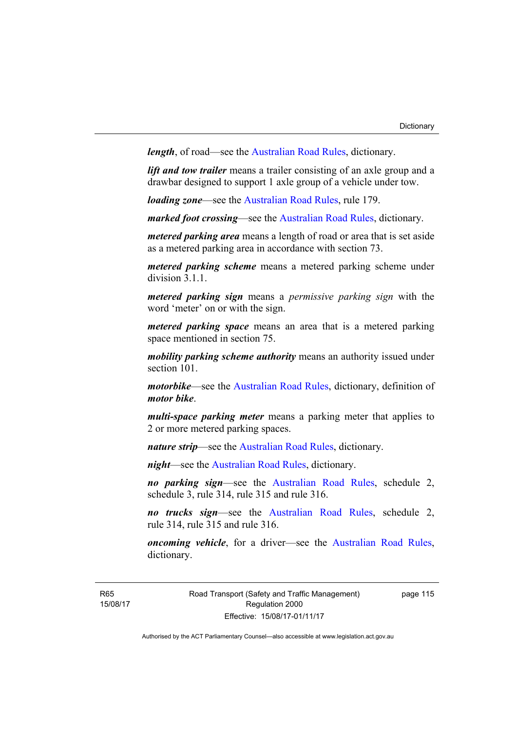*length*, of road—see the [Australian Road Rules](http://www.legislation.act.gov.au//ni/db_37271/default.asp), dictionary.

*lift and tow trailer* means a trailer consisting of an axle group and a drawbar designed to support 1 axle group of a vehicle under tow.

*loading zone*—see the [Australian Road Rules,](http://www.legislation.act.gov.au//ni/db_37271/default.asp) rule 179.

*marked foot crossing*—see the [Australian Road Rules,](http://www.legislation.act.gov.au//ni/db_37271/default.asp) dictionary.

*metered parking area* means a length of road or area that is set aside as a metered parking area in accordance with section 73.

*metered parking scheme* means a metered parking scheme under division 3.1.1.

*metered parking sign* means a *permissive parking sign* with the word 'meter' on or with the sign.

*metered parking space* means an area that is a metered parking space mentioned in section 75.

*mobility parking scheme authority* means an authority issued under section 101.

*motorbike*—see the [Australian Road Rules,](http://www.legislation.act.gov.au//ni/db_37271/default.asp) dictionary, definition of *motor bike*.

*multi-space parking meter* means a parking meter that applies to 2 or more metered parking spaces.

*nature strip*—see the [Australian Road Rules](http://www.legislation.act.gov.au//ni/db_37271/default.asp), dictionary.

*night*—see the [Australian Road Rules,](http://www.legislation.act.gov.au//ni/db_37271/default.asp) dictionary.

*no parking sign*—see the [Australian Road Rules](http://www.legislation.act.gov.au//ni/db_37271/default.asp), schedule 2, schedule 3, rule 314, rule 315 and rule 316.

*no trucks sign*—see the [Australian Road Rules,](http://www.legislation.act.gov.au//ni/db_37271/default.asp) schedule 2, rule 314, rule 315 and rule 316.

*oncoming vehicle*, for a driver—see the [Australian Road Rules](http://www.legislation.act.gov.au//ni/db_37271/default.asp), dictionary.

Road Transport (Safety and Traffic Management) Regulation 2000 Effective: 15/08/17-01/11/17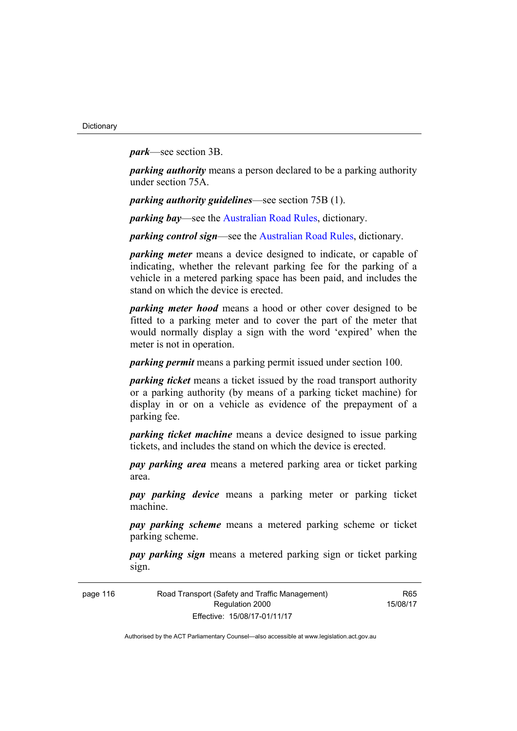*park*—see section 3B.

*parking authority* means a person declared to be a parking authority under section 75A.

*parking authority guidelines*—see section 75B (1).

*parking bay*—see the [Australian Road Rules,](http://www.legislation.act.gov.au//ni/db_37271/default.asp) dictionary.

*parking control sign*—see the [Australian Road Rules](http://www.legislation.act.gov.au//ni/db_37271/default.asp), dictionary.

*parking meter* means a device designed to indicate, or capable of indicating, whether the relevant parking fee for the parking of a vehicle in a metered parking space has been paid, and includes the stand on which the device is erected.

*parking meter hood* means a hood or other cover designed to be fitted to a parking meter and to cover the part of the meter that would normally display a sign with the word 'expired' when the meter is not in operation.

*parking permit* means a parking permit issued under section 100.

*parking ticket* means a ticket issued by the road transport authority or a parking authority (by means of a parking ticket machine) for display in or on a vehicle as evidence of the prepayment of a parking fee.

*parking ticket machine* means a device designed to issue parking tickets, and includes the stand on which the device is erected.

*pay parking area* means a metered parking area or ticket parking area.

*pay parking device* means a parking meter or parking ticket machine.

*pay parking scheme* means a metered parking scheme or ticket parking scheme.

*pay parking sign* means a metered parking sign or ticket parking sign.

| page 116 | Road Transport (Safety and Traffic Management) |
|----------|------------------------------------------------|
|          | Regulation 2000                                |
|          | Effective: 15/08/17-01/11/17                   |

R65 15/08/17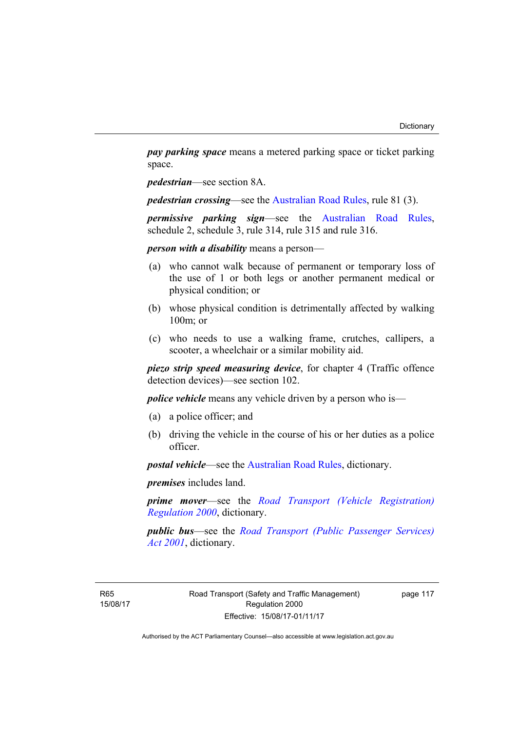*pay parking space* means a metered parking space or ticket parking space.

*pedestrian*—see section 8A.

*pedestrian crossing*—see the [Australian Road Rules](http://www.legislation.act.gov.au//ni/db_37271/default.asp), rule 81 (3).

*permissive parking sign*—see the [Australian Road Rules](http://www.legislation.act.gov.au//ni/db_37271/default.asp), schedule 2, schedule 3, rule 314, rule 315 and rule 316.

*person with a disability* means a person—

- (a) who cannot walk because of permanent or temporary loss of the use of 1 or both legs or another permanent medical or physical condition; or
- (b) whose physical condition is detrimentally affected by walking 100m; or
- (c) who needs to use a walking frame, crutches, callipers, a scooter, a wheelchair or a similar mobility aid.

*piezo strip speed measuring device*, for chapter 4 (Traffic offence detection devices)—see section 102.

*police vehicle* means any vehicle driven by a person who is—

- (a) a police officer; and
- (b) driving the vehicle in the course of his or her duties as a police officer.

*postal vehicle*—see the [Australian Road Rules,](http://www.legislation.act.gov.au//ni/db_37271/default.asp) dictionary.

*premises* includes land.

*prime mover*—see the *[Road Transport \(Vehicle Registration\)](http://www.legislation.act.gov.au/sl/2000-12)  [Regulation 2000](http://www.legislation.act.gov.au/sl/2000-12)*, dictionary.

*public bus*—see the *[Road Transport \(Public Passenger Services\)](http://www.legislation.act.gov.au/a/2001-62)  [Act 2001](http://www.legislation.act.gov.au/a/2001-62)*, dictionary.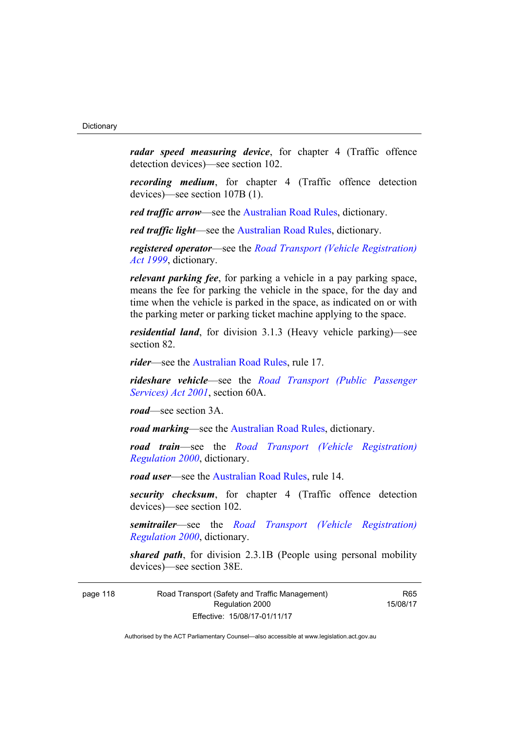*radar speed measuring device*, for chapter 4 (Traffic offence detection devices)—see section 102.

*recording medium*, for chapter 4 (Traffic offence detection devices)—see section 107B (1).

*red traffic arrow*—see the [Australian Road Rules,](http://www.legislation.act.gov.au//ni/db_37271/default.asp) dictionary.

*red traffic light*—see the [Australian Road Rules,](http://www.legislation.act.gov.au//ni/db_37271/default.asp) dictionary.

*registered operator*—see the *[Road Transport \(Vehicle Registration\)](http://www.legislation.act.gov.au/a/1999-81)  [Act 1999](http://www.legislation.act.gov.au/a/1999-81)*, dictionary.

*relevant parking fee*, for parking a vehicle in a pay parking space, means the fee for parking the vehicle in the space, for the day and time when the vehicle is parked in the space, as indicated on or with the parking meter or parking ticket machine applying to the space.

*residential land*, for division 3.1.3 (Heavy vehicle parking)—see section 82.

*rider*—see the [Australian Road Rules,](http://www.legislation.act.gov.au//ni/db_37271/default.asp) rule 17.

*rideshare vehicle*—see the *[Road Transport \(Public Passenger](http://www.legislation.act.gov.au/a/2001-62)  [Services\) Act 2001](http://www.legislation.act.gov.au/a/2001-62)*, section 60A.

*road*—see section 3A.

*road marking*—see the [Australian Road Rules](http://www.legislation.act.gov.au//ni/db_37271/default.asp), dictionary.

*road train*—see the *[Road Transport \(Vehicle Registration\)](http://www.legislation.act.gov.au/sl/2000-12)  [Regulation 2000](http://www.legislation.act.gov.au/sl/2000-12)*, dictionary.

*road user*—see the [Australian Road Rules,](http://www.legislation.act.gov.au//ni/db_37271/default.asp) rule 14.

*security checksum*, for chapter 4 (Traffic offence detection devices)—see section 102.

*semitrailer*—see the *[Road Transport \(Vehicle Registration\)](http://www.legislation.act.gov.au/sl/2000-12)  [Regulation 2000](http://www.legislation.act.gov.au/sl/2000-12)*, dictionary.

*shared path*, for division 2.3.1B (People using personal mobility devices)—see section 38E.

page 118 Road Transport (Safety and Traffic Management) Regulation 2000 Effective: 15/08/17-01/11/17

R65 15/08/17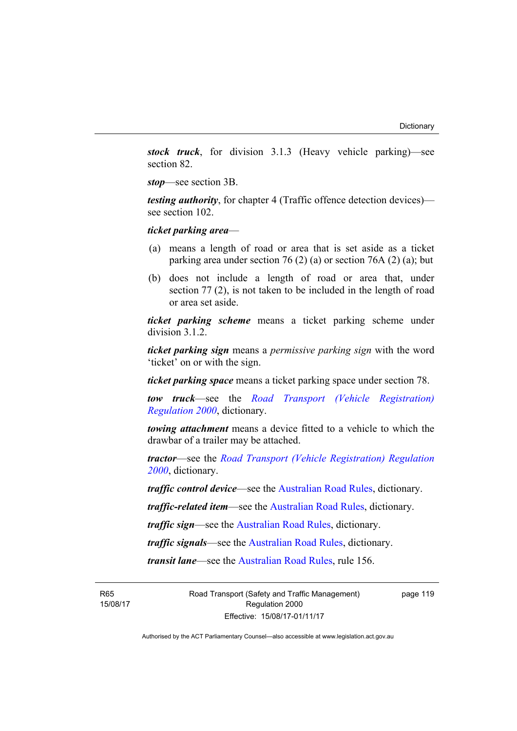*stock truck*, for division 3.1.3 (Heavy vehicle parking)—see section 82.

*stop*—see section 3B.

*testing authority*, for chapter 4 (Traffic offence detection devices) see section 102.

*ticket parking area*—

- (a) means a length of road or area that is set aside as a ticket parking area under section 76 (2) (a) or section 76A (2) (a); but
- (b) does not include a length of road or area that, under section 77 (2), is not taken to be included in the length of road or area set aside.

*ticket parking scheme* means a ticket parking scheme under division 3.1.2.

*ticket parking sign* means a *permissive parking sign* with the word 'ticket' on or with the sign.

*ticket parking space* means a ticket parking space under section 78.

*tow truck*—see the *[Road Transport \(Vehicle Registration\)](http://www.legislation.act.gov.au/sl/2000-12)  [Regulation 2000](http://www.legislation.act.gov.au/sl/2000-12)*, dictionary.

*towing attachment* means a device fitted to a vehicle to which the drawbar of a trailer may be attached.

*tractor*—see the *[Road Transport \(Vehicle Registration\) Regulation](http://www.legislation.act.gov.au/sl/2000-12)  [2000](http://www.legislation.act.gov.au/sl/2000-12)*, dictionary.

*traffic control device*—see the [Australian Road Rules](http://www.legislation.act.gov.au//ni/db_37271/default.asp), dictionary.

*traffic-related item*—see the [Australian Road Rules,](http://www.legislation.act.gov.au//ni/db_37271/default.asp) dictionary.

*traffic sign*—see the [Australian Road Rules](http://www.legislation.act.gov.au//ni/db_37271/default.asp), dictionary.

*traffic signals*—see the [Australian Road Rules](http://www.legislation.act.gov.au//ni/db_37271/default.asp), dictionary.

*transit lane*—see the [Australian Road Rules](http://www.legislation.act.gov.au//ni/db_37271/default.asp), rule 156.

R65 15/08/17 Road Transport (Safety and Traffic Management) Regulation 2000 Effective: 15/08/17-01/11/17

page 119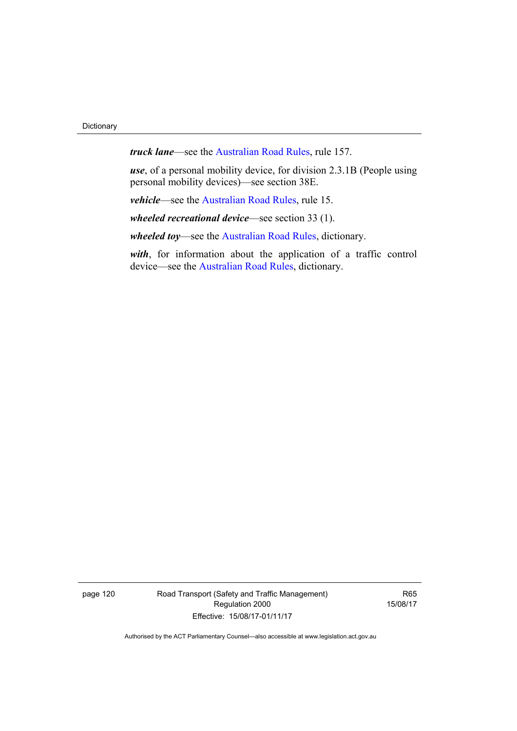*truck lane*—see the [Australian Road Rules,](http://www.legislation.act.gov.au//ni/db_37271/default.asp) rule 157.

*use*, of a personal mobility device, for division 2.3.1B (People using personal mobility devices)—see section 38E.

*vehicle*—see the [Australian Road Rules](http://www.legislation.act.gov.au//ni/db_37271/default.asp), rule 15.

*wheeled recreational device*—see section 33 (1).

*wheeled toy*—see the [Australian Road Rules](http://www.legislation.act.gov.au//ni/db_37271/default.asp), dictionary.

*with*, for information about the application of a traffic control device—see the [Australian Road Rules,](http://www.legislation.act.gov.au//ni/db_37271/default.asp) dictionary.

page 120 Road Transport (Safety and Traffic Management) Regulation 2000 Effective: 15/08/17-01/11/17

R65 15/08/17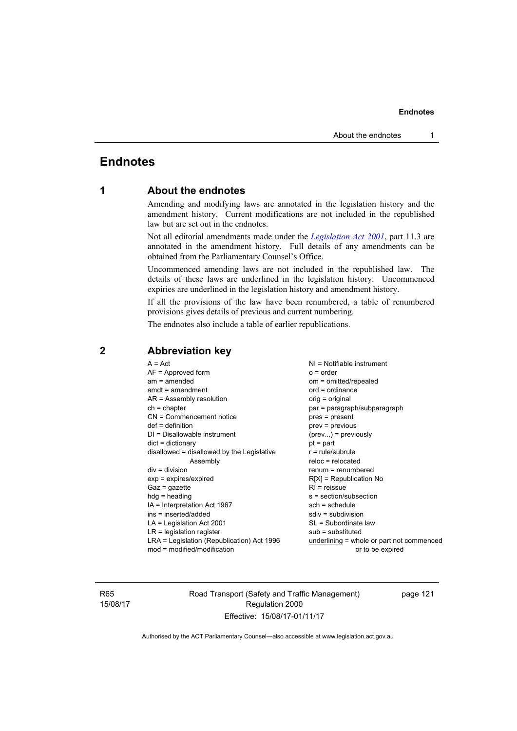## **Endnotes**

## **1 About the endnotes**

Amending and modifying laws are annotated in the legislation history and the amendment history. Current modifications are not included in the republished law but are set out in the endnotes.

Not all editorial amendments made under the *[Legislation Act 2001](http://www.legislation.act.gov.au/a/2001-14)*, part 11.3 are annotated in the amendment history. Full details of any amendments can be obtained from the Parliamentary Counsel's Office.

Uncommenced amending laws are not included in the republished law. The details of these laws are underlined in the legislation history. Uncommenced expiries are underlined in the legislation history and amendment history.

If all the provisions of the law have been renumbered, a table of renumbered provisions gives details of previous and current numbering.

The endnotes also include a table of earlier republications.

## **2 Abbreviation key**

R65 15/08/17 Road Transport (Safety and Traffic Management) Regulation 2000 Effective: 15/08/17-01/11/17

page 121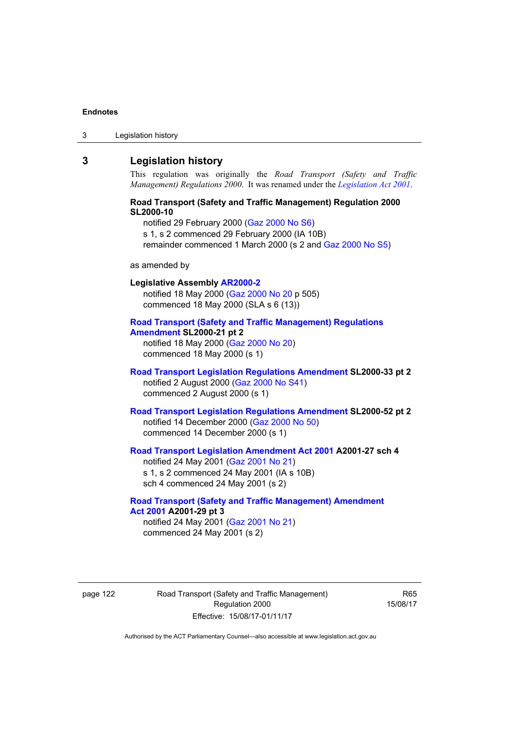3 Legislation history

## **3 Legislation history**

This regulation was originally the *Road Transport (Safety and Traffic Management) Regulations 2000*. It was renamed under the *[Legislation Act 2001](http://www.legislation.act.gov.au/a/2001-14)*.

## **Road Transport (Safety and Traffic Management) Regulation 2000 SL2000-10**

notified 29 February 2000 [\(Gaz 2000 No S6\)](http://www.legislation.act.gov.au/gaz/2000-S6/default.asp) s 1, s 2 commenced 29 February 2000 (IA 10B) remainder commenced 1 March 2000 (s 2 and [Gaz 2000 No S5\)](http://www.legislation.act.gov.au/gaz/2000-S5/default.asp)

### as amended by

## **Legislative Assembly [AR2000-2](http://www.legislation.act.gov.au/ar/2000-2/default.asp)** notified 18 May 2000 ([Gaz 2000 No 20 p](http://www.legislation.act.gov.au/gaz/2000-20/default.asp) 505) commenced 18 May 2000 (SLA s 6 (13))

## **[Road Transport \(Safety and Traffic Management\) Regulations](http://www.legislation.act.gov.au/sl/2000-21/default.asp)  [Amendment](http://www.legislation.act.gov.au/sl/2000-21/default.asp) SL2000-21 pt 2**

notified 18 May 2000 ([Gaz 2000 No 20\)](http://www.legislation.act.gov.au/gaz/2000-20/default.asp) commenced 18 May 2000 (s 1)

## **[Road Transport Legislation Regulations Amendment](http://www.legislation.act.gov.au/sl/2000-33/default.asp) SL2000-33 pt 2**  notified 2 August 2000 ([Gaz 2000 No S41](http://www.legislation.act.gov.au/gaz/2000-S41/default.asp)) commenced 2 August 2000 (s 1)

### **[Road Transport Legislation Regulations Amendment](http://www.legislation.act.gov.au/sl/2000-52/default.asp) SL2000-52 pt 2**  notified 14 December 2000 [\(Gaz 2000 No 50](http://www.legislation.act.gov.au/gaz/2000-50/default.asp)) commenced 14 December 2000 (s 1)

## **[Road Transport Legislation Amendment Act 2001](http://www.legislation.act.gov.au/a/2001-27) A2001-27 sch 4**  notified 24 May 2001 ([Gaz 2001 No 21\)](http://www.legislation.act.gov.au/gaz/2001-21/default.asp)

s 1, s 2 commenced 24 May 2001 (IA s 10B) sch 4 commenced 24 May 2001 (s 2)

## **[Road Transport \(Safety and Traffic Management\) Amendment](http://www.legislation.act.gov.au/a/2001-29)  [Act 2001](http://www.legislation.act.gov.au/a/2001-29) A2001-29 pt 3**

notified 24 May 2001 ([Gaz 2001 No 21\)](http://www.legislation.act.gov.au/gaz/2001-21/default.asp) commenced 24 May 2001 (s 2)

page 122 Road Transport (Safety and Traffic Management) Regulation 2000 Effective: 15/08/17-01/11/17

R65 15/08/17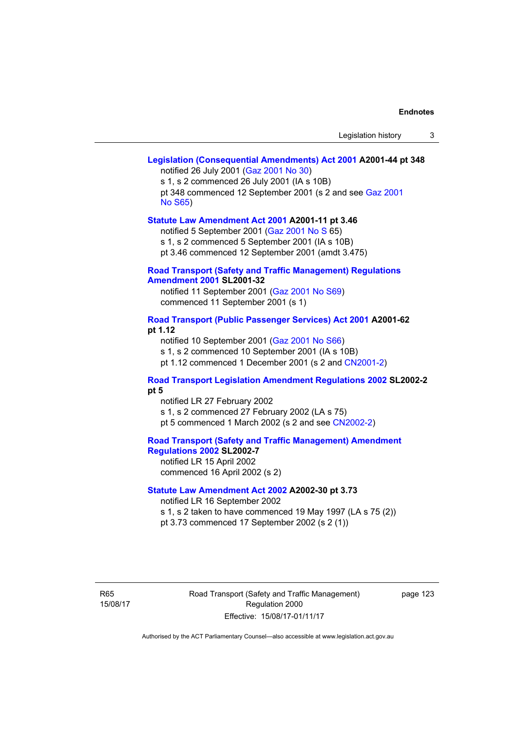### **[Legislation \(Consequential Amendments\) Act 2001](http://www.legislation.act.gov.au/a/2001-44) A2001-44 pt 348**  notified 26 July 2001 ([Gaz 2001 No 30\)](http://www.legislation.act.gov.au/gaz/2001-30/default.asp)

s 1, s 2 commenced 26 July 2001 (IA s 10B) pt 348 commenced 12 September 2001 (s 2 and see [Gaz 2001](http://www.legislation.act.gov.au/gaz/2001-S65/default.asp)  [No S65](http://www.legislation.act.gov.au/gaz/2001-S65/default.asp))

### **[Statute Law Amendment Act 2001](http://www.legislation.act.gov.au/a/2001-11) A2001-11 pt 3.46**

notified 5 September 2001 [\(Gaz 2001 No S 6](http://www.legislation.act.gov.au/gaz/2001-S/default.asp)5)

s 1, s 2 commenced 5 September 2001 (IA s 10B)

pt 3.46 commenced 12 September 2001 (amdt 3.475)

### **[Road Transport \(Safety and Traffic Management\) Regulations](http://www.legislation.act.gov.au/sl/2001-32)  [Amendment 2001](http://www.legislation.act.gov.au/sl/2001-32) SL2001-32**

notified 11 September 2001 [\(Gaz 2001 No S69\)](http://www.legislation.act.gov.au/gaz/2001-S69/default.asp) commenced 11 September 2001 (s 1)

## **[Road Transport \(Public Passenger Services\) Act 2001](http://www.legislation.act.gov.au/a/2001-62) A2001-62 pt 1.12**

notified 10 September 2001 [\(Gaz 2001 No S66\)](http://www.legislation.act.gov.au/gaz/2001-S66/default.asp)

s 1, s 2 commenced 10 September 2001 (IA s 10B)

pt 1.12 commenced 1 December 2001 (s 2 and [CN2001-2](http://www.legislation.act.gov.au/cn/2001-2/default.asp))

## **[Road Transport Legislation Amendment Regulations 2002](http://www.legislation.act.gov.au/sl/2002-2) SL2002-2 pt 5**

notified LR 27 February 2002 s 1, s 2 commenced 27 February 2002 (LA s 75) pt 5 commenced 1 March 2002 (s 2 and see [CN2002-2](http://www.legislation.act.gov.au/cn/2002-2/default.asp))

**[Road Transport \(Safety and Traffic Management\) Amendment](http://www.legislation.act.gov.au/sl/2002-7)  [Regulations 2002](http://www.legislation.act.gov.au/sl/2002-7) SL2002-7**  notified LR 15 April 2002

commenced 16 April 2002 (s 2)

## **[Statute Law Amendment Act 2002](http://www.legislation.act.gov.au/a/2002-30) A2002-30 pt 3.73**

notified LR 16 September 2002

s 1, s 2 taken to have commenced 19 May 1997 (LA s 75 (2))

pt 3.73 commenced 17 September 2002 (s 2 (1))

R65 15/08/17 Road Transport (Safety and Traffic Management) Regulation 2000 Effective: 15/08/17-01/11/17

page 123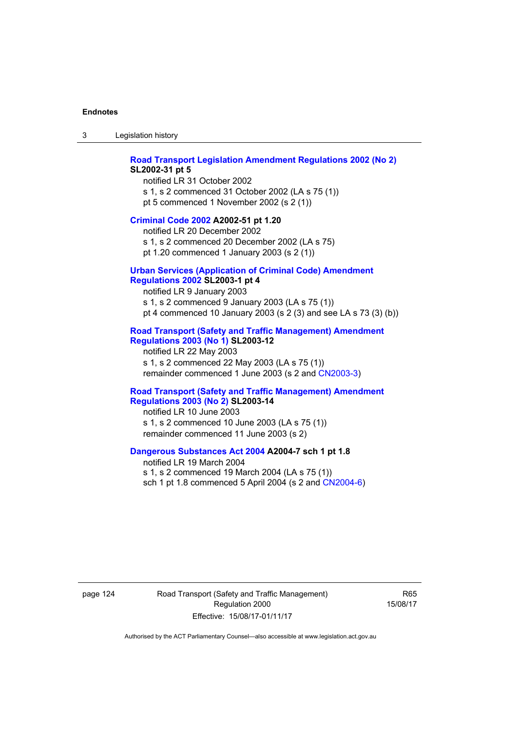3 Legislation history

### **[Road Transport Legislation Amendment Regulations 2002 \(No 2\)](http://www.legislation.act.gov.au/sl/2002-31) SL2002-31 pt 5**

notified LR 31 October 2002 s 1, s 2 commenced 31 October 2002 (LA s 75 (1)) pt 5 commenced 1 November 2002 (s 2 (1))

### **[Criminal Code 2002](http://www.legislation.act.gov.au/a/2002-51) A2002-51 pt 1.20**

notified LR 20 December 2002 s 1, s 2 commenced 20 December 2002 (LA s 75) pt 1.20 commenced 1 January 2003 (s 2 (1))

### **[Urban Services \(Application of Criminal Code\) Amendment](http://www.legislation.act.gov.au/sl/2003-1)**

## **[Regulations 2002](http://www.legislation.act.gov.au/sl/2003-1) SL2003-1 pt 4**

notified LR 9 January 2003 s 1, s 2 commenced 9 January 2003 (LA s 75 (1)) pt 4 commenced 10 January 2003 (s 2 (3) and see LA s 73 (3) (b))

### **[Road Transport \(Safety and Traffic Management\) Amendment](http://www.legislation.act.gov.au/sl/2003-12)  [Regulations 2003 \(No 1\)](http://www.legislation.act.gov.au/sl/2003-12) SL2003-12**

notified LR 22 May 2003 s 1, s 2 commenced 22 May 2003 (LA s 75 (1)) remainder commenced 1 June 2003 (s 2 and [CN2003-3](http://www.legislation.act.gov.au/cn/2003-3/default.asp))

### **[Road Transport \(Safety and Traffic Management\) Amendment](http://www.legislation.act.gov.au/sl/2003-14)  [Regulations 2003 \(No 2\)](http://www.legislation.act.gov.au/sl/2003-14) SL2003-14**

notified LR 10 June 2003 s 1, s 2 commenced 10 June 2003 (LA s 75 (1)) remainder commenced 11 June 2003 (s 2)

### **[Dangerous Substances Act 2004](http://www.legislation.act.gov.au/a/2004-7) A2004-7 sch 1 pt 1.8**

notified LR 19 March 2004 s 1, s 2 commenced 19 March 2004 (LA s 75 (1)) sch 1 pt 1.8 commenced 5 April 2004 (s 2 and [CN2004-6](http://www.legislation.act.gov.au/cn/2004-6/default.asp))

page 124 Road Transport (Safety and Traffic Management) Regulation 2000 Effective: 15/08/17-01/11/17

R65 15/08/17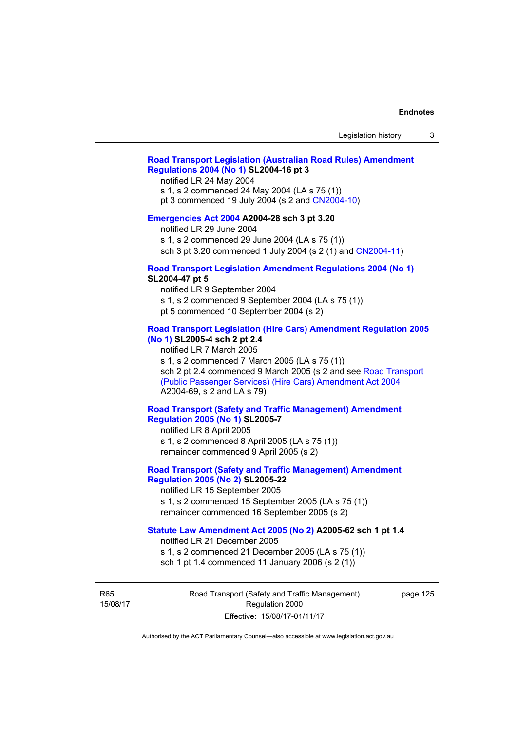## **[Road Transport Legislation \(Australian Road Rules\) Amendment](http://www.legislation.act.gov.au/sl/2004-16)  [Regulations 2004 \(No 1\)](http://www.legislation.act.gov.au/sl/2004-16) SL2004-16 pt 3**

notified LR 24 May 2004

s 1, s 2 commenced 24 May 2004 (LA s 75 (1))

pt 3 commenced 19 July 2004 (s 2 and [CN2004-10](http://www.legislation.act.gov.au/cn/2004-10/default.asp))

## **[Emergencies Act 2004](http://www.legislation.act.gov.au/a/2004-28) A2004-28 sch 3 pt 3.20**

notified LR 29 June 2004

s 1, s 2 commenced 29 June 2004 (LA s 75 (1))

sch 3 pt 3.20 commenced 1 July 2004 (s 2 (1) and [CN2004-11](http://www.legislation.act.gov.au/cn/2004-11/default.asp))

## **[Road Transport Legislation Amendment Regulations 2004 \(No 1\)](http://www.legislation.act.gov.au/sl/2004-47) SL2004-47 pt 5**

notified LR 9 September 2004

s 1, s 2 commenced 9 September 2004 (LA s 75 (1))

pt 5 commenced 10 September 2004 (s 2)

## **[Road Transport Legislation \(Hire Cars\) Amendment Regulation 2005](http://www.legislation.act.gov.au/sl/2005-4)  [\(No 1\)](http://www.legislation.act.gov.au/sl/2005-4) SL2005-4 sch 2 pt 2.4**

notified LR 7 March 2005

s 1, s 2 commenced 7 March 2005 (LA s 75 (1))

sch 2 pt 2.4 commenced 9 March 2005 (s 2 and see Road Transport [\(Public Passenger Services\) \(Hire Cars\) Amendment Act 2004](http://www.legislation.act.gov.au/a/2004-69) A2004-69, s 2 and LA s 79)

## **[Road Transport \(Safety and Traffic Management\) Amendment](http://www.legislation.act.gov.au/sl/2005-7)  [Regulation 2005 \(No 1\)](http://www.legislation.act.gov.au/sl/2005-7) SL2005-7**

notified LR 8 April 2005 s 1, s 2 commenced 8 April 2005 (LA s 75 (1)) remainder commenced 9 April 2005 (s 2)

## **[Road Transport \(Safety and Traffic Management\) Amendment](http://www.legislation.act.gov.au/sl/2005-22)  [Regulation 2005 \(No 2\)](http://www.legislation.act.gov.au/sl/2005-22) SL2005-22**

notified LR 15 September 2005 s 1, s 2 commenced 15 September 2005 (LA s 75 (1)) remainder commenced 16 September 2005 (s 2)

### **[Statute Law Amendment Act 2005 \(No 2\)](http://www.legislation.act.gov.au/a/2005-62) A2005-62 sch 1 pt 1.4**

notified LR 21 December 2005 s 1, s 2 commenced 21 December 2005 (LA s 75 (1)) sch 1 pt 1.4 commenced 11 January 2006 (s 2 (1))

R65 15/08/17 Road Transport (Safety and Traffic Management) Regulation 2000 Effective: 15/08/17-01/11/17

page 125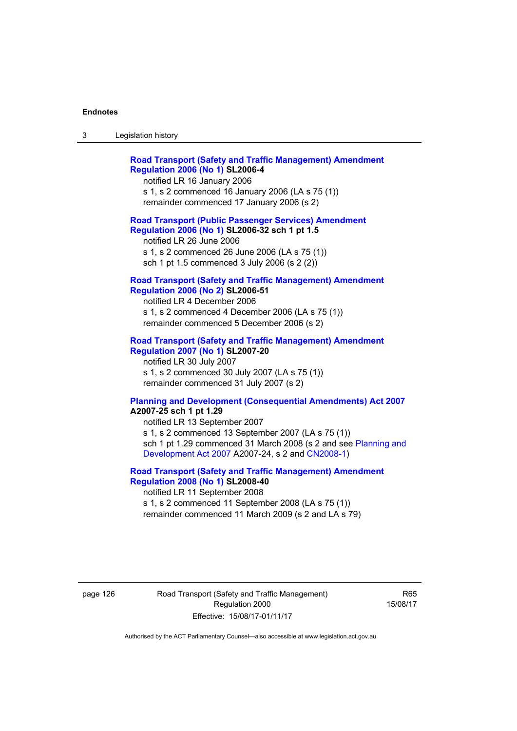| ు | Legislation history |  |
|---|---------------------|--|
|   |                     |  |

| <b>Road Transport (Safety and Traffic Management) Amendment</b><br><b>Regulation 2006 (No 1) SL2006-4</b><br>notified LR 16 January 2006<br>s 1, s 2 commenced 16 January 2006 (LA s 75 (1))<br>remainder commenced 17 January 2006 (s 2)  |
|--------------------------------------------------------------------------------------------------------------------------------------------------------------------------------------------------------------------------------------------|
| <b>Road Transport (Public Passenger Services) Amendment</b><br>Regulation 2006 (No 1) SL2006-32 sch 1 pt 1.5<br>notified LR 26 June 2006<br>s 1, s 2 commenced 26 June 2006 (LA s 75 (1))<br>sch 1 pt 1.5 commenced 3 July 2006 (s 2 (2))  |
| <b>Road Transport (Safety and Traffic Management) Amendment</b><br><b>Regulation 2006 (No 2) SL2006-51</b><br>notified LR 4 December 2006<br>s 1, s 2 commenced 4 December 2006 (LA s 75 (1))<br>remainder commenced 5 December 2006 (s 2) |
| <b>Road Transport (Safety and Traffic Management) Amendment</b><br><b>Regulation 2007 (No 1) SL2007-20</b><br>notified LR 30 July 2007<br>s 1, s 2 commenced 30 July 2007 (LA s 75 (1))<br>remainder commenced 31 July 2007 (s 2)          |
| <b>Planning and Development (Consequential Amendments) Act 2007</b><br>A2007-25 sch 1 pt 1.29<br>notified LR 13 September 2007<br>$\leq 1 \leq 2$ commenced 13 Sentember 2007 (LA $\leq 75$ (1))                                           |

s 1, s 2 commenced 13 September 2007 (LA s 75 (1)) sch 1 pt 1.29 commenced 31 March 2008 (s 2 and see [Planning and](http://www.legislation.act.gov.au/a/2007-24)  [Development Act 2007](http://www.legislation.act.gov.au/a/2007-24) A2007-24, s 2 and [CN2008-1](http://www.legislation.act.gov.au/cn/2008-1/default.asp))

## **[Road Transport \(Safety and Traffic Management\) Amendment](http://www.legislation.act.gov.au/sl/2008-40)  [Regulation 2008 \(No 1\)](http://www.legislation.act.gov.au/sl/2008-40) SL2008-40**  notified LR 11 September 2008

s 1, s 2 commenced 11 September 2008 (LA s 75 (1)) remainder commenced 11 March 2009 (s 2 and LA s 79)

page 126 Road Transport (Safety and Traffic Management) Regulation 2000 Effective: 15/08/17-01/11/17

R65 15/08/17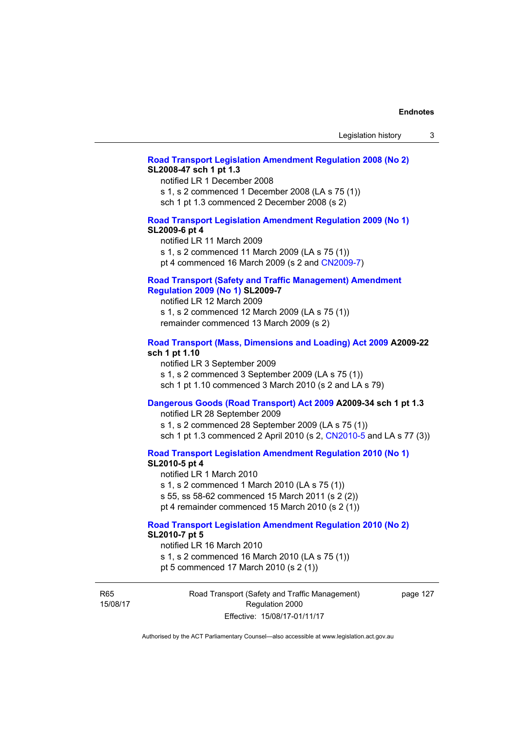### **[Road Transport Legislation Amendment Regulation 2008 \(No 2\)](http://www.legislation.act.gov.au/sl/2008-47) SL2008-47 sch 1 pt 1.3**

notified LR 1 December 2008 s 1, s 2 commenced 1 December 2008 (LA s 75 (1)) sch 1 pt 1.3 commenced 2 December 2008 (s 2)

## **[Road Transport Legislation Amendment Regulation 2009 \(No 1\)](http://www.legislation.act.gov.au/sl/2009-6) SL2009-6 pt 4**

notified LR 11 March 2009 s 1, s 2 commenced 11 March 2009 (LA s 75 (1)) pt 4 commenced 16 March 2009 (s 2 and [CN2009-7\)](http://www.legislation.act.gov.au/cn/2009-7/default.asp)

### **[Road Transport \(Safety and Traffic Management\) Amendment](http://www.legislation.act.gov.au/sl/2009-7)  [Regulation 2009 \(No 1\)](http://www.legislation.act.gov.au/sl/2009-7) SL2009-7**

notified LR 12 March 2009 s 1, s 2 commenced 12 March 2009 (LA s 75 (1)) remainder commenced 13 March 2009 (s 2)

### **[Road Transport \(Mass, Dimensions and Loading\) Act 2009](http://www.legislation.act.gov.au/a/2009-22/default.asp) A2009-22 sch 1 pt 1.10**

notified LR 3 September 2009 s 1, s 2 commenced 3 September 2009 (LA s 75 (1)) sch 1 pt 1.10 commenced 3 March 2010 (s 2 and LA s 79)

# **[Dangerous Goods \(Road Transport\) Act 2009](http://www.legislation.act.gov.au/a/2009-34) A2009-34 sch 1 pt 1.3**

notified LR 28 September 2009 s 1, s 2 commenced 28 September 2009 (LA s 75 (1)) sch 1 pt 1.3 commenced 2 April 2010 (s 2, [CN2010-5 a](http://www.legislation.act.gov.au/cn/2010-5/default.asp)nd LA s 77 (3))

**[Road Transport Legislation Amendment Regulation 2010 \(No 1\)](http://www.legislation.act.gov.au/sl/2010-5)**

### **SL2010-5 pt 4**

notified LR 1 March 2010 s 1, s 2 commenced 1 March 2010 (LA s 75 (1)) s 55, ss 58-62 commenced 15 March 2011 (s 2 (2)) pt 4 remainder commenced 15 March 2010 (s 2 (1))

# **[Road Transport Legislation Amendment Regulation 2010 \(No 2\)](http://www.legislation.act.gov.au/sl/2010-7) SL2010-7 pt 5**

notified LR 16 March 2010 s 1, s 2 commenced 16 March 2010 (LA s 75 (1)) pt 5 commenced 17 March 2010 (s 2 (1))

R65 15/08/17 Road Transport (Safety and Traffic Management) Regulation 2000 Effective: 15/08/17-01/11/17

page 127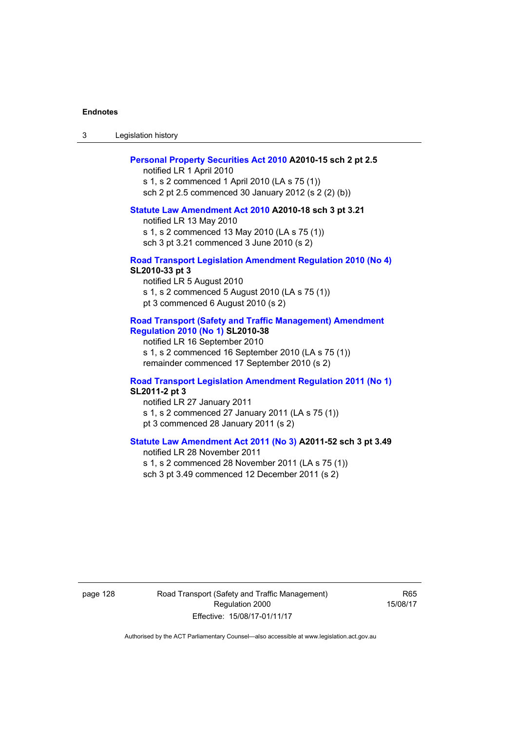3 Legislation history

#### **[Personal Property Securities Act 2010](http://www.legislation.act.gov.au/a/2010-15) A2010-15 sch 2 pt 2.5**

notified LR 1 April 2010 s 1, s 2 commenced 1 April 2010 (LA s 75 (1)) sch 2 pt 2.5 commenced 30 January 2012 (s 2 (2) (b))

### **[Statute Law Amendment Act 2010](http://www.legislation.act.gov.au/a/2010-18) A2010-18 sch 3 pt 3.21**

notified LR 13 May 2010 s 1, s 2 commenced 13 May 2010 (LA s 75 (1)) sch 3 pt 3.21 commenced 3 June 2010 (s 2)

### **[Road Transport Legislation Amendment Regulation 2010 \(No 4\)](http://www.legislation.act.gov.au/sl/2010-33) SL2010-33 pt 3**

notified LR 5 August 2010 s 1, s 2 commenced 5 August 2010 (LA s 75 (1)) pt 3 commenced 6 August 2010 (s 2)

### **[Road Transport \(Safety and Traffic Management\) Amendment](http://www.legislation.act.gov.au/sl/2010-38)  [Regulation 2010 \(No 1\)](http://www.legislation.act.gov.au/sl/2010-38) SL2010-38**

notified LR 16 September 2010 s 1, s 2 commenced 16 September 2010 (LA s 75 (1)) remainder commenced 17 September 2010 (s 2)

### **[Road Transport Legislation Amendment Regulation 2011 \(No 1\)](http://www.legislation.act.gov.au/sl/2011-2) SL2011-2 pt 3**

notified LR 27 January 2011 s 1, s 2 commenced 27 January 2011 (LA s 75 (1)) pt 3 commenced 28 January 2011 (s 2)

# **[Statute Law Amendment Act 2011 \(No 3\)](http://www.legislation.act.gov.au/a/2011-52) A2011-52 sch 3 pt 3.49**

notified LR 28 November 2011 s 1, s 2 commenced 28 November 2011 (LA s 75 (1)) sch 3 pt 3.49 commenced 12 December 2011 (s 2)

page 128 Road Transport (Safety and Traffic Management) Regulation 2000 Effective: 15/08/17-01/11/17

R65 15/08/17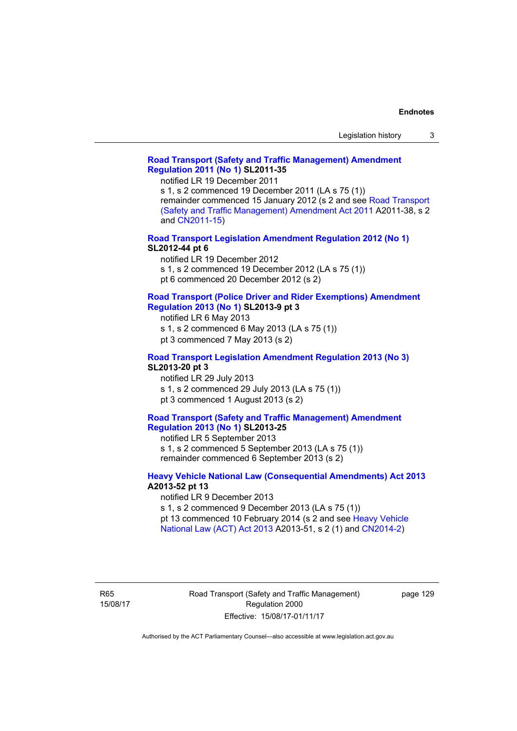### **[Road Transport \(Safety and Traffic Management\) Amendment](http://www.legislation.act.gov.au/sl/2011-35)  [Regulation 2011 \(No 1\)](http://www.legislation.act.gov.au/sl/2011-35) SL2011-35**

notified LR 19 December 2011

s 1, s 2 commenced 19 December 2011 (LA s 75 (1)) remainder commenced 15 January 2012 (s 2 and see [Road Transport](http://www.legislation.act.gov.au/a/2011-38)  [\(Safety and Traffic Management\) Amendment Act 2011](http://www.legislation.act.gov.au/a/2011-38) A2011-38, s 2 and [CN2011-15\)](http://www.legislation.act.gov.au/cn/2011-15/default.asp)

**[Road Transport Legislation Amendment Regulation 2012 \(No 1\)](http://www.legislation.act.gov.au/sl/2012-44/default.asp) SL2012-44 pt 6** 

notified LR 19 December 2012

s 1, s 2 commenced 19 December 2012 (LA s 75 (1))

pt 6 commenced 20 December 2012 (s 2)

#### **[Road Transport \(Police Driver and Rider Exemptions\) Amendment](http://www.legislation.act.gov.au/sl/2013-9/default.asp)  [Regulation 2013 \(No 1\)](http://www.legislation.act.gov.au/sl/2013-9/default.asp) SL2013-9 pt 3**

notified LR 6 May 2013

s 1, s 2 commenced 6 May 2013 (LA s 75 (1))

pt 3 commenced 7 May 2013 (s 2)

## **[Road Transport Legislation Amendment Regulation 2013 \(No 3\)](http://www.legislation.act.gov.au/sl/2013-20) SL2013-20 pt 3**

notified LR 29 July 2013 s 1, s 2 commenced 29 July 2013 (LA s 75 (1)) pt 3 commenced 1 August 2013 (s 2)

### **[Road Transport \(Safety and Traffic Management\) Amendment](http://www.legislation.act.gov.au/sl/2013-25)  [Regulation 2013 \(No 1\)](http://www.legislation.act.gov.au/sl/2013-25) SL2013-25**

notified LR 5 September 2013 s 1, s 2 commenced 5 September 2013 (LA s 75 (1)) remainder commenced 6 September 2013 (s 2)

### **[Heavy Vehicle National Law \(Consequential Amendments\) Act 2013](http://www.legislation.act.gov.au/a/2013-52) A2013-52 pt 13**

notified LR 9 December 2013

s 1, s 2 commenced 9 December 2013 (LA s 75 (1))

pt 13 commenced 10 February 2014 (s 2 and see [Heavy Vehicle](http://www.legislation.act.gov.au/a/2013-51/default.asp)  [National Law \(ACT\) Act 2013](http://www.legislation.act.gov.au/a/2013-51/default.asp) A2013-51, s 2 (1) and [CN2014-2](http://www.legislation.act.gov.au/cn/2014-2/default.asp))

R65 15/08/17 page 129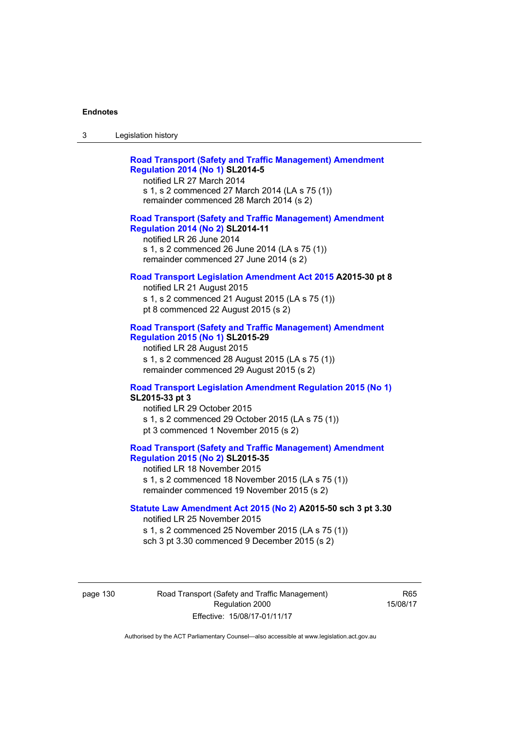| -3 | Legislation history |  |
|----|---------------------|--|
|    |                     |  |

| <b>Road Transport (Safety and Traffic Management) Amendment</b> |  |
|-----------------------------------------------------------------|--|
| <b>Regulation 2014 (No 1) SL2014-5</b>                          |  |
| notified LR 27 March 2014                                       |  |

s 1, s 2 commenced 27 March 2014 (LA s 75 (1)) remainder commenced 28 March 2014 (s 2)

### **[Road Transport \(Safety and Traffic Management\) Amendment](http://www.legislation.act.gov.au/sl/2014-11)  [Regulation 2014 \(No 2\)](http://www.legislation.act.gov.au/sl/2014-11) SL2014-11**

notified LR 26 June 2014 s 1, s 2 commenced 26 June 2014 (LA s 75 (1)) remainder commenced 27 June 2014 (s 2)

### **[Road Transport Legislation Amendment Act 2015](http://www.legislation.act.gov.au/a/2015-30/default.asp) A2015-30 pt 8**

notified LR 21 August 2015 s 1, s 2 commenced 21 August 2015 (LA s 75 (1)) pt 8 commenced 22 August 2015 (s 2)

## **[Road Transport \(Safety and Traffic Management\) Amendment](http://www.legislation.act.gov.au/sl/2015-29)  [Regulation 2015 \(No 1\)](http://www.legislation.act.gov.au/sl/2015-29) SL2015-29**

notified LR 28 August 2015 s 1, s 2 commenced 28 August 2015 (LA s 75 (1)) remainder commenced 29 August 2015 (s 2)

# **[Road Transport Legislation Amendment Regulation 2015 \(No 1\)](http://www.legislation.act.gov.au/sl/2015-33) SL2015-33 pt 3**

notified LR 29 October 2015 s 1, s 2 commenced 29 October 2015 (LA s 75 (1)) pt 3 commenced 1 November 2015 (s 2)

# **[Road Transport \(Safety and Traffic Management\) Amendment](http://www.legislation.act.gov.au/sl/2015-35)  [Regulation 2015 \(No 2\)](http://www.legislation.act.gov.au/sl/2015-35) SL2015-35**

notified LR 18 November 2015 s 1, s 2 commenced 18 November 2015 (LA s 75 (1)) remainder commenced 19 November 2015 (s 2)

## **[Statute Law Amendment Act 2015 \(No 2\)](http://www.legislation.act.gov.au/a/2015-50) A2015-50 sch 3 pt 3.30**

notified LR 25 November 2015 s 1, s 2 commenced 25 November 2015 (LA s 75 (1)) sch 3 pt 3.30 commenced 9 December 2015 (s 2)

page 130 Road Transport (Safety and Traffic Management) Regulation 2000 Effective: 15/08/17-01/11/17

R65 15/08/17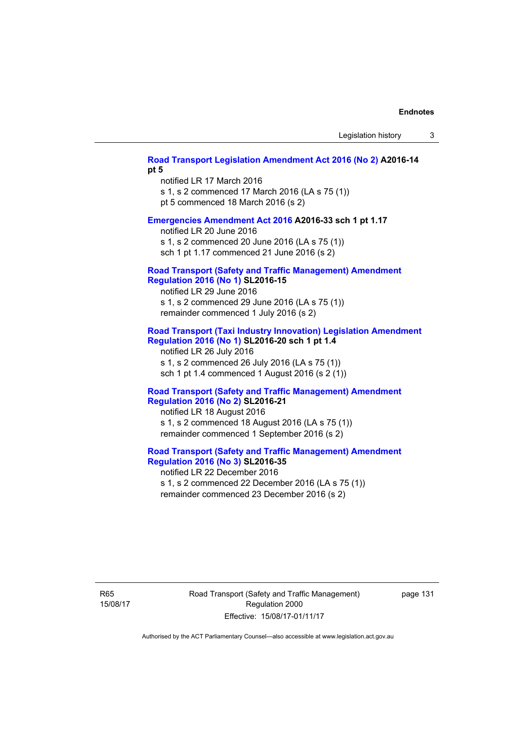## **[Road Transport Legislation Amendment Act 2016 \(No 2\)](http://www.legislation.act.gov.au/a/2016-14) A2016-14 pt 5**

notified LR 17 March 2016 s 1, s 2 commenced 17 March 2016 (LA s 75 (1)) pt 5 commenced 18 March 2016 (s 2)

### **[Emergencies Amendment Act 2016](http://www.legislation.act.gov.au/a/2016-33) A2016-33 sch 1 pt 1.17**

notified LR 20 June 2016 s 1, s 2 commenced 20 June 2016 (LA s 75 (1)) sch 1 pt 1.17 commenced 21 June 2016 (s 2)

### **[Road Transport \(Safety and Traffic Management\) Amendment](http://www.legislation.act.gov.au/sl/2016-15)  [Regulation 2016 \(No 1\)](http://www.legislation.act.gov.au/sl/2016-15) SL2016-15**

notified LR 29 June 2016 s 1, s 2 commenced 29 June 2016 (LA s 75 (1)) remainder commenced 1 July 2016 (s 2)

## **[Road Transport \(Taxi Industry Innovation\) Legislation Amendment](http://www.legislation.act.gov.au/sl/2016-20/default.asp)  [Regulation 2016 \(No 1\)](http://www.legislation.act.gov.au/sl/2016-20/default.asp) SL2016-20 sch 1 pt 1.4**

notified LR 26 July 2016 s 1, s 2 commenced 26 July 2016 (LA s 75 (1)) sch 1 pt 1.4 commenced 1 August 2016 (s 2 (1))

### **[Road Transport \(Safety and Traffic Management\) Amendment](http://www.legislation.act.gov.au/sl/2016-21/default.asp)  [Regulation 2016 \(No 2\)](http://www.legislation.act.gov.au/sl/2016-21/default.asp) SL2016-21**

notified LR 18 August 2016 s 1, s 2 commenced 18 August 2016 (LA s 75 (1)) remainder commenced 1 September 2016 (s 2)

# **[Road Transport \(Safety and Traffic Management\) Amendment](http://www.legislation.act.gov.au/sl/2016-35/default.asp)  [Regulation 2016 \(No 3\)](http://www.legislation.act.gov.au/sl/2016-35/default.asp) SL2016-35**

notified LR 22 December 2016 s 1, s 2 commenced 22 December 2016 (LA s 75 (1)) remainder commenced 23 December 2016 (s 2)

R65 15/08/17 Road Transport (Safety and Traffic Management) Regulation 2000 Effective: 15/08/17-01/11/17

page 131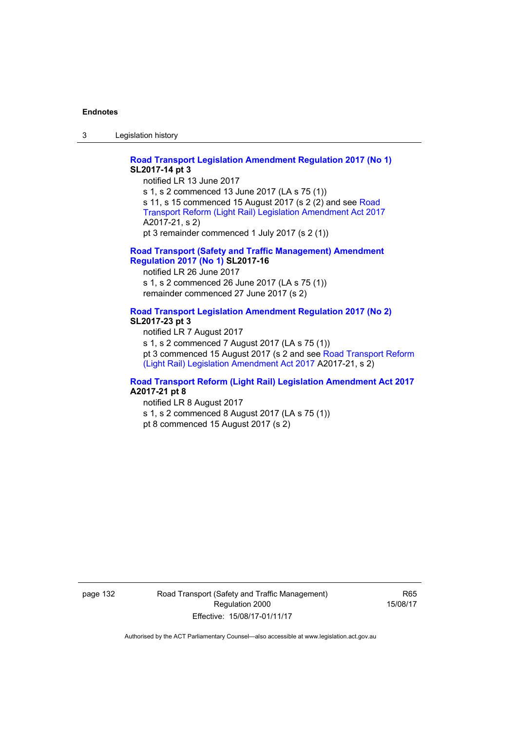3 Legislation history

## **[Road Transport Legislation Amendment Regulation 2017 \(No 1\)](http://www.legislation.act.gov.au/sl/2017-14/default.asp) SL2017-14 pt 3**

notified LR 13 June 2017 s 1, s 2 commenced 13 June 2017 (LA s 75 (1)) s 11, s 15 commenced 15 August 2017 (s 2 (2) and see [Road](http://www.legislation.act.gov.au/a/2017-21/default.asp)  [Transport Reform \(Light Rail\) Legislation Amendment Act 2017](http://www.legislation.act.gov.au/a/2017-21/default.asp) A2017-21, s 2) pt 3 remainder commenced 1 July 2017 (s 2 (1))

## **[Road Transport \(Safety and Traffic Management\) Amendment](http://www.legislation.act.gov.au/sl/2017-16/default.asp)  [Regulation 2017 \(No 1\)](http://www.legislation.act.gov.au/sl/2017-16/default.asp) SL2017-16**

notified LR 26 June 2017 s 1, s 2 commenced 26 June 2017 (LA s 75 (1)) remainder commenced 27 June 2017 (s 2)

# **[Road Transport Legislation Amendment Regulation 2017 \(No 2\)](http://www.legislation.act.gov.au/sl/2017-23/default.asp) SL2017-23 pt 3**

notified LR 7 August 2017 s 1, s 2 commenced 7 August 2017 (LA s 75 (1)) pt 3 commenced 15 August 2017 (s 2 and see [Road Transport Reform](http://www.legislation.act.gov.au/a/2017-21/default.asp)  [\(Light Rail\) Legislation Amendment Act 2017](http://www.legislation.act.gov.au/a/2017-21/default.asp) A2017-21, s 2)

## **[Road Transport Reform \(Light Rail\) Legislation Amendment Act 2017](http://www.legislation.act.gov.au/a/2017-21/default.asp) A2017-21 pt 8**

notified LR 8 August 2017 s 1, s 2 commenced 8 August 2017 (LA s 75 (1)) pt 8 commenced 15 August 2017 (s 2)

page 132 Road Transport (Safety and Traffic Management) Regulation 2000 Effective: 15/08/17-01/11/17

R65 15/08/17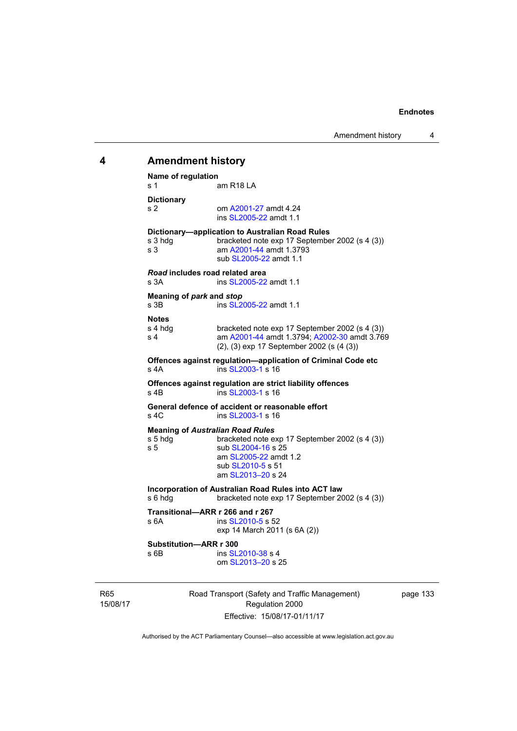# **4 Amendment history Name of regulation**  s 1 am R18 LA **Dictionary**  s 2 om [A2001-27](http://www.legislation.act.gov.au/a/2001-27) amdt 4.24 ins [SL2005-22](http://www.legislation.act.gov.au/sl/2005-22) amdt 1.1 **Dictionary—application to Australian Road Rules**  s 3 hdg bracketed note exp 17 September 2002 (s 4 (3)) s 3 am [A2001-44](http://www.legislation.act.gov.au/a/2001-44) amdt 1.3793 sub [SL2005-22](http://www.legislation.act.gov.au/sl/2005-22) amdt 1.1 *Road* **includes road related area**  s 3A **ins SL2005-22** amdt 1.1 **Meaning of** *park* **and** *stop* s 3B ins [SL2005-22](http://www.legislation.act.gov.au/sl/2005-22) amdt 1.1 **Notes**  s 4 hdg bracketed note exp 17 September 2002 (s 4 (3))<br>s 4 am A2001-44 amdt 1.3794: A2002-30 amdt 3.76 am [A2001-44](http://www.legislation.act.gov.au/a/2001-44) amdt 1.3794; [A2002-30](http://www.legislation.act.gov.au/a/2002-30) amdt 3.769 (2), (3) exp 17 September 2002 (s (4 (3)) **Offences against regulation—application of Criminal Code etc**  s 4A ins [SL2003-1](http://www.legislation.act.gov.au/sl/2003-1) s 16 **Offences against regulation are strict liability offences**  s 4B ins [SL2003-1](http://www.legislation.act.gov.au/sl/2003-1) s 16 **General defence of accident or reasonable effort**  s 4C ins [SL2003-1](http://www.legislation.act.gov.au/sl/2003-1) s 16 **Meaning of** *Australian Road Rules* s 5 hdg bracketed note exp 17 September 2002 (s 4 (3)) s 5 sub [SL2004-16](http://www.legislation.act.gov.au/sl/2004-16) s 25 am [SL2005-22](http://www.legislation.act.gov.au/sl/2005-22) amdt 1.2 sub [SL2010-5](http://www.legislation.act.gov.au/sl/2010-5) s 51 am [SL2013–20](http://www.legislation.act.gov.au/sl/2013-20) s 24 **Incorporation of Australian Road Rules into ACT law**  s 6 hdg bracketed note exp 17 September 2002 (s 4 (3)) **Transitional—ARR r 266 and r 267**  s 6A ins [SL2010-5](http://www.legislation.act.gov.au/sl/2010-5) s 52 exp 14 March 2011 (s 6A (2)) **Substitution—ARR r 300**  s 6B ins [SL2010-38](http://www.legislation.act.gov.au/sl/2010-38) s 4 om [SL2013–20](http://www.legislation.act.gov.au/sl/2013-20) s 25

page 133

R65 15/08/17 Road Transport (Safety and Traffic Management) Regulation 2000 Effective: 15/08/17-01/11/17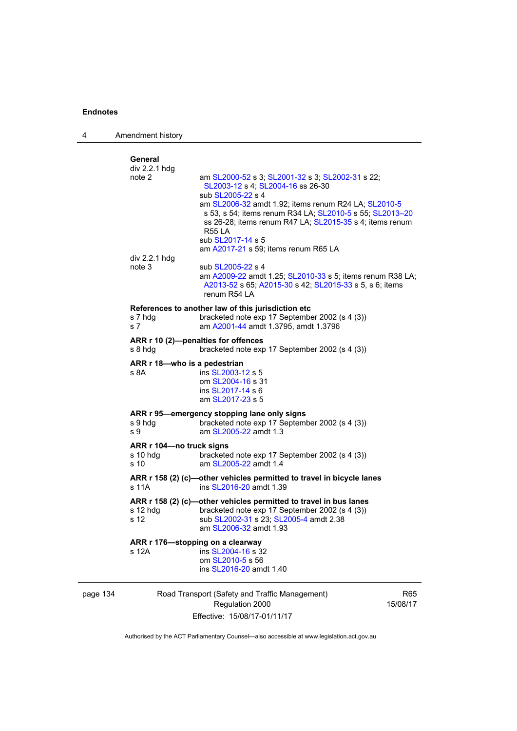4 Amendment history

|          | General                              |                                                                                                                  |            |
|----------|--------------------------------------|------------------------------------------------------------------------------------------------------------------|------------|
|          | div 2.2.1 hdg                        |                                                                                                                  |            |
|          | note 2                               | am SL2000-52 s 3; SL2001-32 s 3; SL2002-31 s 22;                                                                 |            |
|          |                                      | SL2003-12 s 4; SL2004-16 ss 26-30                                                                                |            |
|          |                                      | sub SL2005-22 s 4                                                                                                |            |
|          |                                      | am SL2006-32 amdt 1.92; items renum R24 LA; SL2010-5<br>s 53, s 54; items renum R34 LA; SL2010-5 s 55; SL2013-20 |            |
|          |                                      | ss 26-28; items renum R47 LA; SL2015-35 s 4; items renum                                                         |            |
|          |                                      | <b>R55 LA</b>                                                                                                    |            |
|          |                                      | sub SL2017-14 s 5                                                                                                |            |
|          |                                      | am A2017-21 s 59; items renum R65 LA                                                                             |            |
|          | div 2.2.1 hdg                        |                                                                                                                  |            |
|          | note 3                               | sub SL2005-22 s 4                                                                                                |            |
|          |                                      | am A2009-22 amdt 1.25; SL2010-33 s 5; items renum R38 LA;                                                        |            |
|          |                                      | A2013-52 s 65; A2015-30 s 42; SL2015-33 s 5, s 6; items                                                          |            |
|          |                                      | renum R54 LA                                                                                                     |            |
|          |                                      | References to another law of this jurisdiction etc                                                               |            |
|          | s 7 hdg                              | bracketed note exp 17 September 2002 (s 4 (3))                                                                   |            |
|          | s 7                                  | am A2001-44 amdt 1.3795, amdt 1.3796                                                                             |            |
|          | ARR r 10 (2)-penalties for offences  |                                                                                                                  |            |
|          | s 8 hdg                              | bracketed note exp 17 September 2002 (s 4 (3))                                                                   |            |
|          |                                      |                                                                                                                  |            |
|          | ARR r 18-who is a pedestrian<br>s 8A | ins SL2003-12 s 5                                                                                                |            |
|          |                                      | om SL2004-16 s 31                                                                                                |            |
|          |                                      | ins SL2017-14 s 6                                                                                                |            |
|          |                                      | am SL2017-23 s 5                                                                                                 |            |
|          |                                      | ARR r 95-emergency stopping lane only signs                                                                      |            |
|          | s 9 hdg                              | bracketed note exp 17 September 2002 (s 4 (3))                                                                   |            |
|          | s 9                                  | am SL2005-22 amdt 1.3                                                                                            |            |
|          |                                      |                                                                                                                  |            |
|          | ARR r 104-no truck signs<br>s 10 hdg | bracketed note exp 17 September 2002 (s 4 (3))                                                                   |            |
|          | s 10                                 | am SL2005-22 amdt 1.4                                                                                            |            |
|          |                                      |                                                                                                                  |            |
|          | s 11A                                | ARR r 158 (2) (c)-other vehicles permitted to travel in bicycle lanes<br>ins SL2016-20 amdt 1.39                 |            |
|          |                                      |                                                                                                                  |            |
|          |                                      | ARR r 158 (2) (c)-other vehicles permitted to travel in bus lanes                                                |            |
|          | s 12 hdg                             | bracketed note exp 17 September 2002 (s 4 (3))                                                                   |            |
|          | s 12                                 | sub SL2002-31 s 23; SL2005-4 amdt 2.38                                                                           |            |
|          |                                      | am SL2006-32 amdt 1.93                                                                                           |            |
|          | ARR r 176-stopping on a clearway     |                                                                                                                  |            |
|          | s 12A                                | ins SL2004-16 s 32                                                                                               |            |
|          |                                      | om SL2010-5 s 56<br>ins SL2016-20 amdt 1.40                                                                      |            |
|          |                                      |                                                                                                                  |            |
|          |                                      |                                                                                                                  |            |
| page 134 |                                      | Road Transport (Safety and Traffic Management)                                                                   | <b>R65</b> |
|          |                                      | Regulation 2000                                                                                                  | 15/08/17   |

Authorised by the ACT Parliamentary Counsel—also accessible at www.legislation.act.gov.au

Effective: 15/08/17-01/11/17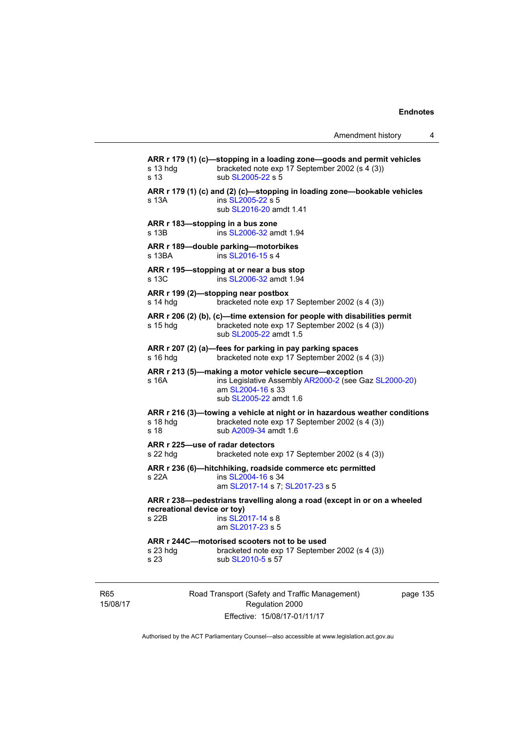**ARR r 179 (1) (c)—stopping in a loading zone—goods and permit vehicles**  s 13 hdg bracketed note exp 17 September 2002 (s 4 (3)) s 13 sub [SL2005-22](http://www.legislation.act.gov.au/sl/2005-22) s 5 **ARR r 179 (1) (c) and (2) (c)—stopping in loading zone—bookable vehicles**  s 13A ins [SL2005-22](http://www.legislation.act.gov.au/sl/2005-22) s 5 sub [SL2016-20](http://www.legislation.act.gov.au/sl/2016-20) amdt 1.41 **ARR r 183—stopping in a bus zone**  s 13B ins [SL2006-32](http://www.legislation.act.gov.au/sl/2006-32) amdt 1.94 **ARR r 189—double parking—motorbikes**  s 13BA ins [SL2016-15](http://www.legislation.act.gov.au/sl/2016-15) s 4 **ARR r 195—stopping at or near a bus stop**  s 13C ins [SL2006-32](http://www.legislation.act.gov.au/sl/2006-32) amdt 1.94 **ARR r 199 (2)—stopping near postbox**  s 14 hdg bracketed note exp 17 September 2002 (s 4 (3)) **ARR r 206 (2) (b), (c)—time extension for people with disabilities permit**  s 15 hdg bracketed note exp 17 September 2002 (s 4 (3)) sub [SL2005-22](http://www.legislation.act.gov.au/sl/2005-22) amdt 1.5 **ARR r 207 (2) (a)—fees for parking in pay parking spaces**  s 16 hdg bracketed note exp 17 September 2002 (s 4 (3)) **ARR r 213 (5)—making a motor vehicle secure—exception**  s 16A ins Legislative Assembly [AR2000-2](http://www.legislation.act.gov.au/ar/2000-2/default.asp) (see Gaz [SL2000-20\)](http://www.legislation.act.gov.au/sl/2000-20) am [SL2004-16](http://www.legislation.act.gov.au/sl/2004-16) s 33 sub [SL2005-22](http://www.legislation.act.gov.au/sl/2005-22) amdt 1.6 **ARR r 216 (3)—towing a vehicle at night or in hazardous weather conditions**  s 18 hdg bracketed note exp 17 September 2002 (s 4 (3)) s 18 sub [A2009-34](http://www.legislation.act.gov.au/a/2009-34) amdt 1.6 **ARR r 225—use of radar detectors**  s 22 hdg bracketed note exp 17 September 2002 (s 4 (3)) **ARR r 236 (6)—hitchhiking, roadside commerce etc permitted**  s 22A **ins [SL2004-16](http://www.legislation.act.gov.au/sl/2004-16) s** 34 am [SL2017-14](http://www.legislation.act.gov.au/sl/2017-14/default.asp) s 7; [SL2017-23](http://www.legislation.act.gov.au/sl/2017-23/default.asp) s 5 **ARR r 238—pedestrians travelling along a road (except in or on a wheeled recreational device or toy)**<br> **s** 22B **ins SI** 20 ins [SL2017-14](http://www.legislation.act.gov.au/sl/2017-14/default.asp) s 8 am [SL2017-23](http://www.legislation.act.gov.au/sl/2017-23/default.asp) s 5 **ARR r 244C—motorised scooters not to be used**  bracketed note exp 17 September 2002 (s 4 (3)) s 23 sub [SL2010-5](http://www.legislation.act.gov.au/sl/2010-5) s 57

R65 15/08/17 Road Transport (Safety and Traffic Management) Regulation 2000 Effective: 15/08/17-01/11/17

page 135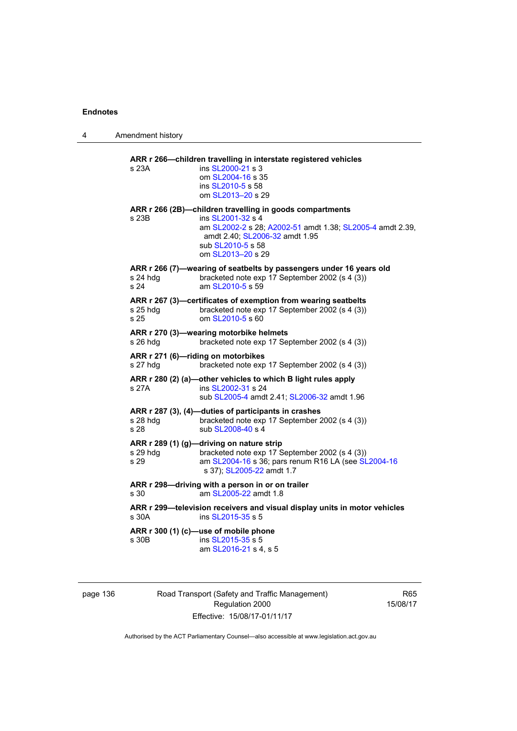4 Amendment history

| s 23A            | ins SL2000-21 s 3<br>om SL2004-16 s 35<br>ins SL2010-5 s 58<br>om SL2013-20 s 29                                                                                                                                       |
|------------------|------------------------------------------------------------------------------------------------------------------------------------------------------------------------------------------------------------------------|
| s 23B            | ARR r 266 (2B)-children travelling in goods compartments<br>ins SL2001-32 s 4<br>am SL2002-2 s 28; A2002-51 amdt 1.38; SL2005-4 amdt 2.39,<br>amdt 2.40; SL2006-32 amdt 1.95<br>sub SL2010-5 s 58<br>om SL2013-20 s 29 |
| s 24 hdg<br>s 24 | ARR r 266 (7)-wearing of seatbelts by passengers under 16 years old<br>bracketed note exp 17 September 2002 (s 4 (3))<br>am SL2010-5 s 59                                                                              |
| s 25 hdg<br>s 25 | ARR r 267 (3)-certificates of exemption from wearing seatbelts<br>bracketed note exp 17 September 2002 (s 4 (3))<br>om SL2010-5 s 60                                                                                   |
| s 26 hdg         | ARR r 270 (3)-wearing motorbike helmets<br>bracketed note exp 17 September 2002 (s 4 (3))                                                                                                                              |
| s 27 hdg         | ARR r 271 (6)-riding on motorbikes<br>bracketed note exp 17 September 2002 (s 4 (3))                                                                                                                                   |
| s 27A            | ARR r 280 (2) (a)-other vehicles to which B light rules apply<br>ins SL2002-31 s 24<br>sub SL2005-4 amdt 2.41; SL2006-32 amdt 1.96                                                                                     |
| s 28 hdg<br>s 28 | ARR r 287 (3), (4)-duties of participants in crashes<br>bracketed note exp 17 September 2002 (s 4 (3))<br>sub SL2008-40 s 4                                                                                            |
| s 29 hdg<br>s 29 | ARR r 289 (1) (g)-driving on nature strip<br>bracketed note exp 17 September 2002 (s 4 (3))<br>am SL2004-16 s 36; pars renum R16 LA (see SL2004-16<br>s 37); SL2005-22 amdt 1.7                                        |
| s 30             | ARR r 298-driving with a person in or on trailer<br>am SL2005-22 amdt 1.8                                                                                                                                              |
| s 30A            | ARR r 299-television receivers and visual display units in motor vehicles<br>ins SL2015-35 s 5                                                                                                                         |
| s 30B            | ARR r 300 (1) (c)-use of mobile phone<br>ins SL2015-35 s 5<br>am SL2016-21 s 4, s 5                                                                                                                                    |

page 136 Road Transport (Safety and Traffic Management) Regulation 2000 Effective: 15/08/17-01/11/17

R65 15/08/17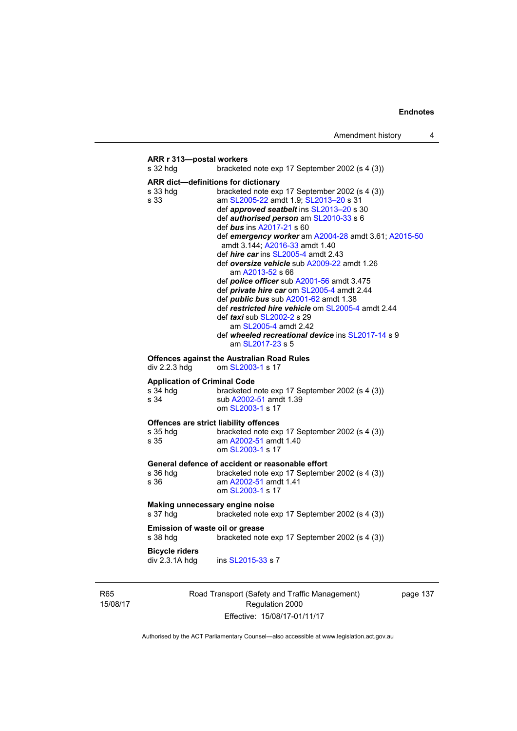# **ARR r 313—postal workers**  s 32 hdg bracketed note exp 17 September 2002 (s 4 (3)) **ARR dict—definitions for dictionary**  s 33 hdg bracketed note exp 17 September 2002 (s 4 (3)) s 33 **am [SL2005-22](http://www.legislation.act.gov.au/sl/2005-22)** amdt 1.9; SL2013-20 s 31 def *approved seatbelt* ins [SL2013–20](http://www.legislation.act.gov.au/sl/2013-20) s 30 def *authorised person* am [SL2010-33](http://www.legislation.act.gov.au/sl/2010-33) s 6 def *bus* ins [A2017-21](http://www.legislation.act.gov.au/a/2017-21/default.asp) s 60 def *emergency worker* am [A2004-28](http://www.legislation.act.gov.au/a/2004-28) amdt 3.61; [A2015-50](http://www.legislation.act.gov.au/a/2015-50) amdt 3.144; [A2016-33](http://www.legislation.act.gov.au/a/2016-33/default.asp) amdt 1.40 def *hire car* ins [SL2005-4](http://www.legislation.act.gov.au/sl/2005-4) amdt 2.43 def *oversize vehicle* sub [A2009-22](http://www.legislation.act.gov.au/a/2009-22) amdt 1.26 am [A2013-52](http://www.legislation.act.gov.au/a/2013-52) s 66 def *police officer* sub [A2001-56](http://www.legislation.act.gov.au/a/2001-56) amdt 3.475 def *private hire car* om [SL2005-4](http://www.legislation.act.gov.au/sl/2005-4) amdt 2.44 def *public bus* sub [A2001-62](http://www.legislation.act.gov.au/a/2001-62) amdt 1.38 def *restricted hire vehicle* om [SL2005-4](http://www.legislation.act.gov.au/sl/2005-4) amdt 2.44 def *taxi* sub [SL2002-2](http://www.legislation.act.gov.au/sl/2002-2) s 29 am [SL2005-4](http://www.legislation.act.gov.au/sl/2005-4) amdt 2.42 def *wheeled recreational device* ins [SL2017-14](http://www.legislation.act.gov.au/sl/2017-14/default.asp) s 9 am [SL2017-23](http://www.legislation.act.gov.au/sl/2017-23/default.asp) s 5 **Offences against the Australian Road Rules**  div 2.2.3 hdg om [SL2003-1](http://www.legislation.act.gov.au/sl/2003-1) s 17 **Application of Criminal Code**  s 34 hdg bracketed note exp 17 September 2002 (s 4 (3)) s 34 sub [A2002-51](http://www.legislation.act.gov.au/a/2002-51) amdt 1.39 om [SL2003-1](http://www.legislation.act.gov.au/sl/2003-1) s 17 **Offences are strict liability offences**  s 35 hdg bracketed note exp 17 September 2002 (s 4 (3)) s 35 am [A2002-51](http://www.legislation.act.gov.au/a/2002-51) amdt 1.40 om [SL2003-1](http://www.legislation.act.gov.au/sl/2003-1) s 17 **General defence of accident or reasonable effort**  bracketed note exp 17 September 2002 (s 4 (3)) s 36 am [A2002-51](http://www.legislation.act.gov.au/a/2002-51) amdt 1.41 om [SL2003-1](http://www.legislation.act.gov.au/sl/2003-1) s 17 **Making unnecessary engine noise**  s 37 hdg bracketed note exp 17 September 2002 (s 4 (3)) **Emission of waste oil or grease**  s 38 hdg bracketed note exp 17 September 2002 (s 4 (3)) **Bicycle riders**  div 2.3.1A hdg ins [SL2015-33](http://www.legislation.act.gov.au/sl/2015-33) s 7

R65 15/08/17 Road Transport (Safety and Traffic Management) Regulation 2000 Effective: 15/08/17-01/11/17

page 137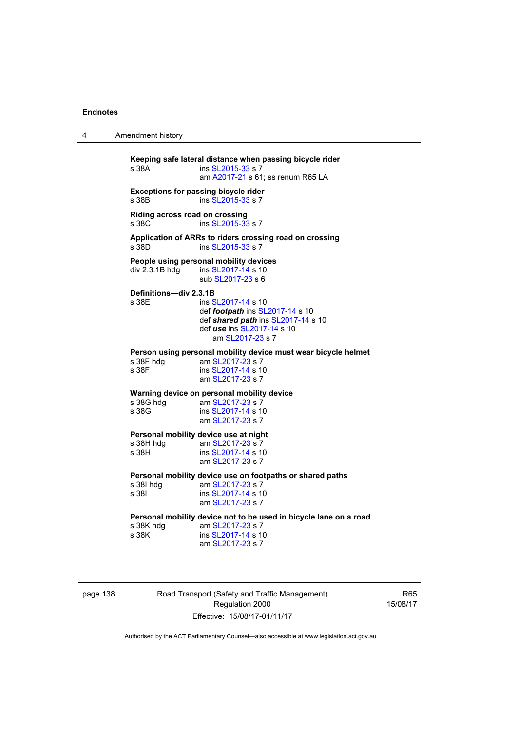4 Amendment history

**Keeping safe lateral distance when passing bicycle rider**  ins [SL2015-33](http://www.legislation.act.gov.au/sl/2015-33) s 7 am [A2017-21](http://www.legislation.act.gov.au/a/2017-21/default.asp) s 61; ss renum R65 LA **Exceptions for passing bicycle rider**  s 38B ins [SL2015-33](http://www.legislation.act.gov.au/sl/2015-33) s 7 **Riding across road on crossing**  s 38C ins [SL2015-33](http://www.legislation.act.gov.au/sl/2015-33) s 7 **Application of ARRs to riders crossing road on crossing**  s 38D ins [SL2015-33](http://www.legislation.act.gov.au/sl/2015-33) s 7 **People using personal mobility devices**  div 2.3.1B hdg ins [SL2017-14](http://www.legislation.act.gov.au/sl/2017-14/default.asp) s 10 sub [SL2017-23](http://www.legislation.act.gov.au/sl/2017-23/default.asp) s 6 **Definitions—div 2.3.1B**  s 38E ins [SL2017-14](http://www.legislation.act.gov.au/sl/2017-14/default.asp) s 10 def *footpath* ins [SL2017-14](http://www.legislation.act.gov.au/sl/2017-14/default.asp) s 10 def *shared path* ins [SL2017-14](http://www.legislation.act.gov.au/sl/2017-14/default.asp) s 10 def *use* ins [SL2017-14](http://www.legislation.act.gov.au/sl/2017-14/default.asp) s 10 am [SL2017-23](http://www.legislation.act.gov.au/sl/2017-23/default.asp) s 7 **Person using personal mobility device must wear bicycle helmet**  am [SL2017-23](http://www.legislation.act.gov.au/sl/2017-23/default.asp) s 7 s 38F ins [SL2017-14](http://www.legislation.act.gov.au/sl/2017-14/default.asp) s 10 am [SL2017-23](http://www.legislation.act.gov.au/sl/2017-23/default.asp) s 7 **Warning device on personal mobility device**<br>s 38G hdg am SL2017-23 s 7 am [SL2017-23](http://www.legislation.act.gov.au/sl/2017-23/default.asp) s 7 s 38G ins [SL2017-14](http://www.legislation.act.gov.au/sl/2017-14/default.asp) s 10 am [SL2017-23](http://www.legislation.act.gov.au/sl/2017-23/default.asp) s 7 **Personal mobility device use at night**<br>s 38H hdq am SL2017-23 s 7 s 38H hdg am [SL2017-23](http://www.legislation.act.gov.au/sl/2017-23/default.asp) s 7<br>s 38H ins SI 2017-14 s 10 ins [SL2017-14](http://www.legislation.act.gov.au/sl/2017-14/default.asp) s 10 am [SL2017-23](http://www.legislation.act.gov.au/sl/2017-23/default.asp) s 7 **Personal mobility device use on footpaths or shared paths**  s 38I hdg am [SL2017-23](http://www.legislation.act.gov.au/sl/2017-23/default.asp) s 7 s 38I ins [SL2017-14](http://www.legislation.act.gov.au/sl/2017-14/default.asp) s 10 am [SL2017-23](http://www.legislation.act.gov.au/sl/2017-23/default.asp) s 7 **Personal mobility device not to be used in bicycle lane on a road**  s 38K hdg am [SL2017-23](http://www.legislation.act.gov.au/sl/2017-23/default.asp) s 7<br>s 38K ins SL2017-14 s 1 ins [SL2017-14](http://www.legislation.act.gov.au/sl/2017-14/default.asp) s 10 am [SL2017-23](http://www.legislation.act.gov.au/sl/2017-23/default.asp) s 7

page 138 Road Transport (Safety and Traffic Management) Regulation 2000 Effective: 15/08/17-01/11/17

R65 15/08/17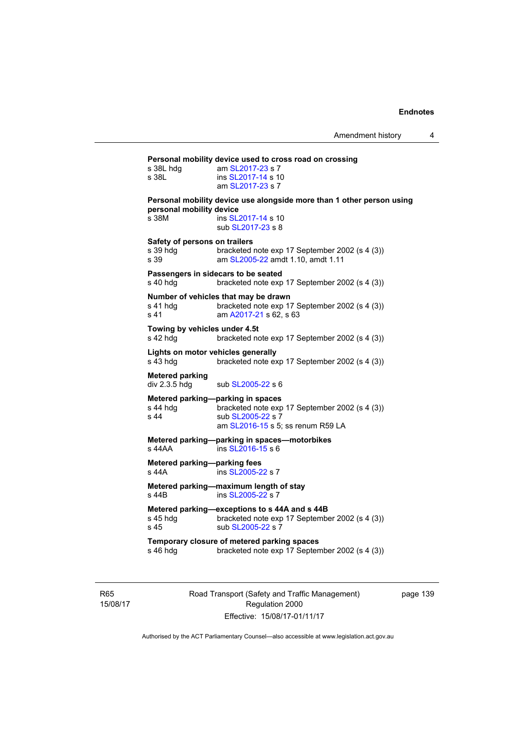| s 38L hda<br>s 38L                                | am SL2017-23 s 7<br>ins SL2017-14 s 10<br>am SL2017-23 s 7                                                                                    |
|---------------------------------------------------|-----------------------------------------------------------------------------------------------------------------------------------------------|
| personal mobility device<br>s 38M                 | Personal mobility device use alongside more than 1 other person using<br>ins SL2017-14 s 10<br>sub SL2017-23 s 8                              |
| Safety of persons on trailers<br>s 39 hdg<br>s 39 | bracketed note exp 17 September 2002 (s 4 (3))<br>am SL2005-22 amdt 1.10, amdt 1.11                                                           |
| s 40 hdg                                          | Passengers in sidecars to be seated<br>bracketed note exp 17 September 2002 (s 4 (3))                                                         |
| s 41 hdg<br>s 41                                  | Number of vehicles that may be drawn<br>bracketed note exp 17 September 2002 (s 4 (3))<br>am A2017-21 s 62, s 63                              |
| Towing by vehicles under 4.5t<br>s 42 hdg         | bracketed note exp 17 September 2002 (s 4 (3))                                                                                                |
| s 43 hdg                                          | Lights on motor vehicles generally<br>bracketed note exp 17 September 2002 (s 4 (3))                                                          |
| Metered parking<br>div 2.3.5 hdg                  | sub SL2005-22 s 6                                                                                                                             |
| s 44 hdg<br>s 44                                  | Metered parking-parking in spaces<br>bracketed note exp 17 September 2002 (s 4 (3))<br>sub SL2005-22 s 7<br>am SL2016-15 s 5; ss renum R59 LA |
| s 44AA                                            | Metered parking-parking in spaces-motorbikes<br>ins SL2016-15 s 6                                                                             |
| Metered parking-parking fees<br>s 44A             | ins SL2005-22 s 7                                                                                                                             |
| s 44B                                             | Metered parking-maximum length of stay<br>ins SL2005-22 s 7                                                                                   |
| s 45 hdq<br>s 45                                  | Metered parking—exceptions to s 44A and s 44B<br>bracketed note exp 17 September 2002 (s 4 (3))<br>sub SL2005-22 s 7                          |
| s 46 hdg                                          | Temporary closure of metered parking spaces<br>bracketed note exp 17 September 2002 (s 4 (3))                                                 |

R65 15/08/17 Road Transport (Safety and Traffic Management) Regulation 2000 Effective: 15/08/17-01/11/17

page 139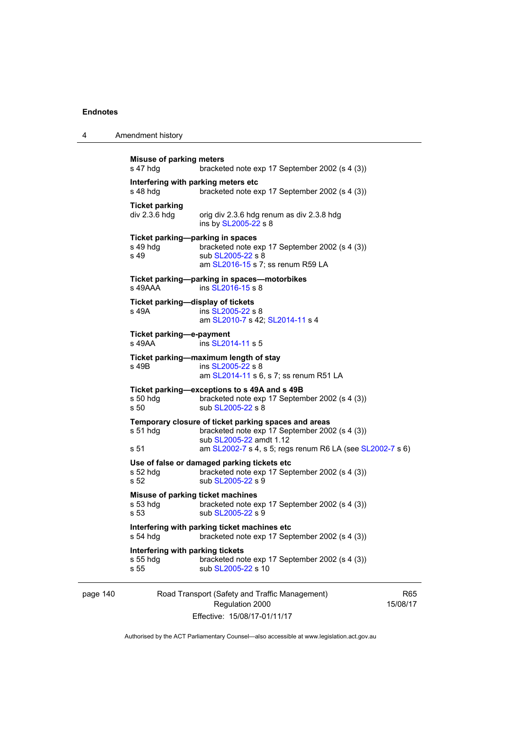page 140

| 4 | Amendment history |
|---|-------------------|
|   |                   |

| <b>Misuse of parking meters</b><br>s 47 hdg                       | bracketed note exp 17 September 2002 (s 4 (3))                                                                                                                                                 |                           |
|-------------------------------------------------------------------|------------------------------------------------------------------------------------------------------------------------------------------------------------------------------------------------|---------------------------|
| Interfering with parking meters etc<br>s 48 hdg                   | bracketed note exp 17 September 2002 (s 4 (3))                                                                                                                                                 |                           |
| <b>Ticket parking</b><br>div 2.3.6 hdg                            | orig div 2.3.6 hdg renum as div 2.3.8 hdg<br>ins by SL2005-22 s 8                                                                                                                              |                           |
| Ticket parking-parking in spaces<br>s 49 hda<br>s 49              | bracketed note exp 17 September 2002 (s 4 (3))<br>sub SL2005-22 s 8<br>am SL2016-15 s 7; ss renum R59 LA                                                                                       |                           |
| s 49AAA                                                           | Ticket parking-parking in spaces-motorbikes<br>ins SL2016-15 s 8                                                                                                                               |                           |
| Ticket parking-display of tickets<br>s 49A                        | ins SL2005-22 s 8<br>am SL2010-7 s 42; SL2014-11 s 4                                                                                                                                           |                           |
| Ticket parking-e-payment<br>s 49AA                                | ins SL2014-11 s 5                                                                                                                                                                              |                           |
| s 49B                                                             | Ticket parking-maximum length of stay<br>ins SL2005-22 s 8<br>am SL2014-11 s 6, s 7; ss renum R51 LA                                                                                           |                           |
| s 50 hdg<br>s 50                                                  | Ticket parking-exceptions to s 49A and s 49B<br>bracketed note exp 17 September 2002 (s 4 (3))<br>sub SL2005-22 s 8                                                                            |                           |
| $s51$ hdg<br>s 51                                                 | Temporary closure of ticket parking spaces and areas<br>bracketed note exp 17 September 2002 (s 4 (3))<br>sub SL2005-22 amdt 1.12<br>am SL2002-7 s 4, s 5; regs renum R6 LA (see SL2002-7 s 6) |                           |
| $s52$ hdg<br>s 52                                                 | Use of false or damaged parking tickets etc<br>bracketed note exp 17 September 2002 (s 4 (3))<br>sub SL2005-22 s 9                                                                             |                           |
| Misuse of parking ticket machines<br>$s53$ hdg<br>s <sub>53</sub> | bracketed note exp 17 September 2002 (s 4 (3))<br>sub SL2005-22 s 9                                                                                                                            |                           |
| s 54 hdg                                                          | Interfering with parking ticket machines etc<br>bracketed note exp 17 September 2002 (s 4 (3))                                                                                                 |                           |
| Interfering with parking tickets<br>s 55 hdg<br>s 55              | bracketed note exp 17 September 2002 (s 4 (3))<br>sub SL2005-22 s 10                                                                                                                           |                           |
|                                                                   | Road Transport (Safety and Traffic Management)<br>Regulation 2000                                                                                                                              | R <sub>6</sub><br>15/08/1 |

Effective: 15/08/17-01/11/17

 $65$ 15/08/17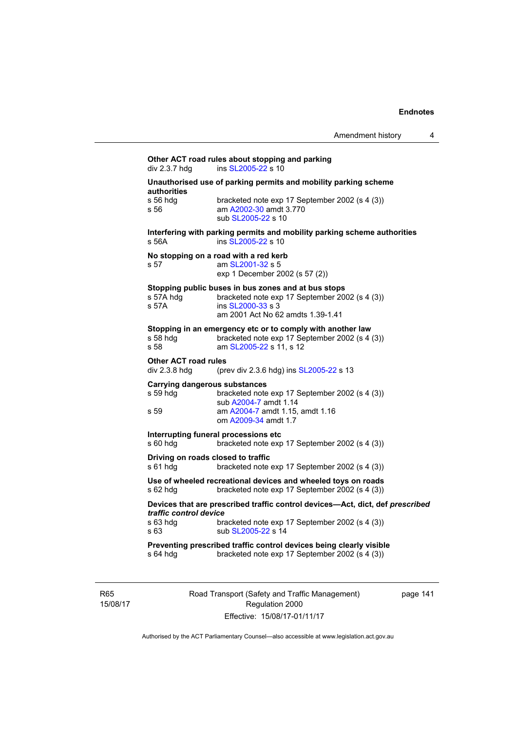# **Other ACT road rules about stopping and parking div 2.3.7 hdg and state ins SL2005-22 s 10** ins  $SL2005-22$  s 10 **Unauthorised use of parking permits and mobility parking scheme authorities**  s 56 hdg bracketed note exp 17 September 2002 (s 4 (3)) s 56 am [A2002-30](http://www.legislation.act.gov.au/a/2002-30) amdt 3.770 sub [SL2005-22](http://www.legislation.act.gov.au/sl/2005-22) s 10 **Interfering with parking permits and mobility parking scheme authorities**  s 56A ins [SL2005-22](http://www.legislation.act.gov.au/sl/2005-22) s 10 **No stopping on a road with a red kerb**  s 57 am [SL2001-32](http://www.legislation.act.gov.au/sl/2001-32) s 5 exp 1 December 2002 (s 57 (2)) **Stopping public buses in bus zones and at bus stops**  s 57A hdg bracketed note exp 17 September 2002 (s 4 (3)) s 57A ins [SL2000-33](http://www.legislation.act.gov.au/sl/2000-33) s 3 am 2001 Act No 62 amdts 1.39-1.41 **Stopping in an emergency etc or to comply with another law**  s 58 hdg bracketed note exp 17 September 2002 (s 4 (3))<br>s 58 **bracketed note 51 2005-22 s** 11 s 12 am [SL2005-22](http://www.legislation.act.gov.au/sl/2005-22) s 11, s 12 **Other ACT road rules**  div 2.3.8 hdg (prev div 2.3.6 hdg) ins [SL2005-22](http://www.legislation.act.gov.au/sl/2005-22) s 13 **Carrying dangerous substances**  s 59 hdg bracketed note exp 17 September 2002 (s 4 (3)) sub [A2004-7](http://www.legislation.act.gov.au/a/2004-7) amdt 1.14 s 59 am [A2004-7](http://www.legislation.act.gov.au/a/2004-7) amdt 1.15, amdt 1.16 om [A2009-34](http://www.legislation.act.gov.au/a/2009-34) amdt 1.7 **Interrupting funeral processions etc**  s 60 hdg bracketed note exp 17 September 2002 (s 4 (3)) **Driving on roads closed to traffic**  s 61 hdg bracketed note exp 17 September 2002 (s 4 (3)) **Use of wheeled recreational devices and wheeled toys on roads**  s 62 hdg bracketed note exp 17 September 2002 (s 4 (3)) **Devices that are prescribed traffic control devices—Act, dict, def** *prescribed traffic control device* s 63 hdg bracketed note exp 17 September 2002 (s 4 (3)) s 63 sub [SL2005-22](http://www.legislation.act.gov.au/sl/2005-22) s 14 **Preventing prescribed traffic control devices being clearly visible**  s 64 hdg bracketed note exp 17 September 2002 (s 4 (3))

R65 15/08/17 Road Transport (Safety and Traffic Management) Regulation 2000 Effective: 15/08/17-01/11/17

page 141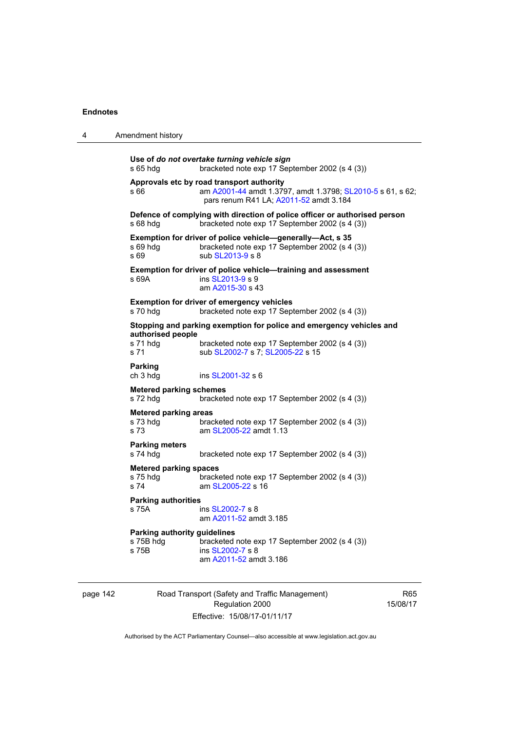| 4 | Amendment history                                         |                                                                                                                                                            |
|---|-----------------------------------------------------------|------------------------------------------------------------------------------------------------------------------------------------------------------------|
|   | s 65 hdg                                                  | Use of do not overtake turning vehicle sign<br>bracketed note exp 17 September 2002 (s 4 (3))                                                              |
|   | s 66                                                      | Approvals etc by road transport authority<br>am A2001-44 amdt 1.3797, amdt 1.3798; SL2010-5 s 61, s 62;<br>pars renum R41 LA; A2011-52 amdt 3.184          |
|   | s 68 hdg                                                  | Defence of complying with direction of police officer or authorised person<br>bracketed note exp 17 September 2002 (s 4 (3))                               |
|   | s 69 hdg<br>s 69                                          | Exemption for driver of police vehicle-generally-Act, s 35<br>bracketed note exp 17 September 2002 (s 4 (3))<br>sub SL2013-9 s 8                           |
|   | s 69A                                                     | Exemption for driver of police vehicle-training and assessment<br>ins SL2013-9 s 9<br>am A2015-30 s 43                                                     |
|   | s 70 hdg                                                  | <b>Exemption for driver of emergency vehicles</b><br>bracketed note exp 17 September 2002 (s 4 (3))                                                        |
|   | authorised people<br>s 71 hdg<br>s 71                     | Stopping and parking exemption for police and emergency vehicles and<br>bracketed note exp 17 September 2002 (s 4 (3))<br>sub SL2002-7 s 7; SL2005-22 s 15 |
|   | <b>Parking</b><br>ch 3 hdg                                | ins SL2001-32 s 6                                                                                                                                          |
|   | <b>Metered parking schemes</b><br>s 72 hdg                | bracketed note exp 17 September 2002 (s 4 (3))                                                                                                             |
|   | <b>Metered parking areas</b><br>s 73 hdg<br>s 73          | bracketed note exp 17 September 2002 (s 4 (3))<br>am SL2005-22 amdt 1.13                                                                                   |
|   | <b>Parking meters</b><br>s 74 hdg                         | bracketed note exp 17 September 2002 (s 4 (3))                                                                                                             |
|   | <b>Metered parking spaces</b><br>s 75 hdg<br>s 74         | bracketed note exp 17 September 2002 (s 4 (3))<br>am SL2005-22 s 16                                                                                        |
|   | <b>Parking authorities</b><br>s 75A                       | ins SL2002-7 s 8<br>am A2011-52 amdt 3.185                                                                                                                 |
|   | <b>Parking authority guidelines</b><br>s 75B hdg<br>s 75B | bracketed note exp 17 September 2002 (s 4 (3))<br>ins SL2002-7 s 8<br>am A2011-52 amdt 3.186                                                               |

page 142 Road Transport (Safety and Traffic Management) Regulation 2000 Effective: 15/08/17-01/11/17

R65 15/08/17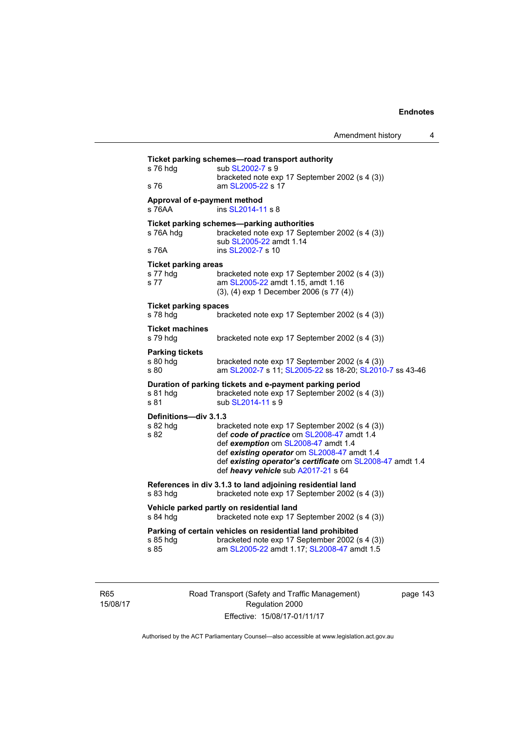| s 76 hdg                                        | sub SL2002-7 s 9                                                                                                                                                                                                                     |
|-------------------------------------------------|--------------------------------------------------------------------------------------------------------------------------------------------------------------------------------------------------------------------------------------|
| s 76                                            | bracketed note exp 17 September 2002 (s 4 (3))<br>am SL2005-22 s 17                                                                                                                                                                  |
| Approval of e-payment method<br>s 76AA          | ins SL2014-11 s 8                                                                                                                                                                                                                    |
| s 76A hdg                                       | Ticket parking schemes-parking authorities<br>bracketed note exp 17 September 2002 (s 4 (3))<br>sub SL2005-22 amdt 1.14                                                                                                              |
| s 76A                                           | ins SL2002-7 s 10                                                                                                                                                                                                                    |
| <b>Ticket parking areas</b><br>s 77 hdg<br>s 77 | bracketed note exp 17 September 2002 (s 4 (3))<br>am SL2005-22 amdt 1.15, amdt 1.16<br>(3), (4) exp 1 December 2006 (s 77 (4))                                                                                                       |
| <b>Ticket parking spaces</b><br>s 78 hdg        | bracketed note exp 17 September 2002 (s 4 (3))                                                                                                                                                                                       |
| <b>Ticket machines</b><br>s 79 hdg              | bracketed note exp 17 September 2002 (s 4 (3))                                                                                                                                                                                       |
| <b>Parking tickets</b><br>s 80 hdg<br>s 80      | bracketed note exp 17 September 2002 (s 4 (3))<br>am SL2002-7 s 11; SL2005-22 ss 18-20; SL2010-7 ss 43-46                                                                                                                            |
| s 81 hdg<br>s 81                                | Duration of parking tickets and e-payment parking period<br>bracketed note exp 17 September 2002 (s 4 (3))<br>sub SL2014-11 s 9                                                                                                      |
| Definitions-div 3.1.3<br>s 82 hdg               | bracketed note exp 17 September 2002 (s 4 (3))                                                                                                                                                                                       |
| s 82                                            | def code of practice om SL2008-47 amdt 1.4<br>def exemption om SL2008-47 amdt 1.4<br>def existing operator om SL2008-47 amdt 1.4<br>def existing operator's certificate om SL2008-47 amdt 1.4<br>def heavy vehicle sub A2017-21 s 64 |
| s 83 hdg                                        | References in div 3.1.3 to land adjoining residential land<br>bracketed note exp 17 September 2002 (s 4 (3))                                                                                                                         |
| s 84 hdg                                        | Vehicle parked partly on residential land<br>bracketed note exp 17 September 2002 (s 4 (3))                                                                                                                                          |
| s 85 hdg                                        | Parking of certain vehicles on residential land prohibited<br>bracketed note exp 17 September 2002 (s 4 (3))                                                                                                                         |

R65 15/08/17 Road Transport (Safety and Traffic Management) Regulation 2000 Effective: 15/08/17-01/11/17

page 143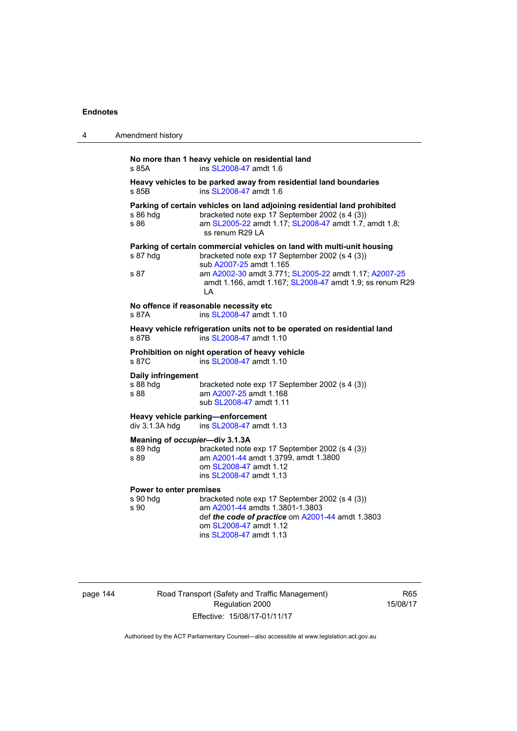| 4 | Amendment history                                                                                                                                                                                                                                                                                  |
|---|----------------------------------------------------------------------------------------------------------------------------------------------------------------------------------------------------------------------------------------------------------------------------------------------------|
|   | No more than 1 heavy vehicle on residential land<br>ins SL2008-47 amdt 1.6<br>s 85A                                                                                                                                                                                                                |
|   | Heavy vehicles to be parked away from residential land boundaries<br>ins SL2008-47 amdt 1.6<br>s 85B                                                                                                                                                                                               |
|   | Parking of certain vehicles on land adjoining residential land prohibited<br>bracketed note exp 17 September 2002 (s 4 (3))<br>s 86 hdg<br>s 86<br>am SL2005-22 amdt 1.17; SL2008-47 amdt 1.7, amdt 1.8;<br>ss renum R29 LA                                                                        |
|   | Parking of certain commercial vehicles on land with multi-unit housing<br>s 87 hdg<br>bracketed note exp 17 September 2002 (s 4 (3))<br>sub A2007-25 amdt 1.165<br>s 87<br>am A2002-30 amdt 3.771; SL2005-22 amdt 1.17; A2007-25<br>amdt 1.166, amdt 1.167; SL2008-47 amdt 1.9; ss renum R29<br>LA |
|   | No offence if reasonable necessity etc<br>ins SL2008-47 amdt 1.10<br>s 87A                                                                                                                                                                                                                         |
|   | Heavy vehicle refrigeration units not to be operated on residential land<br>ins SL2008-47 amdt 1.10<br>s 87B                                                                                                                                                                                       |
|   | Prohibition on night operation of heavy vehicle<br>ins SL2008-47 amdt 1.10<br>s 87C                                                                                                                                                                                                                |
|   | Daily infringement<br>s 88 hdg<br>bracketed note exp 17 September 2002 (s 4 (3))<br>s 88<br>am A2007-25 amdt 1.168<br>sub SL2008-47 amdt 1.11                                                                                                                                                      |
|   | Heavy vehicle parking-enforcement<br>ins SL2008-47 amdt 1.13<br>$div$ 3.1.3A hdg                                                                                                                                                                                                                   |
|   | Meaning of occupier-div 3.1.3A<br>bracketed note exp 17 September 2002 (s 4 (3))<br>s 89 hdg<br>am A2001-44 amdt 1.3799, amdt 1.3800<br>s 89<br>om SL2008-47 amdt 1.12<br>ins SL2008-47 amdt 1.13                                                                                                  |
|   | Power to enter premises<br>s 90 hdg<br>bracketed note exp 17 September 2002 (s 4 (3))<br>am A2001-44 amdts 1.3801-1.3803<br>s 90<br>def the code of practice om A2001-44 amdt 1.3803<br>om SL2008-47 amdt 1.12<br>ins SL2008-47 amdt 1.13                                                          |

| page 144 |  |  |
|----------|--|--|
|----------|--|--|

144 Road Transport (Safety and Traffic Management) Regulation 2000 Effective: 15/08/17-01/11/17

R65 15/08/17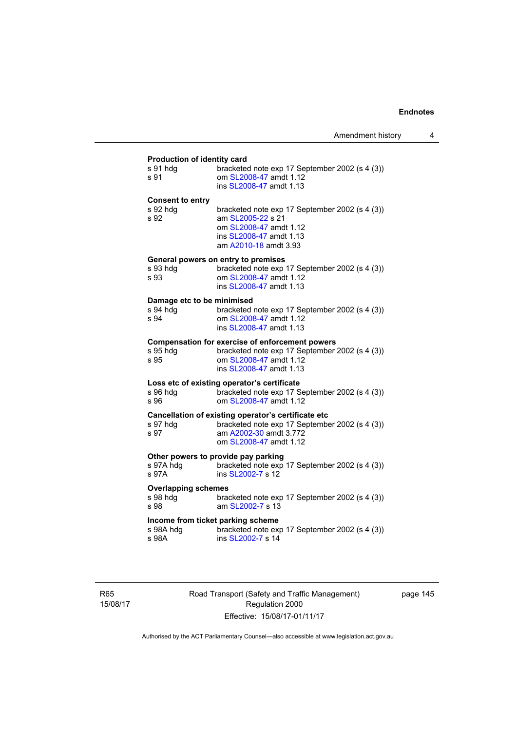# **Production of identity card**

| Production of identity card                             |                                                                                                                                                               |
|---------------------------------------------------------|---------------------------------------------------------------------------------------------------------------------------------------------------------------|
| s 91 hdg<br>s 91                                        | bracketed note exp 17 September 2002 (s 4 (3))<br>om SL2008-47 amdt 1.12<br>ins SL2008-47 amdt 1.13                                                           |
| <b>Consent to entry</b><br>s 92 hdg<br>s 92             | bracketed note exp 17 September 2002 (s 4 (3))<br>am SL2005-22 s 21<br>om SL2008-47 amdt 1.12<br>ins SL2008-47 amdt 1.13<br>am A2010-18 amdt 3.93             |
| s 93 hdg<br>s 93                                        | General powers on entry to premises<br>bracketed note exp 17 September 2002 (s 4 (3))<br>om SL2008-47 amdt 1.12<br>ins SL2008-47 amdt 1.13                    |
| Damage etc to be minimised<br>s 94 hda<br>s 94          | bracketed note exp 17 September 2002 (s 4 (3))<br>om SL2008-47 amdt 1.12<br>ins SL2008-47 amdt 1.13                                                           |
| s 95 hdg<br>s 95                                        | <b>Compensation for exercise of enforcement powers</b><br>bracketed note exp 17 September 2002 (s 4 (3))<br>om SL2008-47 amdt 1.12<br>ins SL2008-47 amdt 1.13 |
| s 96 hdg<br>s 96                                        | Loss etc of existing operator's certificate<br>bracketed note exp 17 September 2002 (s 4 (3))<br>om SL2008-47 amdt 1.12                                       |
| s 97 hdg<br>s 97                                        | Cancellation of existing operator's certificate etc<br>bracketed note exp 17 September 2002 (s 4 (3))<br>am A2002-30 amdt 3.772<br>om SL2008-47 amdt 1.12     |
| s 97A hdg<br>s 97A                                      | Other powers to provide pay parking<br>bracketed note exp 17 September 2002 (s 4 (3))<br>ins SL2002-7 s 12                                                    |
| <b>Overlapping schemes</b><br>s 98 hdg<br>s 98          | bracketed note exp 17 September 2002 (s 4 (3))<br>am SL2002-7 s 13                                                                                            |
| Income from ticket parking scheme<br>s 98A hdq<br>s 98A | bracketed note exp 17 September 2002 (s 4 (3))<br>ins SL2002-7 s 14                                                                                           |
|                                                         |                                                                                                                                                               |

R65 15/08/17 Road Transport (Safety and Traffic Management) Regulation 2000 Effective: 15/08/17-01/11/17

page 145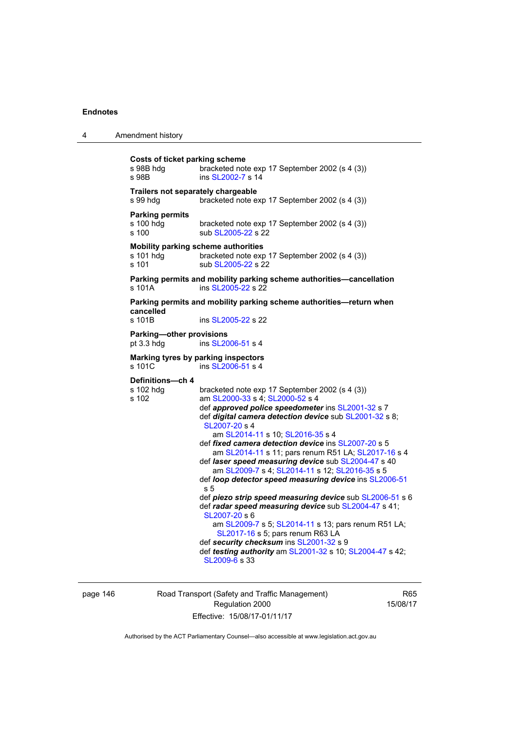| 4 | Amendment history                                           |                                                                                                                                                                                                                                                                                                                                                                                                                                                                                                                                                                                                                                                                                                                                                                                                                                                                                                              |
|---|-------------------------------------------------------------|--------------------------------------------------------------------------------------------------------------------------------------------------------------------------------------------------------------------------------------------------------------------------------------------------------------------------------------------------------------------------------------------------------------------------------------------------------------------------------------------------------------------------------------------------------------------------------------------------------------------------------------------------------------------------------------------------------------------------------------------------------------------------------------------------------------------------------------------------------------------------------------------------------------|
|   | <b>Costs of ticket parking scheme</b><br>s 98B hdg<br>s 98B | bracketed note exp 17 September 2002 (s 4 (3))<br>ins SL2002-7 s 14                                                                                                                                                                                                                                                                                                                                                                                                                                                                                                                                                                                                                                                                                                                                                                                                                                          |
|   | Trailers not separately chargeable<br>s 99 hdg              | bracketed note exp 17 September 2002 (s 4 (3))                                                                                                                                                                                                                                                                                                                                                                                                                                                                                                                                                                                                                                                                                                                                                                                                                                                               |
|   | <b>Parking permits</b><br>s 100 hdg<br>s 100                | bracketed note exp 17 September 2002 (s 4 (3))<br>sub SL2005-22 s 22                                                                                                                                                                                                                                                                                                                                                                                                                                                                                                                                                                                                                                                                                                                                                                                                                                         |
|   | s 101 hdq<br>s 101                                          | Mobility parking scheme authorities<br>bracketed note exp 17 September 2002 (s 4 (3))<br>sub SL2005-22 s 22                                                                                                                                                                                                                                                                                                                                                                                                                                                                                                                                                                                                                                                                                                                                                                                                  |
|   | s 101A                                                      | Parking permits and mobility parking scheme authorities-cancellation<br>ins SL2005-22 s 22                                                                                                                                                                                                                                                                                                                                                                                                                                                                                                                                                                                                                                                                                                                                                                                                                   |
|   | cancelled<br>s 101B                                         | Parking permits and mobility parking scheme authorities—return when<br>ins SL2005-22 s 22                                                                                                                                                                                                                                                                                                                                                                                                                                                                                                                                                                                                                                                                                                                                                                                                                    |
|   | <b>Parking-other provisions</b><br>pt $3.3$ hdg             | ins SL2006-51 s 4                                                                                                                                                                                                                                                                                                                                                                                                                                                                                                                                                                                                                                                                                                                                                                                                                                                                                            |
|   | s 101C                                                      | Marking tyres by parking inspectors<br>ins SL2006-51 s 4                                                                                                                                                                                                                                                                                                                                                                                                                                                                                                                                                                                                                                                                                                                                                                                                                                                     |
|   | Definitions-ch 4<br>s 102 hdg<br>s 102                      | bracketed note exp 17 September 2002 (s 4 (3))<br>am SL2000-33 s 4; SL2000-52 s 4<br>def approved police speedometer ins SL2001-32 s 7<br>def <i>digital camera detection device</i> sub SL2001-32 s 8;<br>SL2007-20 s 4<br>am SL2014-11 s 10; SL2016-35 s 4<br>def fixed camera detection device ins SL2007-20 s 5<br>am SL2014-11 s 11; pars renum R51 LA; SL2017-16 s 4<br>def laser speed measuring device sub SL2004-47 s 40<br>am SL2009-7 s 4; SL2014-11 s 12; SL2016-35 s 5<br>def loop detector speed measuring device ins SL2006-51<br>s 5<br>def piezo strip speed measuring device sub SL2006-51 s 6<br>def radar speed measuring device sub SL2004-47 s 41;<br>SL2007-20 s 6<br>am SL2009-7 s 5; SL2014-11 s 13; pars renum R51 LA;<br>SL2017-16 s 5; pars renum R63 LA<br>def security checksum ins SL2001-32 s 9<br>def testing authority am SL2001-32 s 10; SL2004-47 s 42;<br>SL2009-6 s 33 |

page 146 Road Transport (Safety and Traffic Management) Regulation 2000 Effective: 15/08/17-01/11/17

R65 15/08/17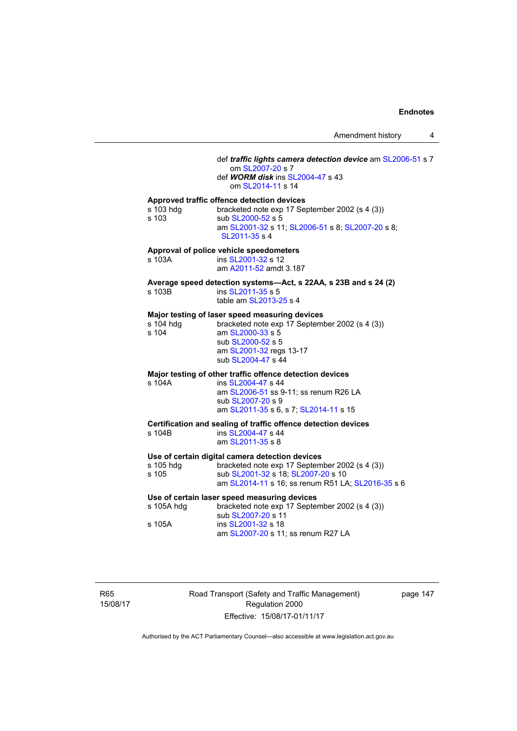## def *traffic lights camera detection device* am [SL2006-51](http://www.legislation.act.gov.au/sl/2006-51) s 7 om [SL2007-20](http://www.legislation.act.gov.au/sl/2007-20) s 7 def *WORM disk* ins [SL2004-47](http://www.legislation.act.gov.au/sl/2004-47) s 43 om [SL2014-11](http://www.legislation.act.gov.au/sl/2014-11) s 14 **Approved traffic offence detection devices**  s 103 hdg bracketed note exp 17 September 2002 (s 4 (3)) s 103 sub [SL2000-52](http://www.legislation.act.gov.au/sl/2000-52) s 5 am [SL2001-32](http://www.legislation.act.gov.au/sl/2001-32) s 11; [SL2006-51](http://www.legislation.act.gov.au/sl/2006-51) s 8; [SL2007-20](http://www.legislation.act.gov.au/sl/2007-20) s 8; [SL2011-35](http://www.legislation.act.gov.au/sl/2011-35) s 4 **Approval of police vehicle speedometers**  s 103A **ins [SL2001-32](http://www.legislation.act.gov.au/sl/2001-32) s 12**  am [A2011-52](http://www.legislation.act.gov.au/a/2011-52) amdt 3.187 **Average speed detection systems—Act, s 22AA, s 23B and s 24 (2)**  s 103B ins [SL2011-35](http://www.legislation.act.gov.au/sl/2011-35) s 5 table am [SL2013-25](http://www.legislation.act.gov.au/sl/2013-25) s 4 **Major testing of laser speed measuring devices**  s 104 hdg bracketed note exp 17 September 2002 (s 4 (3)) s 104 am [SL2000-33](http://www.legislation.act.gov.au/sl/2000-33) s 5 sub [SL2000-52](http://www.legislation.act.gov.au/sl/2000-52) s 5 am [SL2001-32](http://www.legislation.act.gov.au/sl/2001-32) regs 13-17 sub [SL2004-47](http://www.legislation.act.gov.au/sl/2004-47) s 44 **Major testing of other traffic offence detection devices**  s 104A ins [SL2004-47](http://www.legislation.act.gov.au/sl/2004-47) s 44 am [SL2006-51](http://www.legislation.act.gov.au/sl/2006-51) ss 9-11; ss renum R26 LA sub [SL2007-20](http://www.legislation.act.gov.au/sl/2007-20) s 9 am [SL2011-35](http://www.legislation.act.gov.au/sl/2011-35) s 6, s 7; [SL2014-11](http://www.legislation.act.gov.au/sl/2014-11) s 15 **Certification and sealing of traffic offence detection devices**  s 104B ins [SL2004-47](http://www.legislation.act.gov.au/sl/2004-47) s 44 am [SL2011-35](http://www.legislation.act.gov.au/sl/2011-35) s 8 **Use of certain digital camera detection devices**  s 105 hdg bracketed note exp 17 September 2002 (s 4 (3))<br>s 105 sub SL2001-32 s 18; SL2007-20 s 10 sub [SL2001-32](http://www.legislation.act.gov.au/sl/2001-32) s 18; [SL2007-20](http://www.legislation.act.gov.au/sl/2007-20) s 10 am [SL2014-11](http://www.legislation.act.gov.au/sl/2014-11) s 16; ss renum R51 LA; [SL2016-35](http://www.legislation.act.gov.au/sl/2016-35/default.asp) s 6 **Use of certain laser speed measuring devices**  s 105A hdg bracketed note exp 17 September 2002 (s 4 (3)) sub [SL2007-20](http://www.legislation.act.gov.au/sl/2007-20) s 11 s 105A ins [SL2001-32](http://www.legislation.act.gov.au/sl/2001-32) s 18 am [SL2007-20](http://www.legislation.act.gov.au/sl/2007-20) s 11; ss renum R27 LA

R65 15/08/17 Road Transport (Safety and Traffic Management) Regulation 2000 Effective: 15/08/17-01/11/17

page 147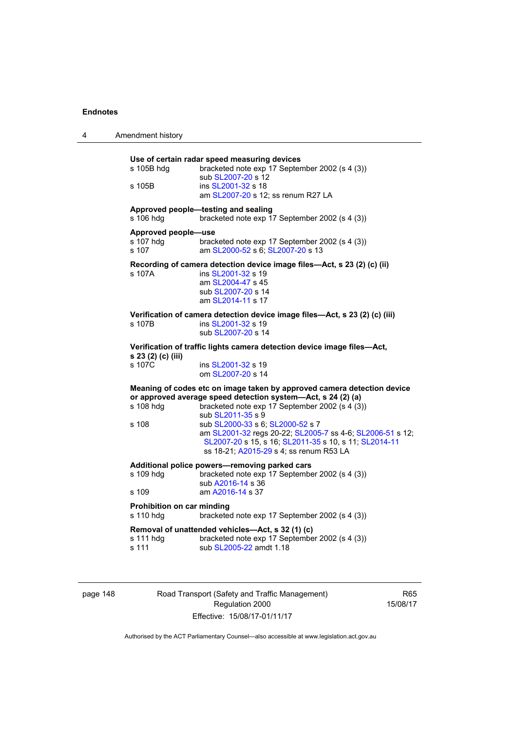| Use of certain radar speed measuring devices<br>s 105B hdg<br>bracketed note exp 17 September 2002 (s 4 (3))<br>sub SL2007-20 s 12<br>ins SL2001-32 s 18<br>s 105B<br>am SL2007-20 s 12; ss renum R27 LA<br>Approved people-testing and sealing<br>s 106 hdg<br>bracketed note exp 17 September 2002 (s 4 (3))<br>Approved people-use<br>s 107 hdg<br>bracketed note exp 17 September 2002 (s 4 (3))<br>s 107<br>am SL2000-52 s 6; SL2007-20 s 13<br>Recording of camera detection device image files-Act, s 23 (2) (c) (ii)<br>s 107A<br>ins SL2001-32 s 19<br>am SL2004-47 s 45<br>sub SL2007-20 s 14<br>am SL2014-11 s 17<br>Verification of camera detection device image files-Act, s 23 (2) (c) (iii)<br>ins SL2001-32 s 19<br>s 107B<br>sub SL2007-20 s 14<br>Verification of traffic lights camera detection device image files-Act,<br>s 23 (2) (c) (iii)<br>s 107C<br>ins SL2001-32 s 19<br>om SL2007-20 s 14<br>Meaning of codes etc on image taken by approved camera detection device<br>or approved average speed detection system-Act, s 24 (2) (a)<br>s 108 hdg<br>bracketed note exp 17 September 2002 (s 4 (3))<br>sub SL2011-35 s 9<br>s 108<br>sub SL2000-33 s 6; SL2000-52 s 7<br>am SL2001-32 regs 20-22; SL2005-7 ss 4-6; SL2006-51 s 12;<br>SL2007-20 s 15, s 16; SL2011-35 s 10, s 11; SL2014-11<br>ss 18-21; A2015-29 s 4; ss renum R53 LA<br>Additional police powers-removing parked cars<br>s 109 hdg<br>bracketed note exp 17 September 2002 (s 4 (3))<br>sub A2016-14 s 36<br>am A2016-14 s 37<br>s 109<br>Prohibition on car minding<br>bracketed note exp 17 September 2002 (s 4 (3))<br>s 110 hdg<br>Removal of unattended vehicles-Act, s 32 (1) (c)<br>bracketed note exp 17 September 2002 (s 4 (3))<br>s 111 hdg<br>s 111<br>sub SL2005-22 amdt 1.18 | 4 | Amendment history |  |
|--------------------------------------------------------------------------------------------------------------------------------------------------------------------------------------------------------------------------------------------------------------------------------------------------------------------------------------------------------------------------------------------------------------------------------------------------------------------------------------------------------------------------------------------------------------------------------------------------------------------------------------------------------------------------------------------------------------------------------------------------------------------------------------------------------------------------------------------------------------------------------------------------------------------------------------------------------------------------------------------------------------------------------------------------------------------------------------------------------------------------------------------------------------------------------------------------------------------------------------------------------------------------------------------------------------------------------------------------------------------------------------------------------------------------------------------------------------------------------------------------------------------------------------------------------------------------------------------------------------------------------------------------------------------------------------------------------------------------------------------------------------------------------------------|---|-------------------|--|
|                                                                                                                                                                                                                                                                                                                                                                                                                                                                                                                                                                                                                                                                                                                                                                                                                                                                                                                                                                                                                                                                                                                                                                                                                                                                                                                                                                                                                                                                                                                                                                                                                                                                                                                                                                                            |   |                   |  |
|                                                                                                                                                                                                                                                                                                                                                                                                                                                                                                                                                                                                                                                                                                                                                                                                                                                                                                                                                                                                                                                                                                                                                                                                                                                                                                                                                                                                                                                                                                                                                                                                                                                                                                                                                                                            |   |                   |  |
|                                                                                                                                                                                                                                                                                                                                                                                                                                                                                                                                                                                                                                                                                                                                                                                                                                                                                                                                                                                                                                                                                                                                                                                                                                                                                                                                                                                                                                                                                                                                                                                                                                                                                                                                                                                            |   |                   |  |
|                                                                                                                                                                                                                                                                                                                                                                                                                                                                                                                                                                                                                                                                                                                                                                                                                                                                                                                                                                                                                                                                                                                                                                                                                                                                                                                                                                                                                                                                                                                                                                                                                                                                                                                                                                                            |   |                   |  |
|                                                                                                                                                                                                                                                                                                                                                                                                                                                                                                                                                                                                                                                                                                                                                                                                                                                                                                                                                                                                                                                                                                                                                                                                                                                                                                                                                                                                                                                                                                                                                                                                                                                                                                                                                                                            |   |                   |  |
|                                                                                                                                                                                                                                                                                                                                                                                                                                                                                                                                                                                                                                                                                                                                                                                                                                                                                                                                                                                                                                                                                                                                                                                                                                                                                                                                                                                                                                                                                                                                                                                                                                                                                                                                                                                            |   |                   |  |
|                                                                                                                                                                                                                                                                                                                                                                                                                                                                                                                                                                                                                                                                                                                                                                                                                                                                                                                                                                                                                                                                                                                                                                                                                                                                                                                                                                                                                                                                                                                                                                                                                                                                                                                                                                                            |   |                   |  |
|                                                                                                                                                                                                                                                                                                                                                                                                                                                                                                                                                                                                                                                                                                                                                                                                                                                                                                                                                                                                                                                                                                                                                                                                                                                                                                                                                                                                                                                                                                                                                                                                                                                                                                                                                                                            |   |                   |  |
|                                                                                                                                                                                                                                                                                                                                                                                                                                                                                                                                                                                                                                                                                                                                                                                                                                                                                                                                                                                                                                                                                                                                                                                                                                                                                                                                                                                                                                                                                                                                                                                                                                                                                                                                                                                            |   |                   |  |
|                                                                                                                                                                                                                                                                                                                                                                                                                                                                                                                                                                                                                                                                                                                                                                                                                                                                                                                                                                                                                                                                                                                                                                                                                                                                                                                                                                                                                                                                                                                                                                                                                                                                                                                                                                                            |   |                   |  |

page 148 Road Transport (Safety and Traffic Management) Regulation 2000 Effective: 15/08/17-01/11/17

R65 15/08/17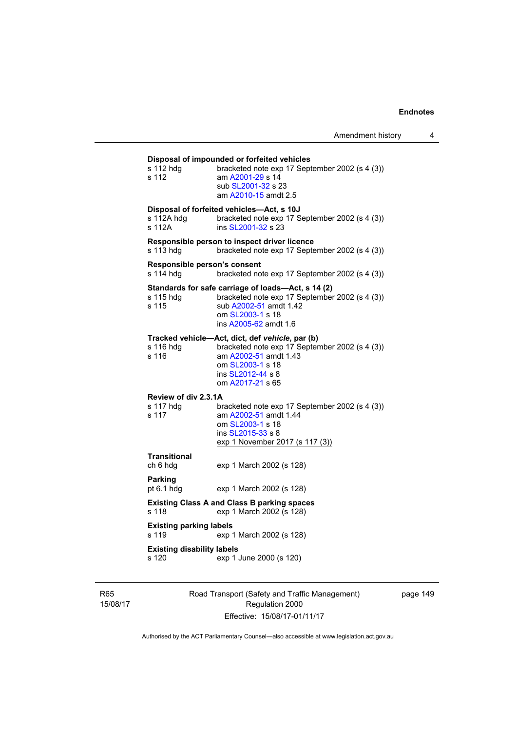| s 112 hdg<br>s 112                         | Disposal of impounded or forfeited vehicles<br>bracketed note exp 17 September 2002 (s 4 (3))<br>am A2001-29 s 14<br>sub SL2001-32 s 23<br>am A2010-15 amdt 2.5                         |
|--------------------------------------------|-----------------------------------------------------------------------------------------------------------------------------------------------------------------------------------------|
| s 112A hdg<br>s 112A                       | Disposal of forfeited vehicles-Act, s 10J<br>bracketed note exp 17 September 2002 (s 4 (3))<br>ins SL2001-32 s 23                                                                       |
| s 113 hdg                                  | Responsible person to inspect driver licence<br>bracketed note exp 17 September 2002 (s 4 (3))                                                                                          |
| Responsible person's consent<br>s 114 hdq  | bracketed note exp 17 September 2002 (s 4 (3))                                                                                                                                          |
| s 115 hdg<br>s 115                         | Standards for safe carriage of loads-Act, s 14 (2)<br>bracketed note exp 17 September 2002 (s 4 (3))<br>sub A2002-51 amdt 1.42<br>om SL2003-1 s 18<br>ins A2005-62 amdt 1.6             |
| s 116 hdg<br>s 116                         | Tracked vehicle-Act, dict, def vehicle, par (b)<br>bracketed note exp 17 September 2002 (s 4 (3))<br>am A2002-51 amdt 1.43<br>om SL2003-1 s 18<br>ins SL2012-44 s 8<br>om A2017-21 s 65 |
| Review of div 2.3.1A<br>s 117 hdg<br>s 117 | bracketed note exp 17 September 2002 (s 4 (3))<br>am A2002-51 amdt 1.44<br>om SL2003-1 s 18<br>ins SL2015-33 s 8<br>exp 1 November 2017 (s 117 (3))                                     |
| Transitional<br>ch 6 hdg                   | exp 1 March 2002 (s 128)                                                                                                                                                                |
| <b>Parking</b><br>pt $6.1$ hdg             | exp 1 March 2002 (s 128)                                                                                                                                                                |
| s 118                                      | <b>Existing Class A and Class B parking spaces</b><br>exp 1 March 2002 (s 128)                                                                                                          |
| <b>Existing parking labels</b><br>s 119    | exp 1 March 2002 (s 128)                                                                                                                                                                |
| <b>Existing disability labels</b><br>s 120 | exp 1 June 2000 (s 120)                                                                                                                                                                 |

R65 15/08/17 Road Transport (Safety and Traffic Management) Regulation 2000 Effective: 15/08/17-01/11/17

page 149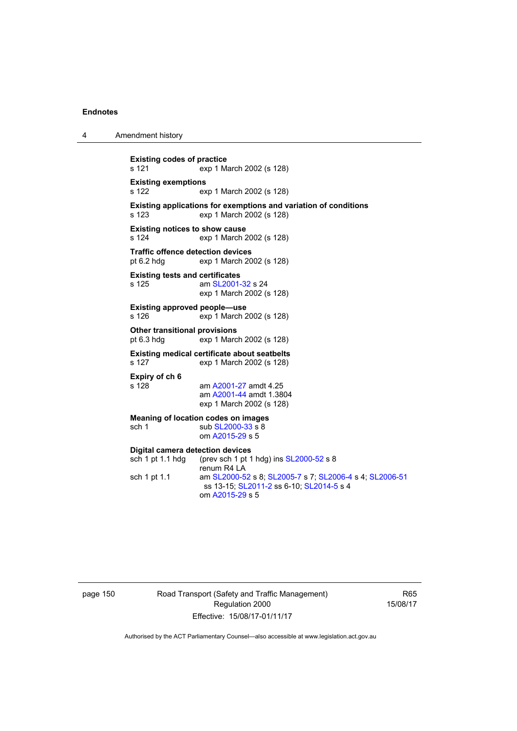4 Amendment history

**Existing codes of practice**  s 121 exp 1 March 2002 (s 128) **Existing exemptions**  s 122 exp 1 March 2002 (s 128) **Existing applications for exemptions and variation of conditions**  s 123 exp 1 March 2002 (s 128) **Existing notices to show cause**  s 124 exp 1 March 2002 (s 128) **Traffic offence detection devices**<br>pt 6.2 hdg exp 1 March 20 exp 1 March 2002 (s 128) **Existing tests and certificates**  s 125 am [SL2001-32](http://www.legislation.act.gov.au/sl/2001-32) s 24 exp 1 March 2002 (s 128) **Existing approved people—use**  s 126 exp 1 March 2002 (s 128) **Other transitional provisions**<br>pt 6.3 hdg exp 1 Marc  $exp 1$  March 2002 (s 128) **Existing medical certificate about seatbelts**  s 127 exp 1 March 2002 (s 128) **Expiry of ch 6**  am [A2001-27](http://www.legislation.act.gov.au/a/2001-27) amdt 4.25 am [A2001-44](http://www.legislation.act.gov.au/a/2001-44) amdt 1.3804 exp 1 March 2002 (s 128) **Meaning of location codes on images**  sch 1 sub [SL2000-33](http://www.legislation.act.gov.au/sl/2000-33) s 8 om [A2015-29](http://www.legislation.act.gov.au/a/2015-29) s 5 **Digital camera detection devices**  sch 1 pt 1.1 hdg (prev sch 1 pt 1 hdg) ins [SL2000-52](http://www.legislation.act.gov.au/sl/2000-52) s 8 renum R4 LA sch 1 pt 1.1 am [SL2000-52](http://www.legislation.act.gov.au/sl/2000-52) s 8; [SL2005-7](http://www.legislation.act.gov.au/sl/2005-7) s 7; [SL2006-4](http://www.legislation.act.gov.au/sl/2006-4) s 4; [SL2006-51](http://www.legislation.act.gov.au/sl/2006-51) ss 13-15; [SL2011-2](http://www.legislation.act.gov.au/sl/2011-2) ss 6-10; [SL2014-5](http://www.legislation.act.gov.au/sl/2014-5) s 4 om [A2015-29](http://www.legislation.act.gov.au/a/2015-29) s 5

page 150 Road Transport (Safety and Traffic Management) Regulation 2000 Effective: 15/08/17-01/11/17

R65 15/08/17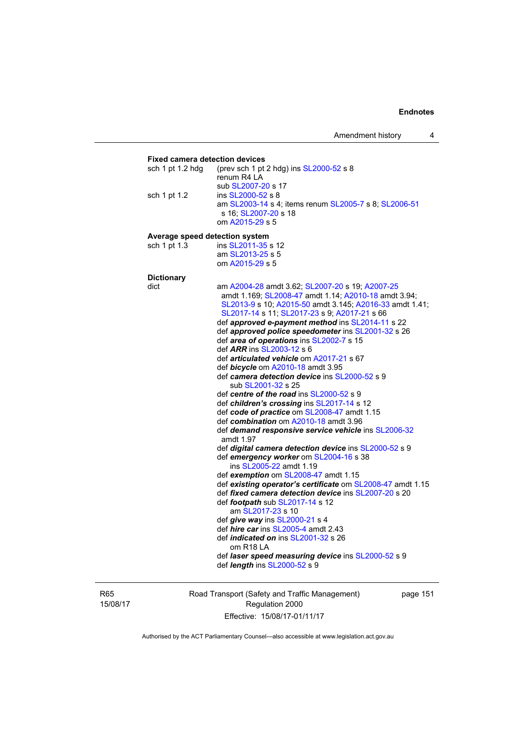Amendment history 4

### **Fixed camera detection devices**  sch 1 pt 1.2 hdg (prev sch 1 pt 2 hdg) ins [SL2000-52](http://www.legislation.act.gov.au/sl/2000-52) s 8 renum R4 LA sub [SL2007-20](http://www.legislation.act.gov.au/sl/2007-20) s 17 sch 1 pt 1.2 ins [SL2000-52](http://www.legislation.act.gov.au/sl/2000-52) s 8 am [SL2003-14](http://www.legislation.act.gov.au/sl/2003-14) s 4; items renum [SL2005-7](http://www.legislation.act.gov.au/sl/2005-7) s 8; [SL2006-51](http://www.legislation.act.gov.au/sl/2006-51) s 16; [SL2007-20](http://www.legislation.act.gov.au/sl/2007-20) s 18 om [A2015-29](http://www.legislation.act.gov.au/a/2015-29) s 5 **Average speed detection system**  sch 1 pt 1.3 ins [SL2011-35](http://www.legislation.act.gov.au/sl/2011-35) s 12 am [SL2013-25](http://www.legislation.act.gov.au/sl/2013-25) s 5 om [A2015-29](http://www.legislation.act.gov.au/a/2015-29) s 5 **Dictionary**  dict am [A2004-28](http://www.legislation.act.gov.au/a/2004-28) amdt 3.62; [SL2007-20](http://www.legislation.act.gov.au/sl/2007-20) s 19; [A2007-25](http://www.legislation.act.gov.au/a/2007-25) amdt 1.169; [SL2008-47](http://www.legislation.act.gov.au/sl/2008-47) amdt 1.14; [A2010-18](http://www.legislation.act.gov.au/a/2010-18) amdt 3.94; [SL2013-9](http://www.legislation.act.gov.au/sl/2013-9/default.asp) s 10; [A2015-50](http://www.legislation.act.gov.au/a/2015-50) amdt 3.145; [A2016-33](http://www.legislation.act.gov.au/a/2016-33/default.asp) amdt 1.41; [SL2017-14](http://www.legislation.act.gov.au/sl/2017-14/default.asp) s 11; [SL2017-23](http://www.legislation.act.gov.au/sl/2017-23/default.asp) s 9; [A2017-21](http://www.legislation.act.gov.au/a/2017-21/default.asp) s 66 def *approved e-payment method* ins [SL2014-11](http://www.legislation.act.gov.au/sl/2014-11) s 22 def *approved police speedometer* ins [SL2001-32](http://www.legislation.act.gov.au/sl/2001-32) s 26 def *area of operations* ins [SL2002-7](http://www.legislation.act.gov.au/sl/2002-7) s 15 def *ARR* ins [SL2003-12](http://www.legislation.act.gov.au/sl/2003-12) s 6 def *articulated vehicle* om [A2017-21](http://www.legislation.act.gov.au/a/2017-21/default.asp) s 67 def *bicycle* om [A2010-18](http://www.legislation.act.gov.au/a/2010-18) amdt 3.95 def *camera detection device* ins [SL2000-52](http://www.legislation.act.gov.au/sl/2000-52) s 9 sub [SL2001-32](http://www.legislation.act.gov.au/sl/2001-32) s 25 def *centre of the road* ins [SL2000-52](http://www.legislation.act.gov.au/sl/2000-52) s 9 def *children's crossing* ins [SL2017-14](http://www.legislation.act.gov.au/sl/2017-14/default.asp) s 12 def *code of practice* om [SL2008-47](http://www.legislation.act.gov.au/sl/2008-47) amdt 1.15 def *combination* om [A2010-18](http://www.legislation.act.gov.au/a/2010-18) amdt 3.96 def *demand responsive service vehicle* ins [SL2006-32](http://www.legislation.act.gov.au/sl/2006-32) amdt 1.97 def *digital camera detection device* ins [SL2000-52](http://www.legislation.act.gov.au/sl/2000-52) s 9 def *emergency worker* om [SL2004-16](http://www.legislation.act.gov.au/sl/2004-16) s 38 ins [SL2005-22](http://www.legislation.act.gov.au/sl/2005-22) amdt 1.19 def *exemption* om [SL2008-47](http://www.legislation.act.gov.au/sl/2008-47) amdt 1.15 def *existing operator's certificate* om [SL2008-47](http://www.legislation.act.gov.au/sl/2008-47) amdt 1.15 def *fixed camera detection device* ins [SL2007-20](http://www.legislation.act.gov.au/sl/2007-20) s 20 def *footpath* sub [SL2017-14](http://www.legislation.act.gov.au/sl/2017-14/default.asp) s 12 am [SL2017-23](http://www.legislation.act.gov.au/sl/2017-23/default.asp) s 10 def *give way* ins [SL2000-21](http://www.legislation.act.gov.au/sl/2000-21) s 4 def *hire car* ins [SL2005-4](http://www.legislation.act.gov.au/sl/2005-4) amdt 2.43 def *indicated on* ins [SL2001-32](http://www.legislation.act.gov.au/sl/2001-32) s 26 om R18 LA def *laser speed measuring device* ins [SL2000-52](http://www.legislation.act.gov.au/sl/2000-52) s 9 def *length* ins [SL2000-52](http://www.legislation.act.gov.au/sl/2000-52) s 9

R65 15/08/17 Road Transport (Safety and Traffic Management) Regulation 2000 Effective: 15/08/17-01/11/17

page 151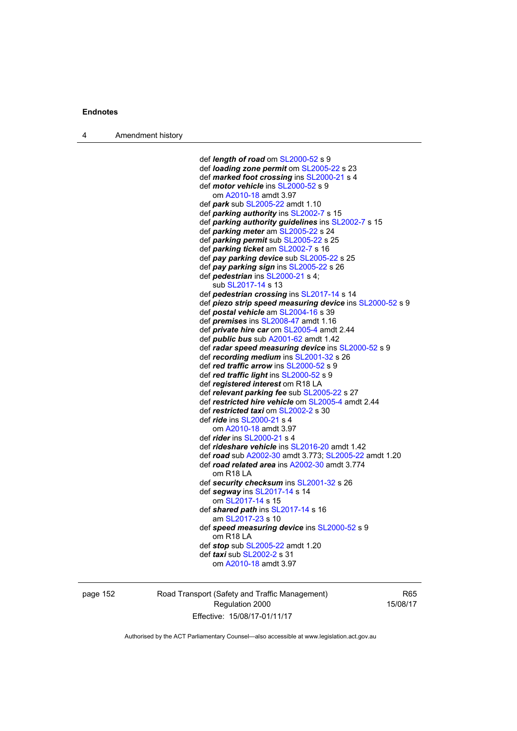def *length of road* om [SL2000-52](http://www.legislation.act.gov.au/sl/2000-52) s 9 def *loading zone permit* om [SL2005-22](http://www.legislation.act.gov.au/sl/2005-22) s 23 def *marked foot crossing* ins [SL2000-21](http://www.legislation.act.gov.au/sl/2000-21) s 4 def *motor vehicle* ins [SL2000-52](http://www.legislation.act.gov.au/sl/2000-52) s 9 om [A2010-18](http://www.legislation.act.gov.au/a/2010-18) amdt 3.97 def *park* sub [SL2005-22](http://www.legislation.act.gov.au/sl/2005-22) amdt 1.10 def *parking authority* ins [SL2002-7](http://www.legislation.act.gov.au/sl/2002-7) s 15 def *parking authority guidelines* ins [SL2002-7](http://www.legislation.act.gov.au/sl/2002-7) s 15 def *parking meter* am [SL2005-22](http://www.legislation.act.gov.au/sl/2005-22) s 24 def *parking permit* sub [SL2005-22](http://www.legislation.act.gov.au/sl/2005-22) s 25 def *parking ticket* am [SL2002-7](http://www.legislation.act.gov.au/sl/2002-7) s 16 def *pay parking device* sub [SL2005-22](http://www.legislation.act.gov.au/sl/2005-22) s 25 def *pay parking sign* ins [SL2005-22](http://www.legislation.act.gov.au/sl/2005-22) s 26 def *pedestrian* ins [SL2000-21](http://www.legislation.act.gov.au/sl/2000-21) s 4; sub [SL2017-14](http://www.legislation.act.gov.au/sl/2017-14/default.asp) s 13 def *pedestrian crossing* ins [SL2017-14](http://www.legislation.act.gov.au/sl/2017-14/default.asp) s 14 def *piezo strip speed measuring device* ins [SL2000-52](http://www.legislation.act.gov.au/sl/2000-52) s 9 def *postal vehicle* am [SL2004-16](http://www.legislation.act.gov.au/sl/2004-16) s 39 def *premises* ins [SL2008-47](http://www.legislation.act.gov.au/sl/2008-47) amdt 1.16 def *private hire car* om [SL2005-4](http://www.legislation.act.gov.au/sl/2005-4) amdt 2.44 def *public bus* sub [A2001-62](http://www.legislation.act.gov.au/a/2001-62) amdt 1.42 def *radar speed measuring device* ins [SL2000-52](http://www.legislation.act.gov.au/sl/2000-52) s 9 def *recording medium* ins [SL2001-32](http://www.legislation.act.gov.au/sl/2001-32) s 26 def *red traffic arrow* ins [SL2000-52](http://www.legislation.act.gov.au/sl/2000-52) s 9 def *red traffic light* ins [SL2000-52](http://www.legislation.act.gov.au/sl/2000-52) s 9 def *registered interest* om R18 LA def *relevant parking fee* sub [SL2005-22](http://www.legislation.act.gov.au/sl/2005-22) s 27 def *restricted hire vehicle* om [SL2005-4](http://www.legislation.act.gov.au/sl/2005-4) amdt 2.44 def *restricted taxi* om [SL2002-2](http://www.legislation.act.gov.au/sl/2002-2) s 30 def *ride* ins [SL2000-21](http://www.legislation.act.gov.au/sl/2000-21) s 4 om [A2010-18](http://www.legislation.act.gov.au/a/2010-18) amdt 3.97 def *rider* ins [SL2000-21](http://www.legislation.act.gov.au/sl/2000-21) s 4 def *rideshare vehicle* ins [SL2016-20](http://www.legislation.act.gov.au/sl/2016-20) amdt 1.42 def *road* sub [A2002-30](http://www.legislation.act.gov.au/a/2002-30) amdt 3.773; [SL2005-22](http://www.legislation.act.gov.au/sl/2005-22) amdt 1.20 def *road related area* ins [A2002-30](http://www.legislation.act.gov.au/a/2002-30) amdt 3.774 om R18 LA def *security checksum* ins [SL2001-32](http://www.legislation.act.gov.au/sl/2001-32) s 26 def *segway* ins [SL2017-14](http://www.legislation.act.gov.au/sl/2017-14/default.asp) s 14 om [SL2017-14](http://www.legislation.act.gov.au/sl/2017-14/default.asp) s 15 def *shared path* ins [SL2017-14](http://www.legislation.act.gov.au/sl/2017-14/default.asp) s 16 am [SL2017-23](http://www.legislation.act.gov.au/sl/2017-23/default.asp) s 10 def *speed measuring device* ins [SL2000-52](http://www.legislation.act.gov.au/sl/2000-52) s 9 om R18 LA def *stop* sub [SL2005-22](http://www.legislation.act.gov.au/sl/2005-22) amdt 1.20 def *taxi* sub [SL2002-2](http://www.legislation.act.gov.au/sl/2002-2) s 31 om [A2010-18](http://www.legislation.act.gov.au/a/2010-18) amdt 3.97

page 152 Road Transport (Safety and Traffic Management) Regulation 2000 Effective: 15/08/17-01/11/17

R65 15/08/17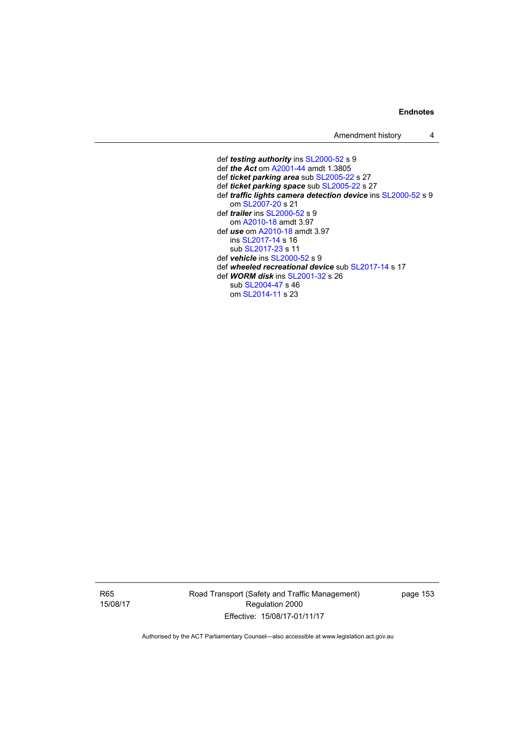Amendment history 4

 def *testing authority* ins [SL2000-52](http://www.legislation.act.gov.au/sl/2000-52) s 9 def *the Act* om [A2001-44](http://www.legislation.act.gov.au/a/2001-44) amdt 1.3805 def *ticket parking area* sub [SL2005-22](http://www.legislation.act.gov.au/sl/2005-22) s 27 def *ticket parking space* sub [SL2005-22](http://www.legislation.act.gov.au/sl/2005-22) s 27 def *traffic lights camera detection device* ins [SL2000-52](http://www.legislation.act.gov.au/sl/2000-52) s 9 om [SL2007-20](http://www.legislation.act.gov.au/sl/2007-20) s 21 def *trailer* ins [SL2000-52](http://www.legislation.act.gov.au/sl/2000-52) s 9 om [A2010-18](http://www.legislation.act.gov.au/a/2010-18) amdt 3.97 def *use* om [A2010-18](http://www.legislation.act.gov.au/a/2010-18) amdt 3.97 ins [SL2017-14](http://www.legislation.act.gov.au/sl/2017-14/default.asp) s 16 sub [SL2017-23](http://www.legislation.act.gov.au/sl/2017-23/default.asp) s 11 def *vehicle* ins [SL2000-52](http://www.legislation.act.gov.au/sl/2000-52) s 9 def *wheeled recreational device* sub [SL2017-14](http://www.legislation.act.gov.au/sl/2017-14/default.asp) s 17 def *WORM disk* ins [SL2001-32](http://www.legislation.act.gov.au/sl/2001-32) s 26 sub [SL2004-47](http://www.legislation.act.gov.au/sl/2004-47) s 46 om [SL2014-11](http://www.legislation.act.gov.au/sl/2014-11) s 23

R65 15/08/17 Road Transport (Safety and Traffic Management) Regulation 2000 Effective: 15/08/17-01/11/17

page 153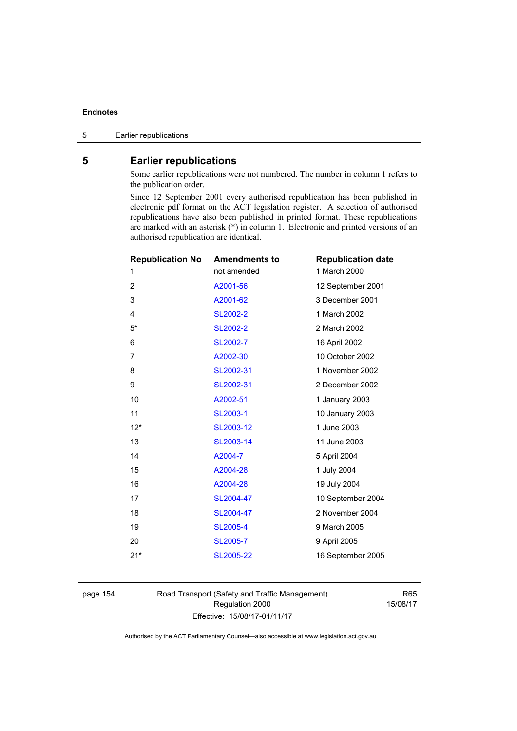# **5 Earlier republications**

Some earlier republications were not numbered. The number in column 1 refers to the publication order.

Since 12 September 2001 every authorised republication has been published in electronic pdf format on the ACT legislation register. A selection of authorised republications have also been published in printed format. These republications are marked with an asterisk (\*) in column 1. Electronic and printed versions of an authorised republication are identical.

| <b>Republication No</b> | <b>Amendments to</b> | <b>Republication date</b> |
|-------------------------|----------------------|---------------------------|
| 1                       | not amended          | 1 March 2000              |
| $\overline{2}$          | A2001-56             | 12 September 2001         |
| 3                       | A2001-62             | 3 December 2001           |
| 4                       | <b>SL2002-2</b>      | 1 March 2002              |
| $5*$                    | <b>SL2002-2</b>      | 2 March 2002              |
| 6                       | SL2002-7             | 16 April 2002             |
| 7                       | A2002-30             | 10 October 2002           |
| 8                       | SL2002-31            | 1 November 2002           |
| 9                       | SL2002-31            | 2 December 2002           |
| 10                      | A2002-51             | 1 January 2003            |
| 11                      | SL2003-1             | 10 January 2003           |
| $12*$                   | SL2003-12            | 1 June 2003               |
| 13                      | SL2003-14            | 11 June 2003              |
| 14                      | A2004-7              | 5 April 2004              |
| 15                      | A2004-28             | 1 July 2004               |
| 16                      | A2004-28             | 19 July 2004              |
| 17                      | SL2004-47            | 10 September 2004         |
| 18                      | SL2004-47            | 2 November 2004           |
| 19                      | <b>SL2005-4</b>      | 9 March 2005              |
| 20                      | SL2005-7             | 9 April 2005              |
| $21*$                   | SL2005-22            | 16 September 2005         |
|                         |                      |                           |

page 154 Road Transport (Safety and Traffic Management) Regulation 2000 Effective: 15/08/17-01/11/17

R65 15/08/17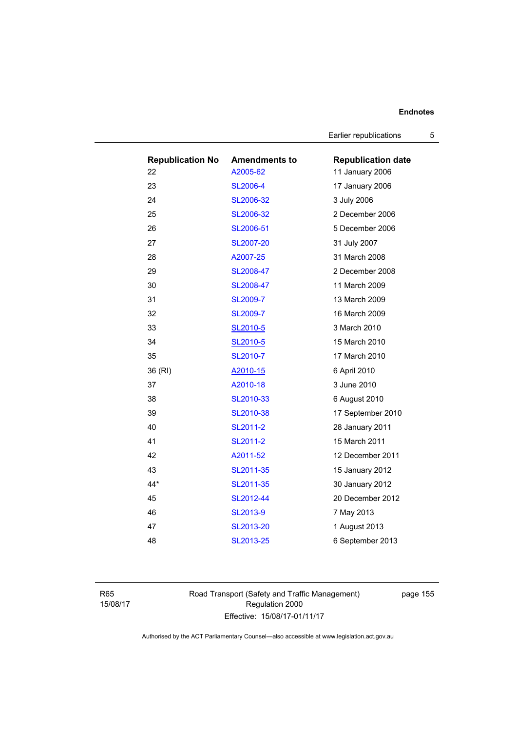Earlier republications 5

| <b>Republication No</b><br>22 | <b>Amendments to</b><br>A2005-62 | <b>Republication date</b><br>11 January 2006 |
|-------------------------------|----------------------------------|----------------------------------------------|
| 23                            | <b>SL2006-4</b>                  | 17 January 2006                              |
| 24                            | SL2006-32                        | 3 July 2006                                  |
| 25                            | SL2006-32                        | 2 December 2006                              |
| 26                            | SL2006-51                        | 5 December 2006                              |
| 27                            | SL2007-20                        | 31 July 2007                                 |
| 28                            | A2007-25                         | 31 March 2008                                |
| 29                            | SL2008-47                        | 2 December 2008                              |
| 30                            | SL2008-47                        | 11 March 2009                                |
| 31                            | <b>SL2009-7</b>                  | 13 March 2009                                |
| 32                            | <b>SL2009-7</b>                  | 16 March 2009                                |
| 33                            | SL2010-5                         | 3 March 2010                                 |
| 34                            | SL2010-5                         | 15 March 2010                                |
| 35                            | SL2010-7                         | 17 March 2010                                |
| 36 (RI)                       | A2010-15                         | 6 April 2010                                 |
| 37                            | A2010-18                         | 3 June 2010                                  |
| 38                            | SL2010-33                        | 6 August 2010                                |
| 39                            | SL2010-38                        | 17 September 2010                            |
| 40                            | SL2011-2                         | 28 January 2011                              |
| 41                            | SL2011-2                         | 15 March 2011                                |
| 42                            | A2011-52                         | 12 December 2011                             |
| 43                            | SL2011-35                        | 15 January 2012                              |
| $44*$                         | SL2011-35                        | 30 January 2012                              |
| 45                            | SL2012-44                        | 20 December 2012                             |
| 46                            | SL2013-9                         | 7 May 2013                                   |
| 47                            | SL2013-20                        | 1 August 2013                                |
| 48                            | SL2013-25                        | 6 September 2013                             |

R65 15/08/17 Road Transport (Safety and Traffic Management) Regulation 2000 Effective: 15/08/17-01/11/17

page 155